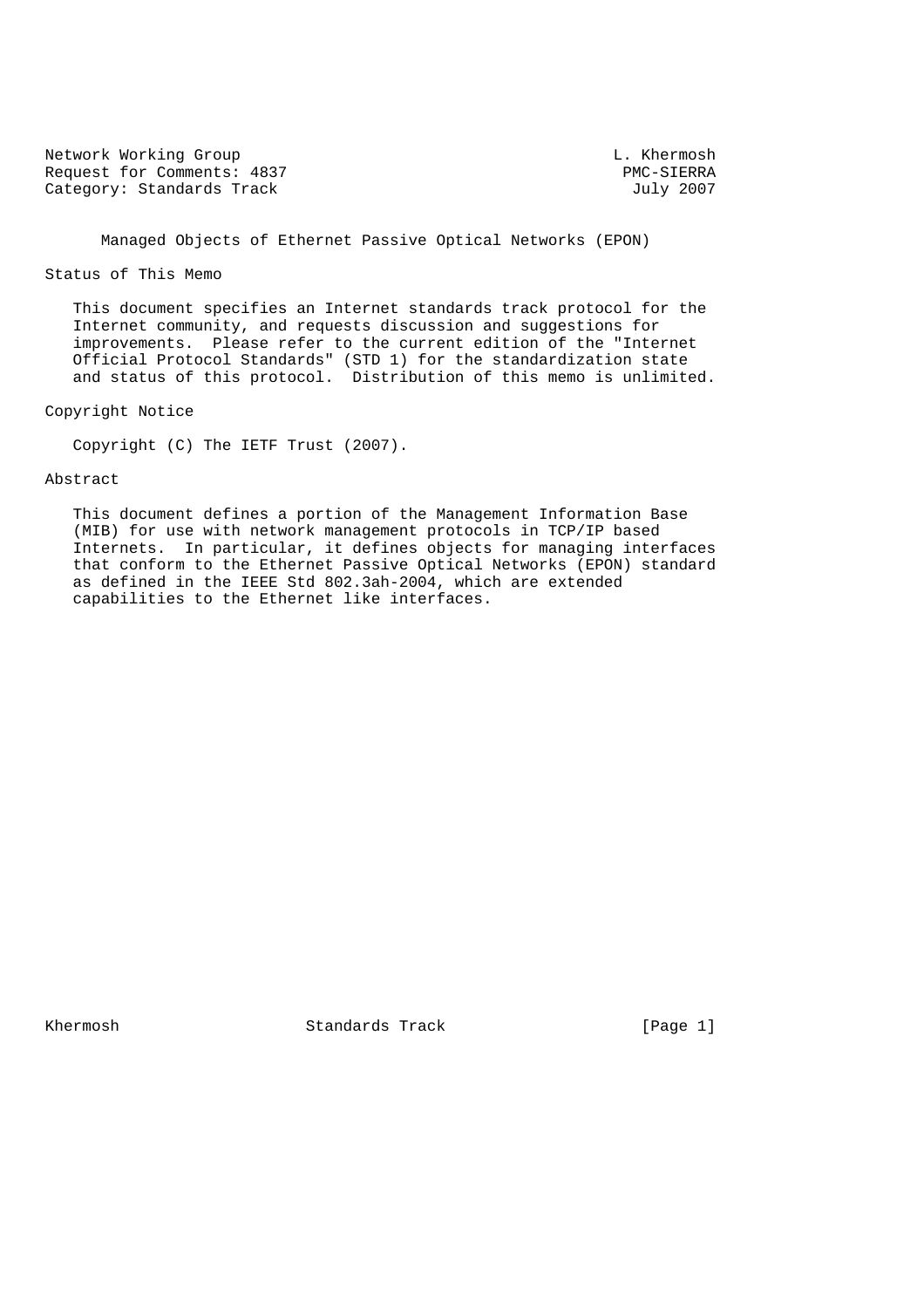Network Working Group<br>Request for Comments: 4837 The comments: 2007 Request for Comments: 4837 PMC-SIERRA<br>
Category: Standards Track and Sully 2007 Category: Standards Track

Managed Objects of Ethernet Passive Optical Networks (EPON)

#### Status of This Memo

 This document specifies an Internet standards track protocol for the Internet community, and requests discussion and suggestions for improvements. Please refer to the current edition of the "Internet Official Protocol Standards" (STD 1) for the standardization state and status of this protocol. Distribution of this memo is unlimited.

Copyright Notice

Copyright (C) The IETF Trust (2007).

### Abstract

 This document defines a portion of the Management Information Base (MIB) for use with network management protocols in TCP/IP based Internets. In particular, it defines objects for managing interfaces that conform to the Ethernet Passive Optical Networks (EPON) standard as defined in the IEEE Std 802.3ah-2004, which are extended capabilities to the Ethernet like interfaces.

Khermosh Standards Track [Page 1]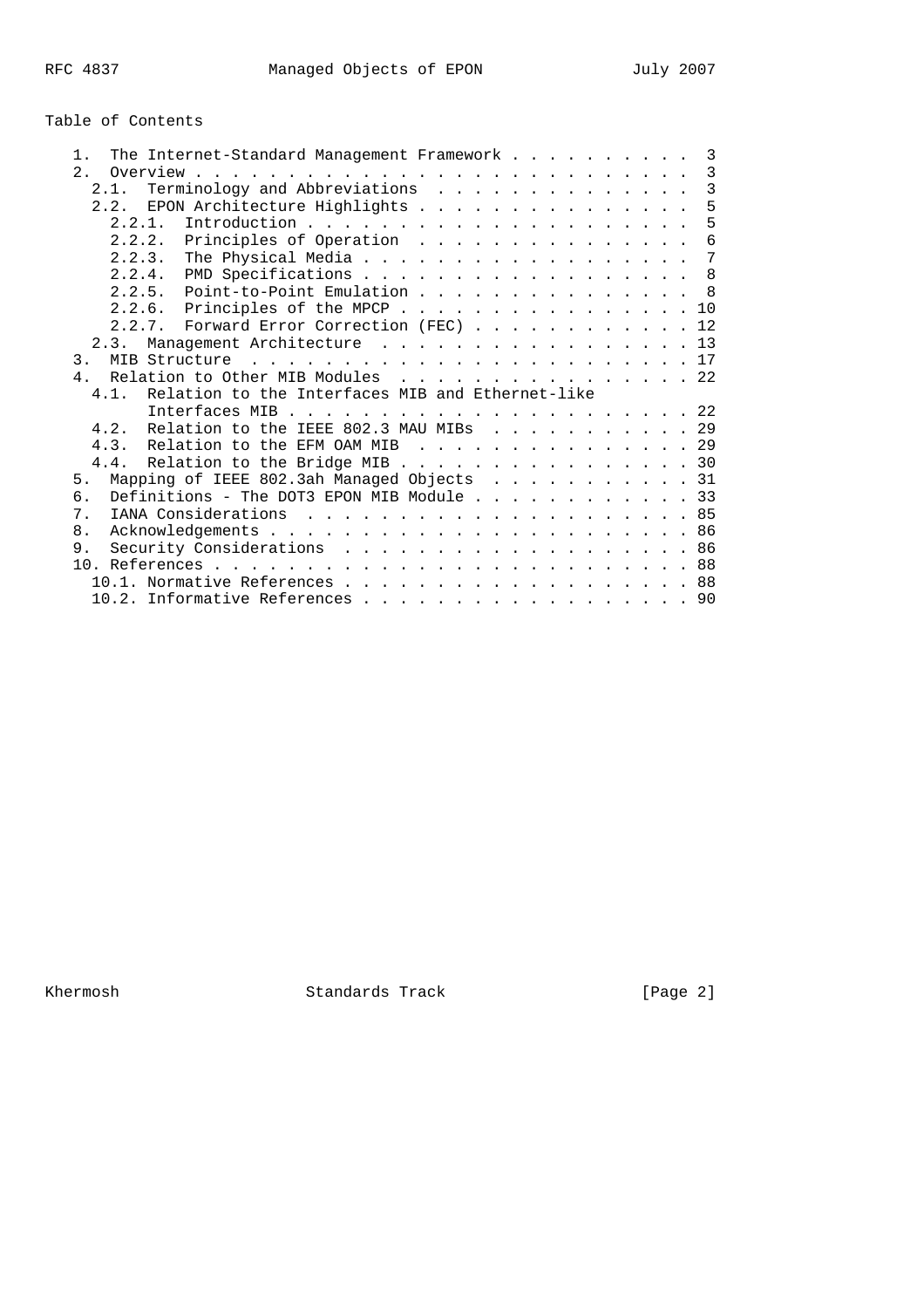# Table of Contents

| $1$ .          |      |             | The Internet-Standard Management Framework 3          |  |  |  |  |  |  |  |  |  |                |
|----------------|------|-------------|-------------------------------------------------------|--|--|--|--|--|--|--|--|--|----------------|
| 2.1            |      |             |                                                       |  |  |  |  |  |  |  |  |  |                |
|                | 2.1. |             | Terminology and Abbreviations                         |  |  |  |  |  |  |  |  |  | $\overline{3}$ |
|                |      |             | 2.2. EPON Architecture Highlights 5                   |  |  |  |  |  |  |  |  |  |                |
|                |      | 2.2.1.      |                                                       |  |  |  |  |  |  |  |  |  | 5              |
|                |      |             | 2.2.2. Principles of Operation                        |  |  |  |  |  |  |  |  |  | 6              |
|                |      | $2, 2, 3$ . | The Physical Media                                    |  |  |  |  |  |  |  |  |  | $\overline{7}$ |
|                |      |             | 2.2.4. PMD Specifications                             |  |  |  |  |  |  |  |  |  | 8              |
|                |      |             | 2.2.5. Point-to-Point Emulation                       |  |  |  |  |  |  |  |  |  | $\overline{8}$ |
|                |      |             | 2.2.6. Principles of the MPCP 10                      |  |  |  |  |  |  |  |  |  |                |
|                |      |             | 2.2.7. Forward Error Correction (FEC) 12              |  |  |  |  |  |  |  |  |  |                |
|                | 2.3. |             | Management Architecture 13                            |  |  |  |  |  |  |  |  |  |                |
| 3.             |      |             |                                                       |  |  |  |  |  |  |  |  |  |                |
| 4 <sub>1</sub> |      |             | Relation to Other MIB Modules 22                      |  |  |  |  |  |  |  |  |  |                |
|                |      |             | 4.1. Relation to the Interfaces MIB and Ethernet-like |  |  |  |  |  |  |  |  |  |                |
|                |      |             |                                                       |  |  |  |  |  |  |  |  |  |                |
|                |      |             | 4.2. Relation to the IEEE 802.3 MAU MIBs 29           |  |  |  |  |  |  |  |  |  |                |
|                |      |             | 4.3. Relation to the EFM OAM MIB 29                   |  |  |  |  |  |  |  |  |  |                |
|                |      |             | 4.4. Relation to the Bridge MIB 30                    |  |  |  |  |  |  |  |  |  |                |
| 5.             |      |             | Mapping of IEEE 802.3ah Managed Objects 31            |  |  |  |  |  |  |  |  |  |                |
| б.             |      |             | Definitions - The DOT3 EPON MIB Module 33             |  |  |  |  |  |  |  |  |  |                |
| 7 <sup>1</sup> |      |             |                                                       |  |  |  |  |  |  |  |  |  |                |
| 8 <sub>1</sub> |      |             |                                                       |  |  |  |  |  |  |  |  |  |                |
| 9.             |      |             | Security Considerations 86                            |  |  |  |  |  |  |  |  |  |                |
|                |      |             |                                                       |  |  |  |  |  |  |  |  |  |                |
|                |      |             | 10.1. Normative References 88                         |  |  |  |  |  |  |  |  |  |                |
|                |      |             |                                                       |  |  |  |  |  |  |  |  |  |                |
|                |      |             | 10.2. Informative References 90                       |  |  |  |  |  |  |  |  |  |                |

Khermosh Standards Track [Page 2]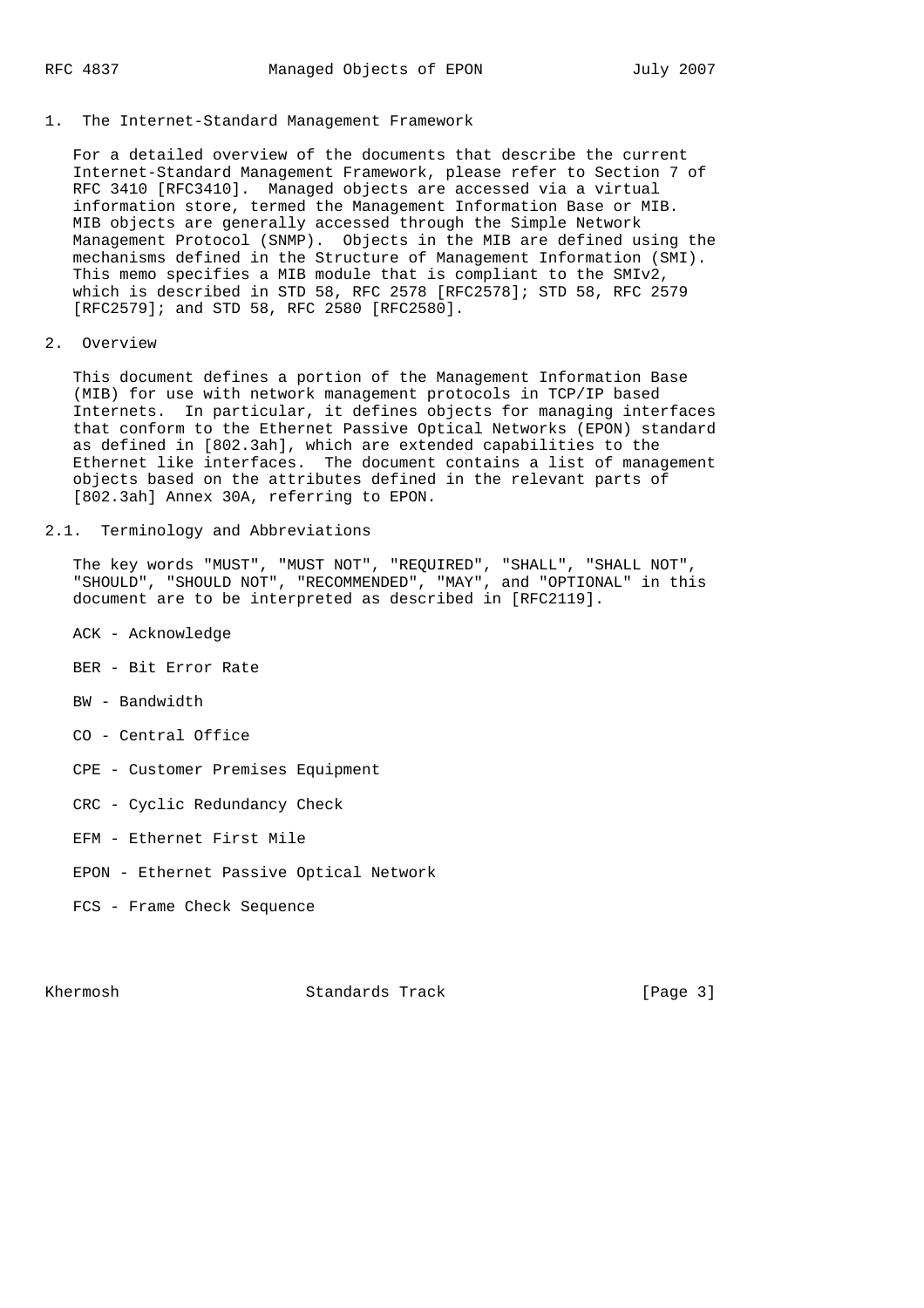1. The Internet-Standard Management Framework

 For a detailed overview of the documents that describe the current Internet-Standard Management Framework, please refer to Section 7 of RFC 3410 [RFC3410]. Managed objects are accessed via a virtual information store, termed the Management Information Base or MIB. MIB objects are generally accessed through the Simple Network Management Protocol (SNMP). Objects in the MIB are defined using the mechanisms defined in the Structure of Management Information (SMI). This memo specifies a MIB module that is compliant to the SMIv2, which is described in STD 58, RFC 2578 [RFC2578]; STD 58, RFC 2579 [RFC2579]; and STD 58, RFC 2580 [RFC2580].

2. Overview

 This document defines a portion of the Management Information Base (MIB) for use with network management protocols in TCP/IP based Internets. In particular, it defines objects for managing interfaces that conform to the Ethernet Passive Optical Networks (EPON) standard as defined in [802.3ah], which are extended capabilities to the Ethernet like interfaces. The document contains a list of management objects based on the attributes defined in the relevant parts of [802.3ah] Annex 30A, referring to EPON.

# 2.1. Terminology and Abbreviations

 The key words "MUST", "MUST NOT", "REQUIRED", "SHALL", "SHALL NOT", "SHOULD", "SHOULD NOT", "RECOMMENDED", "MAY", and "OPTIONAL" in this document are to be interpreted as described in [RFC2119].

- ACK Acknowledge
- BER Bit Error Rate
- BW Bandwidth
- CO Central Office
- CPE Customer Premises Equipment
- CRC Cyclic Redundancy Check
- EFM Ethernet First Mile
- EPON Ethernet Passive Optical Network
- FCS Frame Check Sequence

Khermosh Standards Track [Page 3]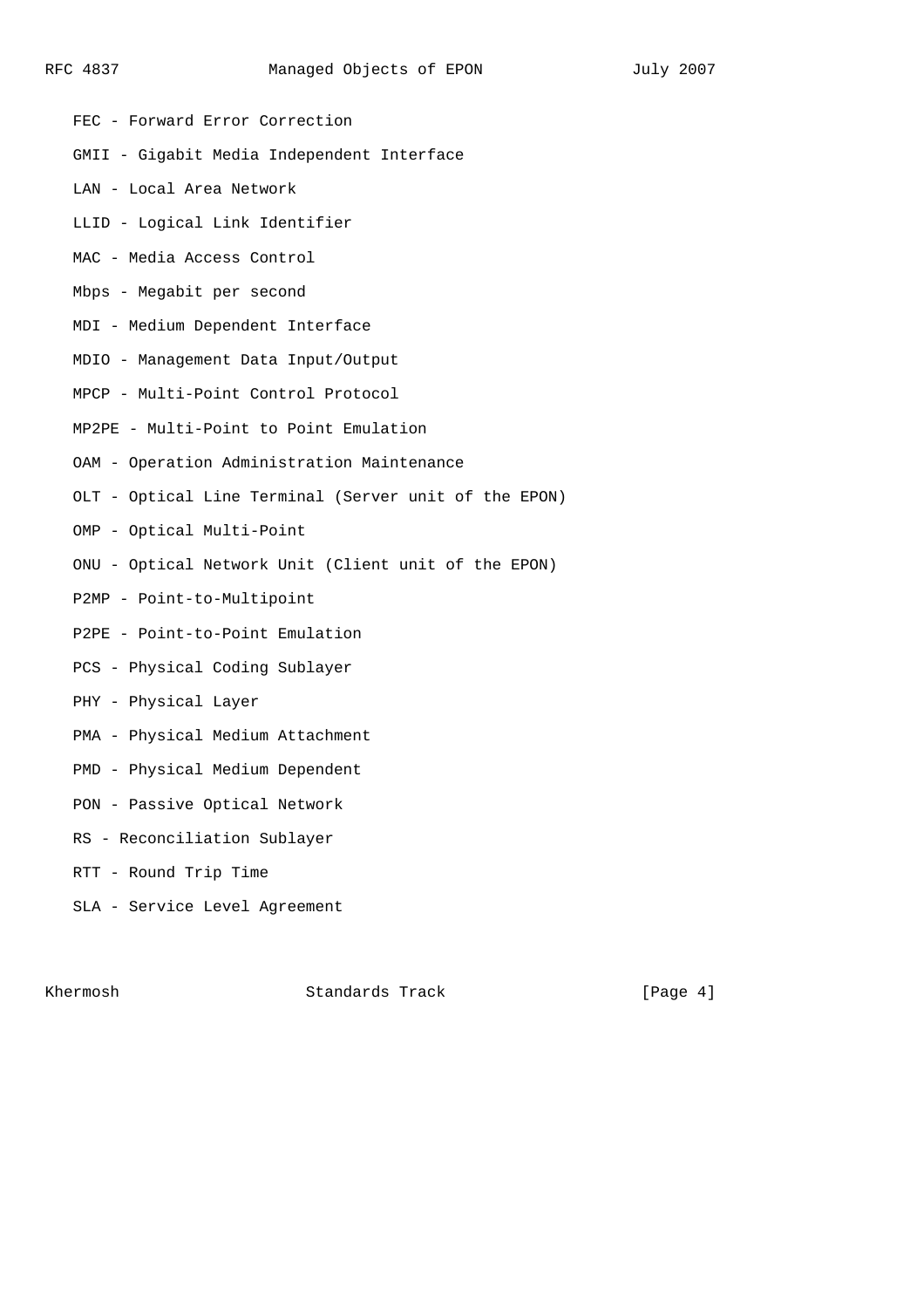- FEC Forward Error Correction
- GMII Gigabit Media Independent Interface
- LAN Local Area Network
- LLID Logical Link Identifier
- MAC Media Access Control
- Mbps Megabit per second
- MDI Medium Dependent Interface
- MDIO Management Data Input/Output
- MPCP Multi-Point Control Protocol
- MP2PE Multi-Point to Point Emulation
- OAM Operation Administration Maintenance
- OLT Optical Line Terminal (Server unit of the EPON)
- OMP Optical Multi-Point
- ONU Optical Network Unit (Client unit of the EPON)
- P2MP Point-to-Multipoint
- P2PE Point-to-Point Emulation
- PCS Physical Coding Sublayer
- PHY Physical Layer
- PMA Physical Medium Attachment
- PMD Physical Medium Dependent
- PON Passive Optical Network
- RS Reconciliation Sublayer
- RTT Round Trip Time
- SLA Service Level Agreement

Khermosh Standards Track [Page 4]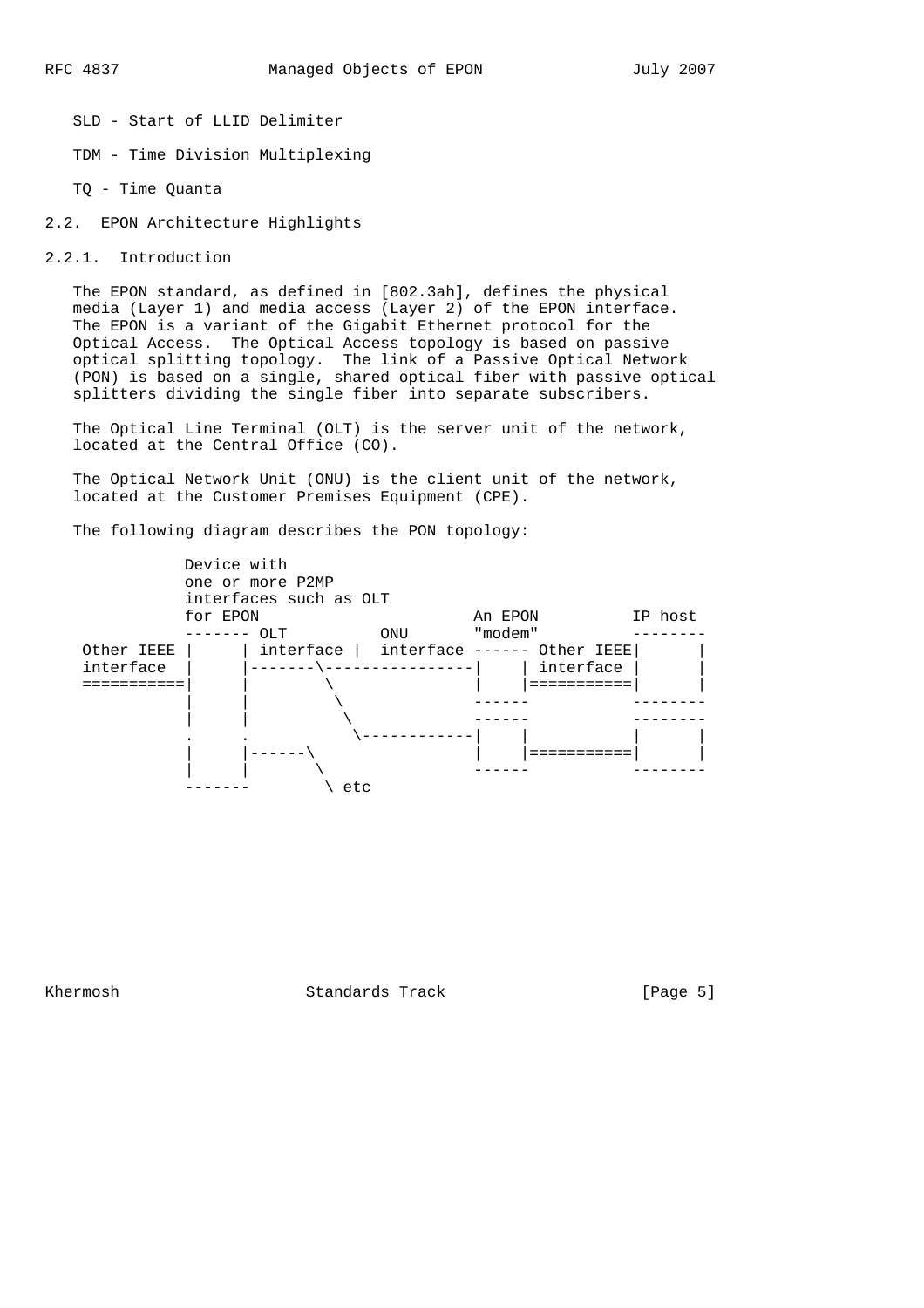SLD - Start of LLID Delimiter

TDM - Time Division Multiplexing

TQ - Time Quanta

2.2. EPON Architecture Highlights

2.2.1. Introduction

 The EPON standard, as defined in [802.3ah], defines the physical media (Layer 1) and media access (Layer 2) of the EPON interface. The EPON is a variant of the Gigabit Ethernet protocol for the Optical Access. The Optical Access topology is based on passive optical splitting topology. The link of a Passive Optical Network (PON) is based on a single, shared optical fiber with passive optical splitters dividing the single fiber into separate subscribers.

 The Optical Line Terminal (OLT) is the server unit of the network, located at the Central Office (CO).

 The Optical Network Unit (ONU) is the client unit of the network, located at the Customer Premises Equipment (CPE).

The following diagram describes the PON topology:



Khermosh Standards Track [Page 5]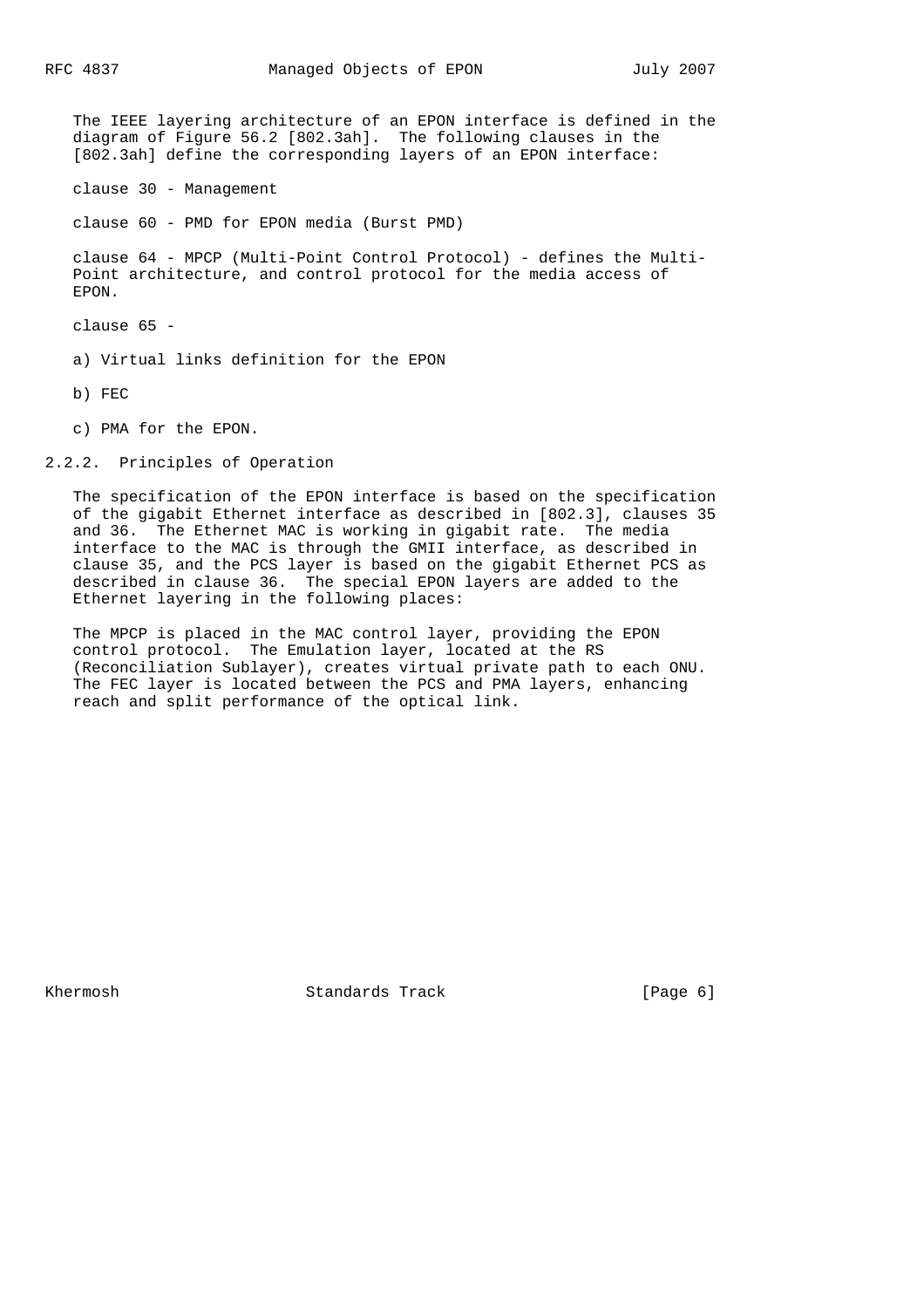The IEEE layering architecture of an EPON interface is defined in the diagram of Figure 56.2 [802.3ah]. The following clauses in the [802.3ah] define the corresponding layers of an EPON interface:

clause 30 - Management

clause 60 - PMD for EPON media (Burst PMD)

 clause 64 - MPCP (Multi-Point Control Protocol) - defines the Multi- Point architecture, and control protocol for the media access of EPON.

clause 65 -

a) Virtual links definition for the EPON

b) FEC

c) PMA for the EPON.

2.2.2. Principles of Operation

 The specification of the EPON interface is based on the specification of the gigabit Ethernet interface as described in [802.3], clauses 35 and 36. The Ethernet MAC is working in gigabit rate. The media interface to the MAC is through the GMII interface, as described in clause 35, and the PCS layer is based on the gigabit Ethernet PCS as described in clause 36. The special EPON layers are added to the Ethernet layering in the following places:

 The MPCP is placed in the MAC control layer, providing the EPON control protocol. The Emulation layer, located at the RS (Reconciliation Sublayer), creates virtual private path to each ONU. The FEC layer is located between the PCS and PMA layers, enhancing reach and split performance of the optical link.

Khermosh Standards Track [Page 6]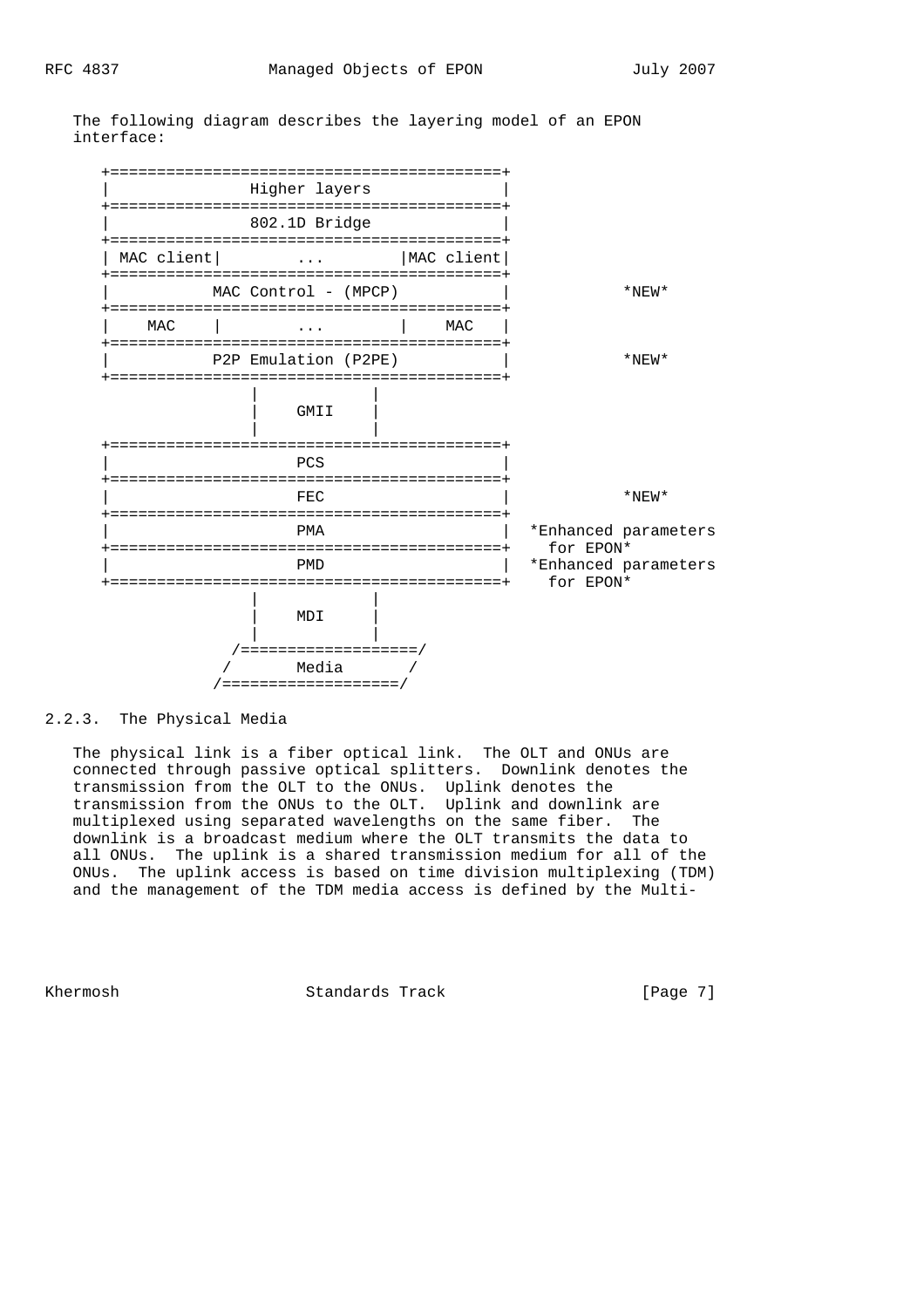

 +==========================================+ Higher layers +==========================================+ 802.1D Bridge +==========================================+ | MAC client| ... | MAC client| +==========================================+ MAC Control - (MPCP)  $|$  \*NEW\* +==========================================+ | MAC | ... | MAC | +==========================================+ P2P Emulation (P2PE) | \*NEW\* +==========================================+ | |  $GMLI$  | | +==========================================+ | PCS +==========================================+ FEC  $|$  \*NEW\* +==========================================+ PMA  $|$  \*Enhanced parameters +==========================================+ for EPON\* PMD  $|$  \*Enhanced parameters +==========================================+ for EPON\* | | | MDI | | | /===================/ / Media / /===================/

 The following diagram describes the layering model of an EPON interface:

2.2.3. The Physical Media

 The physical link is a fiber optical link. The OLT and ONUs are connected through passive optical splitters. Downlink denotes the transmission from the OLT to the ONUs. Uplink denotes the transmission from the ONUs to the OLT. Uplink and downlink are multiplexed using separated wavelengths on the same fiber. The downlink is a broadcast medium where the OLT transmits the data to all ONUs. The uplink is a shared transmission medium for all of the ONUs. The uplink access is based on time division multiplexing (TDM) and the management of the TDM media access is defined by the Multi-

Khermosh Standards Track [Page 7]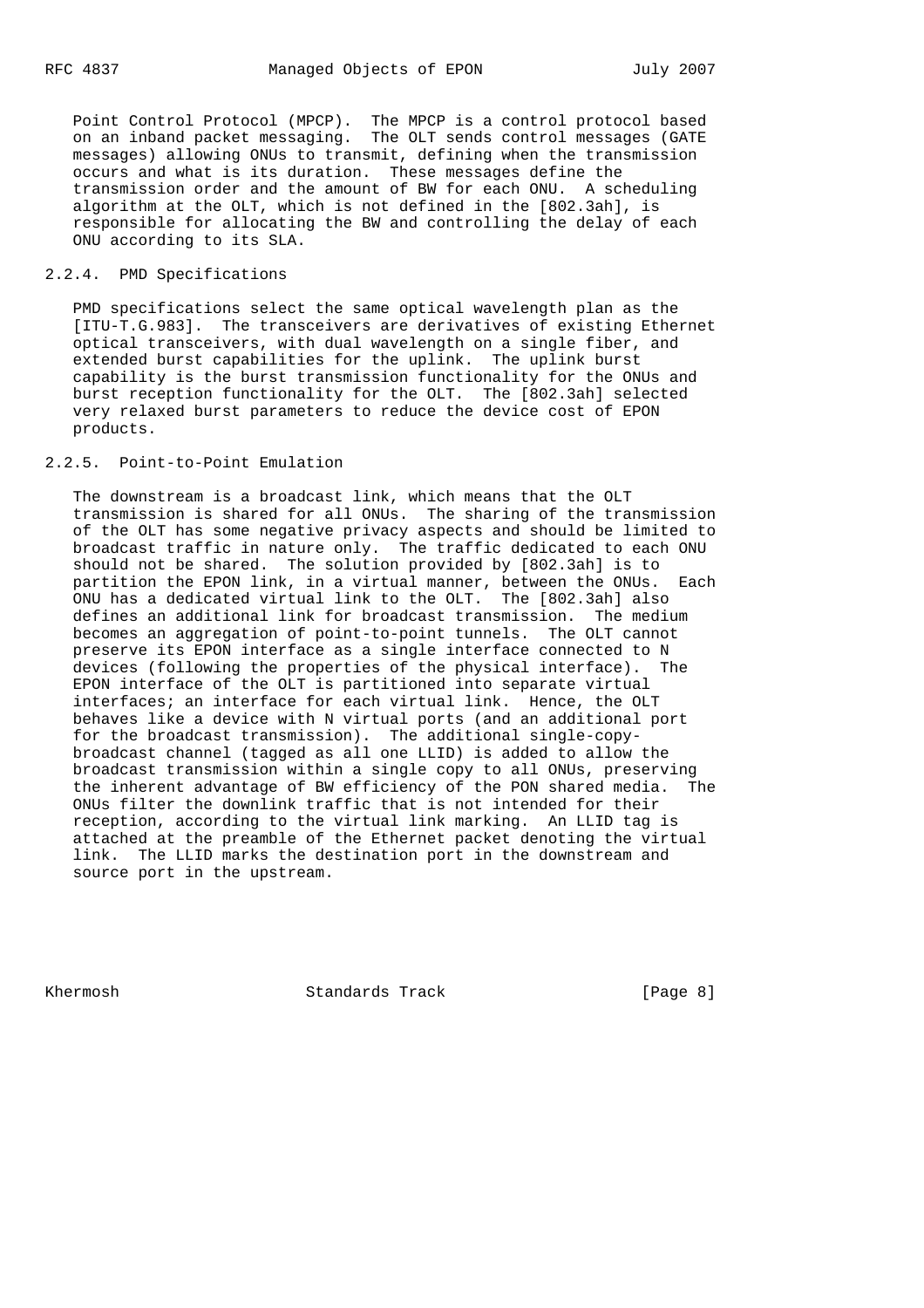Point Control Protocol (MPCP). The MPCP is a control protocol based on an inband packet messaging. The OLT sends control messages (GATE messages) allowing ONUs to transmit, defining when the transmission occurs and what is its duration. These messages define the transmission order and the amount of BW for each ONU. A scheduling algorithm at the OLT, which is not defined in the [802.3ah], is responsible for allocating the BW and controlling the delay of each ONU according to its SLA.

### 2.2.4. PMD Specifications

 PMD specifications select the same optical wavelength plan as the [ITU-T.G.983]. The transceivers are derivatives of existing Ethernet optical transceivers, with dual wavelength on a single fiber, and extended burst capabilities for the uplink. The uplink burst capability is the burst transmission functionality for the ONUs and burst reception functionality for the OLT. The [802.3ah] selected very relaxed burst parameters to reduce the device cost of EPON products.

### 2.2.5. Point-to-Point Emulation

 The downstream is a broadcast link, which means that the OLT transmission is shared for all ONUs. The sharing of the transmission of the OLT has some negative privacy aspects and should be limited to broadcast traffic in nature only. The traffic dedicated to each ONU should not be shared. The solution provided by [802.3ah] is to partition the EPON link, in a virtual manner, between the ONUs. Each ONU has a dedicated virtual link to the OLT. The [802.3ah] also defines an additional link for broadcast transmission. The medium becomes an aggregation of point-to-point tunnels. The OLT cannot preserve its EPON interface as a single interface connected to N devices (following the properties of the physical interface). The EPON interface of the OLT is partitioned into separate virtual interfaces; an interface for each virtual link. Hence, the OLT behaves like a device with N virtual ports (and an additional port for the broadcast transmission). The additional single-copy broadcast channel (tagged as all one LLID) is added to allow the broadcast transmission within a single copy to all ONUs, preserving the inherent advantage of BW efficiency of the PON shared media. The ONUs filter the downlink traffic that is not intended for their reception, according to the virtual link marking. An LLID tag is attached at the preamble of the Ethernet packet denoting the virtual link. The LLID marks the destination port in the downstream and source port in the upstream.

Khermosh Standards Track [Page 8]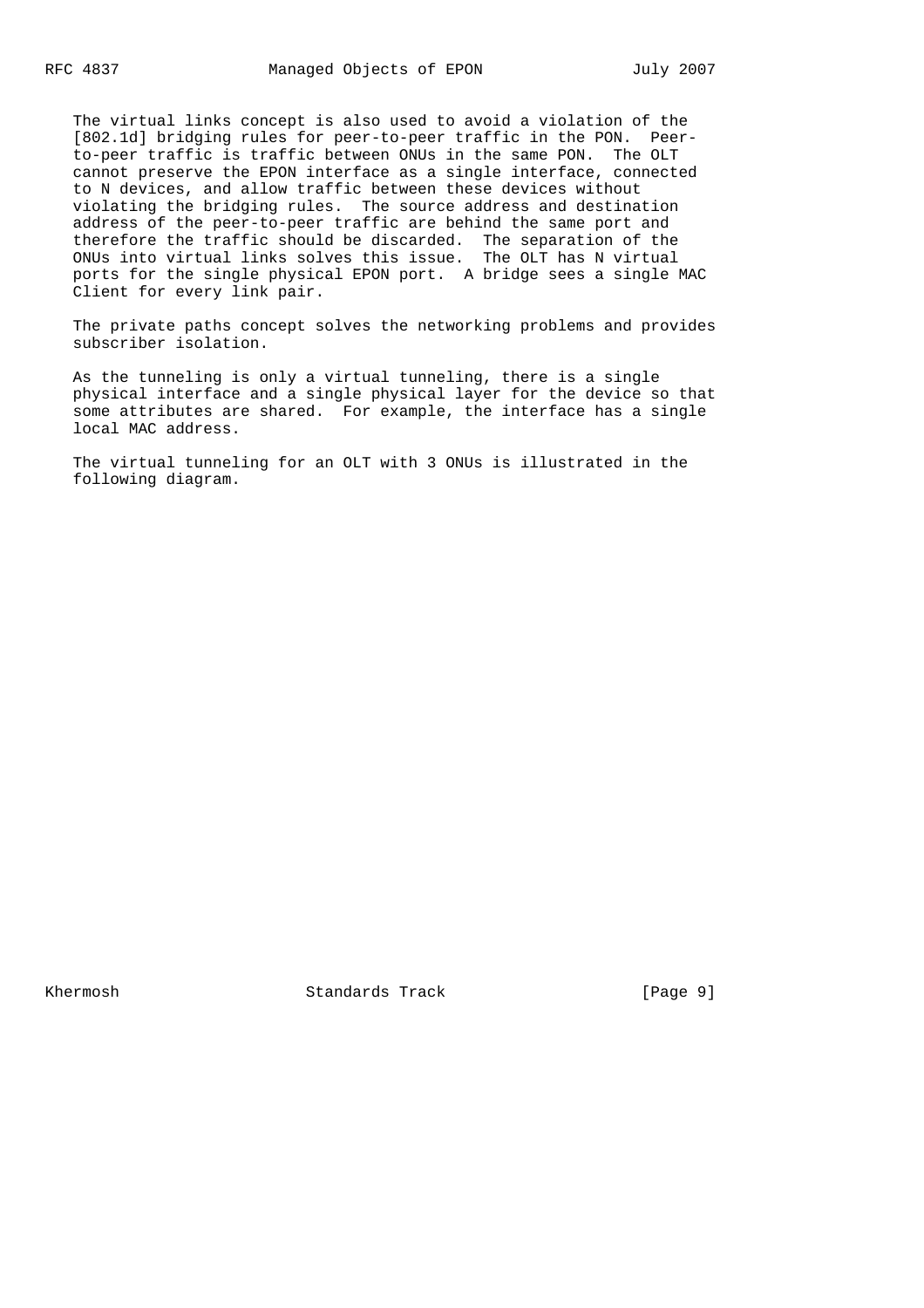The virtual links concept is also used to avoid a violation of the [802.1d] bridging rules for peer-to-peer traffic in the PON. Peer to-peer traffic is traffic between ONUs in the same PON. The OLT cannot preserve the EPON interface as a single interface, connected to N devices, and allow traffic between these devices without violating the bridging rules. The source address and destination address of the peer-to-peer traffic are behind the same port and therefore the traffic should be discarded. The separation of the ONUs into virtual links solves this issue. The OLT has N virtual ports for the single physical EPON port. A bridge sees a single MAC Client for every link pair.

 The private paths concept solves the networking problems and provides subscriber isolation.

 As the tunneling is only a virtual tunneling, there is a single physical interface and a single physical layer for the device so that some attributes are shared. For example, the interface has a single local MAC address.

 The virtual tunneling for an OLT with 3 ONUs is illustrated in the following diagram.

Khermosh Standards Track [Page 9]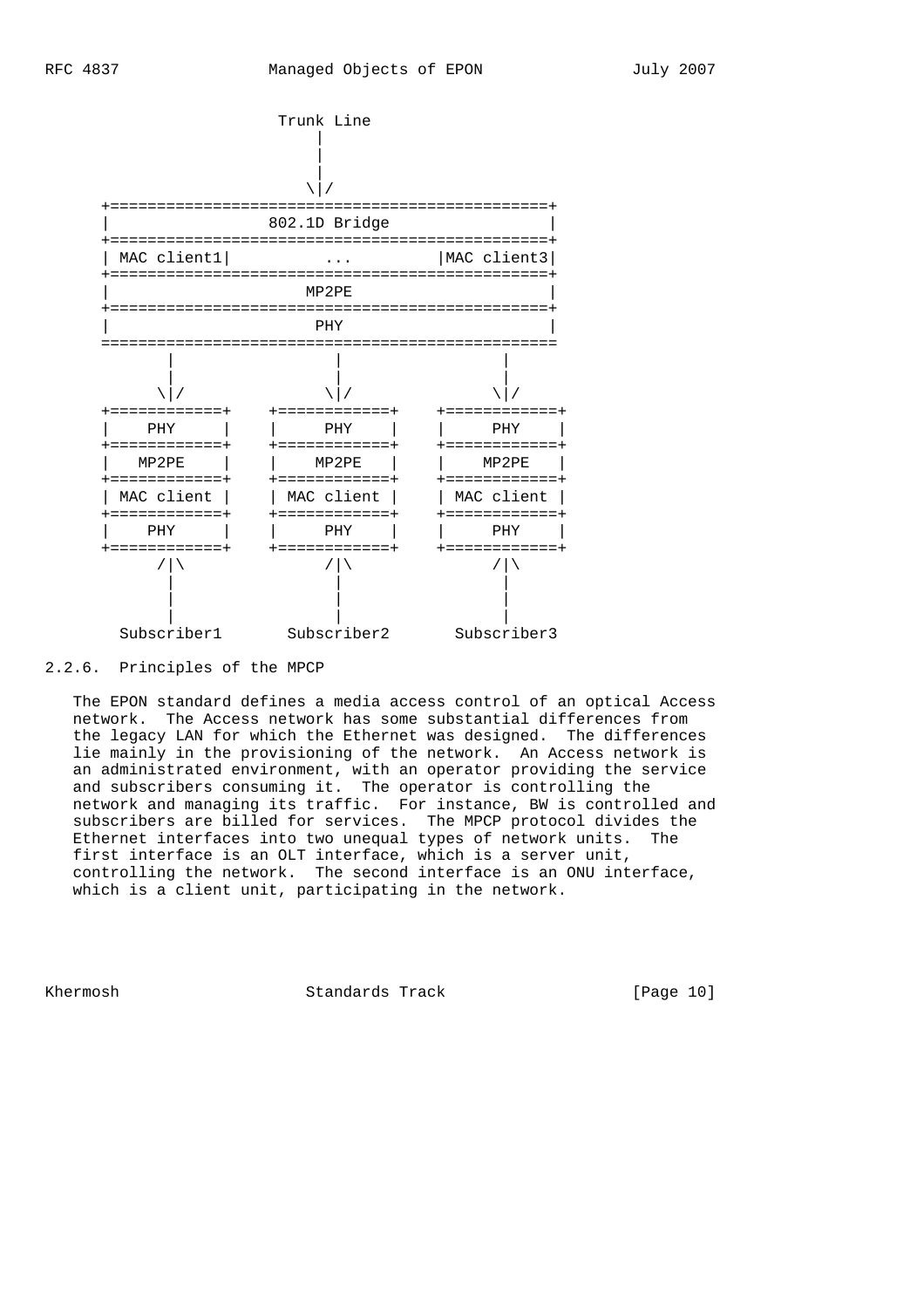

### 2.2.6. Principles of the MPCP

 The EPON standard defines a media access control of an optical Access network. The Access network has some substantial differences from the legacy LAN for which the Ethernet was designed. The differences lie mainly in the provisioning of the network. An Access network is an administrated environment, with an operator providing the service and subscribers consuming it. The operator is controlling the network and managing its traffic. For instance, BW is controlled and subscribers are billed for services. The MPCP protocol divides the Ethernet interfaces into two unequal types of network units. The first interface is an OLT interface, which is a server unit, controlling the network. The second interface is an ONU interface, which is a client unit, participating in the network.

Khermosh Standards Track [Page 10]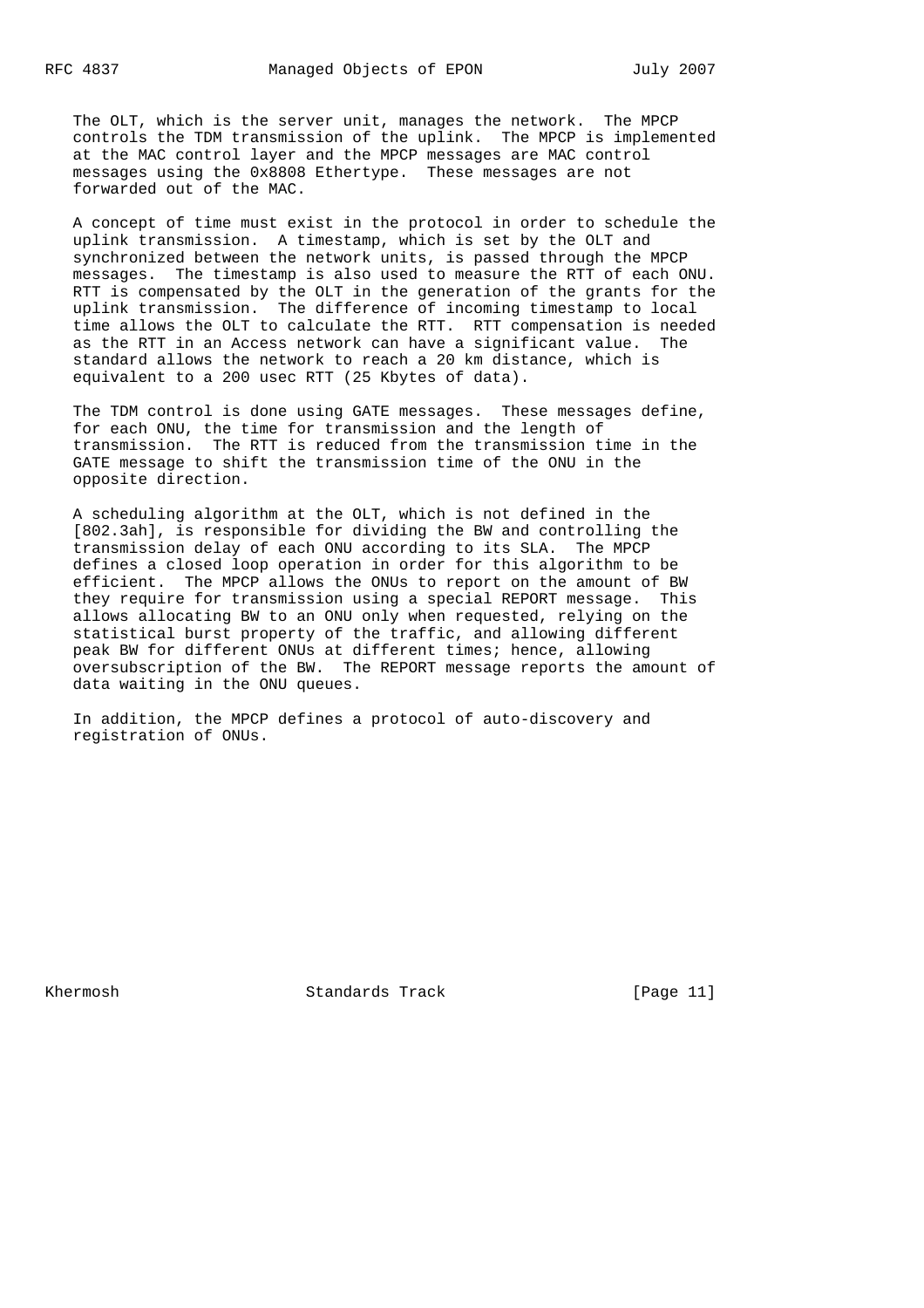The OLT, which is the server unit, manages the network. The MPCP controls the TDM transmission of the uplink. The MPCP is implemented at the MAC control layer and the MPCP messages are MAC control messages using the 0x8808 Ethertype. These messages are not forwarded out of the MAC.

 A concept of time must exist in the protocol in order to schedule the uplink transmission. A timestamp, which is set by the OLT and synchronized between the network units, is passed through the MPCP messages. The timestamp is also used to measure the RTT of each ONU. RTT is compensated by the OLT in the generation of the grants for the uplink transmission. The difference of incoming timestamp to local time allows the OLT to calculate the RTT. RTT compensation is needed as the RTT in an Access network can have a significant value. The standard allows the network to reach a 20 km distance, which is equivalent to a 200 usec RTT (25 Kbytes of data).

 The TDM control is done using GATE messages. These messages define, for each ONU, the time for transmission and the length of transmission. The RTT is reduced from the transmission time in the GATE message to shift the transmission time of the ONU in the opposite direction.

 A scheduling algorithm at the OLT, which is not defined in the [802.3ah], is responsible for dividing the BW and controlling the transmission delay of each ONU according to its SLA. The MPCP defines a closed loop operation in order for this algorithm to be efficient. The MPCP allows the ONUs to report on the amount of BW they require for transmission using a special REPORT message. This allows allocating BW to an ONU only when requested, relying on the statistical burst property of the traffic, and allowing different peak BW for different ONUs at different times; hence, allowing oversubscription of the BW. The REPORT message reports the amount of data waiting in the ONU queues.

 In addition, the MPCP defines a protocol of auto-discovery and registration of ONUs.

Khermosh Standards Track [Page 11]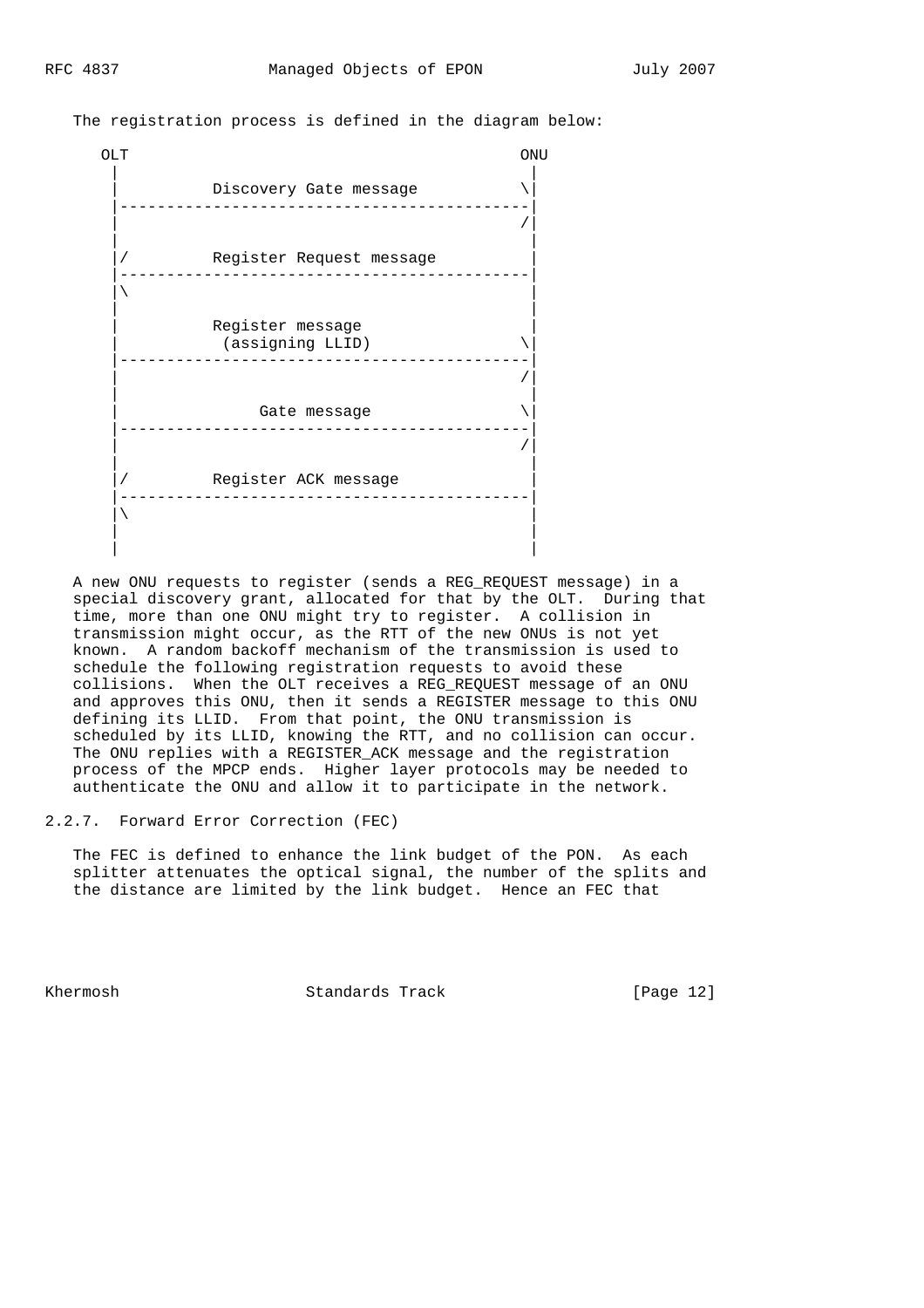The registration process is defined in the diagram below:



 A new ONU requests to register (sends a REG\_REQUEST message) in a special discovery grant, allocated for that by the OLT. During that time, more than one ONU might try to register. A collision in transmission might occur, as the RTT of the new ONUs is not yet known. A random backoff mechanism of the transmission is used to schedule the following registration requests to avoid these collisions. When the OLT receives a REG\_REQUEST message of an ONU and approves this ONU, then it sends a REGISTER message to this ONU defining its LLID. From that point, the ONU transmission is scheduled by its LLID, knowing the RTT, and no collision can occur. The ONU replies with a REGISTER\_ACK message and the registration process of the MPCP ends. Higher layer protocols may be needed to authenticate the ONU and allow it to participate in the network.

### 2.2.7. Forward Error Correction (FEC)

 The FEC is defined to enhance the link budget of the PON. As each splitter attenuates the optical signal, the number of the splits and the distance are limited by the link budget. Hence an FEC that

Khermosh Standards Track [Page 12]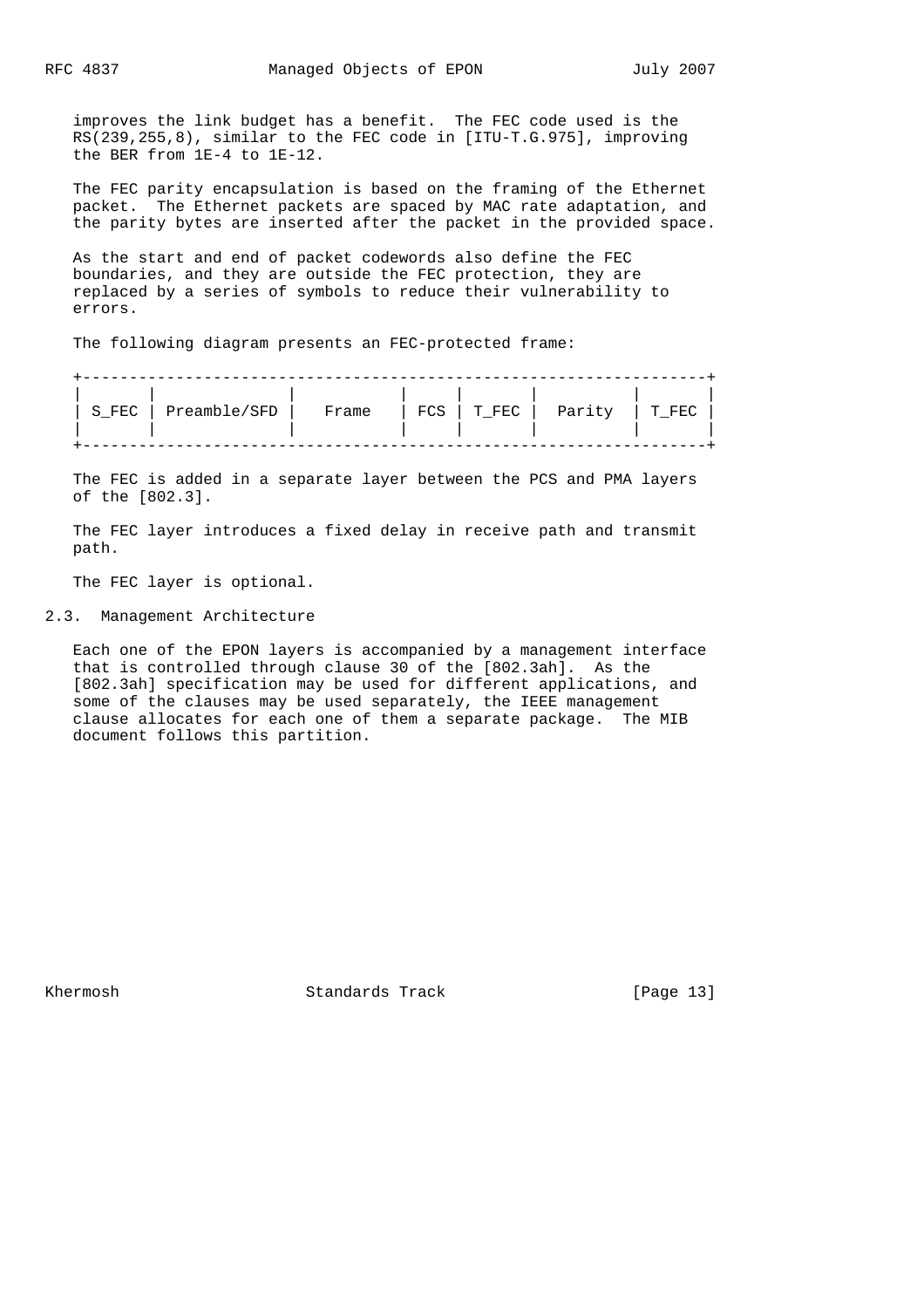improves the link budget has a benefit. The FEC code used is the RS(239,255,8), similar to the FEC code in [ITU-T.G.975], improving the BER from 1E-4 to 1E-12.

 The FEC parity encapsulation is based on the framing of the Ethernet packet. The Ethernet packets are spaced by MAC rate adaptation, and the parity bytes are inserted after the packet in the provided space.

 As the start and end of packet codewords also define the FEC boundaries, and they are outside the FEC protection, they are replaced by a series of symbols to reduce their vulnerability to errors.

The following diagram presents an FEC-protected frame:

| Preamble/SFD<br>FCS<br>Parity<br>S FEC<br>T FEC<br>Frame | T FF.( |
|----------------------------------------------------------|--------|
|----------------------------------------------------------|--------|

 The FEC is added in a separate layer between the PCS and PMA layers of the [802.3].

 The FEC layer introduces a fixed delay in receive path and transmit path.

The FEC layer is optional.

2.3. Management Architecture

 Each one of the EPON layers is accompanied by a management interface that is controlled through clause 30 of the [802.3ah]. As the [802.3ah] specification may be used for different applications, and some of the clauses may be used separately, the IEEE management clause allocates for each one of them a separate package. The MIB document follows this partition.

Khermosh Standards Track [Page 13]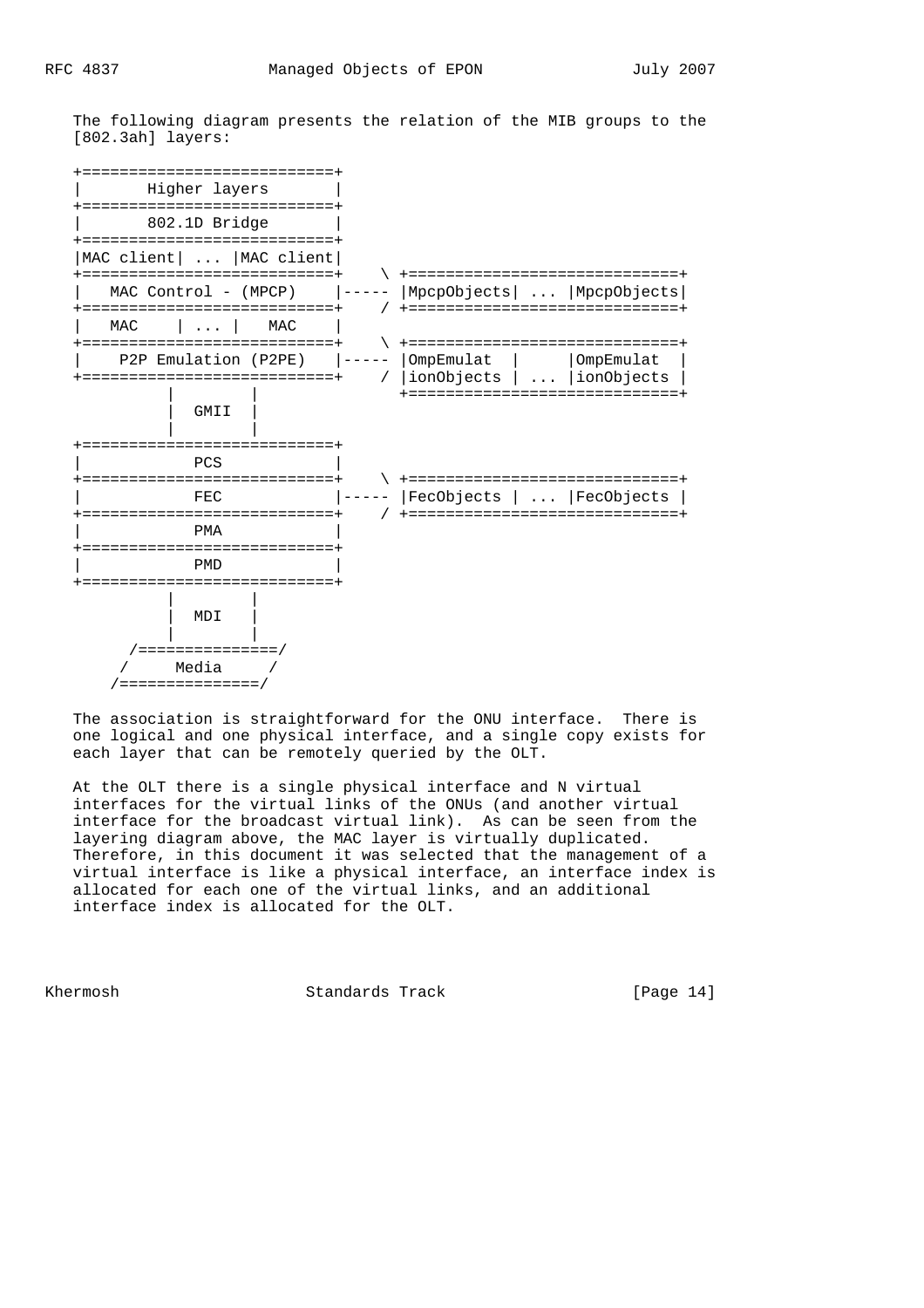The following diagram presents the relation of the MIB groups to the [802.3ah] layers:



 The association is straightforward for the ONU interface. There is one logical and one physical interface, and a single copy exists for each layer that can be remotely queried by the OLT.

 At the OLT there is a single physical interface and N virtual interfaces for the virtual links of the ONUs (and another virtual interface for the broadcast virtual link). As can be seen from the layering diagram above, the MAC layer is virtually duplicated. Therefore, in this document it was selected that the management of a virtual interface is like a physical interface, an interface index is allocated for each one of the virtual links, and an additional interface index is allocated for the OLT.

Khermosh Standards Track [Page 14]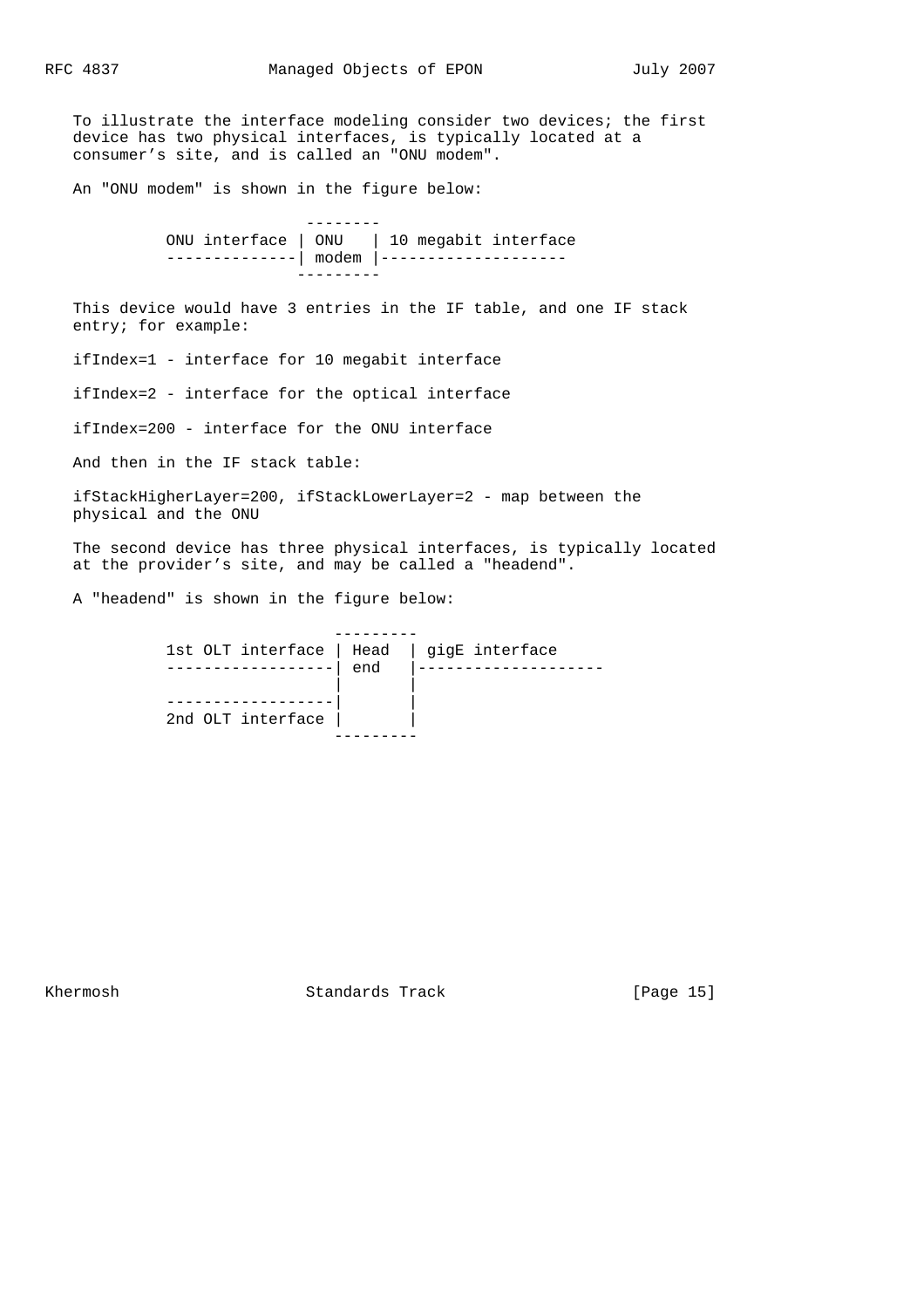To illustrate the interface modeling consider two devices; the first device has two physical interfaces, is typically located at a consumer's site, and is called an "ONU modem".

An "ONU modem" is shown in the figure below:

 -------- ONU interface | ONU | 10 megabit interface --------------| modem |----------------------------

 This device would have 3 entries in the IF table, and one IF stack entry; for example:

ifIndex=1 - interface for 10 megabit interface

ifIndex=2 - interface for the optical interface

ifIndex=200 - interface for the ONU interface

And then in the IF stack table:

 ifStackHigherLayer=200, ifStackLowerLayer=2 - map between the physical and the ONU

 The second device has three physical interfaces, is typically located at the provider's site, and may be called a "headend".

A "headend" is shown in the figure below:

|                   | end | 1st OLT interface   Head   gigE interface |
|-------------------|-----|-------------------------------------------|
| 2nd OLT interface |     |                                           |
|                   |     |                                           |

Khermosh Standards Track [Page 15]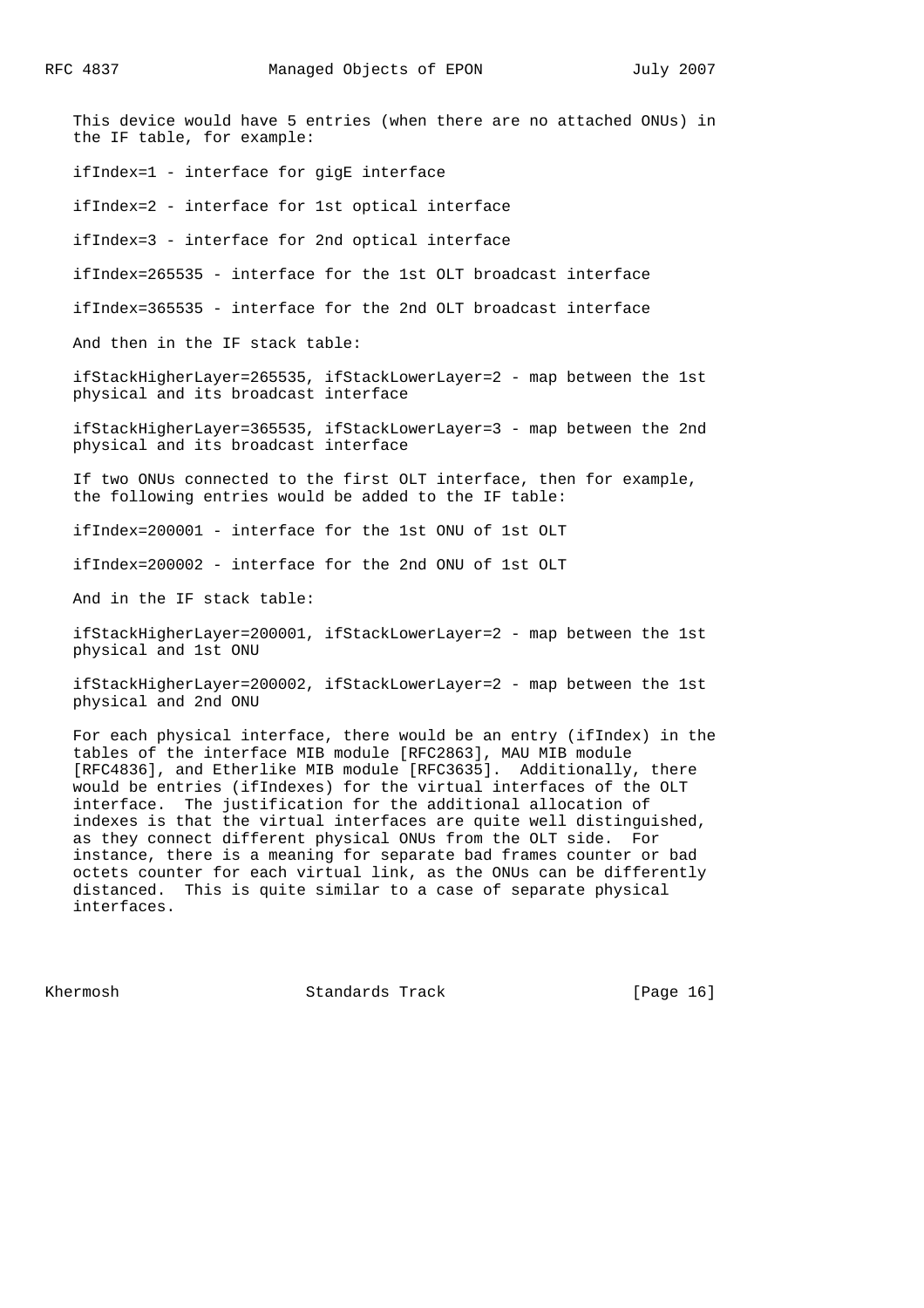This device would have 5 entries (when there are no attached ONUs) in the IF table, for example: ifIndex=1 - interface for gigE interface ifIndex=2 - interface for 1st optical interface ifIndex=3 - interface for 2nd optical interface ifIndex=265535 - interface for the 1st OLT broadcast interface ifIndex=365535 - interface for the 2nd OLT broadcast interface And then in the IF stack table: ifStackHigherLayer=265535, ifStackLowerLayer=2 - map between the 1st physical and its broadcast interface ifStackHigherLayer=365535, ifStackLowerLayer=3 - map between the 2nd physical and its broadcast interface If two ONUs connected to the first OLT interface, then for example, the following entries would be added to the IF table: ifIndex=200001 - interface for the 1st ONU of 1st OLT ifIndex=200002 - interface for the 2nd ONU of 1st OLT And in the IF stack table: ifStackHigherLayer=200001, ifStackLowerLayer=2 - map between the 1st physical and 1st ONU ifStackHigherLayer=200002, ifStackLowerLayer=2 - map between the 1st physical and 2nd ONU

 For each physical interface, there would be an entry (ifIndex) in the tables of the interface MIB module [RFC2863], MAU MIB module [RFC4836], and Etherlike MIB module [RFC3635]. Additionally, there would be entries (ifIndexes) for the virtual interfaces of the OLT interface. The justification for the additional allocation of indexes is that the virtual interfaces are quite well distinguished, as they connect different physical ONUs from the OLT side. For instance, there is a meaning for separate bad frames counter or bad octets counter for each virtual link, as the ONUs can be differently distanced. This is quite similar to a case of separate physical interfaces.

Khermosh Standards Track [Page 16]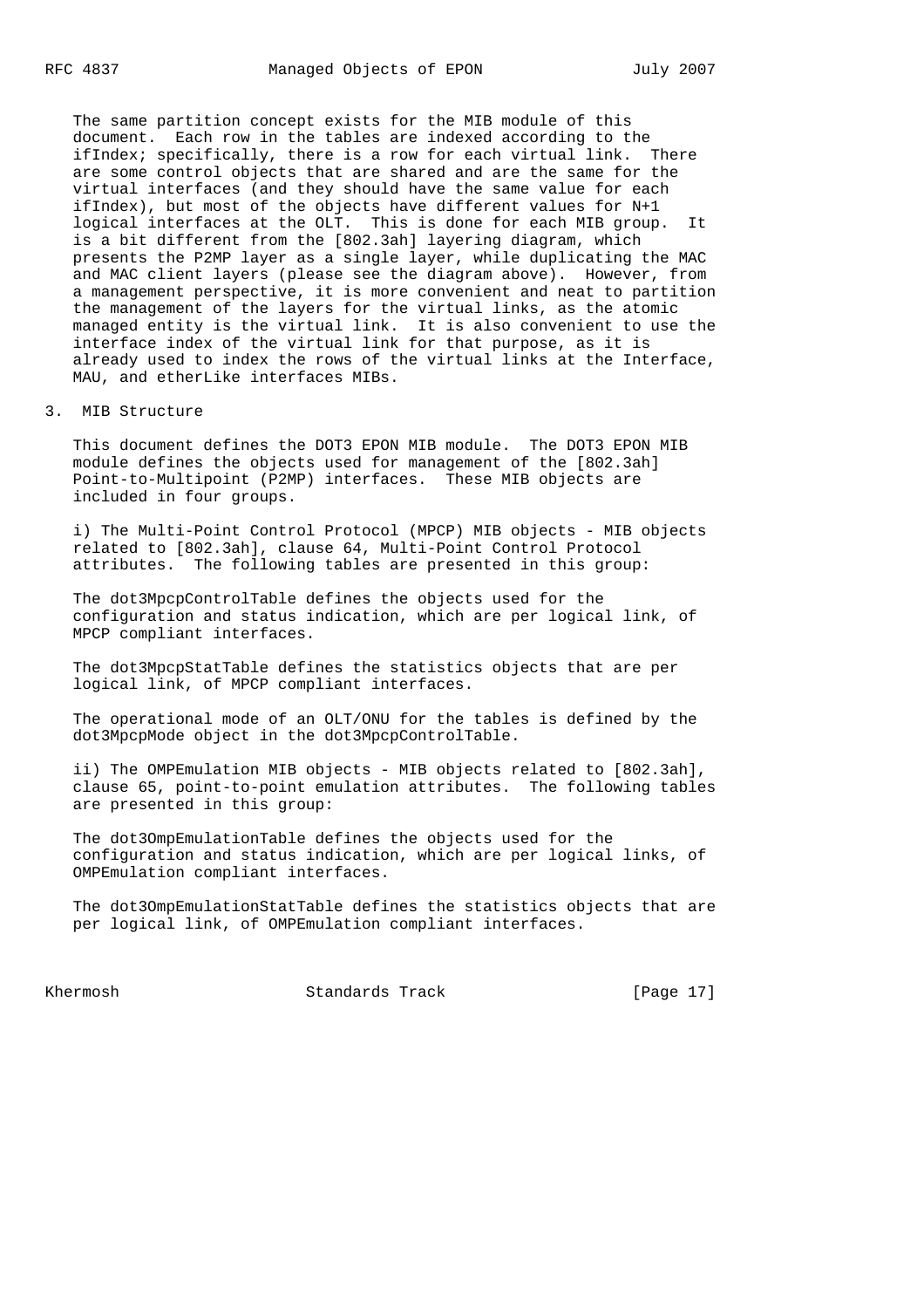The same partition concept exists for the MIB module of this document. Each row in the tables are indexed according to the ifIndex; specifically, there is a row for each virtual link. There are some control objects that are shared and are the same for the virtual interfaces (and they should have the same value for each ifIndex), but most of the objects have different values for N+1 logical interfaces at the OLT. This is done for each MIB group. It is a bit different from the [802.3ah] layering diagram, which presents the P2MP layer as a single layer, while duplicating the MAC and MAC client layers (please see the diagram above). However, from a management perspective, it is more convenient and neat to partition the management of the layers for the virtual links, as the atomic managed entity is the virtual link. It is also convenient to use the interface index of the virtual link for that purpose, as it is already used to index the rows of the virtual links at the Interface, MAU, and etherLike interfaces MIBs.

#### 3. MIB Structure

 This document defines the DOT3 EPON MIB module. The DOT3 EPON MIB module defines the objects used for management of the [802.3ah] Point-to-Multipoint (P2MP) interfaces. These MIB objects are included in four groups.

 i) The Multi-Point Control Protocol (MPCP) MIB objects - MIB objects related to [802.3ah], clause 64, Multi-Point Control Protocol attributes. The following tables are presented in this group:

 The dot3MpcpControlTable defines the objects used for the configuration and status indication, which are per logical link, of MPCP compliant interfaces.

 The dot3MpcpStatTable defines the statistics objects that are per logical link, of MPCP compliant interfaces.

 The operational mode of an OLT/ONU for the tables is defined by the dot3MpcpMode object in the dot3MpcpControlTable.

ii) The OMPEmulation MIB objects - MIB objects related to [802.3ah], clause 65, point-to-point emulation attributes. The following tables are presented in this group:

 The dot3OmpEmulationTable defines the objects used for the configuration and status indication, which are per logical links, of OMPEmulation compliant interfaces.

 The dot3OmpEmulationStatTable defines the statistics objects that are per logical link, of OMPEmulation compliant interfaces.

Khermosh Standards Track [Page 17]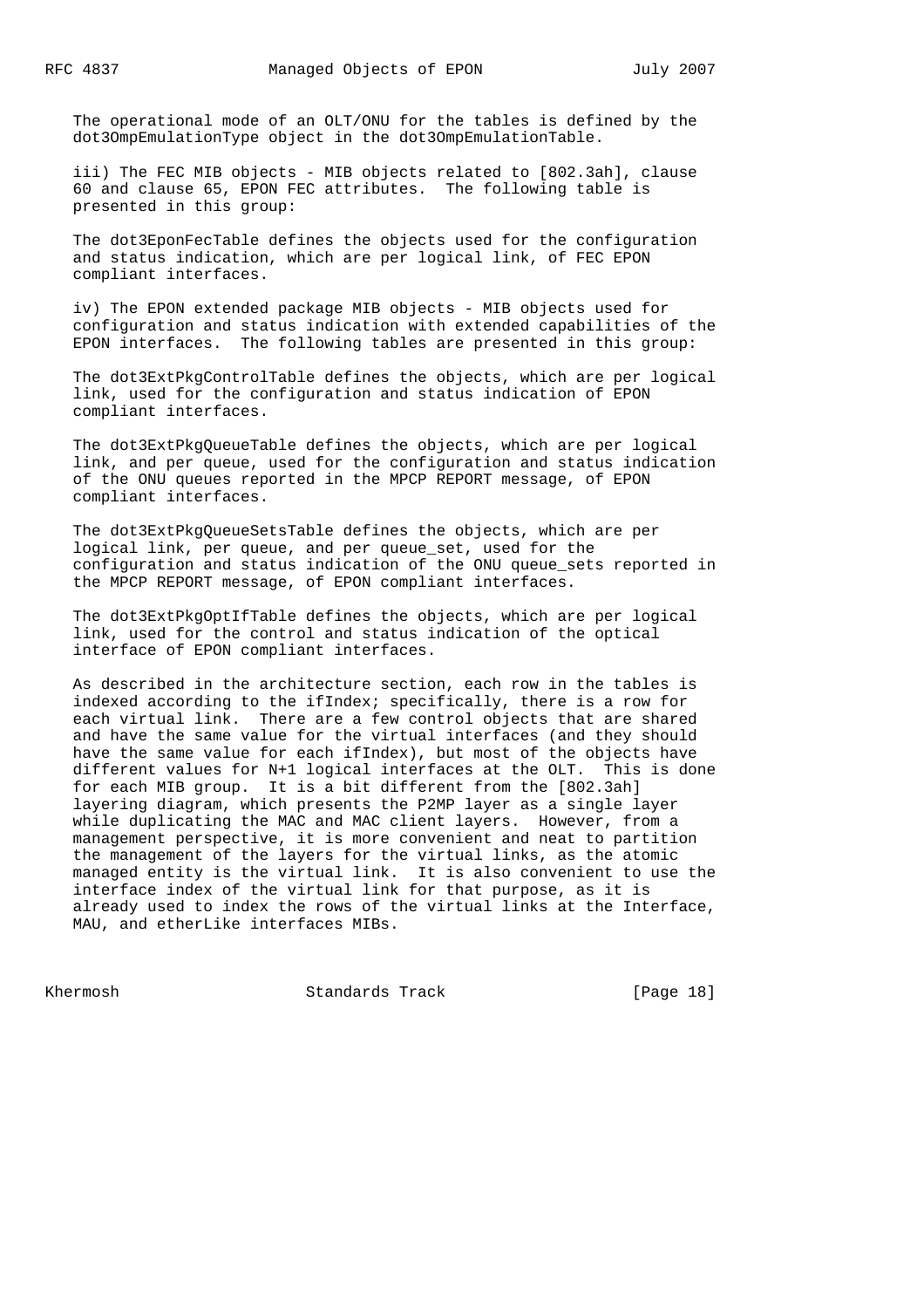The operational mode of an OLT/ONU for the tables is defined by the dot3OmpEmulationType object in the dot3OmpEmulationTable.

 iii) The FEC MIB objects - MIB objects related to [802.3ah], clause 60 and clause 65, EPON FEC attributes. The following table is presented in this group:

 The dot3EponFecTable defines the objects used for the configuration and status indication, which are per logical link, of FEC EPON compliant interfaces.

 iv) The EPON extended package MIB objects - MIB objects used for configuration and status indication with extended capabilities of the EPON interfaces. The following tables are presented in this group:

 The dot3ExtPkgControlTable defines the objects, which are per logical link, used for the configuration and status indication of EPON compliant interfaces.

 The dot3ExtPkgQueueTable defines the objects, which are per logical link, and per queue, used for the configuration and status indication of the ONU queues reported in the MPCP REPORT message, of EPON compliant interfaces.

 The dot3ExtPkgQueueSetsTable defines the objects, which are per logical link, per queue, and per queue\_set, used for the configuration and status indication of the ONU queue\_sets reported in the MPCP REPORT message, of EPON compliant interfaces.

 The dot3ExtPkgOptIfTable defines the objects, which are per logical link, used for the control and status indication of the optical interface of EPON compliant interfaces.

 As described in the architecture section, each row in the tables is indexed according to the ifIndex; specifically, there is a row for each virtual link. There are a few control objects that are shared and have the same value for the virtual interfaces (and they should have the same value for each ifIndex), but most of the objects have different values for N+1 logical interfaces at the OLT. This is done for each MIB group. It is a bit different from the [802.3ah] layering diagram, which presents the P2MP layer as a single layer while duplicating the MAC and MAC client layers. However, from a management perspective, it is more convenient and neat to partition the management of the layers for the virtual links, as the atomic managed entity is the virtual link. It is also convenient to use the interface index of the virtual link for that purpose, as it is already used to index the rows of the virtual links at the Interface, MAU, and etherLike interfaces MIBs.

Khermosh **Standards Track** [Page 18]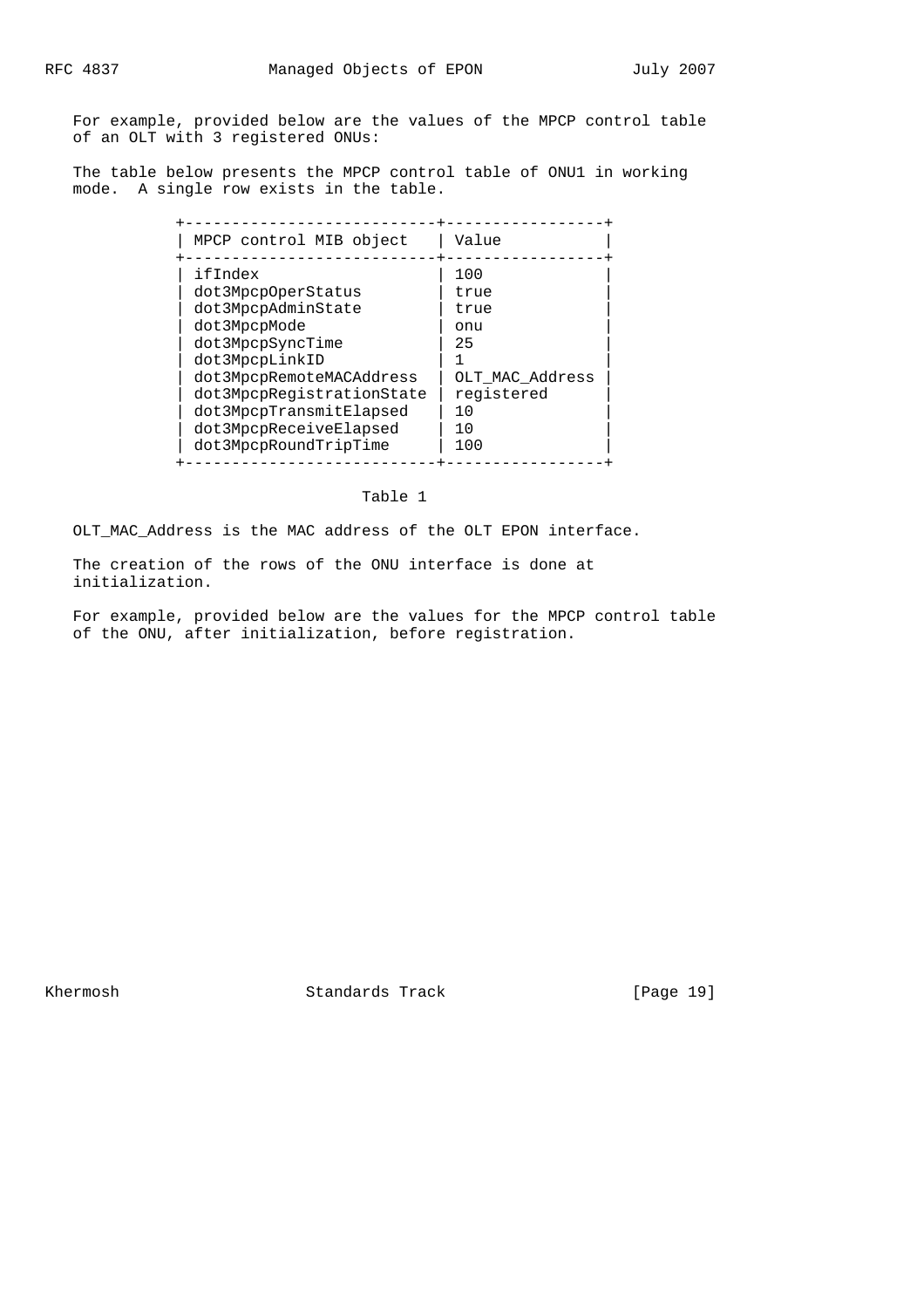For example, provided below are the values of the MPCP control table of an OLT with 3 registered ONUs:

 The table below presents the MPCP control table of ONU1 in working mode. A single row exists in the table.

| MPCP control MIB object                                                                                                                                                                                                                          | Value                                                                                 |
|--------------------------------------------------------------------------------------------------------------------------------------------------------------------------------------------------------------------------------------------------|---------------------------------------------------------------------------------------|
| ifIndex<br>dot3MpcpOperStatus<br>dot3MpcpAdminState<br>dot3MpcpMode<br>dot3MpcpSyncTime<br>dot3MpcpLinkID<br>dot3MpcpRemoteMACAddress<br>dot3MpcpReqistrationState<br>dot3MpcpTransmitElapsed<br>dot3MpcpReceiveElapsed<br>dot3MpcpRoundTripTime | 100<br>true<br>true<br>onu<br>25<br>OLT_MAC_Address<br>registered<br>1 O<br>10<br>100 |

## Table 1

OLT\_MAC\_Address is the MAC address of the OLT EPON interface.

 The creation of the rows of the ONU interface is done at initialization.

 For example, provided below are the values for the MPCP control table of the ONU, after initialization, before registration.

Khermosh Standards Track [Page 19]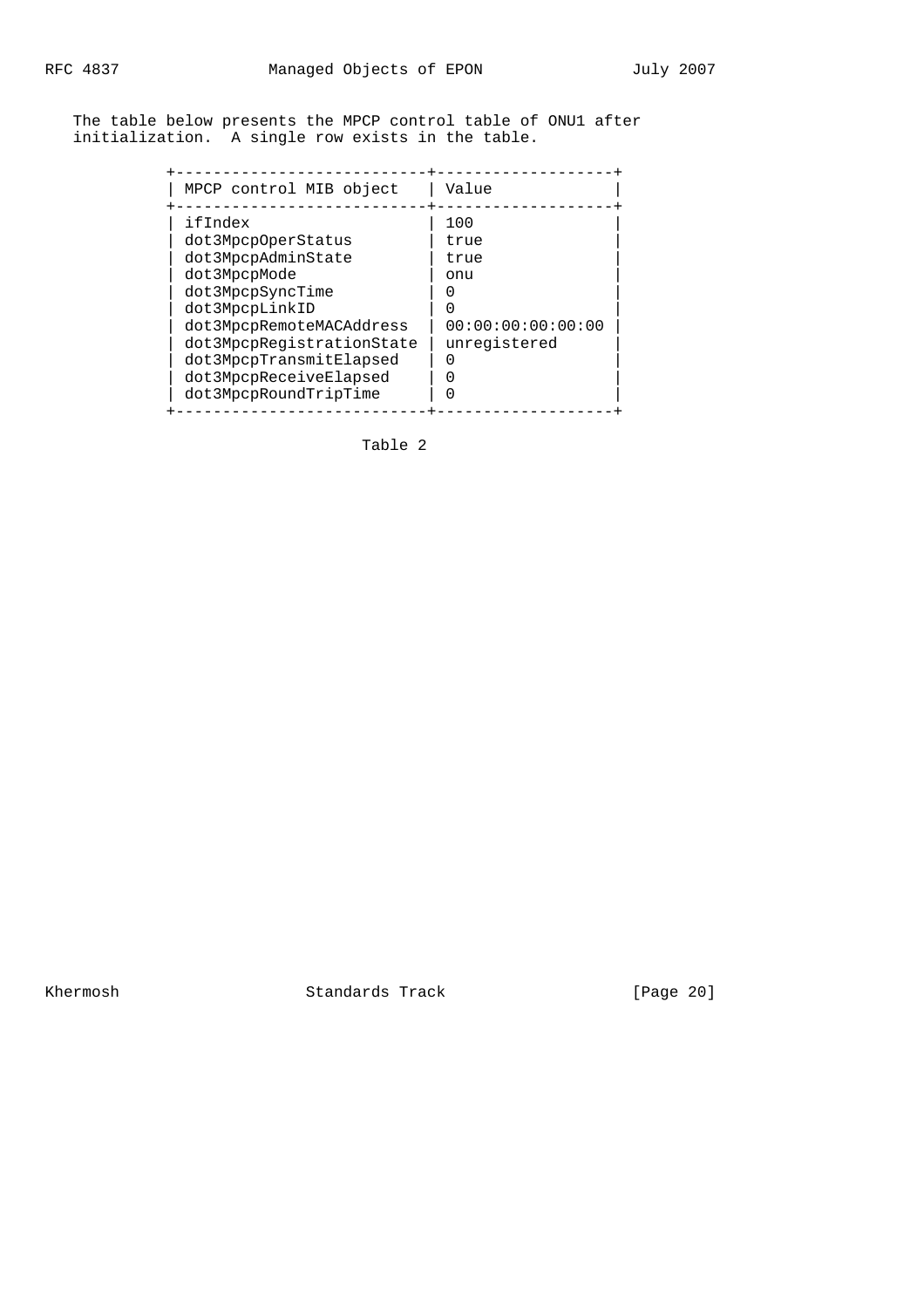The table below presents the MPCP control table of ONU1 after initialization. A single row exists in the table.

Table 2

Khermosh Standards Track [Page 20]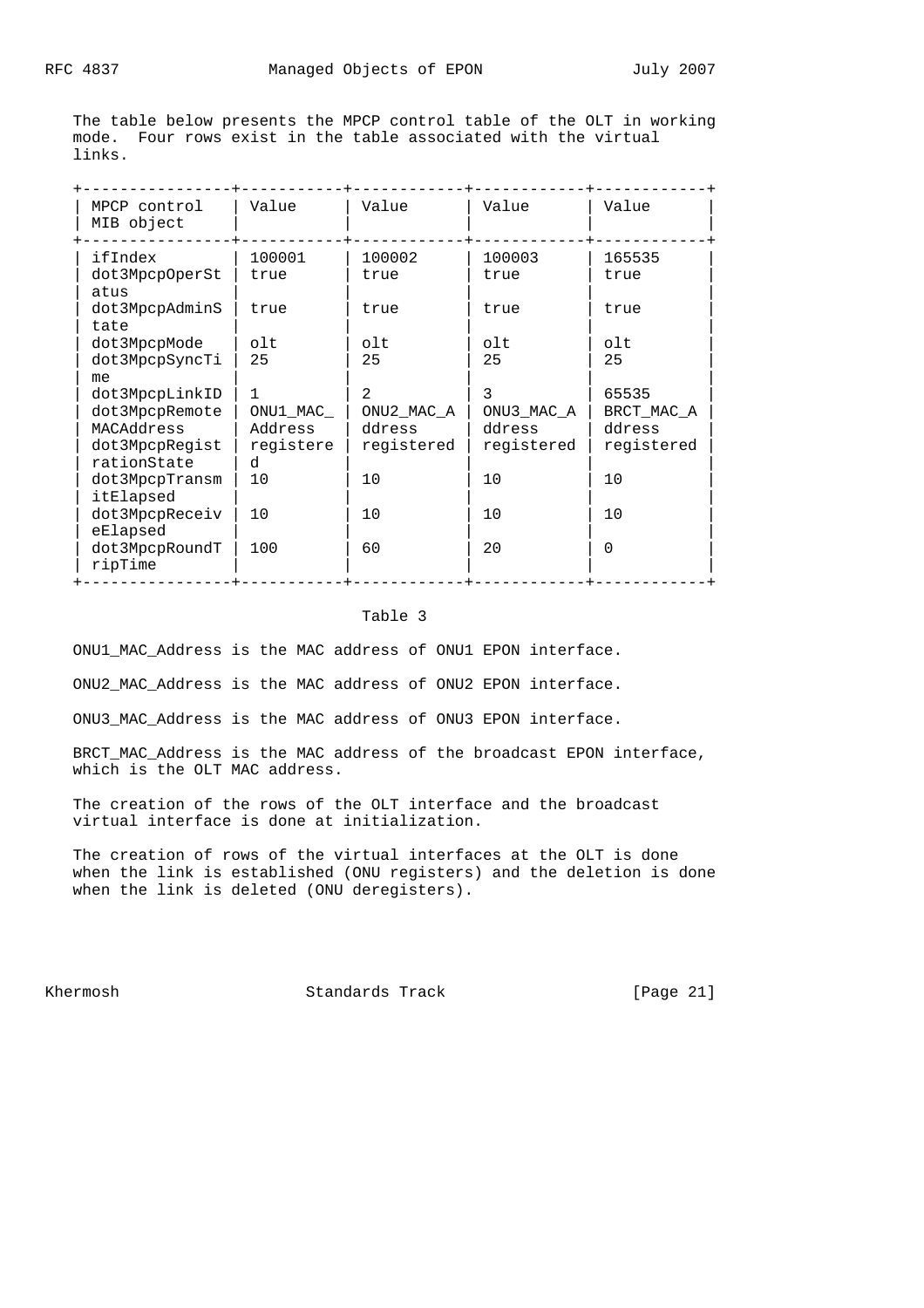The table below presents the MPCP control table of the OLT in working mode. Four rows exist in the table associated with the virtual links.

| MPCP control<br>MIB object  | Value     | Value          | Value          | Value      |
|-----------------------------|-----------|----------------|----------------|------------|
| ifIndex                     | 100001    | 100002         | 100003         | 165535     |
| dot3MpcpOperSt<br>atus      | true      | true           | true           | true       |
| dot3MpcpAdminS<br>tate      | true      | true           | true           | true       |
| dot3MpcpMode                | olt       | olt            | olt            | olt        |
| dot3MpcpSyncTi<br>me        | 25        | 25             | 25             | 25         |
| dot3MpcpLinkID              | 1         | $\mathfrak{D}$ | 3              | 65535      |
| dot3MpcpRemote              | ONU1 MAC  | ONU2 MAC A     | ONU3 MAC A     | BRCT MAC A |
| MACAddress                  | Address   | ddress         | ddress         | ddress     |
| dot3MpcpRegist              | registere | registered     | registered     | registered |
| rationState                 | d         |                |                |            |
| dot3MpcpTransm<br>itElapsed | 10        | 10             | 10             | 10         |
| dot3MpcpReceiv              | 10        | 10             | 1 <sub>0</sub> | 10         |
| eElapsed                    |           |                |                |            |
| dot3MpcpRoundT              | 100       | 60             | 20             | $\Omega$   |
| ripTime                     |           |                |                |            |

### Table 3

ONU1\_MAC\_Address is the MAC address of ONU1 EPON interface.

ONU2\_MAC\_Address is the MAC address of ONU2 EPON interface.

ONU3\_MAC\_Address is the MAC address of ONU3 EPON interface.

 BRCT\_MAC\_Address is the MAC address of the broadcast EPON interface, which is the OLT MAC address.

 The creation of the rows of the OLT interface and the broadcast virtual interface is done at initialization.

 The creation of rows of the virtual interfaces at the OLT is done when the link is established (ONU registers) and the deletion is done when the link is deleted (ONU deregisters).

Khermosh Standards Track [Page 21]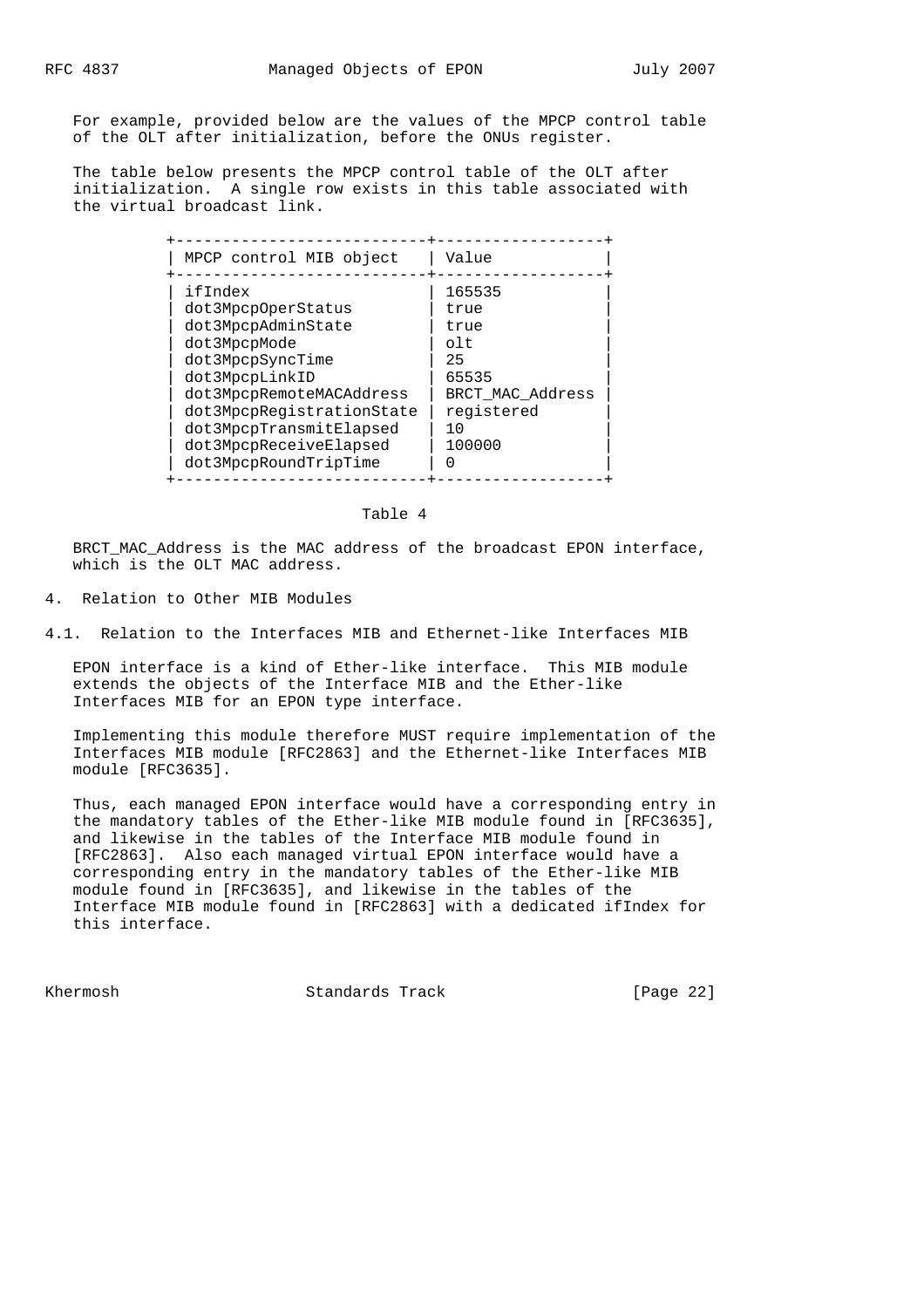For example, provided below are the values of the MPCP control table of the OLT after initialization, before the ONUs register.

 The table below presents the MPCP control table of the OLT after initialization. A single row exists in this table associated with the virtual broadcast link.

#### Table 4

 BRCT\_MAC\_Address is the MAC address of the broadcast EPON interface, which is the OLT MAC address.

4. Relation to Other MIB Modules

4.1. Relation to the Interfaces MIB and Ethernet-like Interfaces MIB

 EPON interface is a kind of Ether-like interface. This MIB module extends the objects of the Interface MIB and the Ether-like Interfaces MIB for an EPON type interface.

 Implementing this module therefore MUST require implementation of the Interfaces MIB module [RFC2863] and the Ethernet-like Interfaces MIB module [RFC3635].

 Thus, each managed EPON interface would have a corresponding entry in the mandatory tables of the Ether-like MIB module found in [RFC3635], and likewise in the tables of the Interface MIB module found in [RFC2863]. Also each managed virtual EPON interface would have a corresponding entry in the mandatory tables of the Ether-like MIB module found in [RFC3635], and likewise in the tables of the Interface MIB module found in [RFC2863] with a dedicated ifIndex for this interface.

Khermosh Standards Track [Page 22]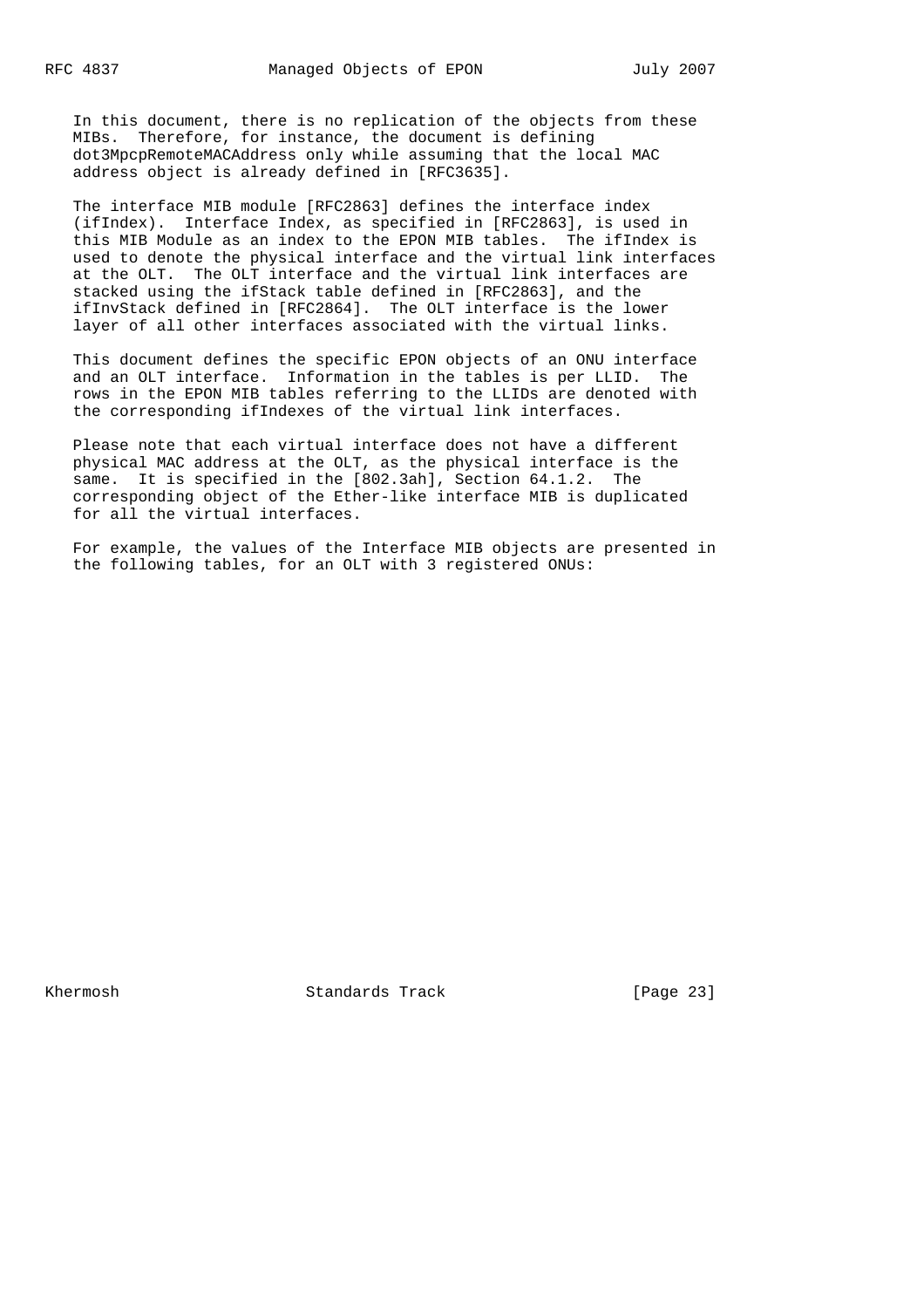In this document, there is no replication of the objects from these MIBs. Therefore, for instance, the document is defining dot3MpcpRemoteMACAddress only while assuming that the local MAC address object is already defined in [RFC3635].

 The interface MIB module [RFC2863] defines the interface index (ifIndex). Interface Index, as specified in [RFC2863], is used in this MIB Module as an index to the EPON MIB tables. The ifIndex is used to denote the physical interface and the virtual link interfaces at the OLT. The OLT interface and the virtual link interfaces are stacked using the ifStack table defined in [RFC2863], and the ifInvStack defined in [RFC2864]. The OLT interface is the lower layer of all other interfaces associated with the virtual links.

 This document defines the specific EPON objects of an ONU interface and an OLT interface. Information in the tables is per LLID. The rows in the EPON MIB tables referring to the LLIDs are denoted with the corresponding ifIndexes of the virtual link interfaces.

 Please note that each virtual interface does not have a different physical MAC address at the OLT, as the physical interface is the same. It is specified in the [802.3ah], Section 64.1.2. The corresponding object of the Ether-like interface MIB is duplicated for all the virtual interfaces.

 For example, the values of the Interface MIB objects are presented in the following tables, for an OLT with 3 registered ONUs:

Khermosh **Standards Track** [Page 23]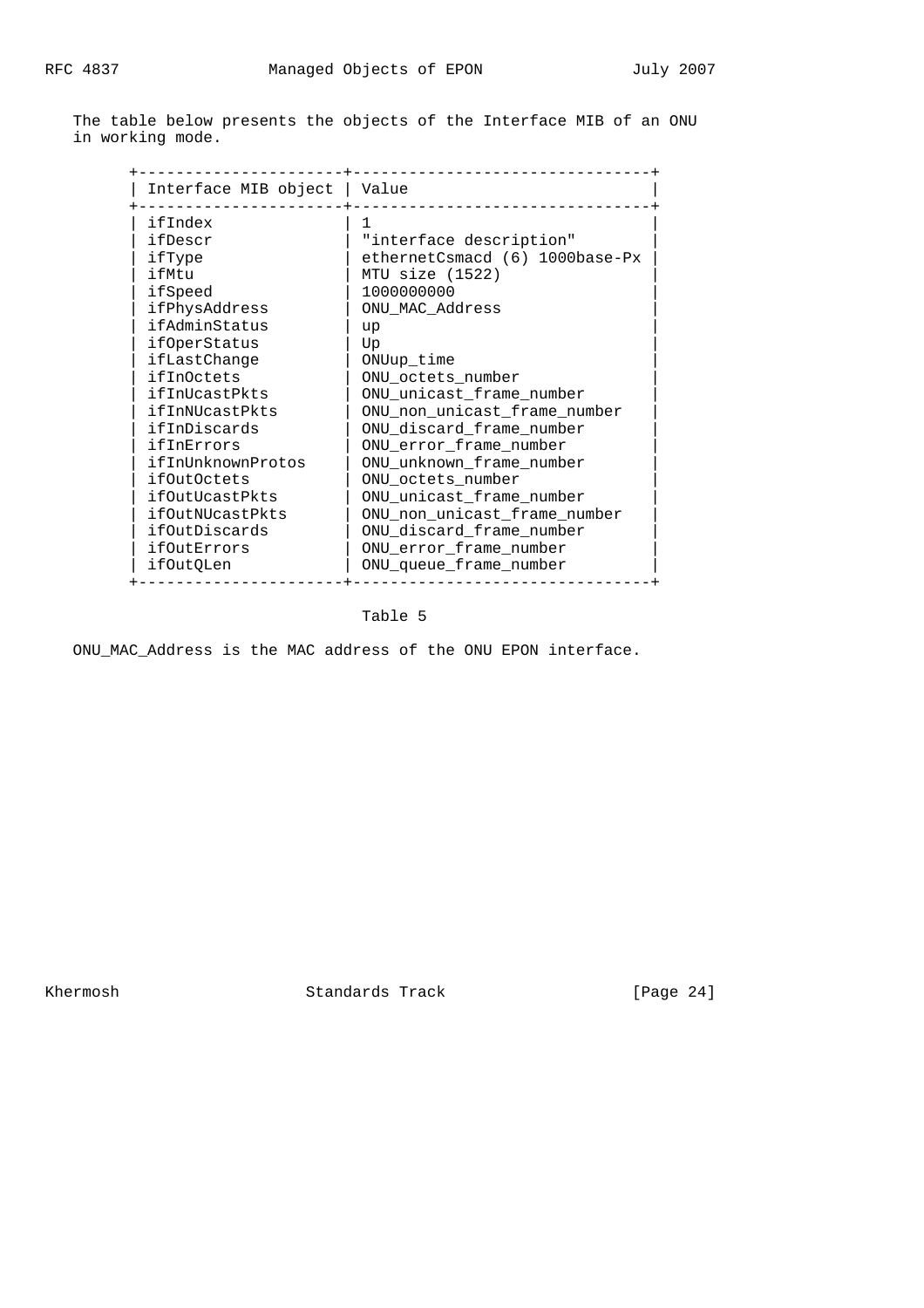The table below presents the objects of the Interface MIB of an ONU in working mode.

| Interface MIB object   Value |                                |
|------------------------------|--------------------------------|
| ifIndex                      |                                |
| ifDescr                      | "interface description"        |
| ifType                       | ethernetCsmacd (6) 1000base-Px |
| ifMtu                        | MTU size (1522)                |
| ifSpeed                      | 1000000000                     |
| ifPhysAddress                | ONU_MAC_Address                |
| ifAdminStatus                | up                             |
| ifOperStatus                 | Up                             |
| ifLastChange                 | ONUup time                     |
| ifInOctets                   | ONU_octets_number              |
| ifInUcastPkts                | ONU_unicast_frame_number       |
| ifInNUcastPkts               | ONU_non_unicast_frame_number   |
| ifInDiscards                 | ONU discard frame number       |
| ifInErrors                   | ONU error frame number         |
| ifInUnknownProtos            | ONU unknown frame number       |
| <i>ifOutOctets</i>           | ONU octets number              |
| ifOutUcastPkts               | ONU unicast frame number       |
| ifOutNUcastPkts              | ONU non unicast frame number   |
| ifOutDiscards                | ONU_discard_frame_number       |
| ifOutErrors                  | ONU_error_frame_number         |
| ifOutQLen                    | ONU_queue_frame_number         |

# Table 5

ONU\_MAC\_Address is the MAC address of the ONU EPON interface.

Khermosh Standards Track [Page 24]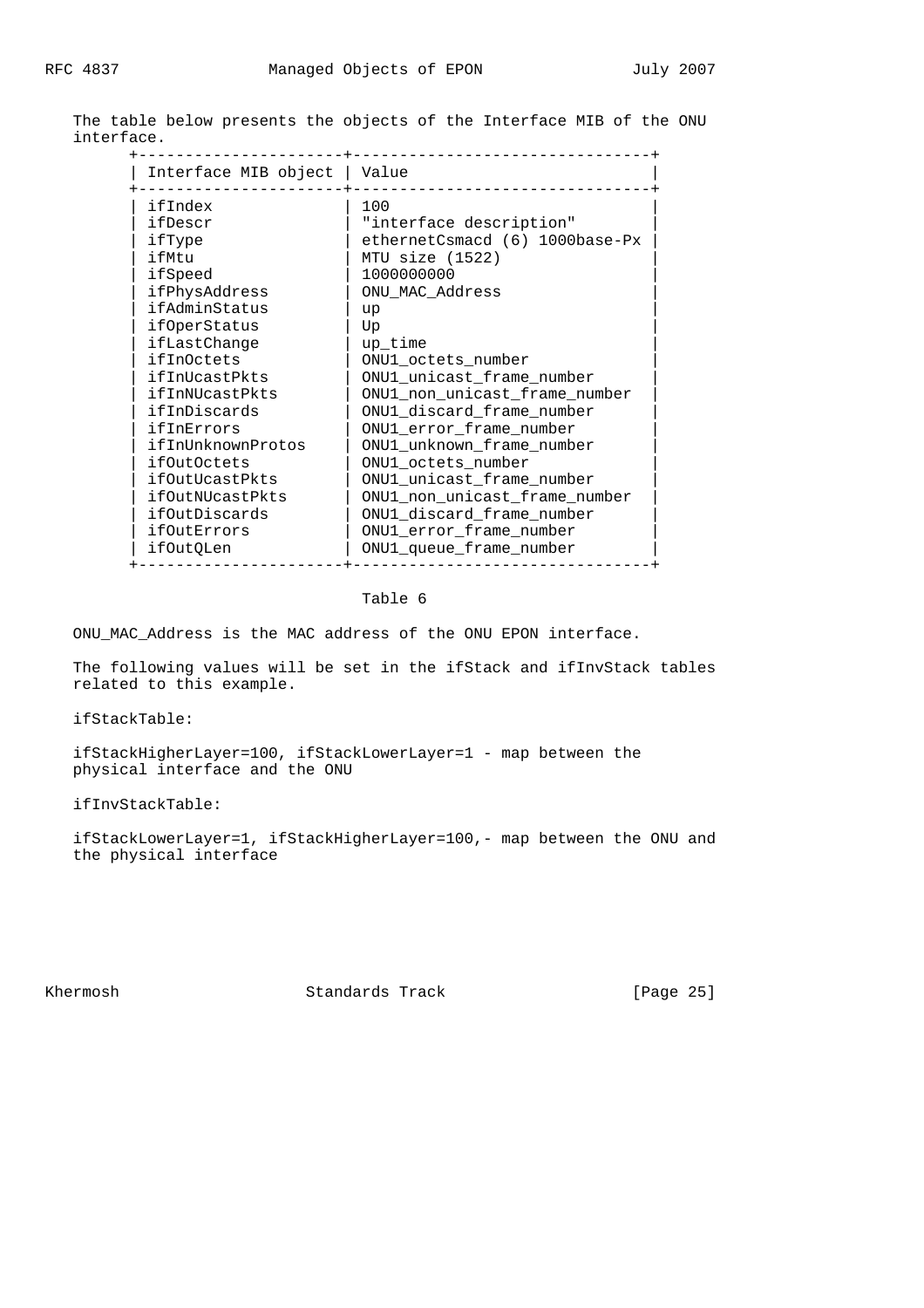| Interface MIB object | Value                          |
|----------------------|--------------------------------|
| ifIndex              | 100                            |
| ifDescr              | "interface description"        |
| ifType               | ethernetCsmacd (6) 1000base-Px |
| ifMtu                | MTU size (1522)                |
| ifSpeed              | 1000000000                     |
| ifPhysAddress        | ONU MAC Address                |
| ifAdminStatus        | up                             |
| ifOperStatus         | Up                             |
| ifLastChange         | up time                        |
| ifInOctets           | ONU1 octets number             |
| ifInUcastPkts        | ONU1 unicast frame number      |
| ifInNUcastPkts       | ONU1_non_unicast_frame_number  |
| ifInDiscards         | ONU1 discard frame number      |
| ifInErrors           | ONU1 error frame number        |
| ifInUnknownProtos    | ONU1 unknown frame number      |
| <i>ifOutOctets</i>   | ONU1 octets number             |
| ifOutUcastPkts       | ONU1 unicast frame number      |
| ifOutNUcastPkts      | ONU1_non_unicast_frame_number  |
| ifOutDiscards        | ONU1 discard frame number      |
| ifOutErrors          | ONU1_error_frame_number        |
| if0ut0Len            | ONU1 queue frame number        |

 The table below presents the objects of the Interface MIB of the ONU interface.

# Table 6

ONU\_MAC\_Address is the MAC address of the ONU EPON interface.

 The following values will be set in the ifStack and ifInvStack tables related to this example.

ifStackTable:

 ifStackHigherLayer=100, ifStackLowerLayer=1 - map between the physical interface and the ONU

ifInvStackTable:

 ifStackLowerLayer=1, ifStackHigherLayer=100,- map between the ONU and the physical interface

Khermosh Standards Track [Page 25]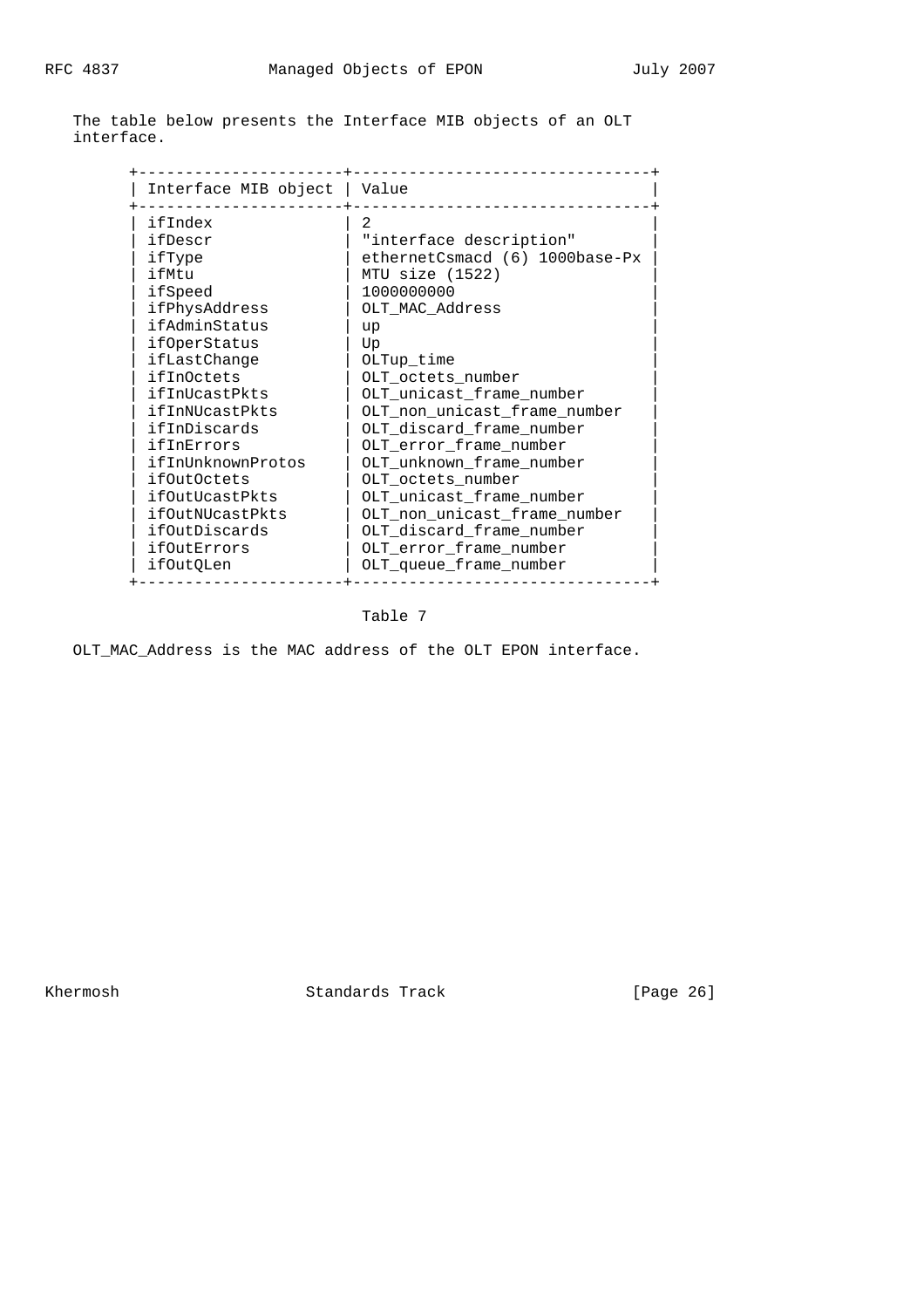| Interface MIB object   Value |                                |
|------------------------------|--------------------------------|
| ifIndex                      | 2                              |
| ifDescr                      | "interface description"        |
| ifType                       | ethernetCsmacd (6) 1000base-Px |
| ifMtu                        | MTU size (1522)                |
| ifSpeed                      | 1000000000                     |
| ifPhysAddress                | OLT MAC Address                |
| ifAdminStatus                | up                             |
| ifOperStatus                 | Up                             |
| ifLastChange                 | OLTup_time                     |
| ifInOctets                   | OLT_octets_number              |
| ifInUcastPkts                | OLT_unicast_frame_number       |
| ifInNUcastPkts               | OLT_non_unicast_frame_number   |
| ifInDiscards                 | OLT discard frame number       |
| ifInErrors                   | OLT error frame number         |
| ifInUnknownProtos            | OLT unknown frame number       |
| <i>ifOutOctets</i>           | OLT octets number              |
| ifOutUcastPkts               | OLT unicast frame number       |
| ifOutNUcastPkts              | OLT_non_unicast_frame_number   |
| ifOutDiscards                | OLT discard frame number       |
| ifOutErrors                  | OLT error frame number         |
| ifOutQLen                    | OLT queue frame number         |

 The table below presents the Interface MIB objects of an OLT interface.

Table 7

OLT\_MAC\_Address is the MAC address of the OLT EPON interface.

Khermosh Standards Track [Page 26]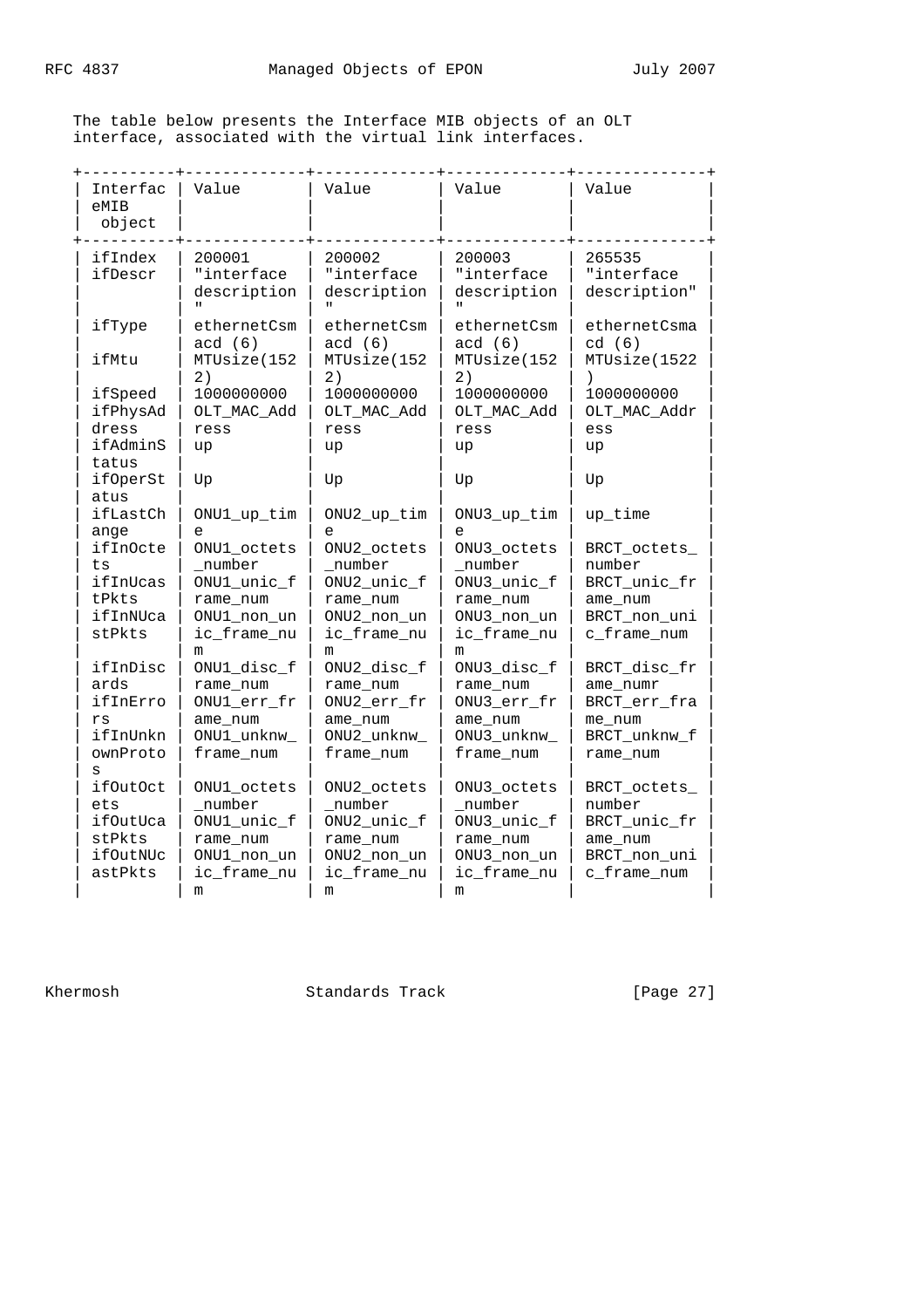The table below presents the Interface MIB objects of an OLT interface, associated with the virtual link interfaces.

| Interfac<br>eMIB<br>object  | Value                               | Value                               | Value                               | Value                                |
|-----------------------------|-------------------------------------|-------------------------------------|-------------------------------------|--------------------------------------|
| ifIndex<br>ifDescr          | 200001<br>"interface<br>description | 200002<br>"interface<br>description | 200003<br>"interface<br>description | 265535<br>"interface<br>description" |
| ifType                      | ethernetCsm                         | ethernetCsm                         | ethernetCsm                         | ethernetCsma                         |
|                             | acd(6)                              | acd(6)                              | acd(6)                              | cd(6)                                |
| ifMtu                       | MTUsize(152                         | MTUsize(152                         | MTUsize(152                         | MTUsize(1522                         |
|                             | 2)                                  | 2)                                  | 2)                                  | $\lambda$                            |
| ifSpeed                     | 1000000000                          | 1000000000                          | 1000000000                          | 1000000000                           |
| ifPhysAd                    | OLT_MAC_Add                         | OLT_MAC_Add                         | OLT_MAC_Add                         | OLT_MAC_Addr                         |
| dress                       | ress                                | ress                                | ress                                | ess                                  |
| ifAdminS<br>tatus           | up                                  | up                                  | up                                  | up                                   |
| <i>ifOperSt</i><br>atus     | Up                                  | Up                                  | Up                                  | Up                                   |
| ifLastCh                    | ONU1_up_tim                         | ONU2_up_tim                         | ONU3_up_tim                         | up_time                              |
| ange                        | е                                   | e                                   | e                                   |                                      |
| <i>ifInOcte</i>             | ONU1 octets                         | ONU2_octets                         | ONU3 octets                         | BRCT_octets_                         |
| ts                          | _number                             | number                              | number                              | number                               |
| ifInUcas                    | ONU1_unic_f                         | ONU2_unic_f                         | ONU3_unic_f                         | BRCT_unic_fr                         |
| tPkts                       | rame num                            | rame num                            | rame num                            | ame num                              |
| ifInNUca<br>stPkts          | ONU1_non_un<br>ic_frame_nu<br>m     | ONU2_non_un<br>ic_frame_nu<br>m     | ONU3_non_un<br>ic_frame_nu<br>m     | BRCT_non_uni<br>c_frame_num          |
| ifInDisc                    | ONU1_disc_f                         | ONU2_disc_f                         | ONU3_disc_f                         | BRCT_disc_fr                         |
| ards                        | rame num                            | rame num                            | rame num                            | ame_numr                             |
| ifInErro                    | ONU1_err_fr                         | ONU2_err_fr                         | ONU3_err_fr                         | BRCT_err_fra                         |
| rs                          | ame_num                             | ame_num                             | ame_num                             | me num                               |
| ifInUnkn                    | ONU1_unknw_                         | ONU2_unknw_                         | ONU3_unknw_                         | BRCT_unknw_f                         |
| ownProto                    | frame_num                           | frame_num                           | frame_num                           | rame num                             |
| S<br><i>ifOutOct</i><br>ets | ONU1_octets<br>number               | ONU2_octets<br>number               | ONU3_octets<br>number               | BRCT_octets_<br>number               |
| ifOutUca                    | ONU1_unic_f                         | ONU2_unic_f                         | ONU3_unic_f                         | BRCT_unic_fr                         |
| stPkts                      | rame_num                            | rame_num                            | rame_num                            | ame_num                              |
| ifOutNUc                    | ONU1_non_un                         | ONU2_non_un                         | ONU3_non_un                         | BRCT_non_uni                         |
| astPkts                     | ic_frame_nu                         | ic_frame_nu                         | ic_frame_nu                         | c_frame_num                          |
|                             | m                                   | m                                   | m                                   |                                      |

Khermosh Standards Track [Page 27]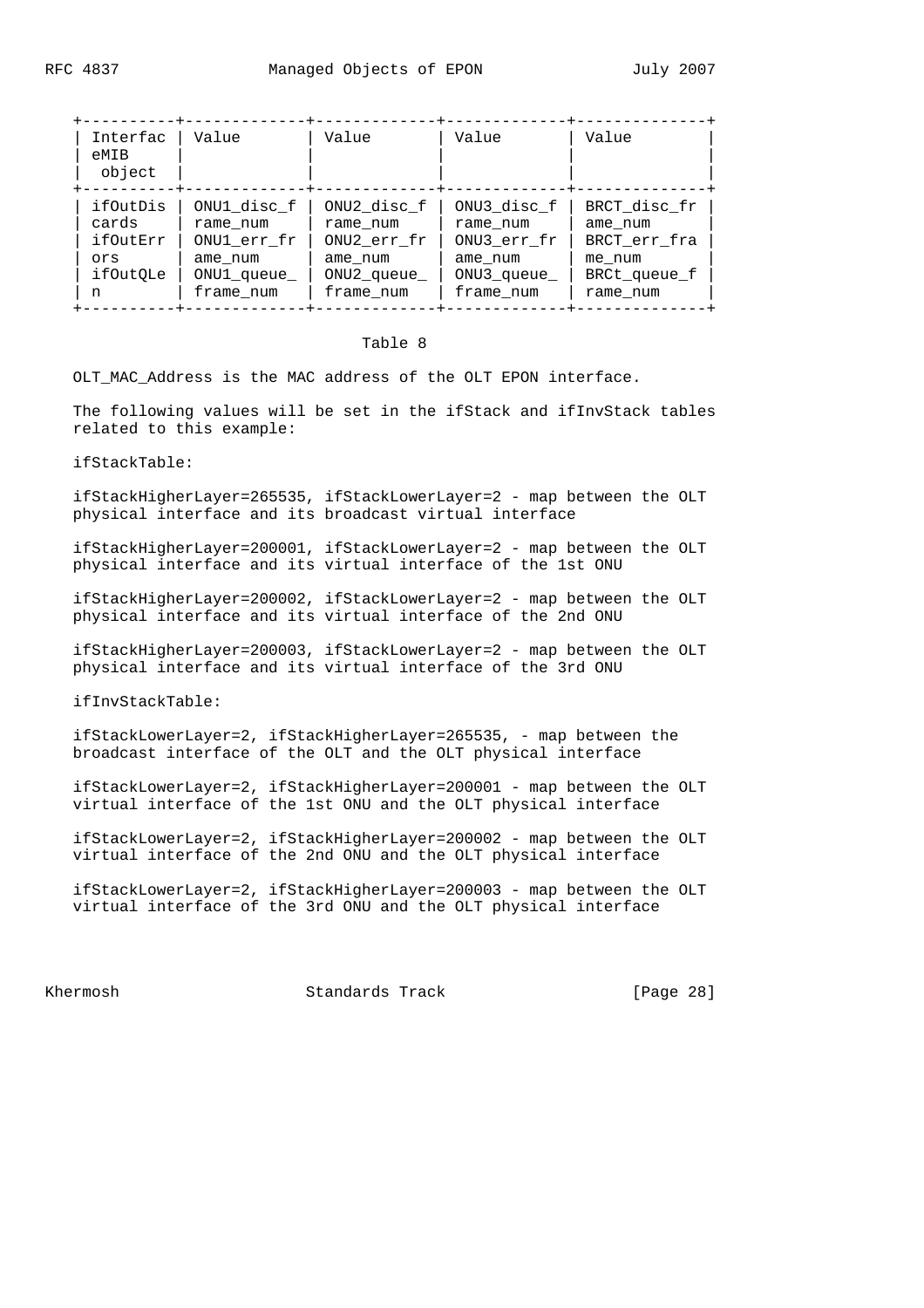| Interfac<br>eMIB<br>object | Value       | Value       | Value       | Value        |
|----------------------------|-------------|-------------|-------------|--------------|
| ifOutDis                   | ONU1 disc f | ONU2_disc_f | ONU3 disc f | BRCT disc fr |
| cards                      | rame num    | rame num    | rame num    | ame num      |

 | n | frame\_num | frame\_num | frame\_num | rame\_num | +----------+-------------+-------------+-------------+--------------+

#### Table 8

 | ifOutErr | ONU1\_err\_fr | ONU2\_err\_fr | ONU3\_err\_fr | BRCT\_err\_fra | | ors | ame\_num | ame\_num | ame\_num | me\_num | | ifOutQLe | ONU1\_queue\_ | ONU2\_queue\_ | ONU3\_queue\_ | BRCt\_queue\_f |

OLT\_MAC\_Address is the MAC address of the OLT EPON interface.

The following values will be set in the ifStack and ifInvStack tables related to this example:

ifStackTable:

 ifStackHigherLayer=265535, ifStackLowerLayer=2 - map between the OLT physical interface and its broadcast virtual interface

 ifStackHigherLayer=200001, ifStackLowerLayer=2 - map between the OLT physical interface and its virtual interface of the 1st ONU

 ifStackHigherLayer=200002, ifStackLowerLayer=2 - map between the OLT physical interface and its virtual interface of the 2nd ONU

 ifStackHigherLayer=200003, ifStackLowerLayer=2 - map between the OLT physical interface and its virtual interface of the 3rd ONU

ifInvStackTable:

 ifStackLowerLayer=2, ifStackHigherLayer=265535, - map between the broadcast interface of the OLT and the OLT physical interface

 ifStackLowerLayer=2, ifStackHigherLayer=200001 - map between the OLT virtual interface of the 1st ONU and the OLT physical interface

 ifStackLowerLayer=2, ifStackHigherLayer=200002 - map between the OLT virtual interface of the 2nd ONU and the OLT physical interface

 ifStackLowerLayer=2, ifStackHigherLayer=200003 - map between the OLT virtual interface of the 3rd ONU and the OLT physical interface

Khermosh **Standards Track** [Page 28]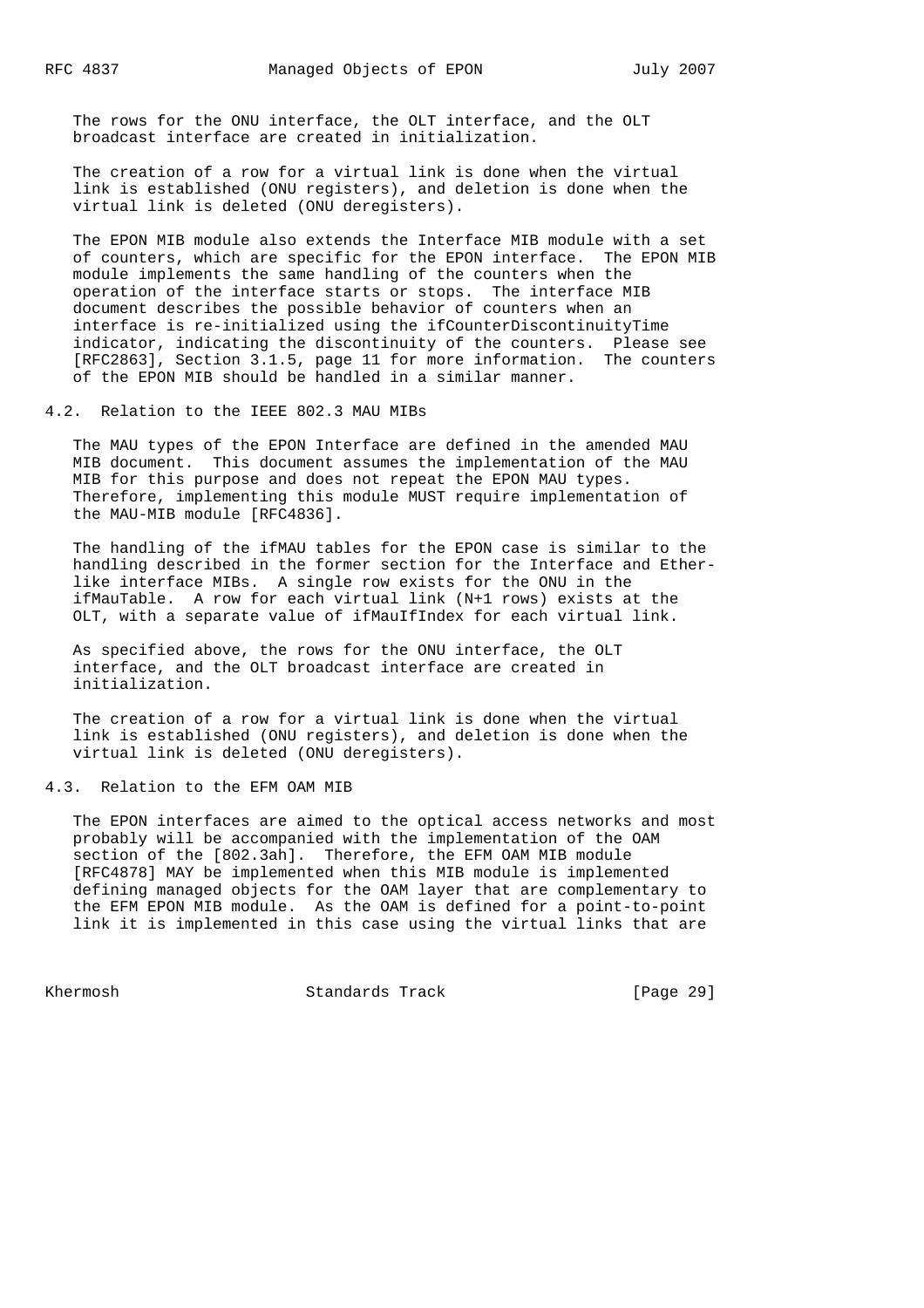The rows for the ONU interface, the OLT interface, and the OLT broadcast interface are created in initialization.

 The creation of a row for a virtual link is done when the virtual link is established (ONU registers), and deletion is done when the virtual link is deleted (ONU deregisters).

 The EPON MIB module also extends the Interface MIB module with a set of counters, which are specific for the EPON interface. The EPON MIB module implements the same handling of the counters when the operation of the interface starts or stops. The interface MIB document describes the possible behavior of counters when an interface is re-initialized using the ifCounterDiscontinuityTime indicator, indicating the discontinuity of the counters. Please see [RFC2863], Section 3.1.5, page 11 for more information. The counters of the EPON MIB should be handled in a similar manner.

4.2. Relation to the IEEE 802.3 MAU MIBs

 The MAU types of the EPON Interface are defined in the amended MAU MIB document. This document assumes the implementation of the MAU MIB for this purpose and does not repeat the EPON MAU types. Therefore, implementing this module MUST require implementation of the MAU-MIB module [RFC4836].

 The handling of the ifMAU tables for the EPON case is similar to the handling described in the former section for the Interface and Ether like interface MIBs. A single row exists for the ONU in the ifMauTable. A row for each virtual link (N+1 rows) exists at the OLT, with a separate value of ifMauIfIndex for each virtual link.

 As specified above, the rows for the ONU interface, the OLT interface, and the OLT broadcast interface are created in initialization.

 The creation of a row for a virtual link is done when the virtual link is established (ONU registers), and deletion is done when the virtual link is deleted (ONU deregisters).

# 4.3. Relation to the EFM OAM MIB

 The EPON interfaces are aimed to the optical access networks and most probably will be accompanied with the implementation of the OAM section of the [802.3ah]. Therefore, the EFM OAM MIB module [RFC4878] MAY be implemented when this MIB module is implemented defining managed objects for the OAM layer that are complementary to the EFM EPON MIB module. As the OAM is defined for a point-to-point link it is implemented in this case using the virtual links that are

Khermosh Standards Track [Page 29]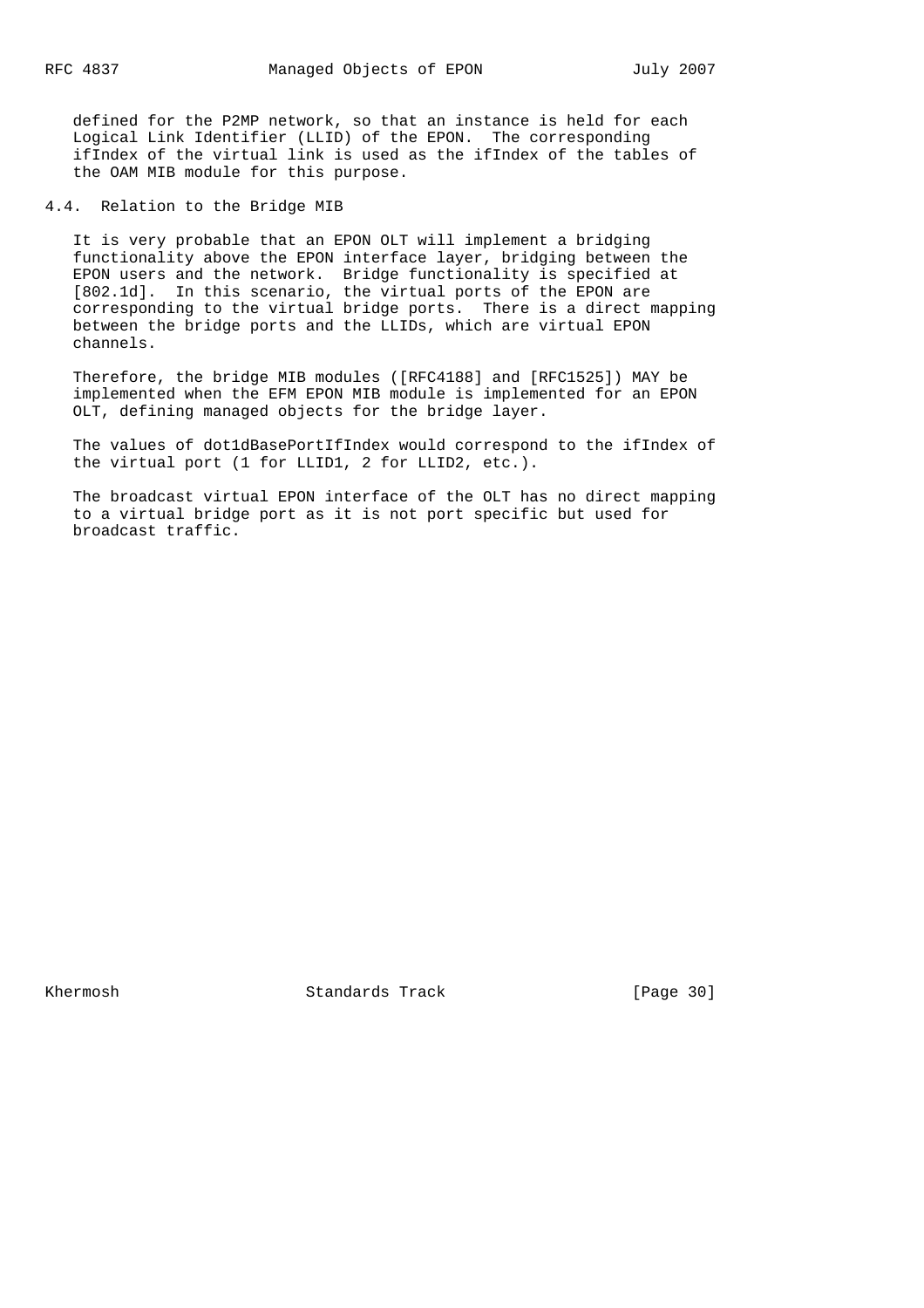defined for the P2MP network, so that an instance is held for each Logical Link Identifier (LLID) of the EPON. The corresponding ifIndex of the virtual link is used as the ifIndex of the tables of the OAM MIB module for this purpose.

4.4. Relation to the Bridge MIB

 It is very probable that an EPON OLT will implement a bridging functionality above the EPON interface layer, bridging between the EPON users and the network. Bridge functionality is specified at [802.1d]. In this scenario, the virtual ports of the EPON are corresponding to the virtual bridge ports. There is a direct mapping between the bridge ports and the LLIDs, which are virtual EPON channels.

 Therefore, the bridge MIB modules ([RFC4188] and [RFC1525]) MAY be implemented when the EFM EPON MIB module is implemented for an EPON OLT, defining managed objects for the bridge layer.

 The values of dot1dBasePortIfIndex would correspond to the ifIndex of the virtual port (1 for LLID1, 2 for LLID2, etc.).

 The broadcast virtual EPON interface of the OLT has no direct mapping to a virtual bridge port as it is not port specific but used for broadcast traffic.

Khermosh Standards Track [Page 30]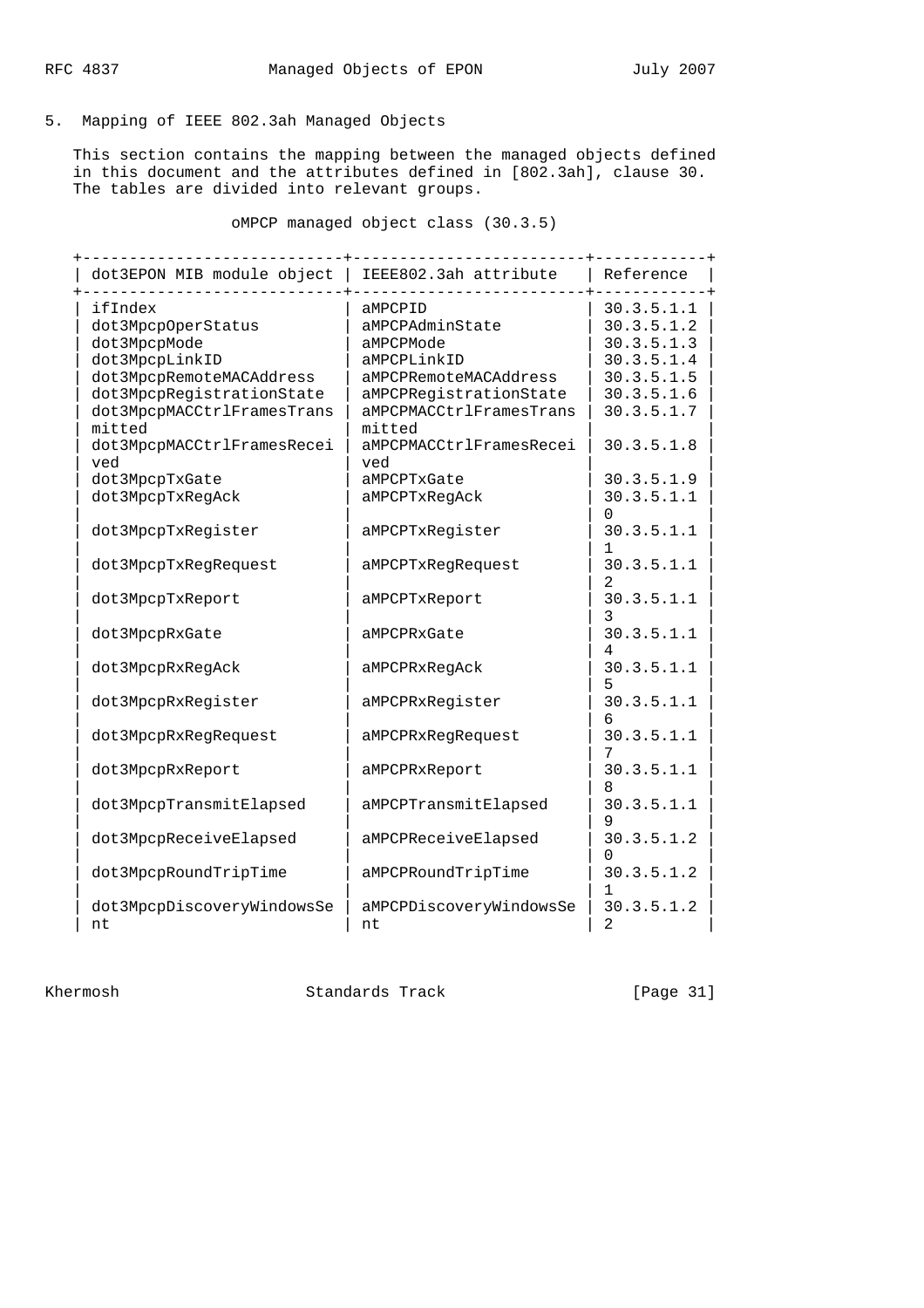5. Mapping of IEEE 802.3ah Managed Objects

 This section contains the mapping between the managed objects defined in this document and the attributes defined in [802.3ah], clause 30. The tables are divided into relevant groups.

oMPCP managed object class (30.3.5)

| dot3EPON MIB module object | IEEE802.3ah attribute   | Reference        |
|----------------------------|-------------------------|------------------|
| ifIndex                    | aMPCPID                 | 30.3.5.1.1       |
| dot3MpcpOperStatus         | aMPCPAdminState         | 30.3.5.1.2       |
| dot3MpcpMode               | aMPCPMode               | 30.3.5.1.3       |
| dot3MpcpLinkID             | aMPCPLinkID             | 30.3.5.1.4       |
| dot3MpcpRemoteMACAddress   | aMPCPRemoteMACAddress   | 30.3.5.1.5       |
| dot3MpcpRegistrationState  | aMPCPRegistrationState  | 30.3.5.1.6       |
| dot3MpcpMACCtrlFramesTrans | aMPCPMACCtrlFramesTrans | 30.3.5.1.7       |
| mitted                     | mitted                  |                  |
| dot3MpcpMACCtrlFramesRecei | aMPCPMACCtrlFramesRecei | 30.3.5.1.8       |
| ved                        | ved                     |                  |
| dot3MpcpTxGate             | aMPCPTxGate             | 30.3.5.1.9       |
| dot3MpcpTxRegAck           | aMPCPTxRegAck           | 30.3.5.1.1       |
|                            |                         | O                |
| dot3MpcpTxRegister         | aMPCPTxRegister         | 30.3.5.1.1       |
|                            |                         |                  |
| dot3MpcpTxRegRequest       | aMPCPTxRegRequest       | 30.3.5.1.1       |
|                            |                         | 2.               |
| dot3MpcpTxReport           | aMPCPTxReport           | 30.3.5.1.1       |
|                            |                         | 3                |
| dot3MpcpRxGate             | aMPCPRxGate             | 30.3.5.1.1       |
|                            |                         |                  |
| dot3MpcpRxReqAck           | aMPCPRxRegAck           | 30.3.5.1.1       |
|                            |                         | 5                |
| dot3MpcpRxRegister         | aMPCPRxRegister         | 30.3.5.1.1       |
|                            |                         |                  |
| dot3MpcpRxRegRequest       | aMPCPRxRegRequest       | 30.3.5.1.1       |
|                            |                         |                  |
| dot3MpcpRxReport           | aMPCPRxReport           | 30.3.5.1.1       |
|                            |                         | 8                |
| dot3MpcpTransmitElapsed    | aMPCPTransmitElapsed    | 30.3.5.1.1       |
|                            |                         | 9                |
| dot3MpcpReceiveElapsed     | aMPCPReceiveElapsed     | 30.3.5.1.2       |
|                            |                         | $\left( \right)$ |
| dot3MpcpRoundTripTime      | aMPCPRoundTripTime      | 30.3.5.1.2       |
|                            |                         |                  |
| dot3MpcpDiscoveryWindowsSe | aMPCPDiscoveryWindowsSe | 30.3.5.1.2       |
| nt                         | nt                      | $\overline{2}$   |
|                            |                         |                  |

Khermosh Standards Track [Page 31]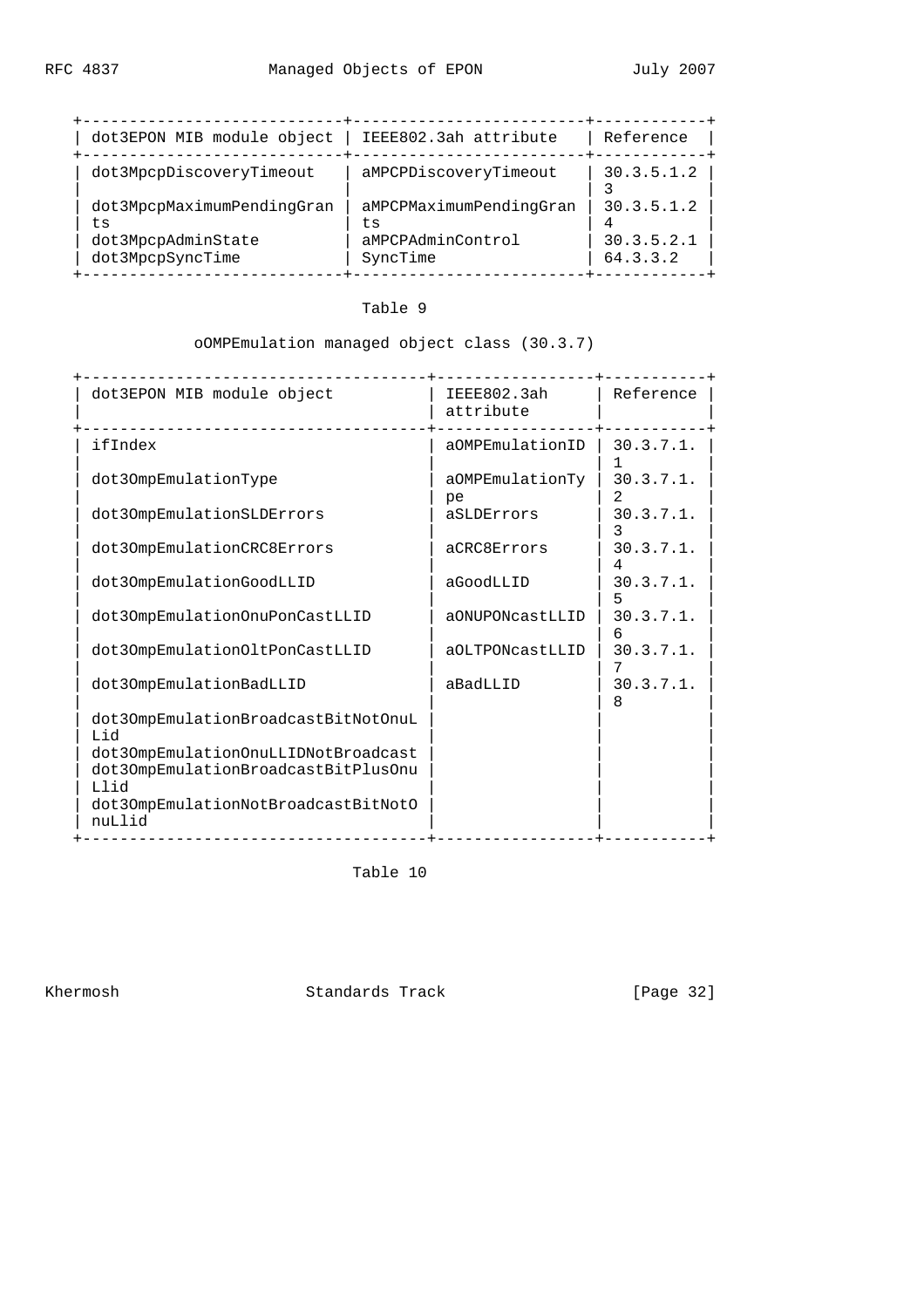| dot3EPON MIB module object                                                 | IEEE802.3ah attribute                                          | Reference                            |
|----------------------------------------------------------------------------|----------------------------------------------------------------|--------------------------------------|
| dot3MpcpDiscoveryTimeout                                                   | aMPCPDiscoveryTimeout                                          | 30.3.5.1.2                           |
| dot3MpcpMaximumPendingGran<br>ts<br>dot3MpcpAdminState<br>dot3MpcpSyncTime | aMPCPMaximumPendingGran<br>ts<br>aMPCPAdminControl<br>SyncTime | 30.3.5.1.2<br>30.3.5.2.1<br>64.3.3.2 |

Table 9

oOMPEmulation managed object class (30.3.7)

| dot3EPON MIB module object                                                          | IEEE802.3ah<br>attribute | Reference         |
|-------------------------------------------------------------------------------------|--------------------------|-------------------|
| . Le le le le le le le le le le le<br>ifIndex                                       | aOMPEmulationID          | 30.3.7.1.         |
| dot30mpEmulationType                                                                | aOMPEmulationTy<br>pe    | 30.3.7.1.         |
| dot30mpEmulationSLDErrors                                                           | aSLDErrors               | 30.3.7.1.         |
| dot30mpEmulationCRC8Errors                                                          | aCRC8Errors              | 30.3.7.1.         |
| dot30mpEmulationGoodLLID                                                            | aGoodLLID                | 30.3.7.1.         |
| dot30mpEmulation0nuPonCastLLID                                                      | aONUPONcastLLID          | 30.3.7.1.<br>6    |
| dot30mpEmulation0ltPonCastLLID                                                      | aOLTPONcastLLID          | $30.3.7.1$ .      |
| dot30mpEmulationBadLLID                                                             | aBadLLID                 | $30.3.7.1$ .<br>8 |
| dot30mpEmulationBroadcastBitNotOnuL<br>hiJ                                          |                          |                   |
| dot30mpEmulation0nuLLIDNotBroadcast<br>dot30mpEmulationBroadcastBitPlusOnu<br>bi LI |                          |                   |
| dot30mpEmulationNotBroadcastBitNotO<br>nuLlid                                       |                          |                   |

Table 10

Khermosh Standards Track [Page 32]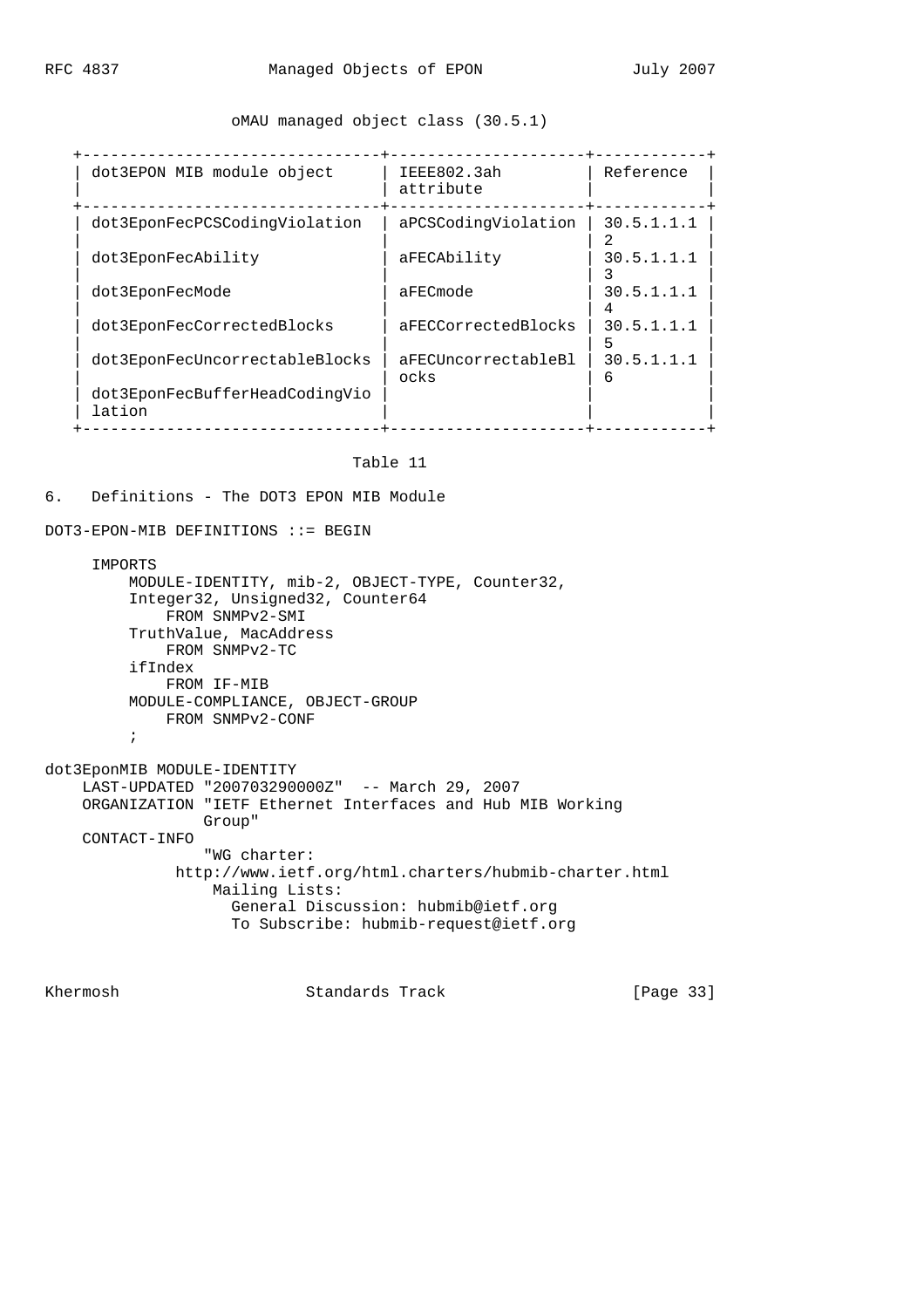### oMAU managed object class (30.5.1)

| dot3EPON MIB module object               | IEEE802.3ah<br>attribute    | Reference       |
|------------------------------------------|-----------------------------|-----------------|
| dot3EponFecPCSCodingViolation            | aPCSCodingViolation         | 30.5.1.1.1      |
| dot3EponFecAbility                       | aFECAbility                 | 30.5.1.1.1      |
| dot3EponFecMode                          | aFECmode                    | 30.5.1.1.1      |
| dot3EponFecCorrectedBlocks               | aFECCorrectedBlocks         | 30.5.1.1.1      |
| dot3EponFecUncorrectableBlocks           | aFECUncorrectableBl<br>ocks | 30.5.1.1.1<br>6 |
| dot3EponFecBufferHeadCodingVio<br>lation |                             |                 |

#### Table 11

#### 6. Definitions - The DOT3 EPON MIB Module

DOT3-EPON-MIB DEFINITIONS ::= BEGIN

#### IMPORTS

```
 MODULE-IDENTITY, mib-2, OBJECT-TYPE, Counter32,
          Integer32, Unsigned32, Counter64
              FROM SNMPv2-SMI
          TruthValue, MacAddress
              FROM SNMPv2-TC
          ifIndex
             FROM IF-MIB
          MODULE-COMPLIANCE, OBJECT-GROUP
             FROM SNMPv2-CONF
          ;
dot3EponMIB MODULE-IDENTITY
     LAST-UPDATED "200703290000Z" -- March 29, 2007
     ORGANIZATION "IETF Ethernet Interfaces and Hub MIB Working
                  Group"
     CONTACT-INFO
                  "WG charter:
```

```
 http://www.ietf.org/html.charters/hubmib-charter.html
     Mailing Lists:
       General Discussion: hubmib@ietf.org
       To Subscribe: hubmib-request@ietf.org
```
Khermosh Standards Track [Page 33]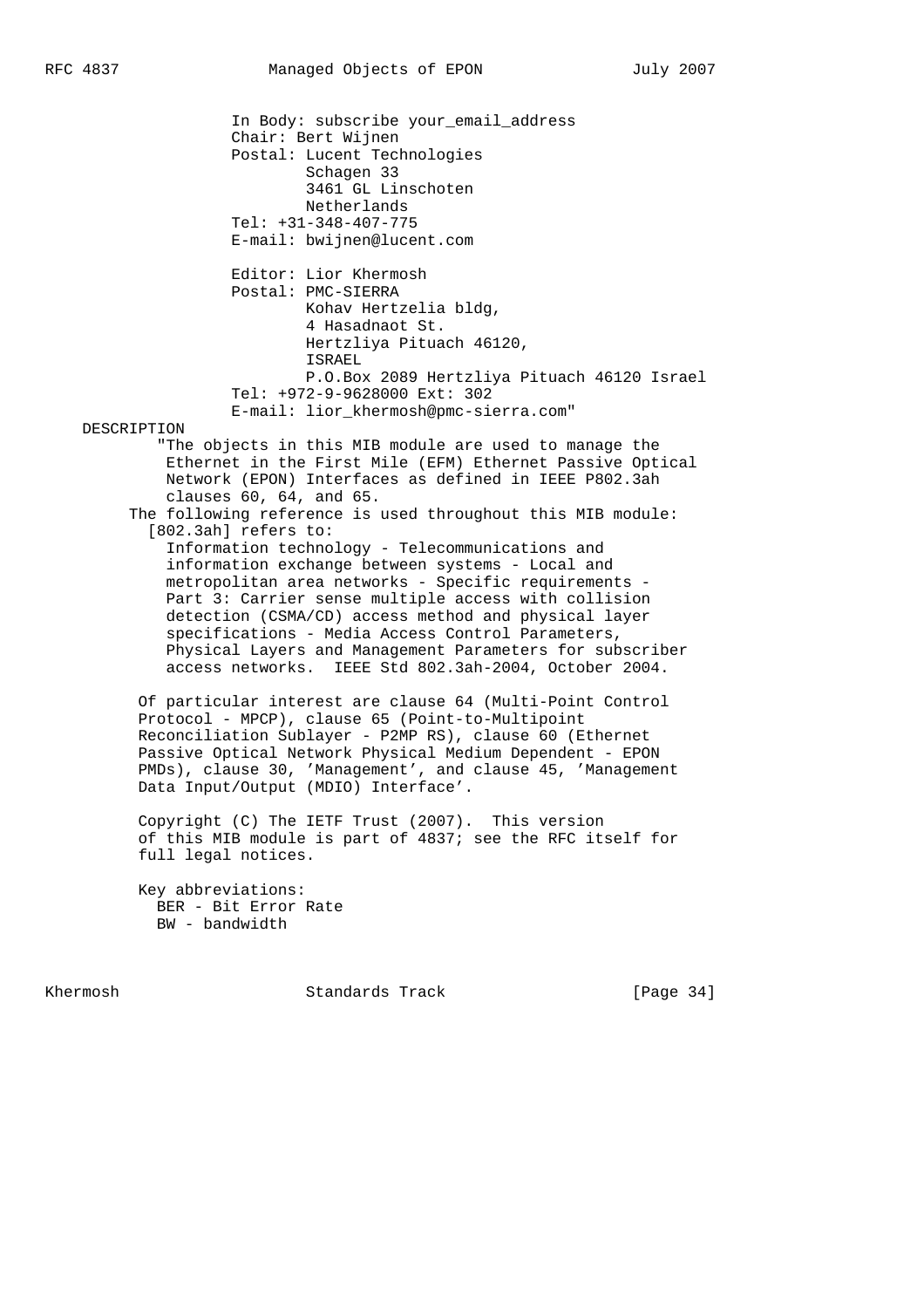In Body: subscribe your\_email\_address Chair: Bert Wijnen Postal: Lucent Technologies Schagen 33 3461 GL Linschoten Netherlands Tel: +31-348-407-775 E-mail: bwijnen@lucent.com Editor: Lior Khermosh Postal: PMC-SIERRA Kohav Hertzelia bldg, 4 Hasadnaot St. Hertzliya Pituach 46120, ISRAEL P.O.Box 2089 Hertzliya Pituach 46120 Israel Tel: +972-9-9628000 Ext: 302 E-mail: lior\_khermosh@pmc-sierra.com" DESCRIPTION "The objects in this MIB module are used to manage the Ethernet in the First Mile (EFM) Ethernet Passive Optical Network (EPON) Interfaces as defined in IEEE P802.3ah clauses 60, 64, and 65. The following reference is used throughout this MIB module: [802.3ah] refers to: Information technology - Telecommunications and information exchange between systems - Local and metropolitan area networks - Specific requirements - Part 3: Carrier sense multiple access with collision detection (CSMA/CD) access method and physical layer specifications - Media Access Control Parameters, Physical Layers and Management Parameters for subscriber access networks. IEEE Std 802.3ah-2004, October 2004. Of particular interest are clause 64 (Multi-Point Control Protocol - MPCP), clause 65 (Point-to-Multipoint Reconciliation Sublayer - P2MP RS), clause 60 (Ethernet Passive Optical Network Physical Medium Dependent - EPON PMDs), clause 30, 'Management', and clause 45, 'Management Data Input/Output (MDIO) Interface'. Copyright (C) The IETF Trust (2007). This version of this MIB module is part of 4837; see the RFC itself for full legal notices. Key abbreviations: BER - Bit Error Rate BW - bandwidth

Khermosh **Standards Track** [Page 34]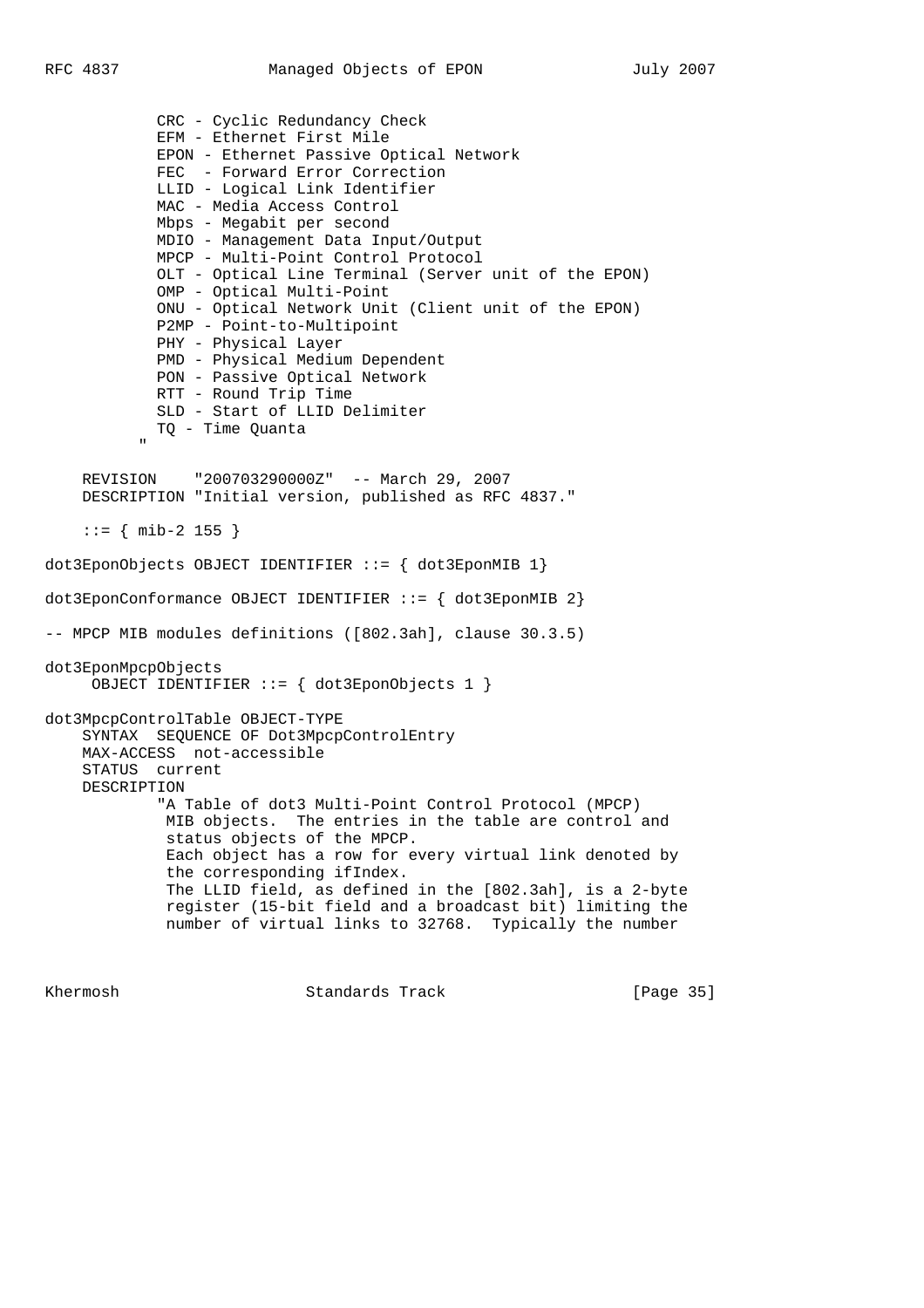CRC - Cyclic Redundancy Check EFM - Ethernet First Mile EPON - Ethernet Passive Optical Network FEC - Forward Error Correction LLID - Logical Link Identifier MAC - Media Access Control Mbps - Megabit per second MDIO - Management Data Input/Output MPCP - Multi-Point Control Protocol OLT - Optical Line Terminal (Server unit of the EPON) OMP - Optical Multi-Point ONU - Optical Network Unit (Client unit of the EPON) P2MP - Point-to-Multipoint PHY - Physical Layer PMD - Physical Medium Dependent PON - Passive Optical Network RTT - Round Trip Time SLD - Start of LLID Delimiter TQ - Time Quanta " "The Contract of the Contract of the Contract of the Contract of the Contract of the Contract of the Contract of the Contract of the Contract of the Contract of the Contract of the Contract of the Contract of the Contrac REVISION "200703290000Z" -- March 29, 2007 DESCRIPTION "Initial version, published as RFC 4837." ::= { mib-2 155 } dot3EponObjects OBJECT IDENTIFIER  $::=$  { dot3EponMIB 1} dot3EponConformance OBJECT IDENTIFIER ::= { dot3EponMIB 2} -- MPCP MIB modules definitions ([802.3ah], clause 30.3.5) dot3EponMpcpObjects OBJECT IDENTIFIER ::= { dot3EponObjects 1 } dot3MpcpControlTable OBJECT-TYPE SYNTAX SEQUENCE OF Dot3MpcpControlEntry MAX-ACCESS not-accessible STATUS current DESCRIPTION "A Table of dot3 Multi-Point Control Protocol (MPCP) MIB objects. The entries in the table are control and status objects of the MPCP. Each object has a row for every virtual link denoted by the corresponding ifIndex. The LLID field, as defined in the [802.3ah], is a 2-byte register (15-bit field and a broadcast bit) limiting the number of virtual links to 32768. Typically the number

Khermosh Standards Track [Page 35]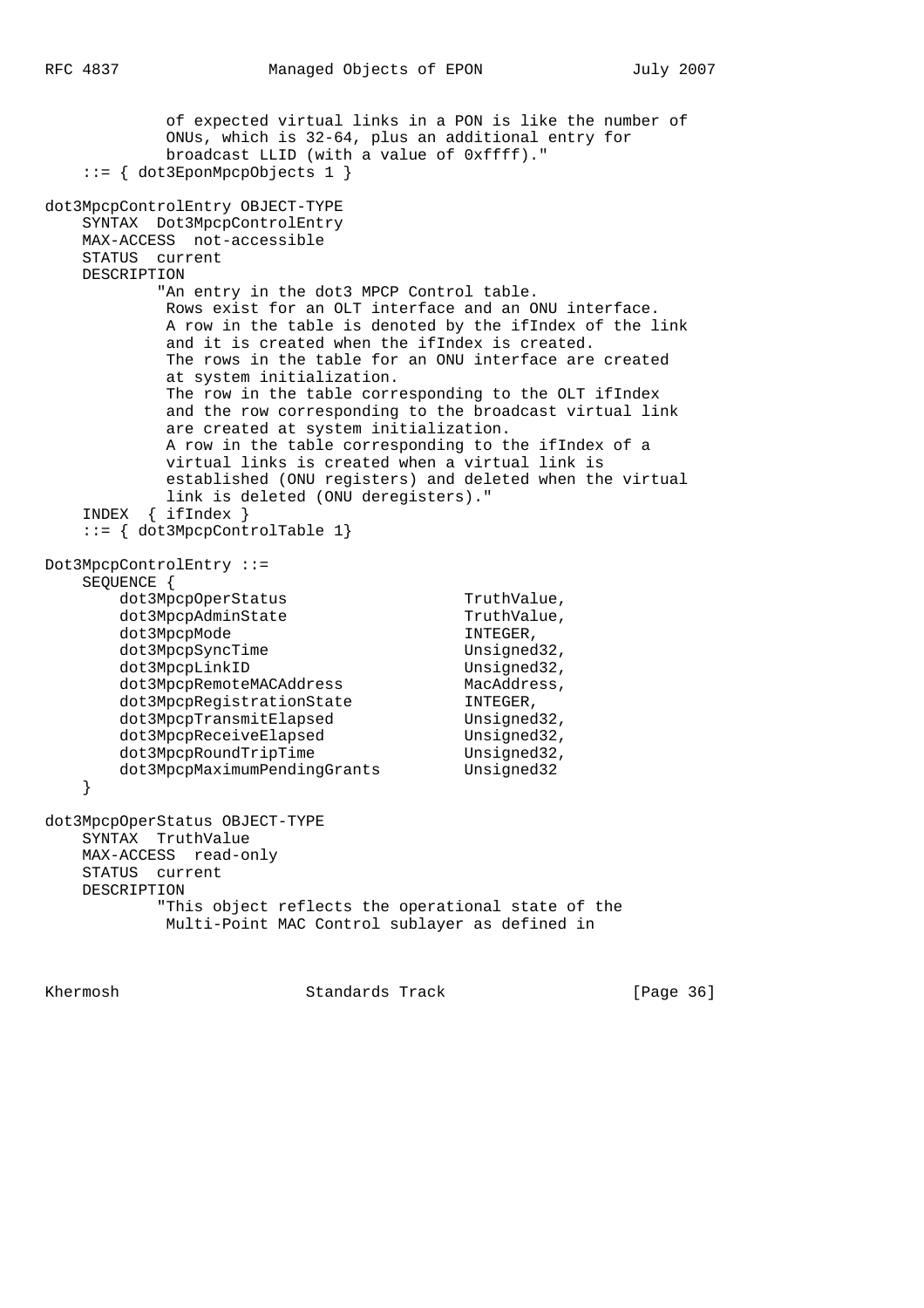of expected virtual links in a PON is like the number of ONUs, which is 32-64, plus an additional entry for broadcast LLID (with a value of 0xffff)." ::= { dot3EponMpcpObjects 1 } dot3MpcpControlEntry OBJECT-TYPE SYNTAX Dot3MpcpControlEntry MAX-ACCESS not-accessible STATUS current DESCRIPTION "An entry in the dot3 MPCP Control table. Rows exist for an OLT interface and an ONU interface. A row in the table is denoted by the ifIndex of the link and it is created when the ifIndex is created. The rows in the table for an ONU interface are created at system initialization. The row in the table corresponding to the OLT ifIndex and the row corresponding to the broadcast virtual link are created at system initialization. A row in the table corresponding to the ifIndex of a virtual links is created when a virtual link is established (ONU registers) and deleted when the virtual link is deleted (ONU deregisters)." INDEX { ifIndex } ::= { dot3MpcpControlTable 1} Dot3MpcpControlEntry ::= SEQUENCE { dot3MpcpOperStatus TruthValue, dot3MpcpAdminState TruthValue, dot3MpcpMode INTEGER, dot3MpcpSyncTime Unsigned32, dot3MpcpLinkID Unsigned32, dot3MpcpRemoteMACAddress MacAddress, dot3MpcpRegistrationState INTEGER, dot3MpcpRegistrationState INTEGER,<br>dot3MpcpTransmitElapsed Unsigned32, dot3MpcpReceiveElapsed Unsigned32, dot3MpcpRoundTripTime Unsigned32, dot3MpcpMaximumPendingGrants Unsigned32 } dot3MpcpOperStatus OBJECT-TYPE SYNTAX TruthValue MAX-ACCESS read-only STATUS current DESCRIPTION "This object reflects the operational state of the Multi-Point MAC Control sublayer as defined in

Khermosh Standards Track [Page 36]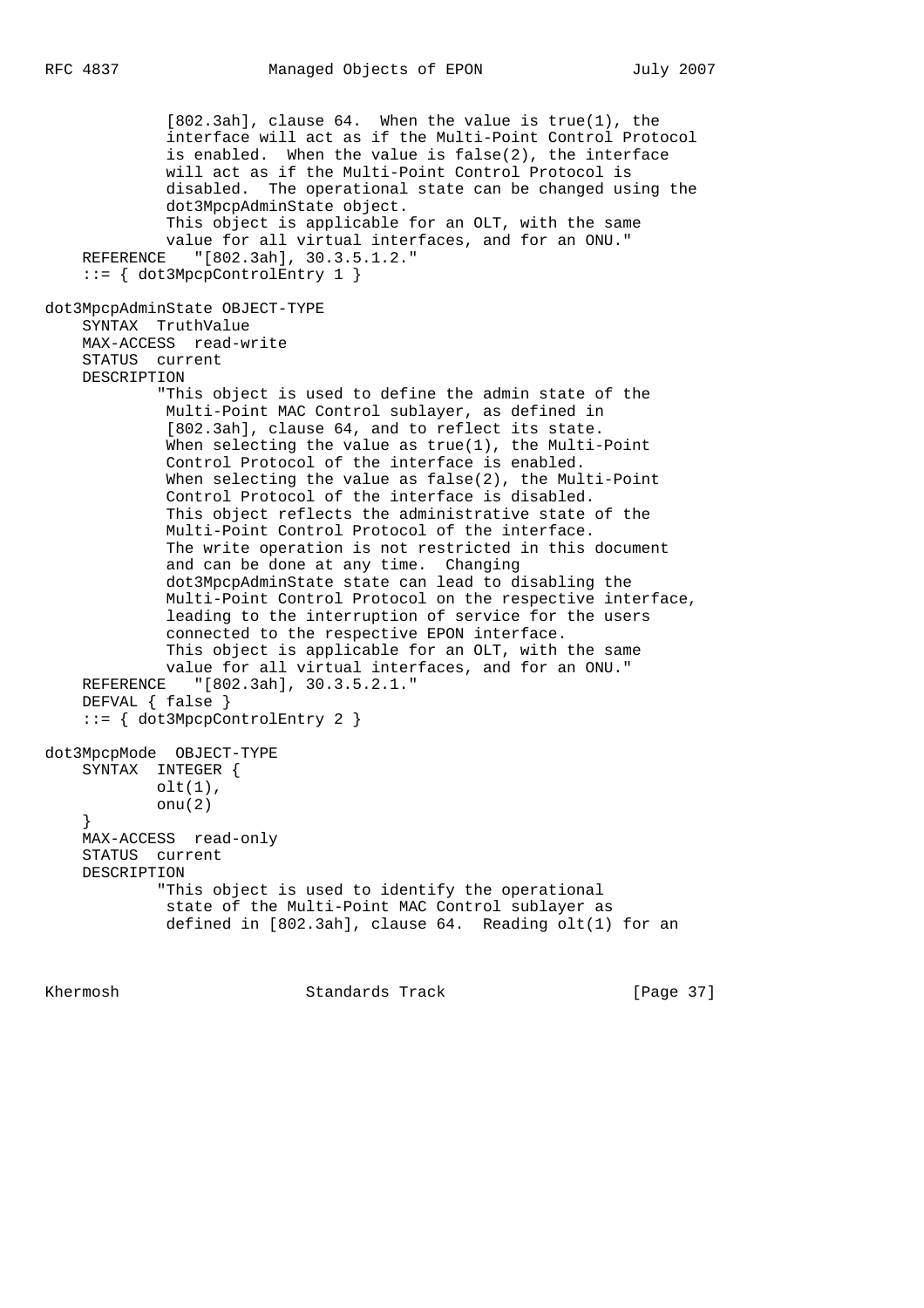```
 [802.3ah], clause 64. When the value is true(1), the
              interface will act as if the Multi-Point Control Protocol
              is enabled. When the value is false(2), the interface
              will act as if the Multi-Point Control Protocol is
              disabled. The operational state can be changed using the
              dot3MpcpAdminState object.
              This object is applicable for an OLT, with the same
              value for all virtual interfaces, and for an ONU."
    REFERENCE "[802.3ah], 30.3.5.1.2."
     ::= { dot3MpcpControlEntry 1 }
dot3MpcpAdminState OBJECT-TYPE
    SYNTAX TruthValue
    MAX-ACCESS read-write
    STATUS current
    DESCRIPTION
             "This object is used to define the admin state of the
             Multi-Point MAC Control sublayer, as defined in
              [802.3ah], clause 64, and to reflect its state.
              When selecting the value as true(1), the Multi-Point
              Control Protocol of the interface is enabled.
              When selecting the value as false(2), the Multi-Point
              Control Protocol of the interface is disabled.
              This object reflects the administrative state of the
              Multi-Point Control Protocol of the interface.
              The write operation is not restricted in this document
              and can be done at any time. Changing
              dot3MpcpAdminState state can lead to disabling the
              Multi-Point Control Protocol on the respective interface,
              leading to the interruption of service for the users
              connected to the respective EPON interface.
              This object is applicable for an OLT, with the same
             value for all virtual interfaces, and for an ONU."
    REFERENCE "[802.3ah], 30.3.5.2.1."
    DEFVAL { false }
     ::= { dot3MpcpControlEntry 2 }
dot3MpcpMode OBJECT-TYPE
    SYNTAX INTEGER {
           olt(1),
             onu(2)
 }
    MAX-ACCESS read-only
    STATUS current
    DESCRIPTION
             "This object is used to identify the operational
              state of the Multi-Point MAC Control sublayer as
              defined in [802.3ah], clause 64. Reading olt(1) for an
```
Khermosh Standards Track [Page 37]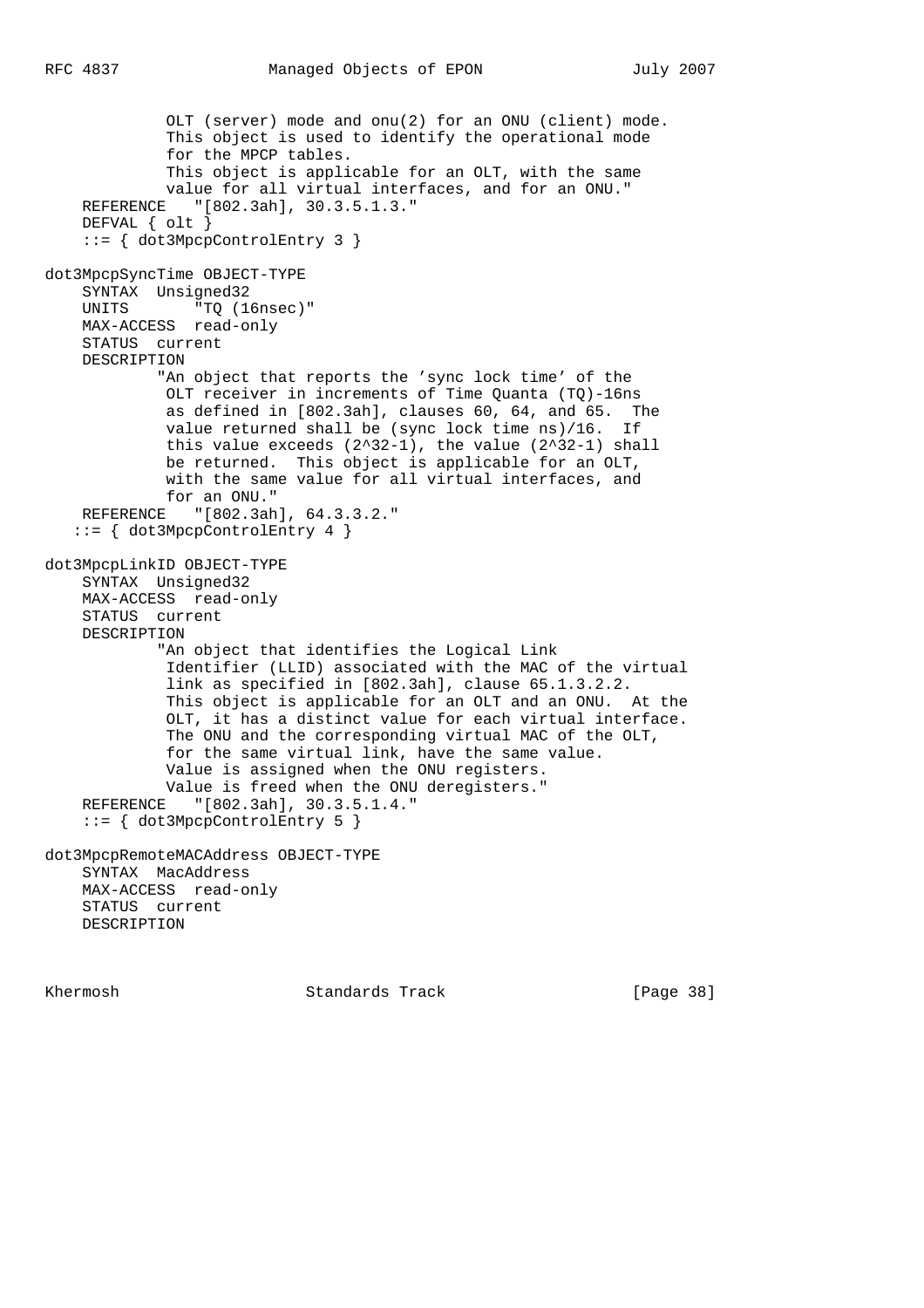```
 OLT (server) mode and onu(2) for an ONU (client) mode.
              This object is used to identify the operational mode
              for the MPCP tables.
              This object is applicable for an OLT, with the same
              value for all virtual interfaces, and for an ONU."
     REFERENCE "[802.3ah], 30.3.5.1.3."
     DEFVAL { olt }
     ::= { dot3MpcpControlEntry 3 }
dot3MpcpSyncTime OBJECT-TYPE
     SYNTAX Unsigned32
    UNITS "TQ (16nsec)"
     MAX-ACCESS read-only
     STATUS current
     DESCRIPTION
             "An object that reports the 'sync lock time' of the
              OLT receiver in increments of Time Quanta (TQ)-16ns
              as defined in [802.3ah], clauses 60, 64, and 65. The
              value returned shall be (sync lock time ns)/16. If
             this value exceeds (2^32-1), the value (2^32-1) shall
              be returned. This object is applicable for an OLT,
              with the same value for all virtual interfaces, and
             for an ONU."
     REFERENCE "[802.3ah], 64.3.3.2."
    ::= { dot3MpcpControlEntry 4 }
dot3MpcpLinkID OBJECT-TYPE
     SYNTAX Unsigned32
     MAX-ACCESS read-only
     STATUS current
     DESCRIPTION
             "An object that identifies the Logical Link
              Identifier (LLID) associated with the MAC of the virtual
              link as specified in [802.3ah], clause 65.1.3.2.2.
              This object is applicable for an OLT and an ONU. At the
              OLT, it has a distinct value for each virtual interface.
              The ONU and the corresponding virtual MAC of the OLT,
              for the same virtual link, have the same value.
              Value is assigned when the ONU registers.
              Value is freed when the ONU deregisters."
     REFERENCE "[802.3ah], 30.3.5.1.4."
     ::= { dot3MpcpControlEntry 5 }
dot3MpcpRemoteMACAddress OBJECT-TYPE
     SYNTAX MacAddress
     MAX-ACCESS read-only
     STATUS current
     DESCRIPTION
```
Khermosh **Standards Track** [Page 38]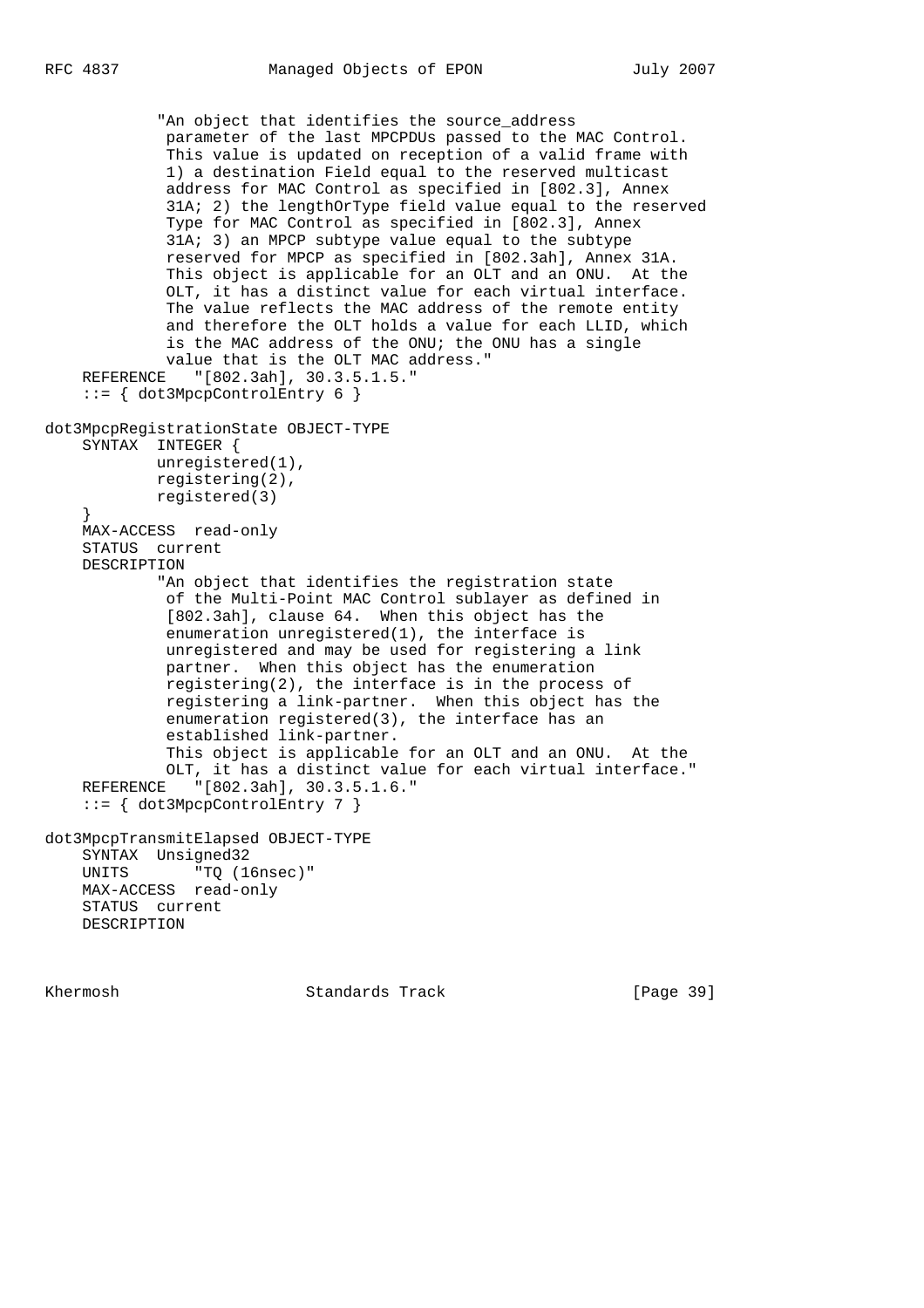"An object that identifies the source\_address parameter of the last MPCPDUs passed to the MAC Control. This value is updated on reception of a valid frame with 1) a destination Field equal to the reserved multicast address for MAC Control as specified in [802.3], Annex 31A; 2) the lengthOrType field value equal to the reserved Type for MAC Control as specified in [802.3], Annex 31A; 3) an MPCP subtype value equal to the subtype reserved for MPCP as specified in [802.3ah], Annex 31A. This object is applicable for an OLT and an ONU. At the OLT, it has a distinct value for each virtual interface. The value reflects the MAC address of the remote entity and therefore the OLT holds a value for each LLID, which is the MAC address of the ONU; the ONU has a single value that is the OLT MAC address." REFERENCE "[802.3ah], 30.3.5.1.5." ::= { dot3MpcpControlEntry 6 } dot3MpcpRegistrationState OBJECT-TYPE SYNTAX INTEGER { unregistered(1), registering(2), registered(3) } MAX-ACCESS read-only STATUS current DESCRIPTION "An object that identifies the registration state of the Multi-Point MAC Control sublayer as defined in [802.3ah], clause 64. When this object has the enumeration unregistered(1), the interface is unregistered and may be used for registering a link partner. When this object has the enumeration registering(2), the interface is in the process of registering a link-partner. When this object has the enumeration registered(3), the interface has an established link-partner. This object is applicable for an OLT and an ONU. At the OLT, it has a distinct value for each virtual interface." REFERENCE "[802.3ah], 30.3.5.1.6." ::= { dot3MpcpControlEntry 7 } dot3MpcpTransmitElapsed OBJECT-TYPE SYNTAX Unsigned32 UNITS "TQ (16nsec)" MAX-ACCESS read-only STATUS current DESCRIPTION

Khermosh Standards Track [Page 39]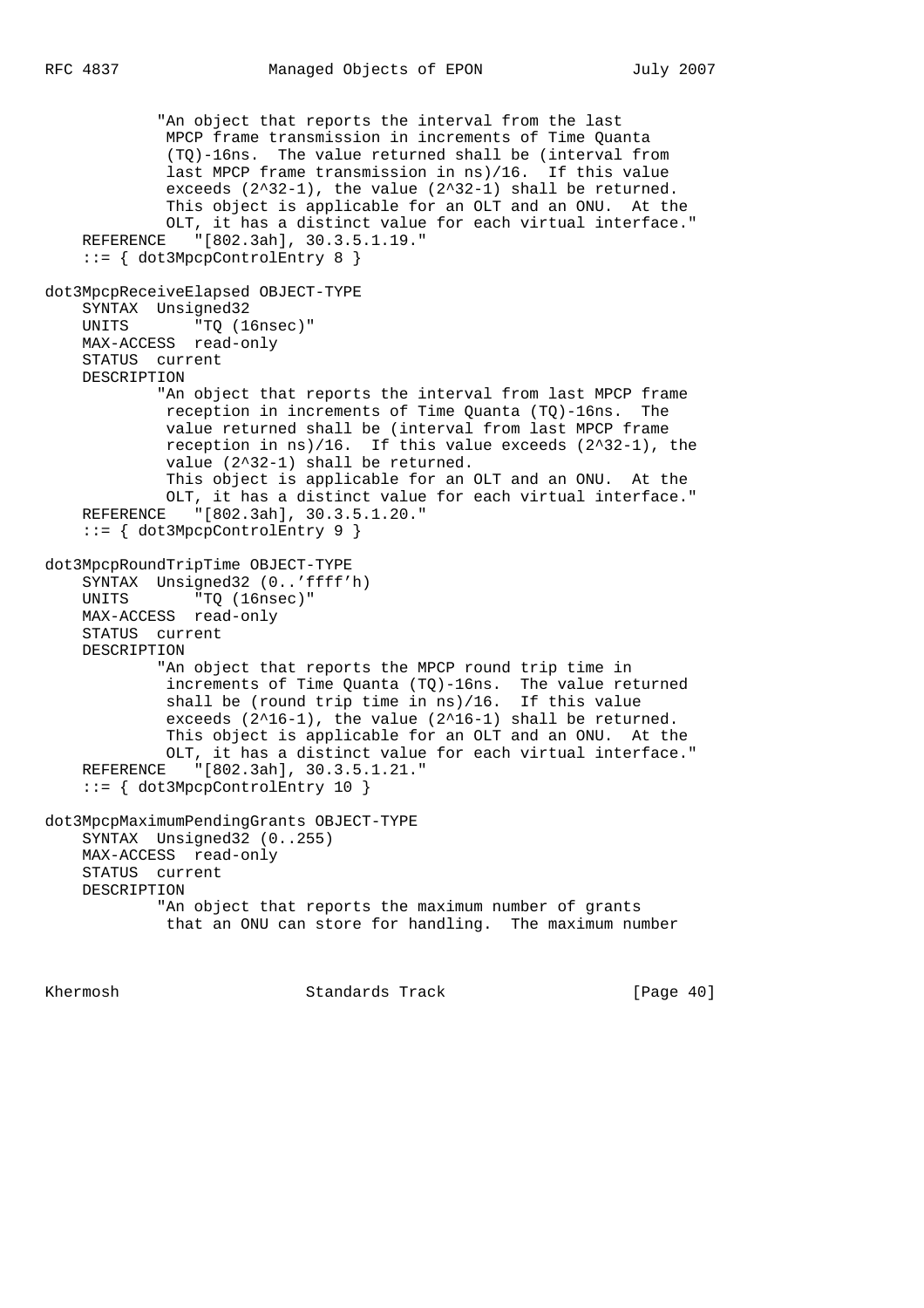```
 "An object that reports the interval from the last
             MPCP frame transmission in increments of Time Quanta
              (TQ)-16ns. The value returned shall be (interval from
             last MPCP frame transmission in ns)/16. If this value
             exceeds (2^32-1), the value (2^32-1) shall be returned.
             This object is applicable for an OLT and an ONU. At the
             OLT, it has a distinct value for each virtual interface."
    REFERENCE "[802.3ah], 30.3.5.1.19."
     ::= { dot3MpcpControlEntry 8 }
dot3MpcpReceiveElapsed OBJECT-TYPE
    SYNTAX Unsigned32
   UNITS "TQ (16nsec)"
    MAX-ACCESS read-only
    STATUS current
    DESCRIPTION
             "An object that reports the interval from last MPCP frame
             reception in increments of Time Quanta (TQ)-16ns. The
             value returned shall be (interval from last MPCP frame
 reception in ns)/16. If this value exceeds (2^32-1), the
 value (2^32-1) shall be returned.
             This object is applicable for an OLT and an ONU. At the
 OLT, it has a distinct value for each virtual interface."
 REFERENCE "[802.3ah], 30.3.5.1.20."
     ::= { dot3MpcpControlEntry 9 }
dot3MpcpRoundTripTime OBJECT-TYPE
    SYNTAX Unsigned32 (0..'ffff'h)
   UNITS "TQ (16nsec)"
    MAX-ACCESS read-only
    STATUS current
    DESCRIPTION
             "An object that reports the MPCP round trip time in
             increments of Time Quanta (TQ)-16ns. The value returned
             shall be (round trip time in ns)/16. If this value
             exceeds (2^16-1), the value (2^16-1) shall be returned.
             This object is applicable for an OLT and an ONU. At the
             OLT, it has a distinct value for each virtual interface."
    REFERENCE "[802.3ah], 30.3.5.1.21."
     ::= { dot3MpcpControlEntry 10 }
dot3MpcpMaximumPendingGrants OBJECT-TYPE
    SYNTAX Unsigned32 (0..255)
    MAX-ACCESS read-only
    STATUS current
    DESCRIPTION
             "An object that reports the maximum number of grants
             that an ONU can store for handling. The maximum number
```
Khermosh Standards Track [Page 40]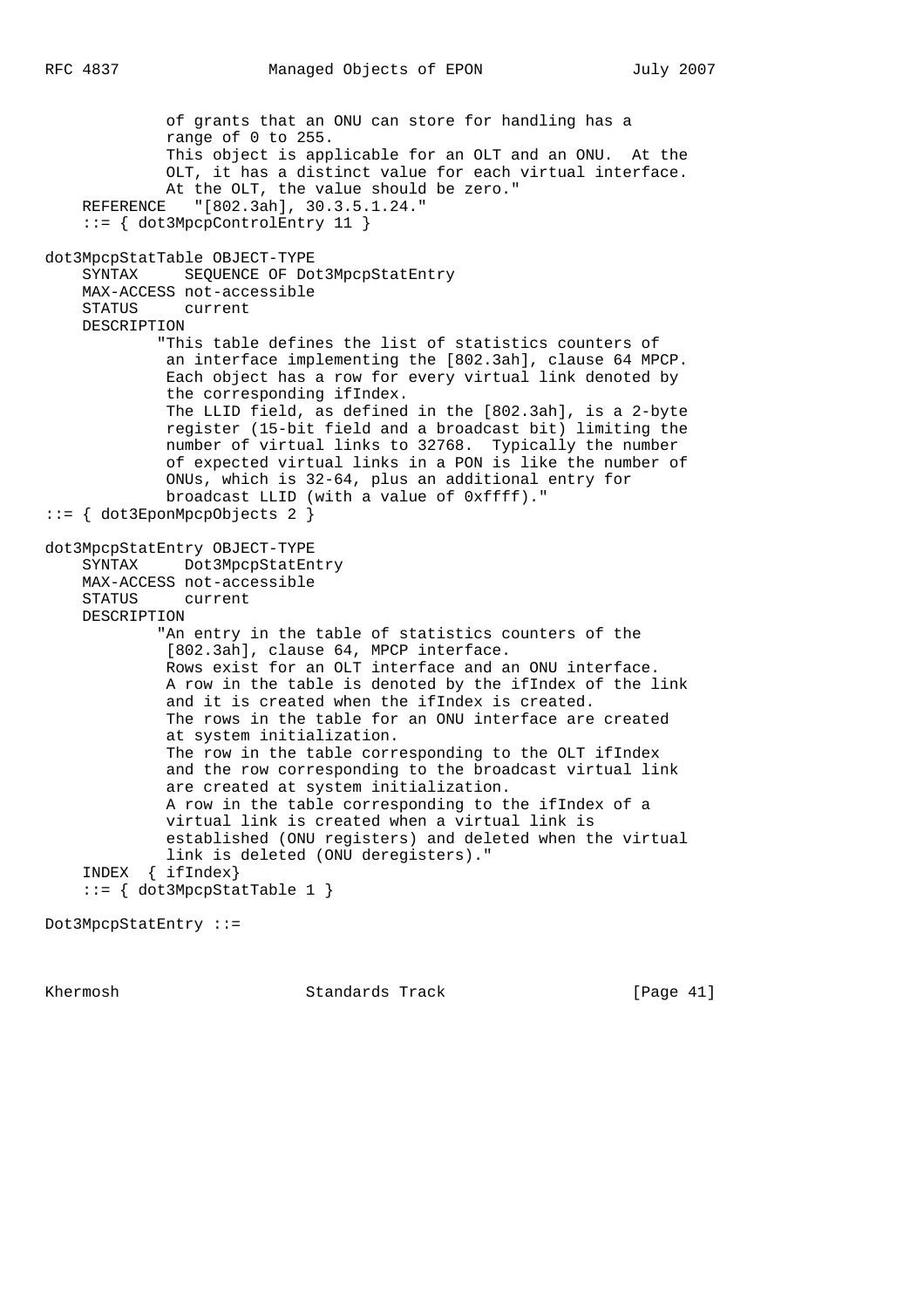of grants that an ONU can store for handling has a range of 0 to 255. This object is applicable for an OLT and an ONU. At the OLT, it has a distinct value for each virtual interface. At the OLT, the value should be zero." REFERENCE "[802.3ah], 30.3.5.1.24." ::= { dot3MpcpControlEntry 11 } dot3MpcpStatTable OBJECT-TYPE SYNTAX SEQUENCE OF Dot3MpcpStatEntry MAX-ACCESS not-accessible STATUS current DESCRIPTION "This table defines the list of statistics counters of an interface implementing the [802.3ah], clause 64 MPCP. Each object has a row for every virtual link denoted by the corresponding ifIndex. The LLID field, as defined in the [802.3ah], is a 2-byte register (15-bit field and a broadcast bit) limiting the number of virtual links to 32768. Typically the number of expected virtual links in a PON is like the number of ONUs, which is 32-64, plus an additional entry for broadcast LLID (with a value of 0xffff)." ::= { dot3EponMpcpObjects 2 } dot3MpcpStatEntry OBJECT-TYPE SYNTAX Dot3MpcpStatEntry MAX-ACCESS not-accessible STATUS current DESCRIPTION "An entry in the table of statistics counters of the [802.3ah], clause 64, MPCP interface. Rows exist for an OLT interface and an ONU interface. A row in the table is denoted by the ifIndex of the link and it is created when the ifIndex is created. The rows in the table for an ONU interface are created at system initialization. The row in the table corresponding to the OLT ifIndex and the row corresponding to the broadcast virtual link are created at system initialization. A row in the table corresponding to the ifIndex of a virtual link is created when a virtual link is established (ONU registers) and deleted when the virtual link is deleted (ONU deregisters)." INDEX { ifIndex} ::= { dot3MpcpStatTable 1 }

```
Dot3MpcpStatEntry ::=
```
Khermosh **Standards Track** [Page 41]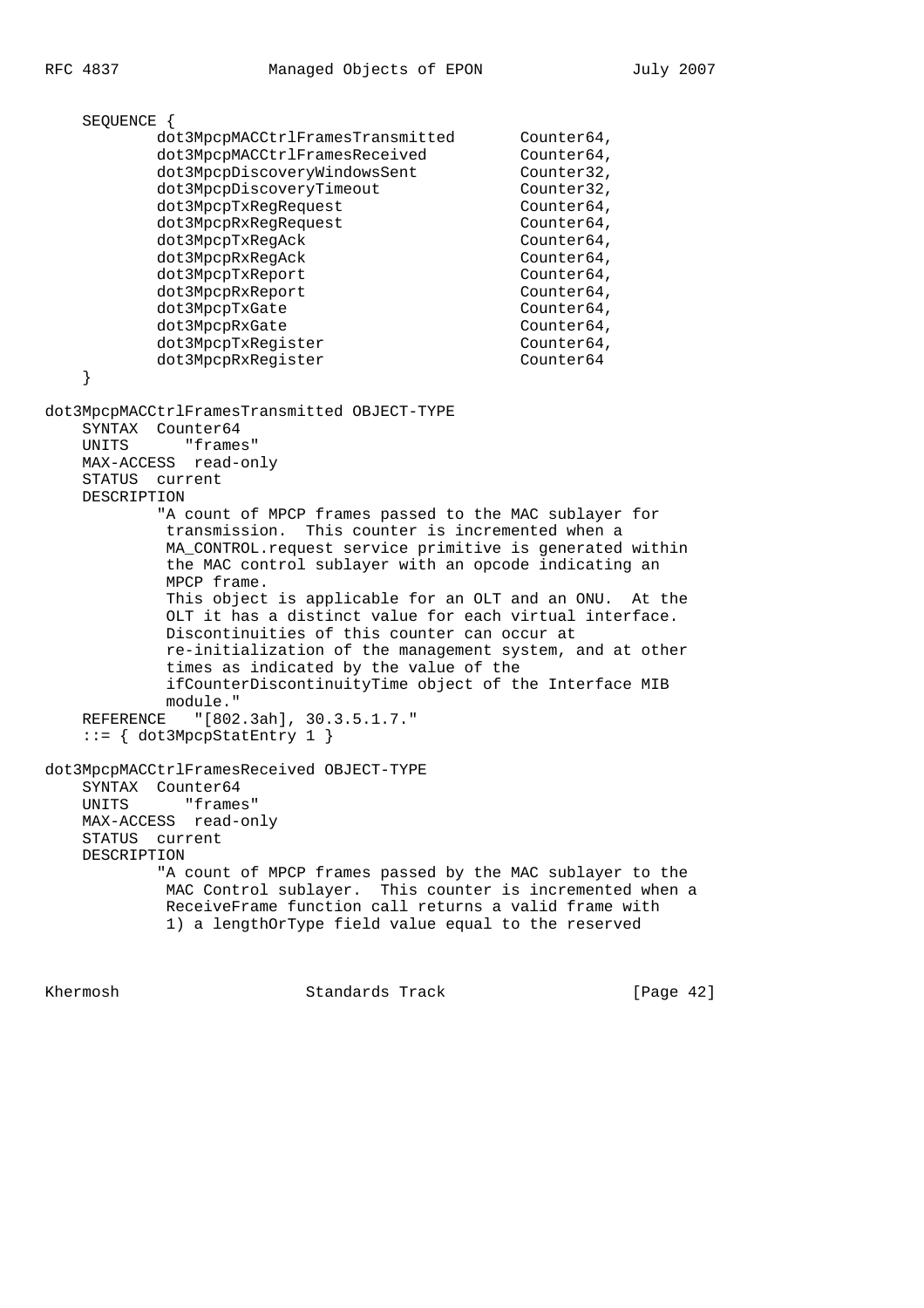SEQUENCE { dot3MpcpMACCtrlFramesTransmitted Counter64, dot3MpcpMACCtrlFramesReceived Counter64, dot3Mpcprincett111dmenteer.com<br>dot3MpcpDiscoveryWindowsSent Counter32,<br>dot3MpcpDiscoveryTimeout Counter32, dot3MpcpDiscoveryTimeout dot3MpcpTxReqRequest Counter64, dot3MpcpRxReqRequest Counter64, dot3MpcpTxReqAck Counter64, dot3MpcpRxRegAck Counter64, dot3MpcpTxReport Counter64, dot3MpcpRxReport Counter64, dot3MpcpTxGate Counter64, dot3MpcpRxGate Counter64, dot3MpcpTxRegister Counter64, dot3MpcpRxReqister Counter64 } dot3MpcpMACCtrlFramesTransmitted OBJECT-TYPE SYNTAX Counter64 UNITS "frames" MAX-ACCESS read-only STATUS current DESCRIPTION "A count of MPCP frames passed to the MAC sublayer for transmission. This counter is incremented when a MA\_CONTROL.request service primitive is generated within the MAC control sublayer with an opcode indicating an MPCP frame. This object is applicable for an OLT and an ONU. At the OLT it has a distinct value for each virtual interface. Discontinuities of this counter can occur at re-initialization of the management system, and at other times as indicated by the value of the ifCounterDiscontinuityTime object of the Interface MIB module." REFERENCE "[802.3ah], 30.3.5.1.7."  $::= \{ dot3MpcpStatEntry 1 \}$ dot3MpcpMACCtrlFramesReceived OBJECT-TYPE SYNTAX Counter64 UNITS "frames" MAX-ACCESS read-only STATUS current DESCRIPTION "A count of MPCP frames passed by the MAC sublayer to the MAC Control sublayer. This counter is incremented when a ReceiveFrame function call returns a valid frame with 1) a lengthOrType field value equal to the reserved

Khermosh Standards Track [Page 42]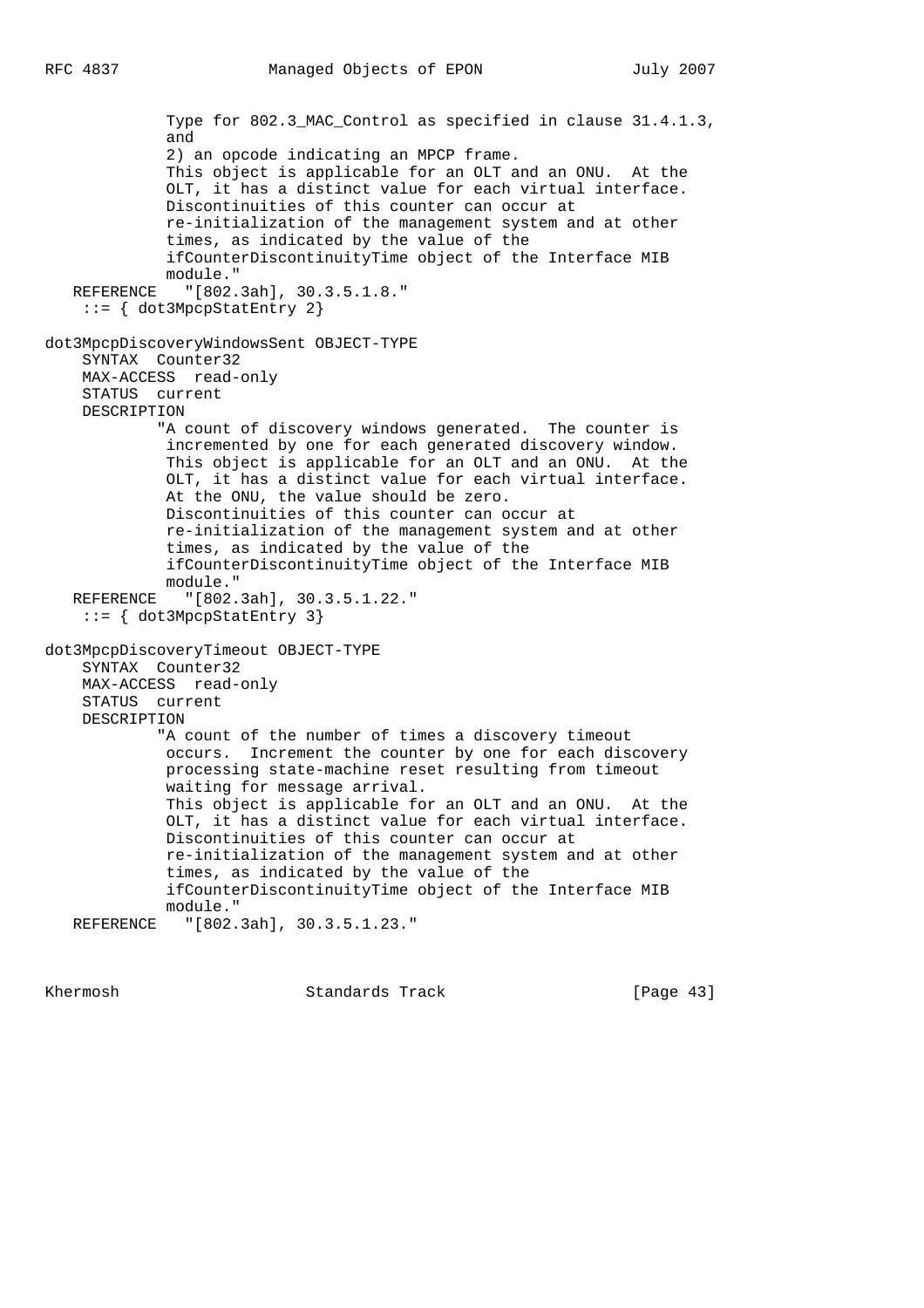```
 Type for 802.3_MAC_Control as specified in clause 31.4.1.3,
              and
              2) an opcode indicating an MPCP frame.
              This object is applicable for an OLT and an ONU. At the
              OLT, it has a distinct value for each virtual interface.
              Discontinuities of this counter can occur at
              re-initialization of the management system and at other
              times, as indicated by the value of the
              ifCounterDiscontinuityTime object of the Interface MIB
              module."
   REFERENCE "[802.3ah], 30.3.5.1.8."
    ::= { dot3MpcpStatEntry 2}
dot3MpcpDiscoveryWindowsSent OBJECT-TYPE
     SYNTAX Counter32
    MAX-ACCESS read-only
    STATUS current
    DESCRIPTION
             "A count of discovery windows generated. The counter is
              incremented by one for each generated discovery window.
              This object is applicable for an OLT and an ONU. At the
              OLT, it has a distinct value for each virtual interface.
              At the ONU, the value should be zero.
              Discontinuities of this counter can occur at
              re-initialization of the management system and at other
              times, as indicated by the value of the
              ifCounterDiscontinuityTime object of the Interface MIB
              module."
   REFERENCE "[802.3ah], 30.3.5.1.22."
     ::= { dot3MpcpStatEntry 3}
dot3MpcpDiscoveryTimeout OBJECT-TYPE
    SYNTAX Counter32
    MAX-ACCESS read-only
    STATUS current
    DESCRIPTION
             "A count of the number of times a discovery timeout
             occurs. Increment the counter by one for each discovery
              processing state-machine reset resulting from timeout
              waiting for message arrival.
              This object is applicable for an OLT and an ONU. At the
              OLT, it has a distinct value for each virtual interface.
              Discontinuities of this counter can occur at
              re-initialization of the management system and at other
              times, as indicated by the value of the
              ifCounterDiscontinuityTime object of the Interface MIB
             module."
   REFERENCE "[802.3ah], 30.3.5.1.23."
```
Khermosh Standards Track [Page 43]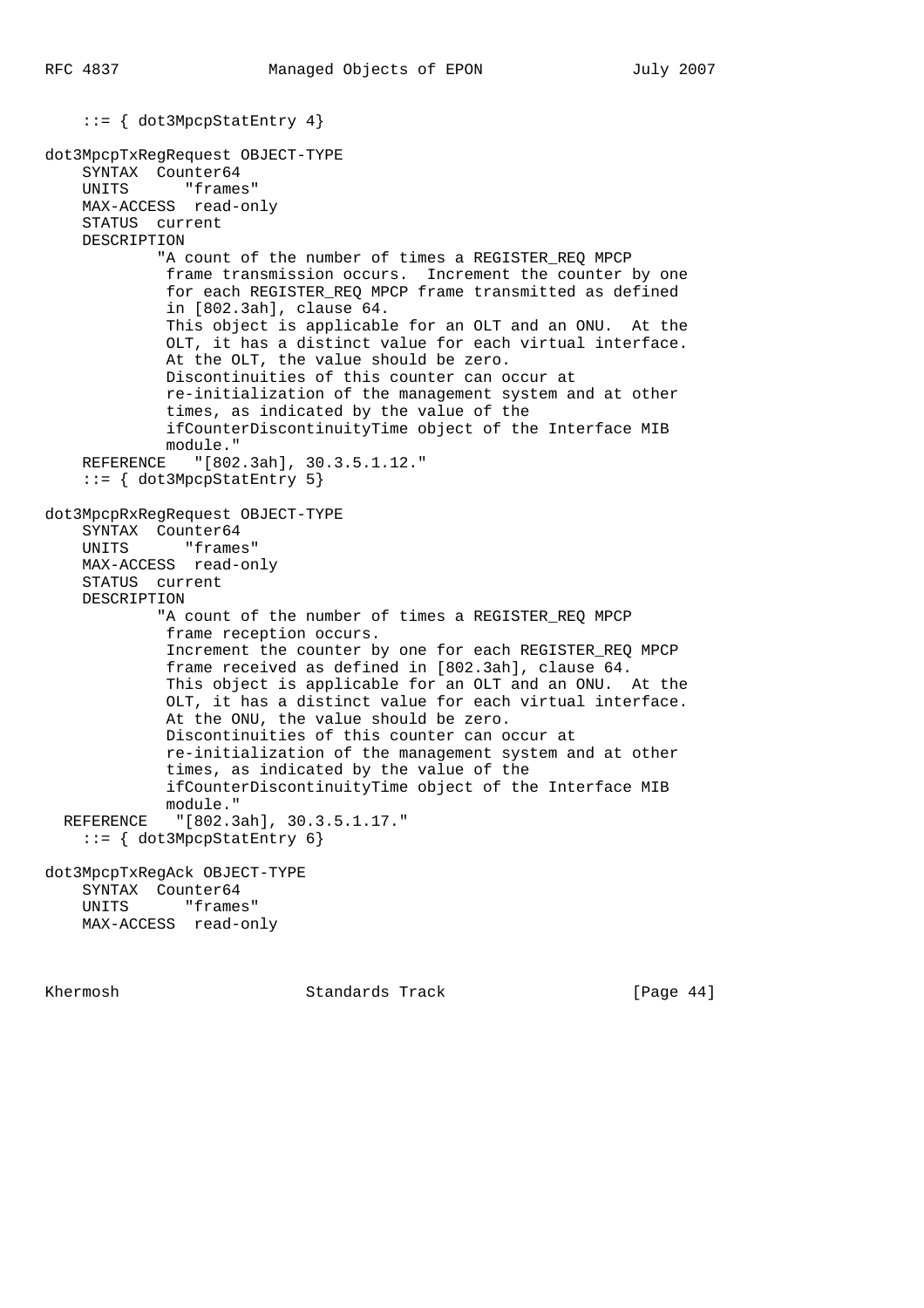```
 ::= { dot3MpcpStatEntry 4}
dot3MpcpTxRegRequest OBJECT-TYPE
     SYNTAX Counter64
     UNITS "frames"
     MAX-ACCESS read-only
     STATUS current
     DESCRIPTION
            "A count of the number of times a REGISTER REO MPCP
             frame transmission occurs. Increment the counter by one
              for each REGISTER_REQ MPCP frame transmitted as defined
              in [802.3ah], clause 64.
              This object is applicable for an OLT and an ONU. At the
              OLT, it has a distinct value for each virtual interface.
              At the OLT, the value should be zero.
              Discontinuities of this counter can occur at
              re-initialization of the management system and at other
              times, as indicated by the value of the
              ifCounterDiscontinuityTime object of the Interface MIB
             module."
     REFERENCE "[802.3ah], 30.3.5.1.12."
     ::= { dot3MpcpStatEntry 5}
dot3MpcpRxRegRequest OBJECT-TYPE
     SYNTAX Counter64
     UNITS "frames"
     MAX-ACCESS read-only
     STATUS current
     DESCRIPTION
            "A count of the number of times a REGISTER REQ MPCP
             frame reception occurs.
             Increment the counter by one for each REGISTER_REQ MPCP
             frame received as defined in [802.3ah], clause 64.
              This object is applicable for an OLT and an ONU. At the
              OLT, it has a distinct value for each virtual interface.
              At the ONU, the value should be zero.
             Discontinuities of this counter can occur at
              re-initialization of the management system and at other
              times, as indicated by the value of the
              ifCounterDiscontinuityTime object of the Interface MIB
             module."
   REFERENCE "[802.3ah], 30.3.5.1.17."
     ::= { dot3MpcpStatEntry 6}
dot3MpcpTxRegAck OBJECT-TYPE
     SYNTAX Counter64
    UNITS "frames"
     MAX-ACCESS read-only
```
Khermosh **Standards Track** [Page 44]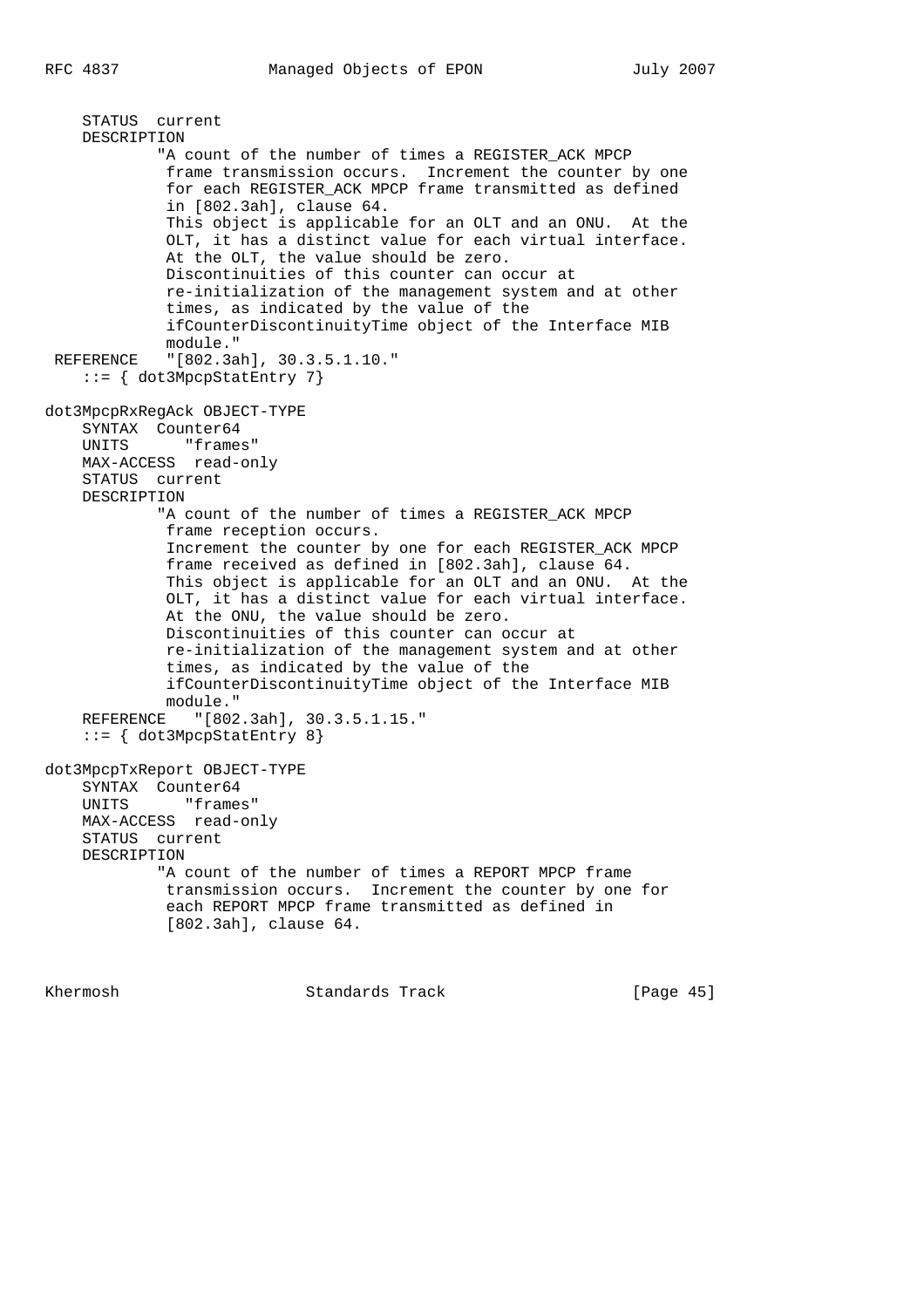```
 STATUS current
     DESCRIPTION
            "A count of the number of times a REGISTER ACK MPCP
             frame transmission occurs. Increment the counter by one
              for each REGISTER_ACK MPCP frame transmitted as defined
              in [802.3ah], clause 64.
              This object is applicable for an OLT and an ONU. At the
              OLT, it has a distinct value for each virtual interface.
              At the OLT, the value should be zero.
              Discontinuities of this counter can occur at
              re-initialization of the management system and at other
              times, as indicated by the value of the
              ifCounterDiscontinuityTime object of the Interface MIB
              module."
  REFERENCE "[802.3ah], 30.3.5.1.10."
     ::= { dot3MpcpStatEntry 7}
dot3MpcpRxRegAck OBJECT-TYPE
     SYNTAX Counter64
     UNITS "frames"
     MAX-ACCESS read-only
     STATUS current
     DESCRIPTION
            "A count of the number of times a REGISTER ACK MPCP
              frame reception occurs.
              Increment the counter by one for each REGISTER_ACK MPCP
              frame received as defined in [802.3ah], clause 64.
              This object is applicable for an OLT and an ONU. At the
              OLT, it has a distinct value for each virtual interface.
              At the ONU, the value should be zero.
             Discontinuities of this counter can occur at
              re-initialization of the management system and at other
              times, as indicated by the value of the
             ifCounterDiscontinuityTime object of the Interface MIB
             module."
     REFERENCE "[802.3ah], 30.3.5.1.15."
    ::= \{ dot3MpcpStatEntry 8\}dot3MpcpTxReport OBJECT-TYPE
     SYNTAX Counter64
    UNITS "frames"
     MAX-ACCESS read-only
     STATUS current
     DESCRIPTION
             "A count of the number of times a REPORT MPCP frame
              transmission occurs. Increment the counter by one for
              each REPORT MPCP frame transmitted as defined in
              [802.3ah], clause 64.
```
Khermosh Standards Track [Page 45]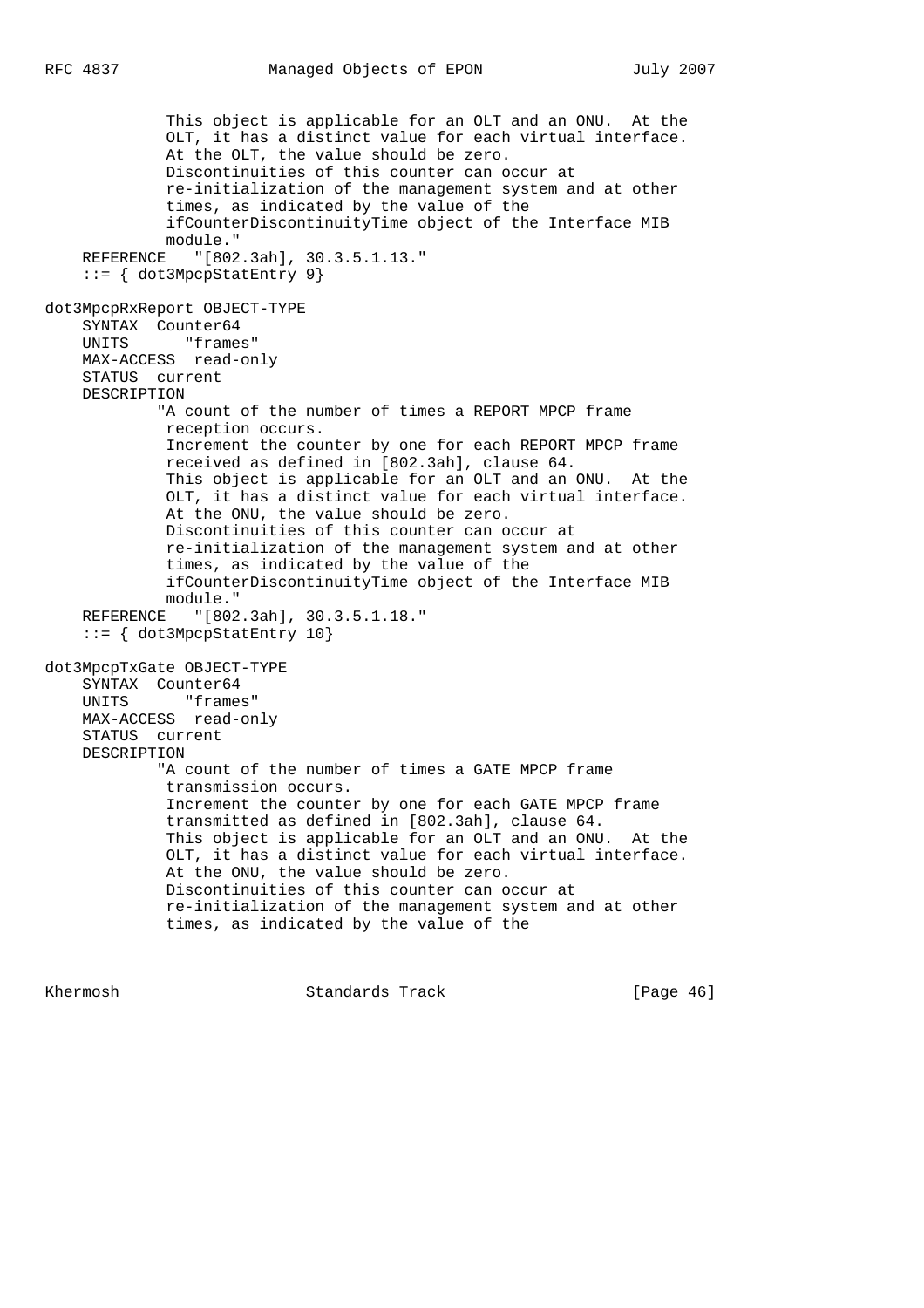This object is applicable for an OLT and an ONU. At the OLT, it has a distinct value for each virtual interface. At the OLT, the value should be zero. Discontinuities of this counter can occur at re-initialization of the management system and at other times, as indicated by the value of the ifCounterDiscontinuityTime object of the Interface MIB module." REFERENCE "[802.3ah], 30.3.5.1.13." ::= { dot3MpcpStatEntry 9} dot3MpcpRxReport OBJECT-TYPE SYNTAX Counter64 UNITS "frames" MAX-ACCESS read-only STATUS current DESCRIPTION "A count of the number of times a REPORT MPCP frame reception occurs. Increment the counter by one for each REPORT MPCP frame received as defined in [802.3ah], clause 64. This object is applicable for an OLT and an ONU. At the OLT, it has a distinct value for each virtual interface. At the ONU, the value should be zero. Discontinuities of this counter can occur at re-initialization of the management system and at other times, as indicated by the value of the ifCounterDiscontinuityTime object of the Interface MIB module." REFERENCE "[802.3ah], 30.3.5.1.18." ::= { dot3MpcpStatEntry 10} dot3MpcpTxGate OBJECT-TYPE SYNTAX Counter64 UNITS "frames" MAX-ACCESS read-only STATUS current DESCRIPTION "A count of the number of times a GATE MPCP frame transmission occurs. Increment the counter by one for each GATE MPCP frame transmitted as defined in [802.3ah], clause 64. This object is applicable for an OLT and an ONU. At the OLT, it has a distinct value for each virtual interface. At the ONU, the value should be zero. Discontinuities of this counter can occur at re-initialization of the management system and at other times, as indicated by the value of the

Khermosh **Standards Track** [Page 46]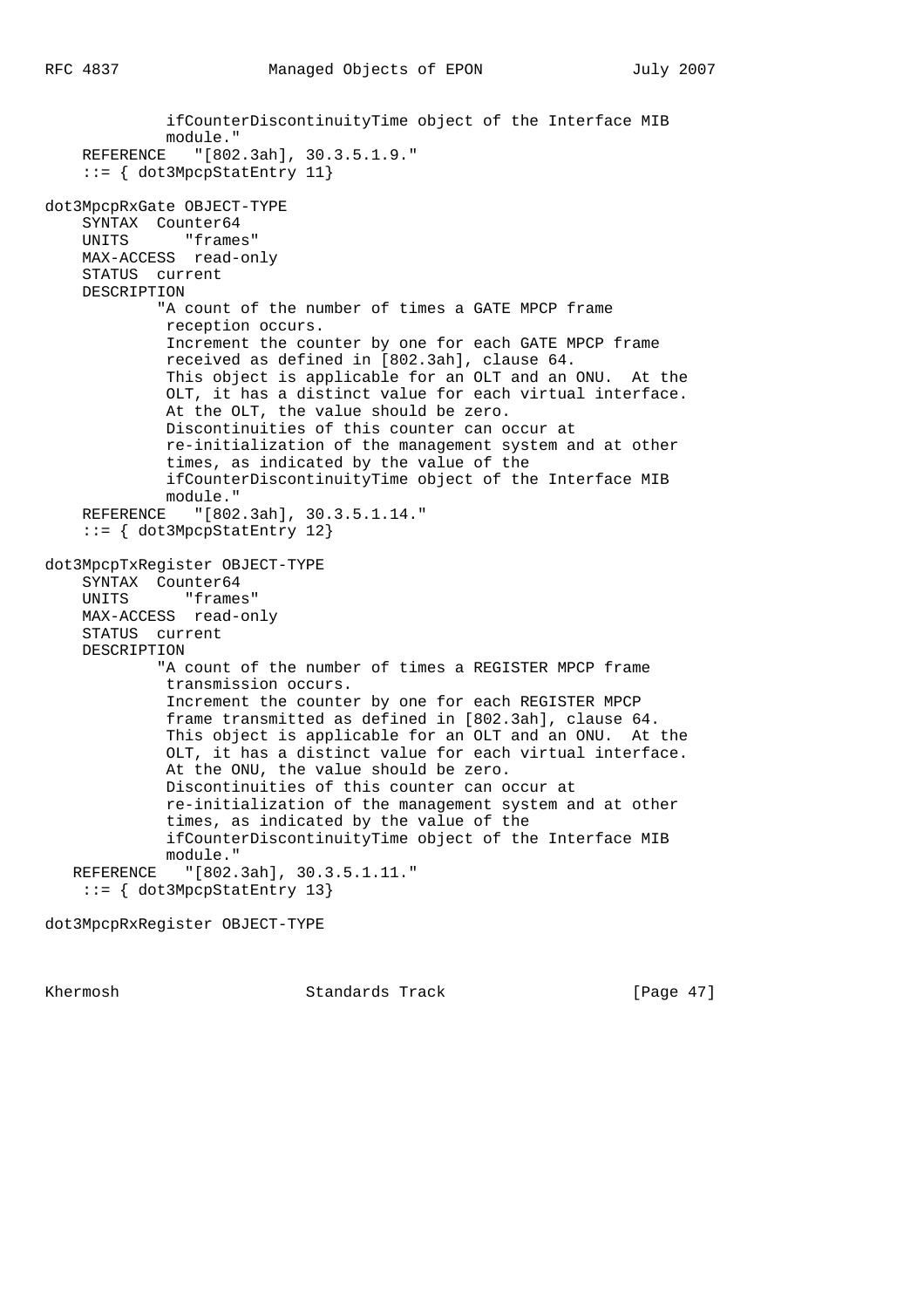```
 ifCounterDiscontinuityTime object of the Interface MIB
              module."
     REFERENCE "[802.3ah], 30.3.5.1.9."
     ::= { dot3MpcpStatEntry 11}
dot3MpcpRxGate OBJECT-TYPE
     SYNTAX Counter64
     UNITS "frames"
     MAX-ACCESS read-only
     STATUS current
     DESCRIPTION
             "A count of the number of times a GATE MPCP frame
             reception occurs.
              Increment the counter by one for each GATE MPCP frame
              received as defined in [802.3ah], clause 64.
              This object is applicable for an OLT and an ONU. At the
              OLT, it has a distinct value for each virtual interface.
              At the OLT, the value should be zero.
              Discontinuities of this counter can occur at
              re-initialization of the management system and at other
              times, as indicated by the value of the
              ifCounterDiscontinuityTime object of the Interface MIB
             module."
     REFERENCE "[802.3ah], 30.3.5.1.14."
     ::= { dot3MpcpStatEntry 12}
dot3MpcpTxRegister OBJECT-TYPE
     SYNTAX Counter64
     UNITS "frames"
     MAX-ACCESS read-only
     STATUS current
     DESCRIPTION
             "A count of the number of times a REGISTER MPCP frame
              transmission occurs.
              Increment the counter by one for each REGISTER MPCP
              frame transmitted as defined in [802.3ah], clause 64.
              This object is applicable for an OLT and an ONU. At the
              OLT, it has a distinct value for each virtual interface.
              At the ONU, the value should be zero.
              Discontinuities of this counter can occur at
              re-initialization of the management system and at other
              times, as indicated by the value of the
              ifCounterDiscontinuityTime object of the Interface MIB
              module."
    REFERENCE "[802.3ah], 30.3.5.1.11."
     ::= { dot3MpcpStatEntry 13}
```
dot3MpcpRxRegister OBJECT-TYPE

Khermosh Standards Track [Page 47]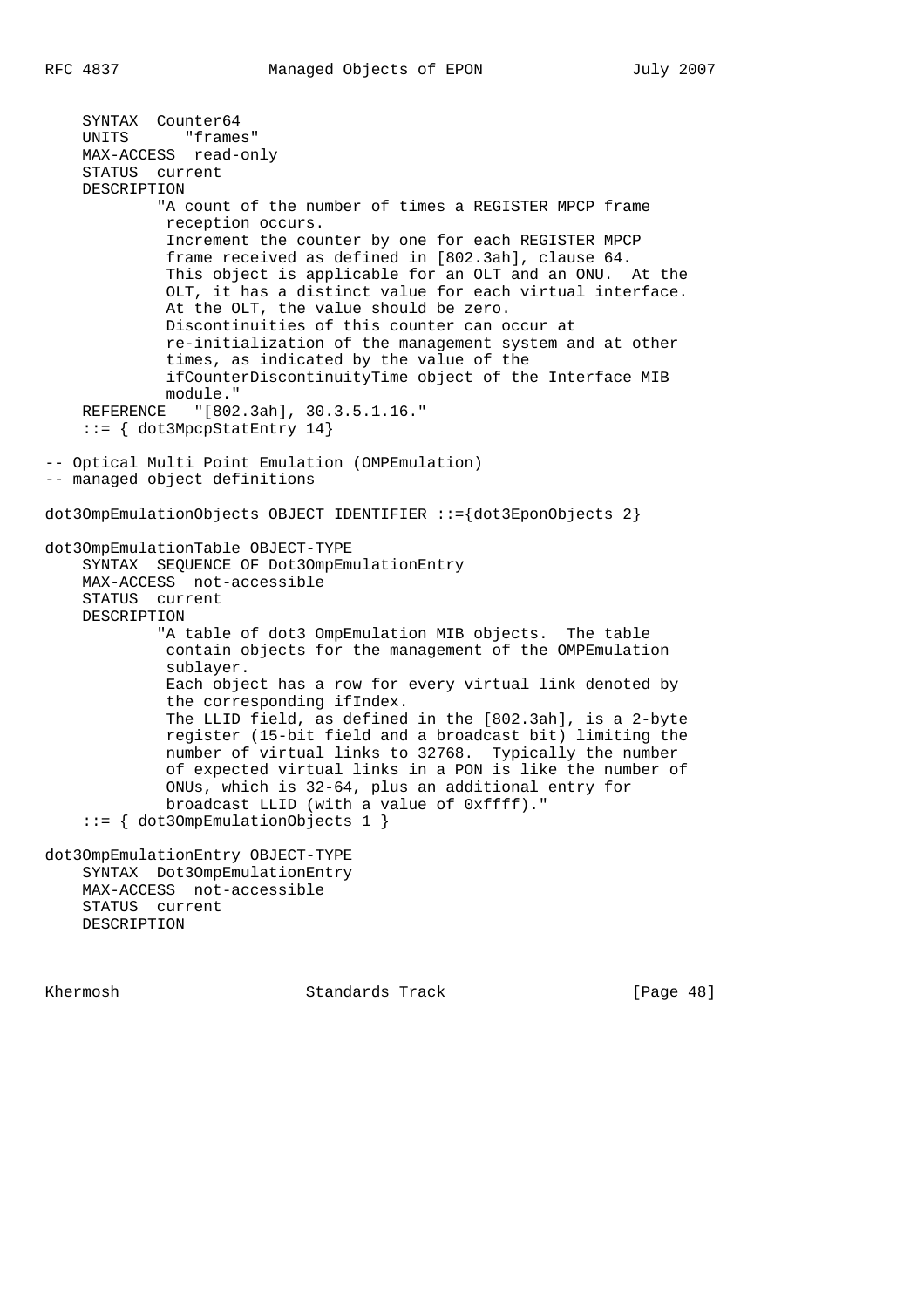SYNTAX Counter64 UNITS "frames" MAX-ACCESS read-only STATUS current DESCRIPTION "A count of the number of times a REGISTER MPCP frame reception occurs. Increment the counter by one for each REGISTER MPCP frame received as defined in [802.3ah], clause 64. This object is applicable for an OLT and an ONU. At the OLT, it has a distinct value for each virtual interface. At the OLT, the value should be zero. Discontinuities of this counter can occur at re-initialization of the management system and at other times, as indicated by the value of the ifCounterDiscontinuityTime object of the Interface MIB module." REFERENCE "[802.3ah], 30.3.5.1.16." ::= { dot3MpcpStatEntry 14} -- Optical Multi Point Emulation (OMPEmulation) -- managed object definitions dot3OmpEmulationObjects OBJECT IDENTIFIER ::={dot3EponObjects 2} dot3OmpEmulationTable OBJECT-TYPE SYNTAX SEQUENCE OF Dot3OmpEmulationEntry MAX-ACCESS not-accessible STATUS current DESCRIPTION "A table of dot3 OmpEmulation MIB objects. The table contain objects for the management of the OMPEmulation sublayer. Each object has a row for every virtual link denoted by the corresponding ifIndex. The LLID field, as defined in the [802.3ah], is a 2-byte register (15-bit field and a broadcast bit) limiting the number of virtual links to 32768. Typically the number of expected virtual links in a PON is like the number of ONUs, which is 32-64, plus an additional entry for broadcast LLID (with a value of 0xffff)." ::= { dot3OmpEmulationObjects 1 } dot3OmpEmulationEntry OBJECT-TYPE SYNTAX Dot3OmpEmulationEntry MAX-ACCESS not-accessible STATUS current DESCRIPTION

Khermosh **Standards Track** [Page 48]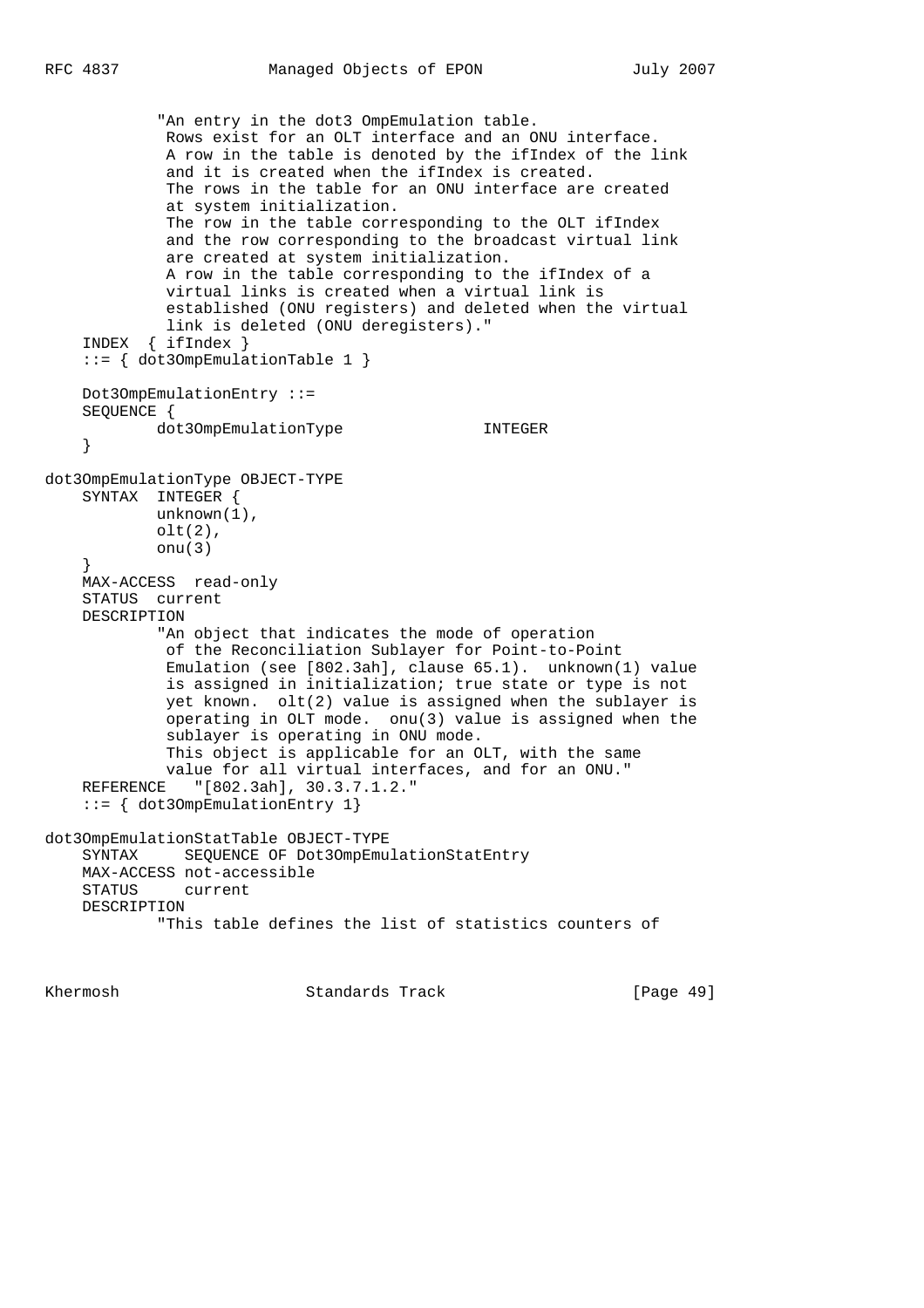"An entry in the dot3 OmpEmulation table. Rows exist for an OLT interface and an ONU interface. A row in the table is denoted by the ifIndex of the link and it is created when the ifIndex is created. The rows in the table for an ONU interface are created at system initialization. The row in the table corresponding to the OLT ifIndex and the row corresponding to the broadcast virtual link are created at system initialization. A row in the table corresponding to the ifIndex of a virtual links is created when a virtual link is established (ONU registers) and deleted when the virtual link is deleted (ONU deregisters)." INDEX { ifIndex } ::= { dot3OmpEmulationTable 1 } Dot3OmpEmulationEntry ::= SEQUENCE { dot3OmpEmulationType INTEGER } dot3OmpEmulationType OBJECT-TYPE SYNTAX INTEGER { unknown(1), olt(2), onu(3) } MAX-ACCESS read-only STATUS current DESCRIPTION "An object that indicates the mode of operation of the Reconciliation Sublayer for Point-to-Point Emulation (see [802.3ah], clause 65.1). unknown(1) value is assigned in initialization; true state or type is not yet known. olt(2) value is assigned when the sublayer is operating in OLT mode. onu(3) value is assigned when the sublayer is operating in ONU mode. This object is applicable for an OLT, with the same value for all virtual interfaces, and for an ONU." REFERENCE "[802.3ah], 30.3.7.1.2." ::= { dot3OmpEmulationEntry 1} dot3OmpEmulationStatTable OBJECT-TYPE SYNTAX SEQUENCE OF Dot3OmpEmulationStatEntry MAX-ACCESS not-accessible STATUS current DESCRIPTION "This table defines the list of statistics counters of

Khermosh Standards Track [Page 49]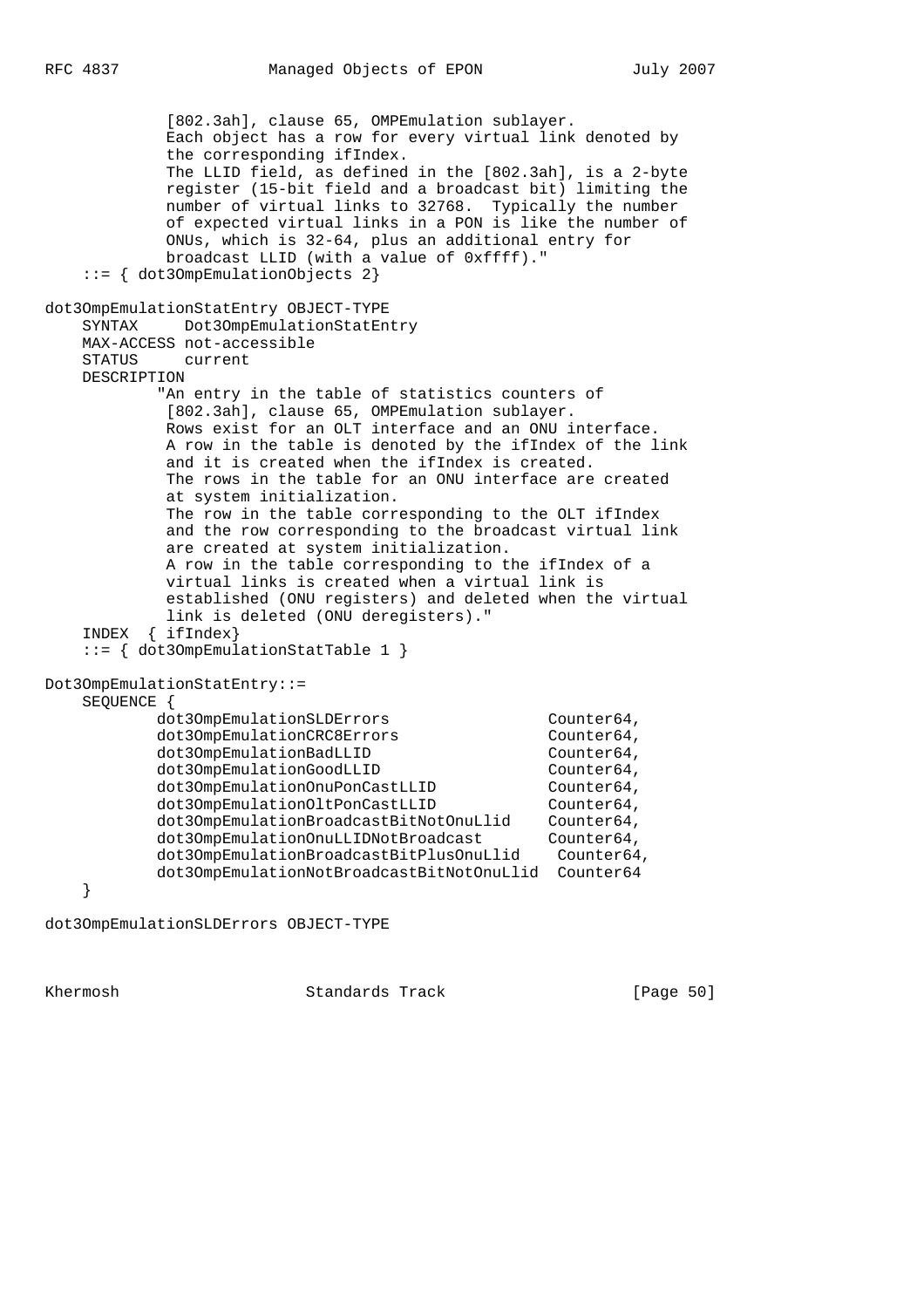[802.3ah], clause 65, OMPEmulation sublayer. Each object has a row for every virtual link denoted by the corresponding ifIndex. The LLID field, as defined in the [802.3ah], is a 2-byte register (15-bit field and a broadcast bit) limiting the number of virtual links to 32768. Typically the number of expected virtual links in a PON is like the number of ONUs, which is 32-64, plus an additional entry for broadcast LLID (with a value of 0xffff)." ::= { dot3OmpEmulationObjects 2} dot3OmpEmulationStatEntry OBJECT-TYPE SYNTAX Dot3OmpEmulationStatEntry MAX-ACCESS not-accessible STATUS current DESCRIPTION "An entry in the table of statistics counters of [802.3ah], clause 65, OMPEmulation sublayer. Rows exist for an OLT interface and an ONU interface. A row in the table is denoted by the ifIndex of the link and it is created when the ifIndex is created. The rows in the table for an ONU interface are created at system initialization. The row in the table corresponding to the OLT ifIndex and the row corresponding to the broadcast virtual link are created at system initialization. A row in the table corresponding to the ifIndex of a virtual links is created when a virtual link is established (ONU registers) and deleted when the virtual link is deleted (ONU deregisters)." INDEX { ifIndex} ::= { dot3OmpEmulationStatTable 1 } Dot3OmpEmulationStatEntry::= SEQUENCE { dot30mpEmulationSLDErrors Counter64, dot3OmpEmulationCRC8Errors Counter64, dot30mpEmulationBadLLID Counter64, dot30mpEmulationGoodLLID counter64, dot3OmpEmulationOnuPonCastLLID Counter64, dot3OmpEmulationOltPonCastLLID Counter64, dot3OmpEmulationBroadcastBitNotOnuLlid Counter64,<br>dot3OmpEmulationOnuLLIDNotBroadcast Counter64, dot3OmpEmulationOnuLLIDNotBroadcast dot3OmpEmulationBroadcastBitPlusOnuLlid Counter64, dot3OmpEmulationNotBroadcastBitNotOnuLlid Counter64 }

dot3OmpEmulationSLDErrors OBJECT-TYPE

Khermosh Standards Track [Page 50]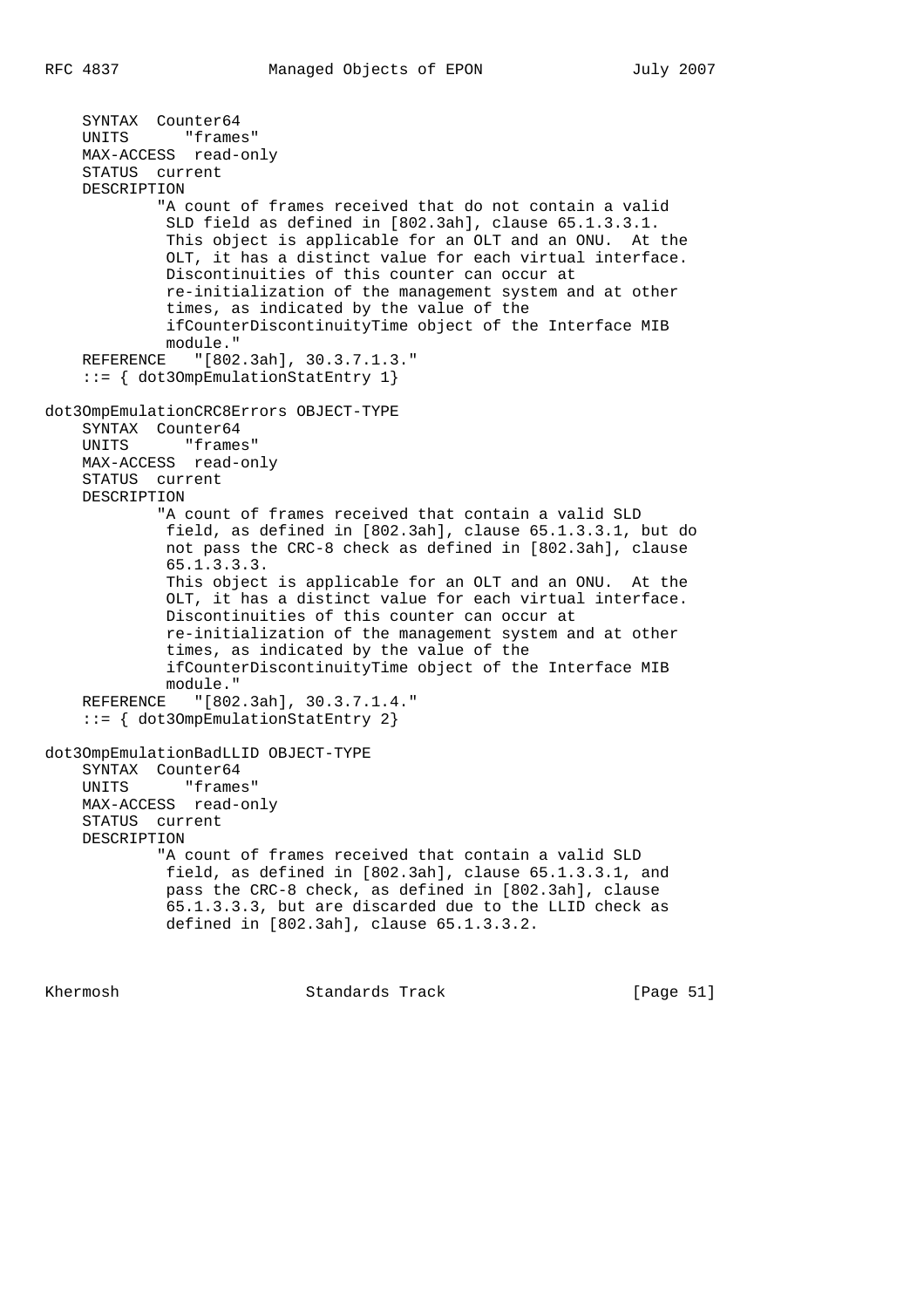SYNTAX Counter64 UNITS "frames" MAX-ACCESS read-only STATUS current DESCRIPTION "A count of frames received that do not contain a valid SLD field as defined in [802.3ah], clause 65.1.3.3.1. This object is applicable for an OLT and an ONU. At the OLT, it has a distinct value for each virtual interface. Discontinuities of this counter can occur at re-initialization of the management system and at other times, as indicated by the value of the ifCounterDiscontinuityTime object of the Interface MIB module." REFERENCE "[802.3ah], 30.3.7.1.3." ::= { dot3OmpEmulationStatEntry 1} dot3OmpEmulationCRC8Errors OBJECT-TYPE SYNTAX Counter64 UNITS "frames" MAX-ACCESS read-only STATUS current DESCRIPTION "A count of frames received that contain a valid SLD field, as defined in [802.3ah], clause 65.1.3.3.1, but do not pass the CRC-8 check as defined in [802.3ah], clause 65.1.3.3.3. This object is applicable for an OLT and an ONU. At the OLT, it has a distinct value for each virtual interface. Discontinuities of this counter can occur at re-initialization of the management system and at other times, as indicated by the value of the ifCounterDiscontinuityTime object of the Interface MIB module." REFERENCE "[802.3ah], 30.3.7.1.4." ::= { dot3OmpEmulationStatEntry 2} dot3OmpEmulationBadLLID OBJECT-TYPE SYNTAX Counter64 UNITS "frames" MAX-ACCESS read-only STATUS current DESCRIPTION "A count of frames received that contain a valid SLD field, as defined in [802.3ah], clause 65.1.3.3.1, and pass the CRC-8 check, as defined in [802.3ah], clause 65.1.3.3.3, but are discarded due to the LLID check as defined in [802.3ah], clause 65.1.3.3.2.

Khermosh Standards Track [Page 51]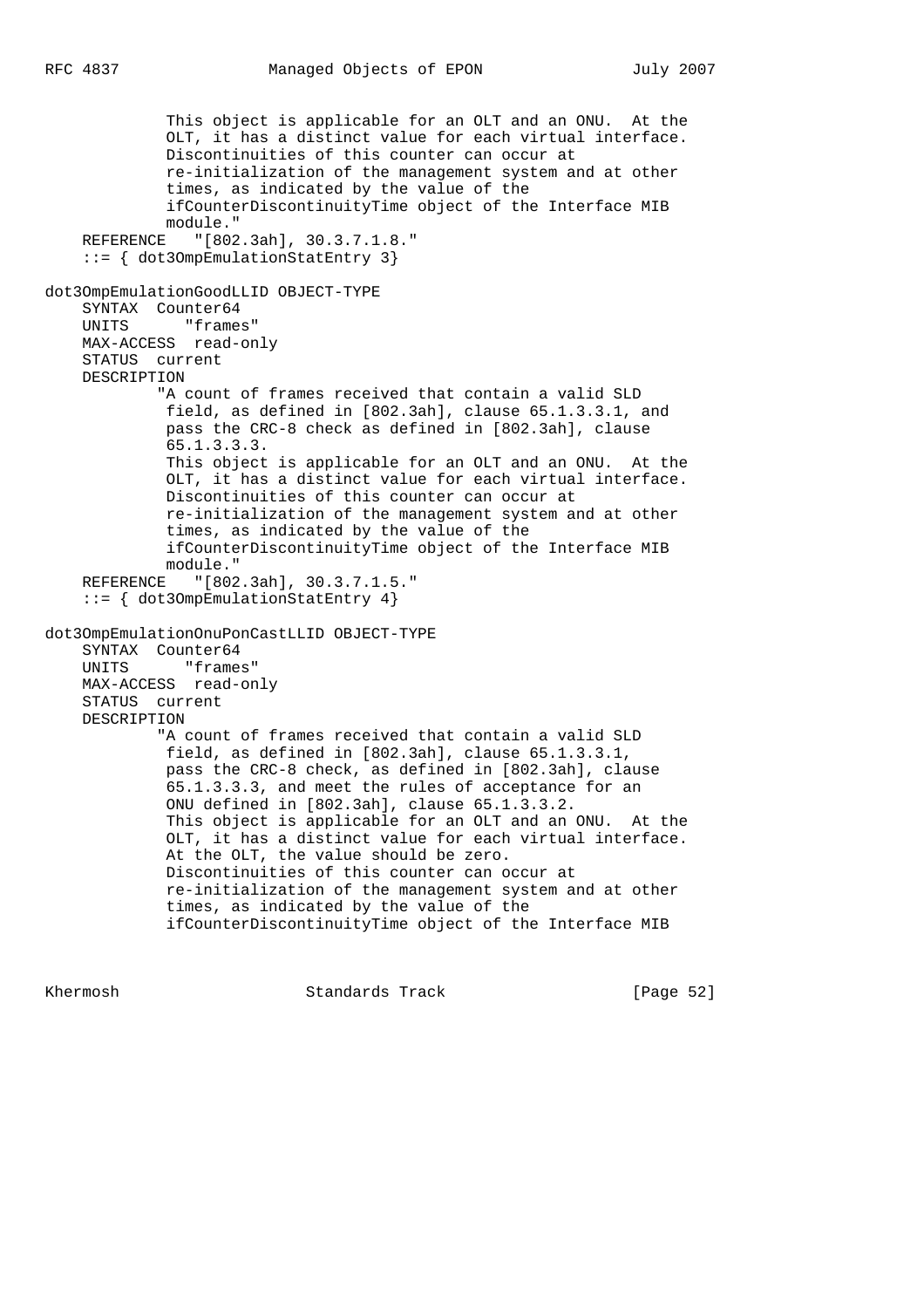```
 This object is applicable for an OLT and an ONU. At the
              OLT, it has a distinct value for each virtual interface.
              Discontinuities of this counter can occur at
              re-initialization of the management system and at other
              times, as indicated by the value of the
              ifCounterDiscontinuityTime object of the Interface MIB
              module."
    REFERENCE "[802.3ah], 30.3.7.1.8."
     ::= { dot3OmpEmulationStatEntry 3}
dot3OmpEmulationGoodLLID OBJECT-TYPE
     SYNTAX Counter64
    UNITS "frames"
    MAX-ACCESS read-only
    STATUS current
    DESCRIPTION
             "A count of frames received that contain a valid SLD
             field, as defined in [802.3ah], clause 65.1.3.3.1, and
              pass the CRC-8 check as defined in [802.3ah], clause
              65.1.3.3.3.
              This object is applicable for an OLT and an ONU. At the
              OLT, it has a distinct value for each virtual interface.
              Discontinuities of this counter can occur at
              re-initialization of the management system and at other
              times, as indicated by the value of the
              ifCounterDiscontinuityTime object of the Interface MIB
             module."
    REFERENCE "[802.3ah], 30.3.7.1.5."
     ::= { dot3OmpEmulationStatEntry 4}
dot3OmpEmulationOnuPonCastLLID OBJECT-TYPE
    SYNTAX Counter64
    UNITS "frames"
    MAX-ACCESS read-only
    STATUS current
    DESCRIPTION
             "A count of frames received that contain a valid SLD
             field, as defined in [802.3ah], clause 65.1.3.3.1,
              pass the CRC-8 check, as defined in [802.3ah], clause
              65.1.3.3.3, and meet the rules of acceptance for an
              ONU defined in [802.3ah], clause 65.1.3.3.2.
              This object is applicable for an OLT and an ONU. At the
              OLT, it has a distinct value for each virtual interface.
              At the OLT, the value should be zero.
              Discontinuities of this counter can occur at
              re-initialization of the management system and at other
              times, as indicated by the value of the
              ifCounterDiscontinuityTime object of the Interface MIB
```
Khermosh Standards Track [Page 52]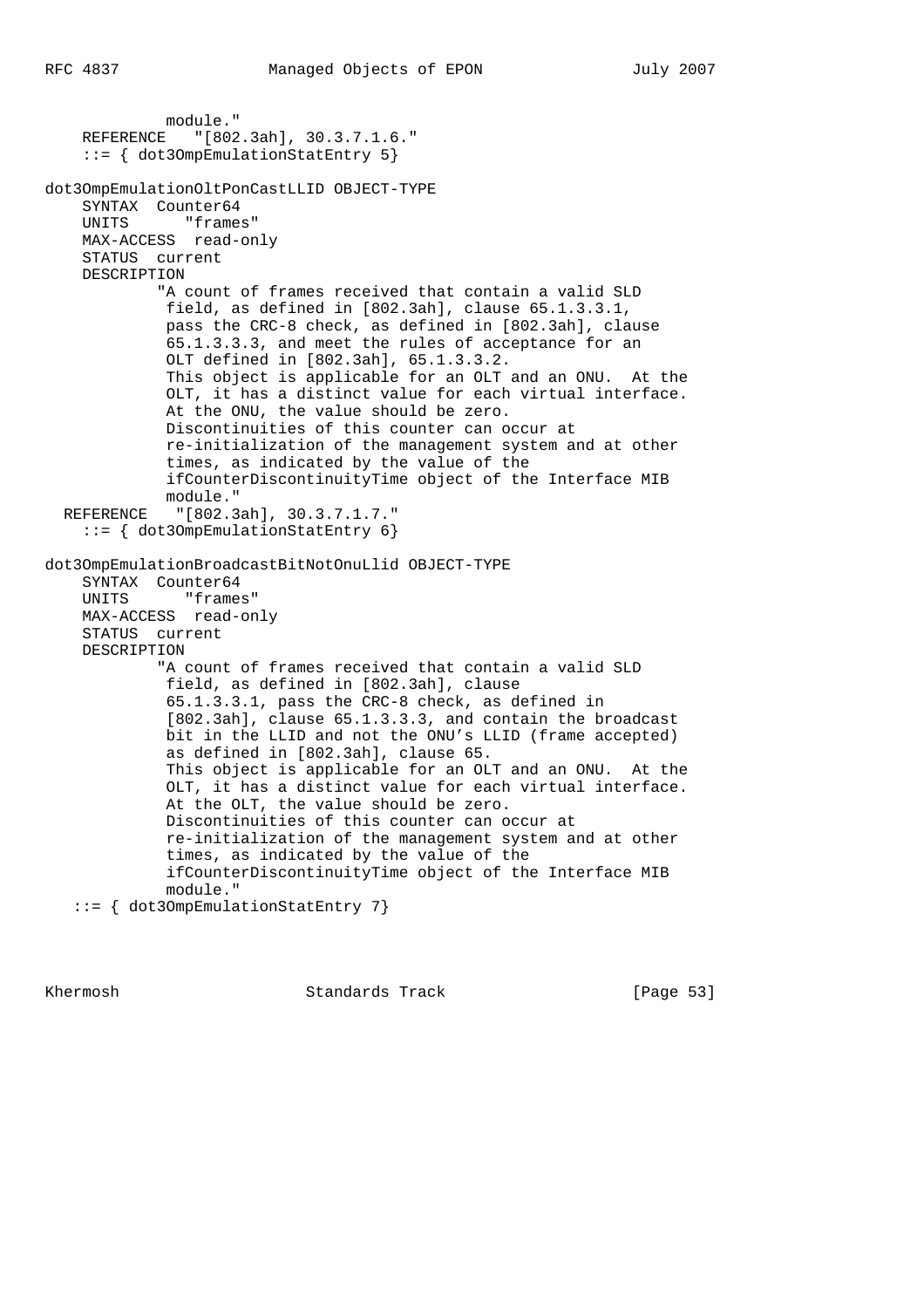module." REFERENCE "[802.3ah], 30.3.7.1.6." ::= { dot3OmpEmulationStatEntry 5} dot3OmpEmulationOltPonCastLLID OBJECT-TYPE SYNTAX Counter64 UNITS "frames" MAX-ACCESS read-only STATUS current DESCRIPTION "A count of frames received that contain a valid SLD field, as defined in [802.3ah], clause 65.1.3.3.1, pass the CRC-8 check, as defined in [802.3ah], clause 65.1.3.3.3, and meet the rules of acceptance for an OLT defined in [802.3ah], 65.1.3.3.2. This object is applicable for an OLT and an ONU. At the OLT, it has a distinct value for each virtual interface. At the ONU, the value should be zero. Discontinuities of this counter can occur at re-initialization of the management system and at other times, as indicated by the value of the ifCounterDiscontinuityTime object of the Interface MIB module." REFERENCE "[802.3ah], 30.3.7.1.7." ::= { dot3OmpEmulationStatEntry 6} dot3OmpEmulationBroadcastBitNotOnuLlid OBJECT-TYPE SYNTAX Counter64 UNITS "frames" MAX-ACCESS read-only STATUS current DESCRIPTION "A count of frames received that contain a valid SLD field, as defined in [802.3ah], clause 65.1.3.3.1, pass the CRC-8 check, as defined in [802.3ah], clause 65.1.3.3.3, and contain the broadcast bit in the LLID and not the ONU's LLID (frame accepted) as defined in [802.3ah], clause 65. This object is applicable for an OLT and an ONU. At the OLT, it has a distinct value for each virtual interface. At the OLT, the value should be zero. Discontinuities of this counter can occur at re-initialization of the management system and at other times, as indicated by the value of the ifCounterDiscontinuityTime object of the Interface MIB module."

```
 ::= { dot3OmpEmulationStatEntry 7}
```
Khermosh **Standards Track** [Page 53]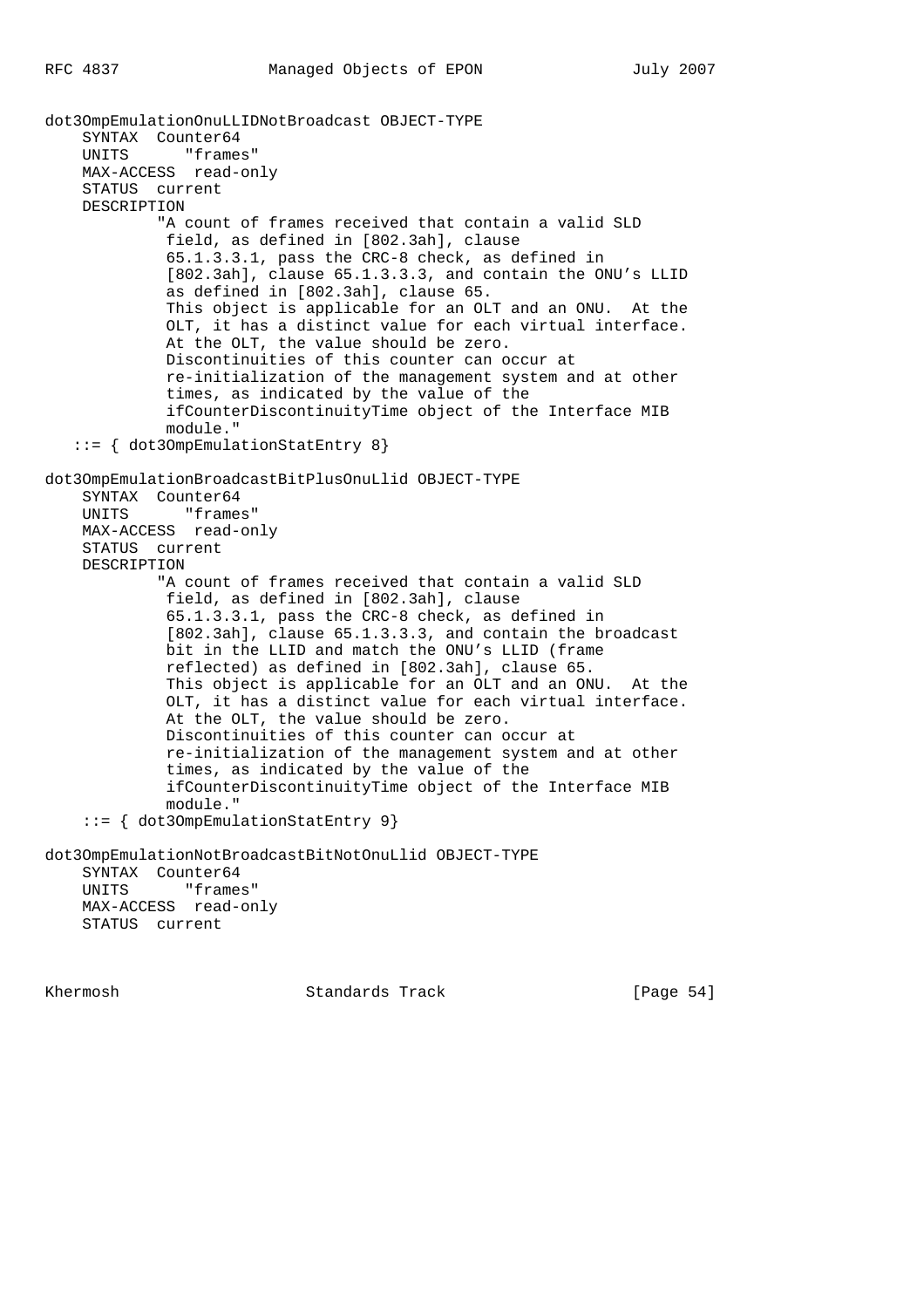dot3OmpEmulationOnuLLIDNotBroadcast OBJECT-TYPE SYNTAX Counter64 UNITS "frames" MAX-ACCESS read-only STATUS current DESCRIPTION "A count of frames received that contain a valid SLD field, as defined in [802.3ah], clause 65.1.3.3.1, pass the CRC-8 check, as defined in [802.3ah], clause 65.1.3.3.3, and contain the ONU's LLID as defined in [802.3ah], clause 65. This object is applicable for an OLT and an ONU. At the OLT, it has a distinct value for each virtual interface. At the OLT, the value should be zero. Discontinuities of this counter can occur at re-initialization of the management system and at other times, as indicated by the value of the ifCounterDiscontinuityTime object of the Interface MIB module." ::= { dot3OmpEmulationStatEntry 8} dot3OmpEmulationBroadcastBitPlusOnuLlid OBJECT-TYPE SYNTAX Counter64 UNITS "frames" MAX-ACCESS read-only STATUS current DESCRIPTION "A count of frames received that contain a valid SLD field, as defined in [802.3ah], clause 65.1.3.3.1, pass the CRC-8 check, as defined in [802.3ah], clause 65.1.3.3.3, and contain the broadcast bit in the LLID and match the ONU's LLID (frame reflected) as defined in [802.3ah], clause 65. This object is applicable for an OLT and an ONU. At the OLT, it has a distinct value for each virtual interface. At the OLT, the value should be zero. Discontinuities of this counter can occur at re-initialization of the management system and at other times, as indicated by the value of the ifCounterDiscontinuityTime object of the Interface MIB module." ::= { dot3OmpEmulationStatEntry 9} dot3OmpEmulationNotBroadcastBitNotOnuLlid OBJECT-TYPE SYNTAX Counter64 UNITS "frames" MAX-ACCESS read-only STATUS current

Khermosh Standards Track [Page 54]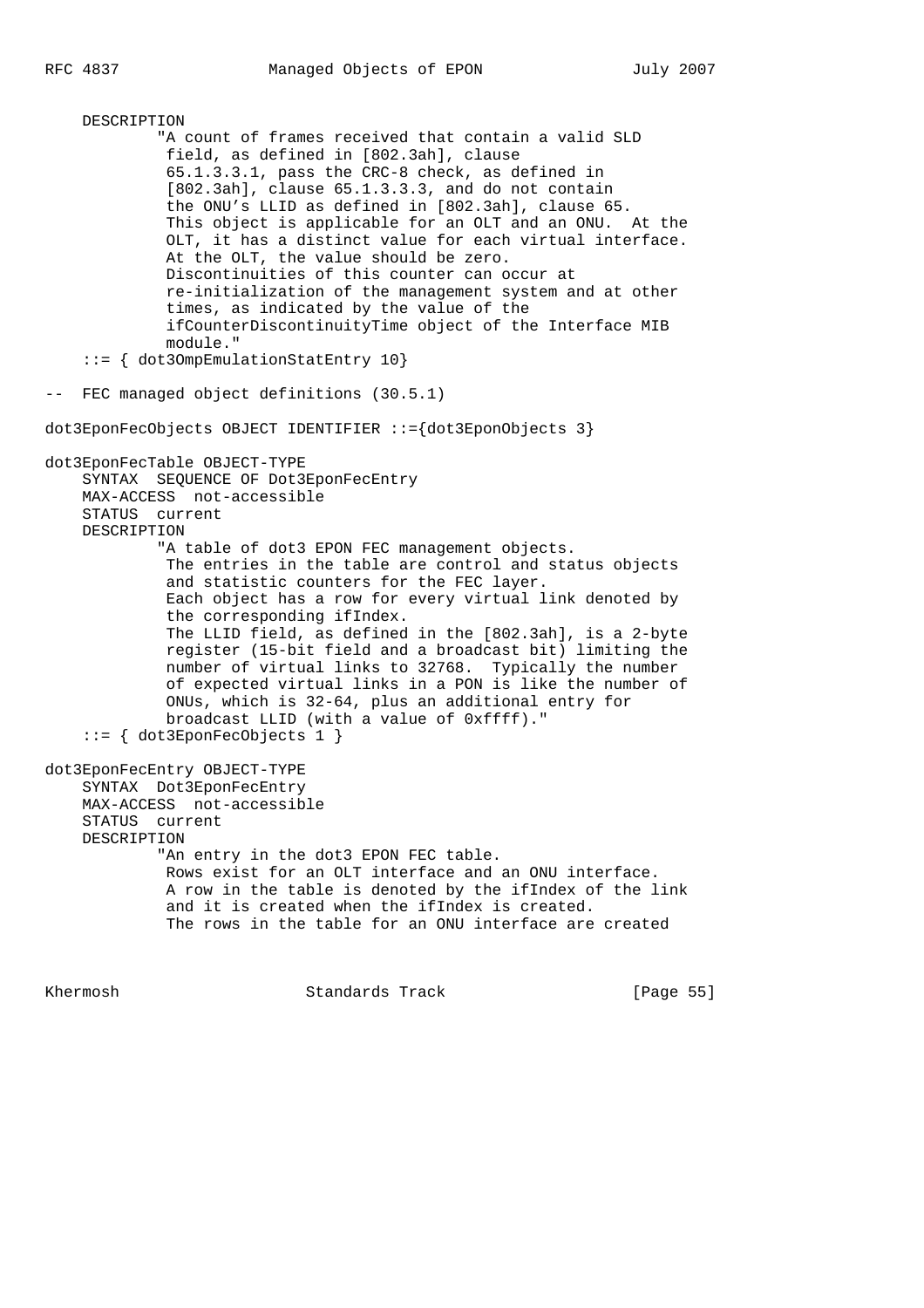DESCRIPTION "A count of frames received that contain a valid SLD field, as defined in [802.3ah], clause 65.1.3.3.1, pass the CRC-8 check, as defined in [802.3ah], clause 65.1.3.3.3, and do not contain the ONU's LLID as defined in [802.3ah], clause 65. This object is applicable for an OLT and an ONU. At the OLT, it has a distinct value for each virtual interface. At the OLT, the value should be zero. Discontinuities of this counter can occur at re-initialization of the management system and at other times, as indicated by the value of the ifCounterDiscontinuityTime object of the Interface MIB module." ::= { dot3OmpEmulationStatEntry 10} -- FEC managed object definitions (30.5.1) dot3EponFecObjects OBJECT IDENTIFIER ::={dot3EponObjects 3} dot3EponFecTable OBJECT-TYPE SYNTAX SEQUENCE OF Dot3EponFecEntry MAX-ACCESS not-accessible STATUS current DESCRIPTION "A table of dot3 EPON FEC management objects. The entries in the table are control and status objects and statistic counters for the FEC layer. Each object has a row for every virtual link denoted by the corresponding ifIndex. The LLID field, as defined in the [802.3ah], is a 2-byte register (15-bit field and a broadcast bit) limiting the number of virtual links to 32768. Typically the number of expected virtual links in a PON is like the number of ONUs, which is 32-64, plus an additional entry for broadcast LLID (with a value of 0xffff)." ::= { dot3EponFecObjects 1 } dot3EponFecEntry OBJECT-TYPE SYNTAX Dot3EponFecEntry MAX-ACCESS not-accessible STATUS current DESCRIPTION "An entry in the dot3 EPON FEC table. Rows exist for an OLT interface and an ONU interface. A row in the table is denoted by the ifIndex of the link and it is created when the ifIndex is created. The rows in the table for an ONU interface are created

Khermosh Standards Track [Page 55]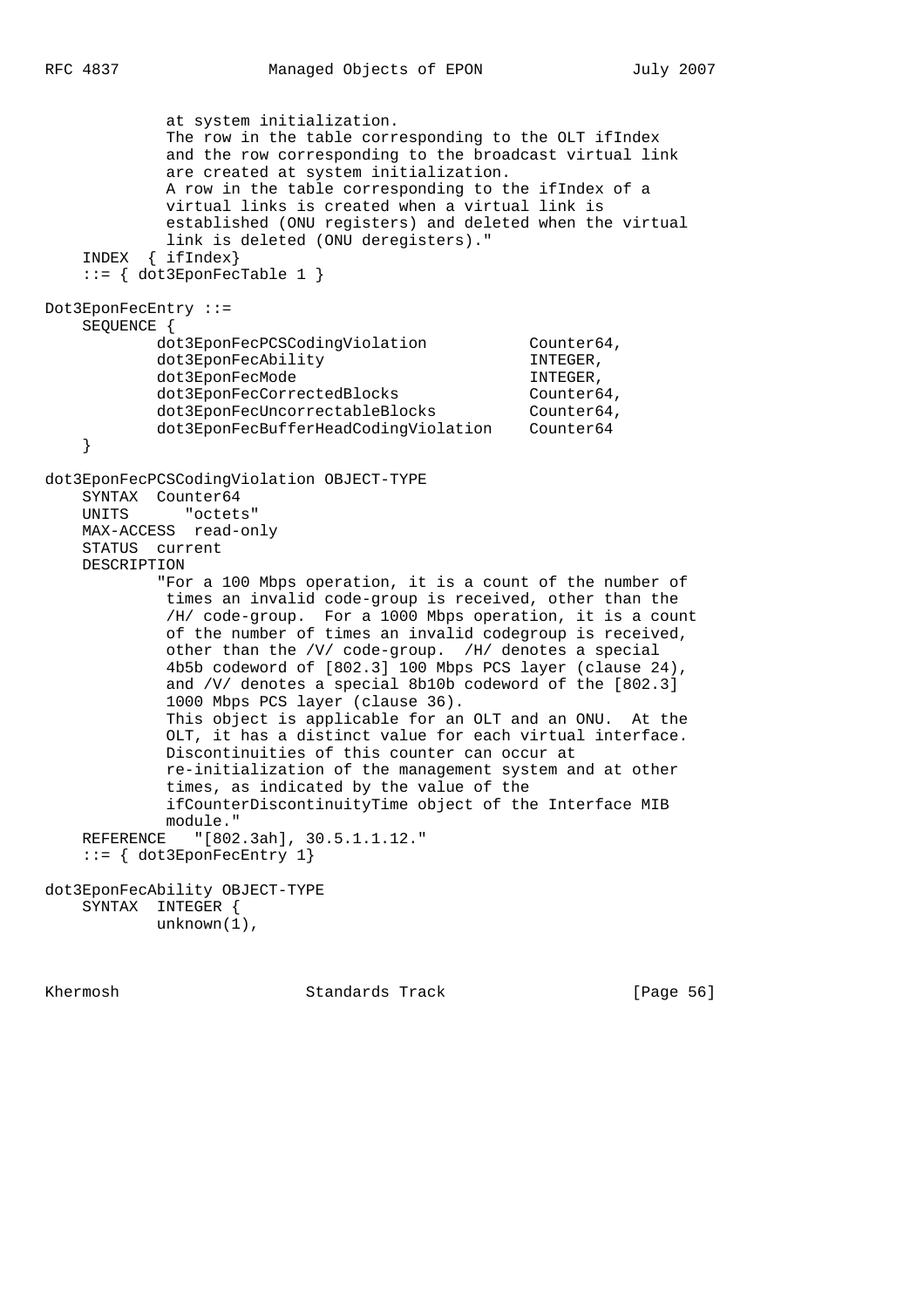at system initialization. The row in the table corresponding to the OLT ifIndex and the row corresponding to the broadcast virtual link are created at system initialization. A row in the table corresponding to the ifIndex of a virtual links is created when a virtual link is established (ONU registers) and deleted when the virtual link is deleted (ONU deregisters)." INDEX { ifIndex} ::= { dot3EponFecTable 1 } Dot3EponFecEntry ::= SEQUENCE { dot3EponFecPCSCodingViolation Counter64, dot3EponFecAbility INTEGER, dot3EponFecMode INTEGER, dot3EponFecCorrectedBlocks Counter64,<br>dot3EponFecUncorrectableBlocks Counter64, dot3EponFecUncorrectableBlocks dot3EponFecBufferHeadCodingViolation Counter64 } dot3EponFecPCSCodingViolation OBJECT-TYPE SYNTAX Counter64 UNITS "octets" MAX-ACCESS read-only STATUS current DESCRIPTION "For a 100 Mbps operation, it is a count of the number of times an invalid code-group is received, other than the /H/ code-group. For a 1000 Mbps operation, it is a count of the number of times an invalid codegroup is received, other than the /V/ code-group. /H/ denotes a special 4b5b codeword of [802.3] 100 Mbps PCS layer (clause 24), and /V/ denotes a special 8b10b codeword of the [802.3] 1000 Mbps PCS layer (clause 36). This object is applicable for an OLT and an ONU. At the OLT, it has a distinct value for each virtual interface. Discontinuities of this counter can occur at re-initialization of the management system and at other times, as indicated by the value of the ifCounterDiscontinuityTime object of the Interface MIB module." REFERENCE "[802.3ah], 30.5.1.1.12." ::= { dot3EponFecEntry 1} dot3EponFecAbility OBJECT-TYPE SYNTAX INTEGER { unknown(1),

Khermosh **Standards Track** [Page 56]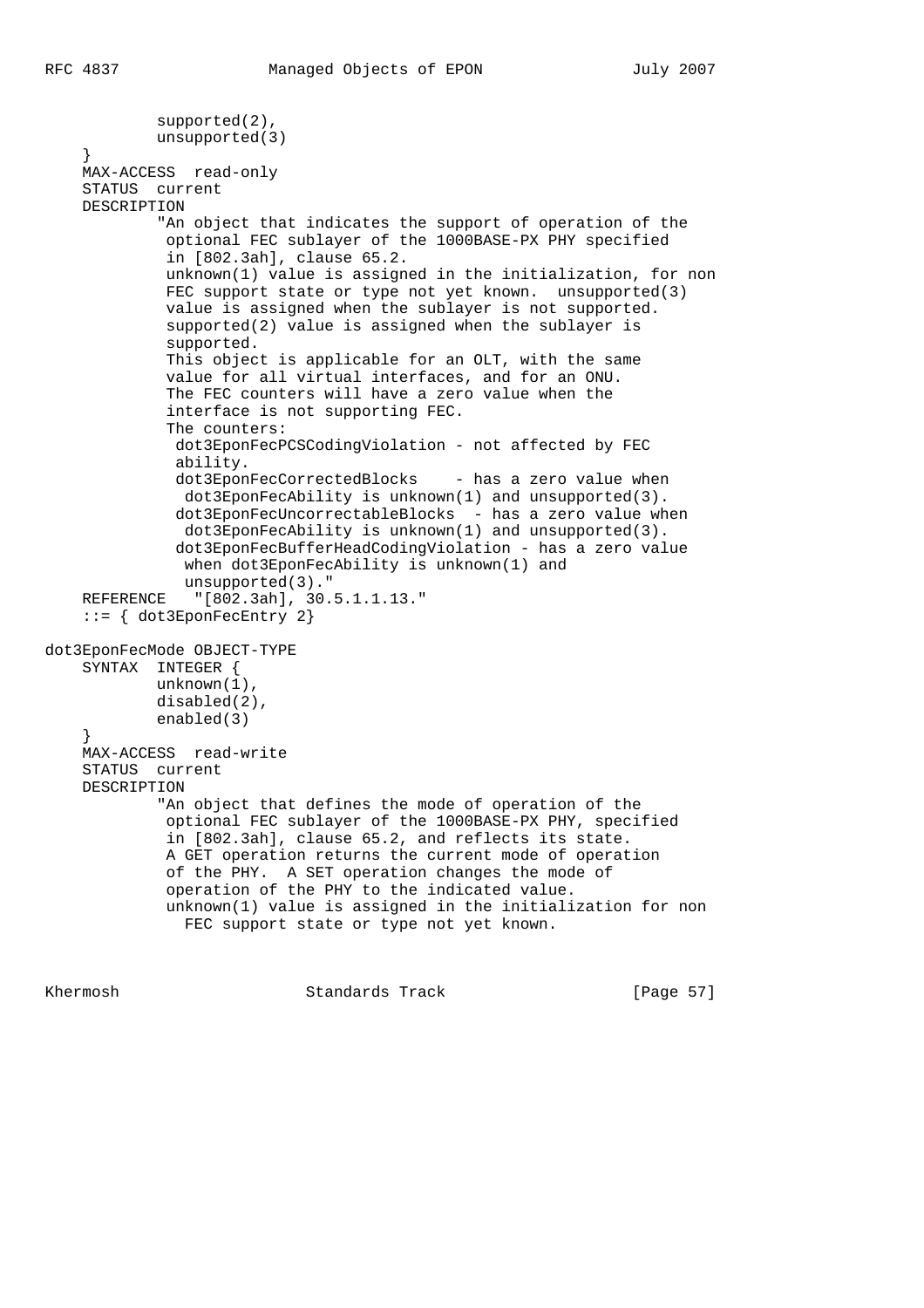```
 supported(2),
             unsupported(3)
     }
     MAX-ACCESS read-only
     STATUS current
     DESCRIPTION
             "An object that indicates the support of operation of the
              optional FEC sublayer of the 1000BASE-PX PHY specified
              in [802.3ah], clause 65.2.
              unknown(1) value is assigned in the initialization, for non
             FEC support state or type not yet known. unsupported(3)
              value is assigned when the sublayer is not supported.
              supported(2) value is assigned when the sublayer is
              supported.
              This object is applicable for an OLT, with the same
              value for all virtual interfaces, and for an ONU.
              The FEC counters will have a zero value when the
              interface is not supporting FEC.
              The counters:
               dot3EponFecPCSCodingViolation - not affected by FEC
               ability.
              dot3EponFecCorrectedBlocks - has a zero value when
                dot3EponFecAbility is unknown(1) and unsupported(3).
               dot3EponFecUncorrectableBlocks - has a zero value when
                dot3EponFecAbility is unknown(1) and unsupported(3).
               dot3EponFecBufferHeadCodingViolation - has a zero value
               when dot3EponFecAbility is unknown(1) and
                unsupported(3)."
     REFERENCE "[802.3ah], 30.5.1.1.13."
     ::= { dot3EponFecEntry 2}
dot3EponFecMode OBJECT-TYPE
     SYNTAX INTEGER {
             unknown(1),
             disabled(2),
             enabled(3)
     }
     MAX-ACCESS read-write
     STATUS current
     DESCRIPTION
             "An object that defines the mode of operation of the
              optional FEC sublayer of the 1000BASE-PX PHY, specified
              in [802.3ah], clause 65.2, and reflects its state.
              A GET operation returns the current mode of operation
              of the PHY. A SET operation changes the mode of
              operation of the PHY to the indicated value.
              unknown(1) value is assigned in the initialization for non
                FEC support state or type not yet known.
```
Khermosh Standards Track [Page 57]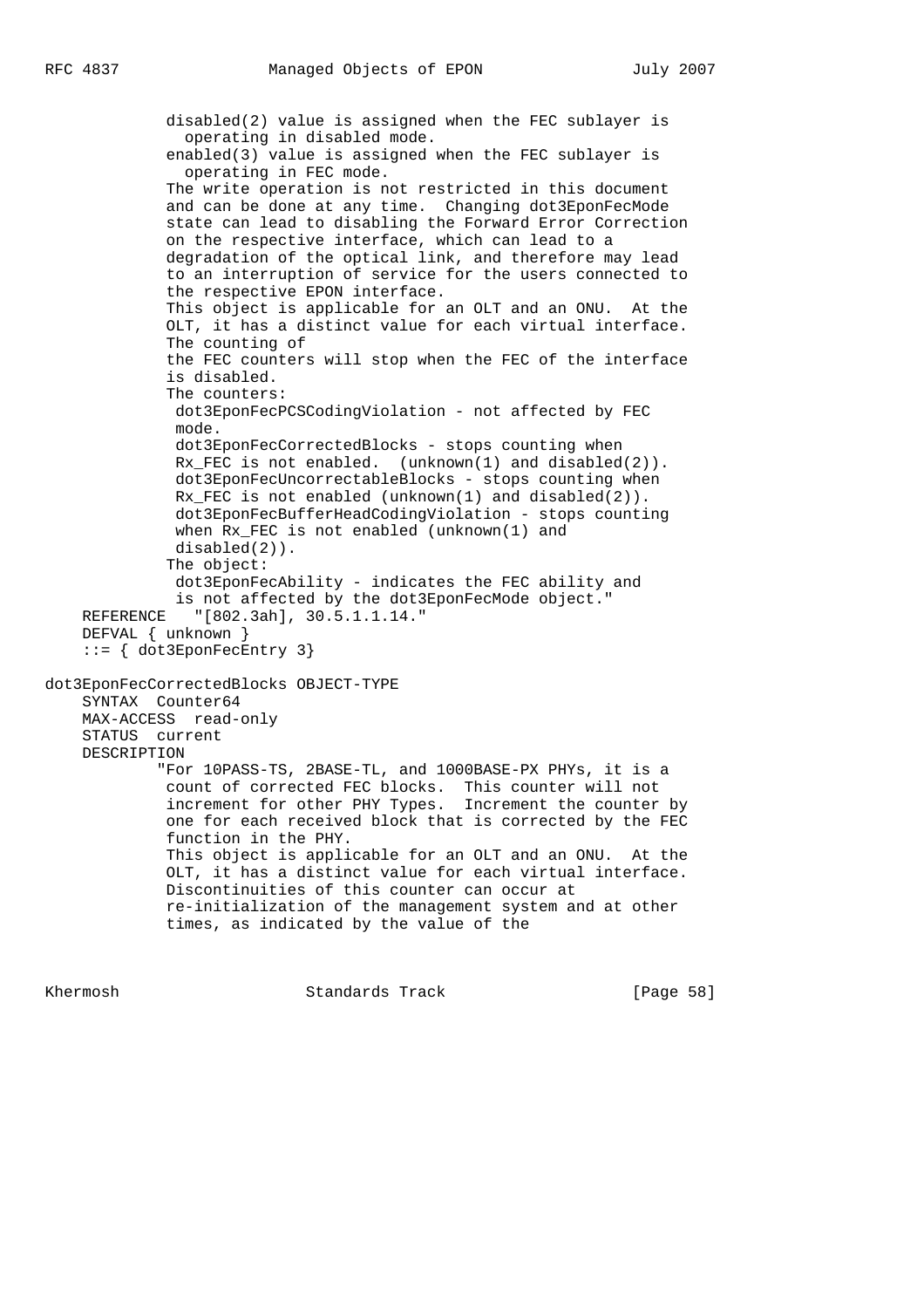disabled(2) value is assigned when the FEC sublayer is operating in disabled mode. enabled(3) value is assigned when the FEC sublayer is operating in FEC mode. The write operation is not restricted in this document and can be done at any time. Changing dot3EponFecMode state can lead to disabling the Forward Error Correction on the respective interface, which can lead to a degradation of the optical link, and therefore may lead to an interruption of service for the users connected to the respective EPON interface. This object is applicable for an OLT and an ONU. At the OLT, it has a distinct value for each virtual interface. The counting of the FEC counters will stop when the FEC of the interface is disabled. The counters: dot3EponFecPCSCodingViolation - not affected by FEC mode. dot3EponFecCorrectedBlocks - stops counting when Rx\_FEC is not enabled. (unknown(1) and disabled(2)). dot3EponFecUncorrectableBlocks - stops counting when  $Rx$  FEC is not enabled (unknown(1) and disabled(2)). dot3EponFecBufferHeadCodingViolation - stops counting when Rx\_FEC is not enabled (unknown(1) and disabled(2)). The object: dot3EponFecAbility - indicates the FEC ability and is not affected by the dot3EponFecMode object." REFERENCE "[802.3ah], 30.5.1.1.14." DEFVAL { unknown } ::= { dot3EponFecEntry 3} dot3EponFecCorrectedBlocks OBJECT-TYPE SYNTAX Counter64 MAX-ACCESS read-only STATUS current DESCRIPTION "For 10PASS-TS, 2BASE-TL, and 1000BASE-PX PHYs, it is a count of corrected FEC blocks. This counter will not increment for other PHY Types. Increment the counter by one for each received block that is corrected by the FEC function in the PHY. This object is applicable for an OLT and an ONU. At the OLT, it has a distinct value for each virtual interface. Discontinuities of this counter can occur at re-initialization of the management system and at other times, as indicated by the value of the

Khermosh **Standards Track** [Page 58]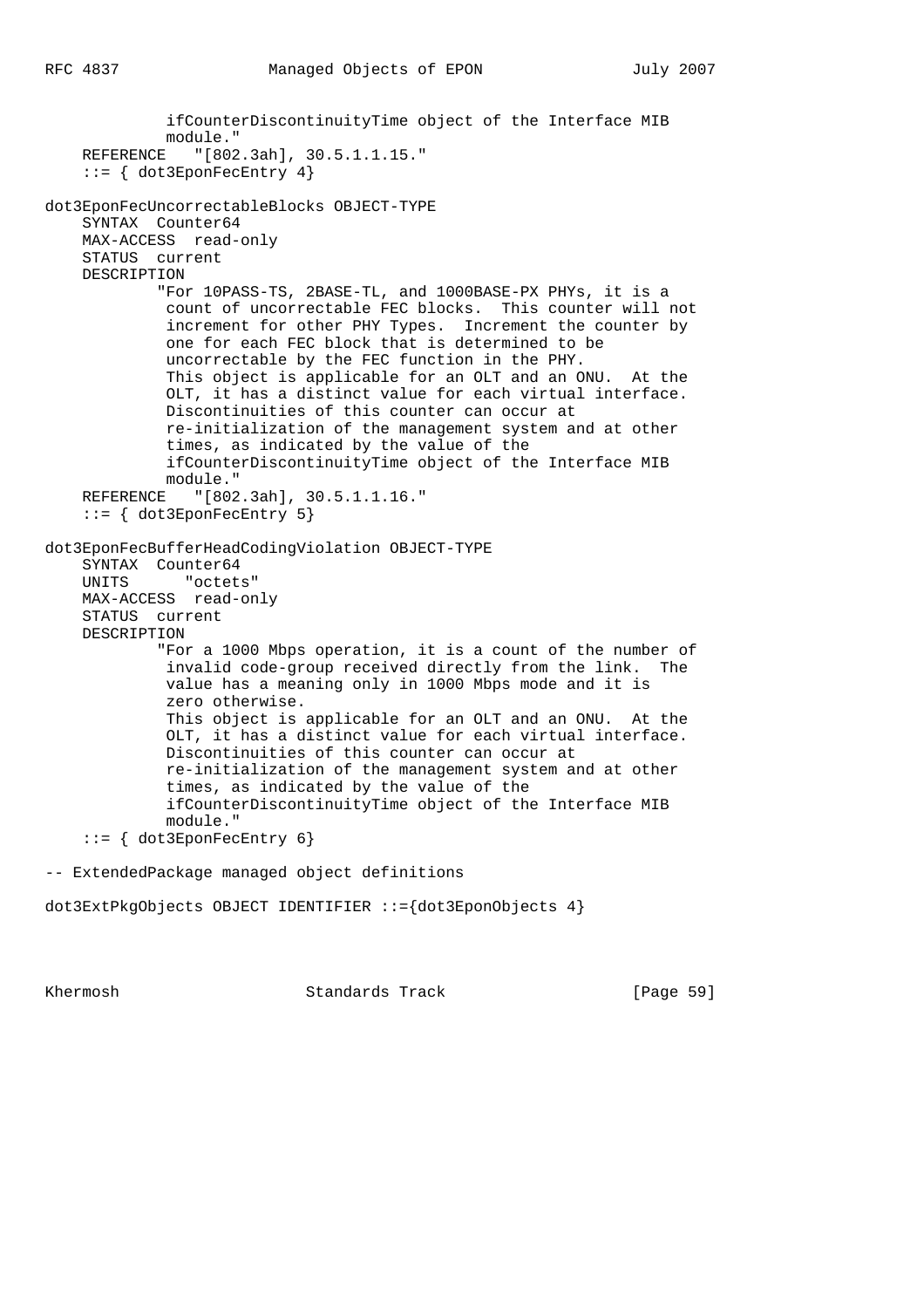ifCounterDiscontinuityTime object of the Interface MIB module." REFERENCE "[802.3ah], 30.5.1.1.15." ::= { dot3EponFecEntry 4} dot3EponFecUncorrectableBlocks OBJECT-TYPE SYNTAX Counter64 MAX-ACCESS read-only STATUS current DESCRIPTION "For 10PASS-TS, 2BASE-TL, and 1000BASE-PX PHYs, it is a count of uncorrectable FEC blocks. This counter will not increment for other PHY Types. Increment the counter by one for each FEC block that is determined to be uncorrectable by the FEC function in the PHY. This object is applicable for an OLT and an ONU. At the OLT, it has a distinct value for each virtual interface. Discontinuities of this counter can occur at re-initialization of the management system and at other times, as indicated by the value of the ifCounterDiscontinuityTime object of the Interface MIB module." REFERENCE "[802.3ah], 30.5.1.1.16." ::= { dot3EponFecEntry 5} dot3EponFecBufferHeadCodingViolation OBJECT-TYPE SYNTAX Counter64 UNITS "octets" MAX-ACCESS read-only STATUS current DESCRIPTION "For a 1000 Mbps operation, it is a count of the number of invalid code-group received directly from the link. The value has a meaning only in 1000 Mbps mode and it is zero otherwise. This object is applicable for an OLT and an ONU. At the OLT, it has a distinct value for each virtual interface. Discontinuities of this counter can occur at re-initialization of the management system and at other times, as indicated by the value of the ifCounterDiscontinuityTime object of the Interface MIB module." ::= { dot3EponFecEntry 6} -- ExtendedPackage managed object definitions

dot3ExtPkgObjects OBJECT IDENTIFIER ::={dot3EponObjects 4}

Khermosh Standards Track [Page 59]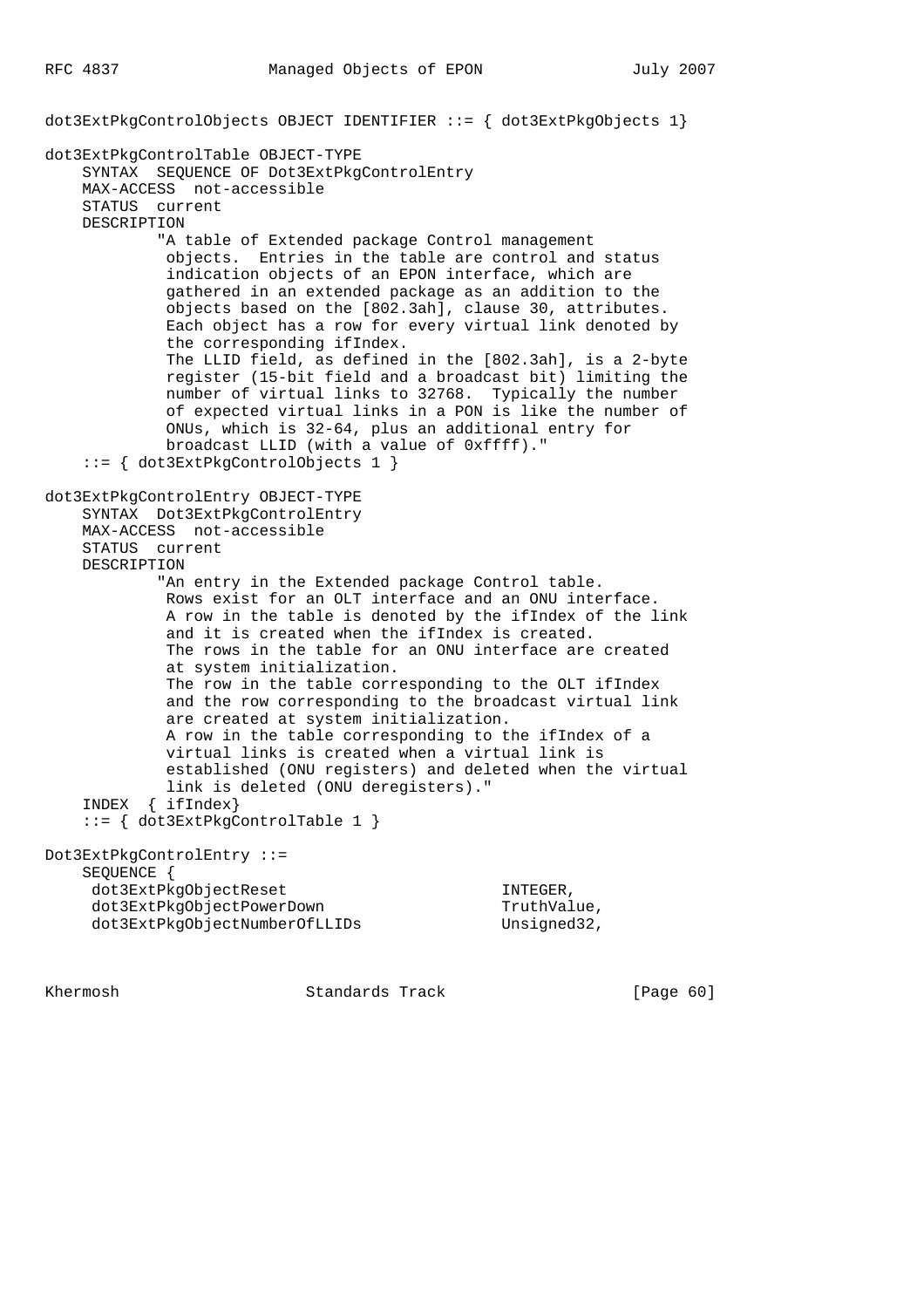dot3ExtPkgControlObjects OBJECT IDENTIFIER ::= { dot3ExtPkgObjects 1} dot3ExtPkgControlTable OBJECT-TYPE SYNTAX SEQUENCE OF Dot3ExtPkgControlEntry MAX-ACCESS not-accessible STATUS current DESCRIPTION "A table of Extended package Control management objects. Entries in the table are control and status indication objects of an EPON interface, which are gathered in an extended package as an addition to the objects based on the [802.3ah], clause 30, attributes. Each object has a row for every virtual link denoted by the corresponding ifIndex. The LLID field, as defined in the [802.3ah], is a 2-byte register (15-bit field and a broadcast bit) limiting the number of virtual links to 32768. Typically the number of expected virtual links in a PON is like the number of ONUs, which is 32-64, plus an additional entry for broadcast LLID (with a value of 0xffff)." ::= { dot3ExtPkgControlObjects 1 } dot3ExtPkgControlEntry OBJECT-TYPE SYNTAX Dot3ExtPkgControlEntry MAX-ACCESS not-accessible STATUS current DESCRIPTION "An entry in the Extended package Control table. Rows exist for an OLT interface and an ONU interface. A row in the table is denoted by the ifIndex of the link and it is created when the ifIndex is created. The rows in the table for an ONU interface are created at system initialization. The row in the table corresponding to the OLT ifIndex and the row corresponding to the broadcast virtual link are created at system initialization. A row in the table corresponding to the ifIndex of a virtual links is created when a virtual link is established (ONU registers) and deleted when the virtual link is deleted (ONU deregisters)." INDEX { ifIndex} ::= { dot3ExtPkgControlTable 1 } Dot3ExtPkgControlEntry ::= SEQUENCE { dot3ExtPkgObjectReset INTEGER, dot3ExtPkgObjectPowerDown TruthValue, dot3ExtPkgObjectNumberOfLLIDs Unsigned32,

Khermosh **Standards Track** [Page 60]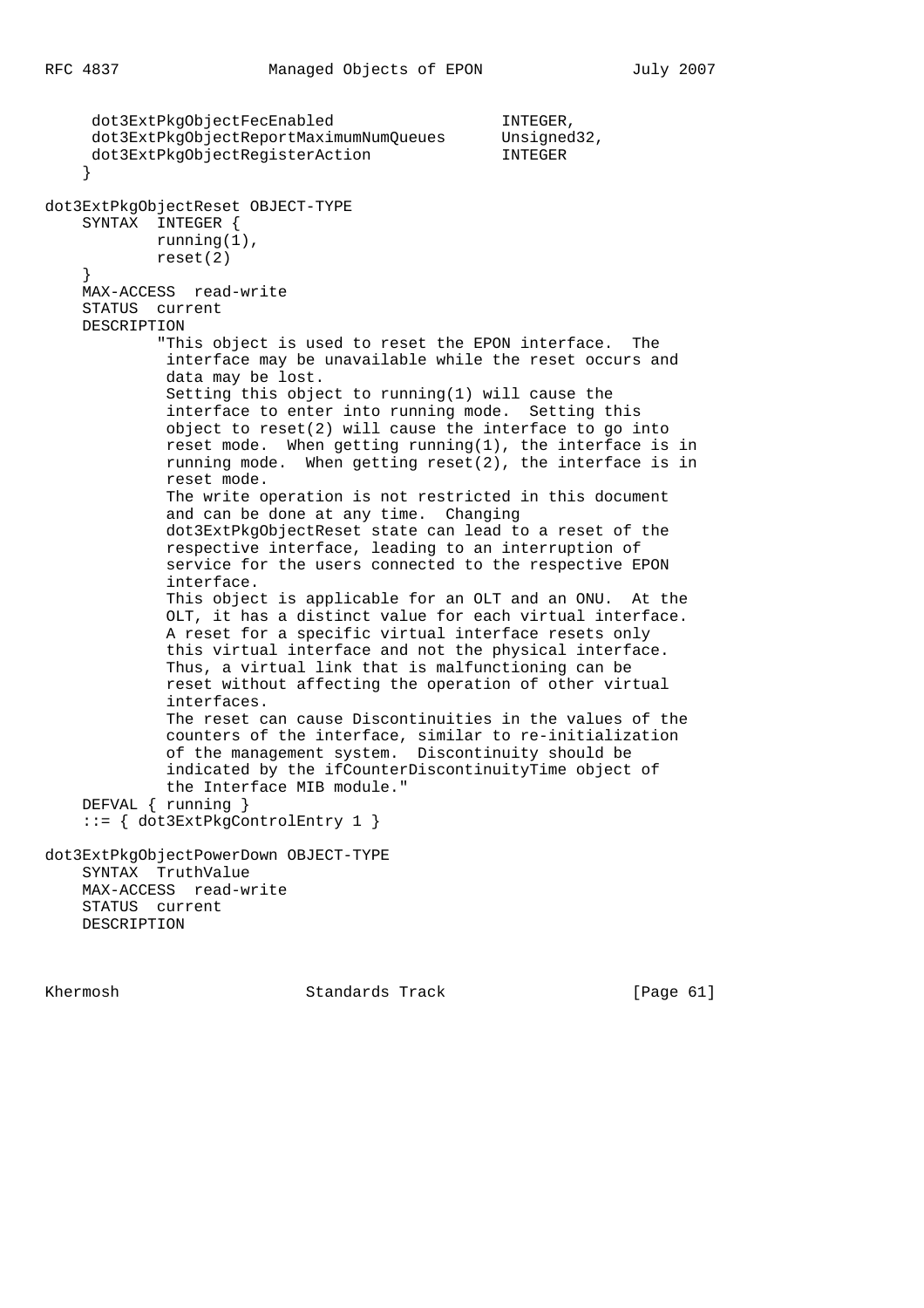dot3ExtPkgObjectFecEnabled INTEGER, dot3ExtPkgObjectReportMaximumNumQueues Unsigned32, dot3ExtPkgObjectRegisterAction INTEGER } dot3ExtPkgObjectReset OBJECT-TYPE SYNTAX INTEGER { running(1), reset(2) } MAX-ACCESS read-write STATUS current DESCRIPTION "This object is used to reset the EPON interface. The interface may be unavailable while the reset occurs and data may be lost. Setting this object to running(1) will cause the interface to enter into running mode. Setting this object to reset(2) will cause the interface to go into reset mode. When getting running(1), the interface is in running mode. When getting reset(2), the interface is in reset mode. The write operation is not restricted in this document and can be done at any time. Changing dot3ExtPkgObjectReset state can lead to a reset of the respective interface, leading to an interruption of service for the users connected to the respective EPON interface. This object is applicable for an OLT and an ONU. At the OLT, it has a distinct value for each virtual interface. A reset for a specific virtual interface resets only this virtual interface and not the physical interface. Thus, a virtual link that is malfunctioning can be reset without affecting the operation of other virtual interfaces. The reset can cause Discontinuities in the values of the counters of the interface, similar to re-initialization of the management system. Discontinuity should be indicated by the ifCounterDiscontinuityTime object of the Interface MIB module." DEFVAL { running } ::= { dot3ExtPkgControlEntry 1 } dot3ExtPkgObjectPowerDown OBJECT-TYPE SYNTAX TruthValue MAX-ACCESS read-write STATUS current DESCRIPTION

Khermosh **Standards Track** [Page 61]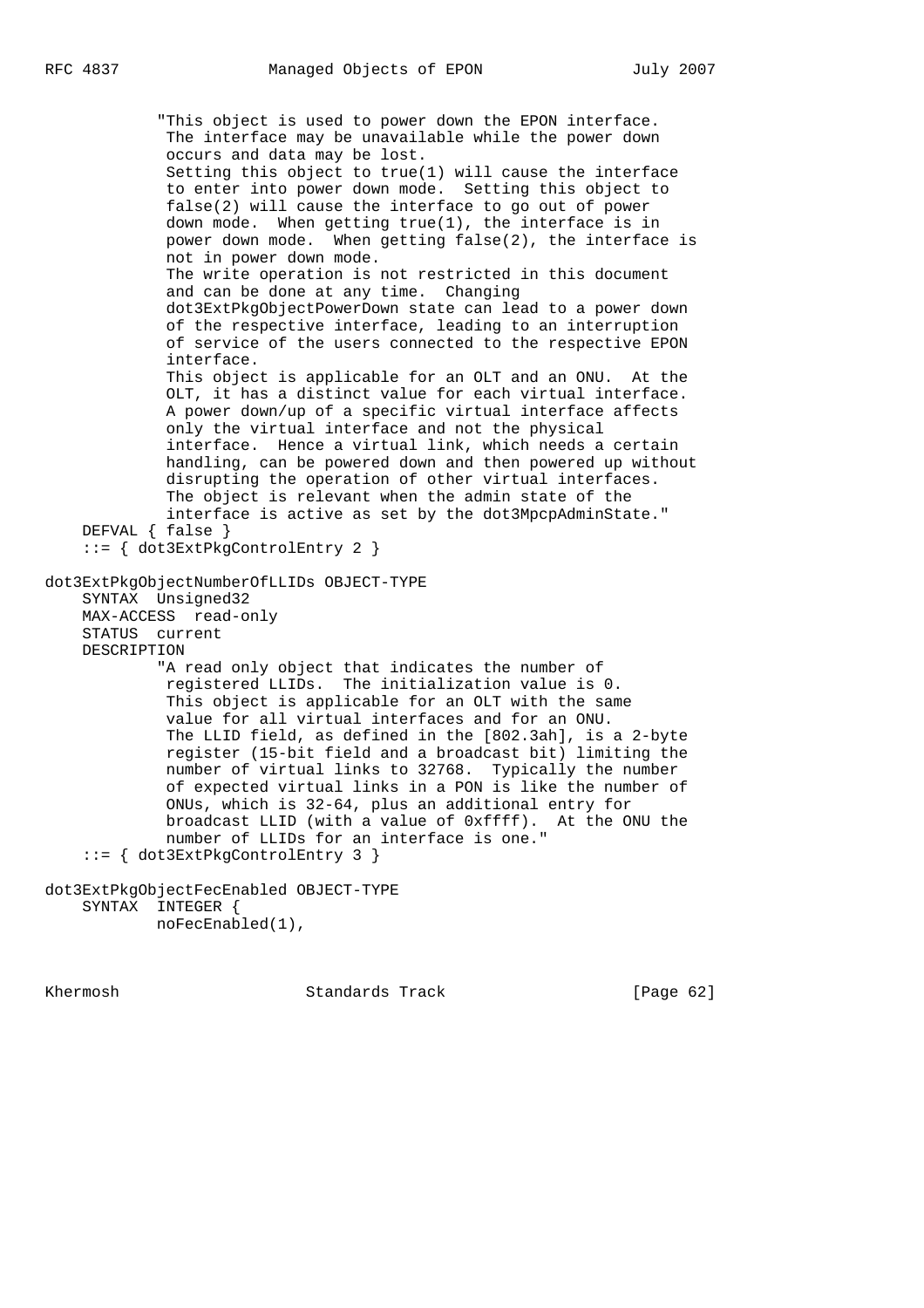"This object is used to power down the EPON interface. The interface may be unavailable while the power down occurs and data may be lost. Setting this object to true(1) will cause the interface to enter into power down mode. Setting this object to false(2) will cause the interface to go out of power down mode. When getting true(1), the interface is in power down mode. When getting false(2), the interface is not in power down mode. The write operation is not restricted in this document and can be done at any time. Changing dot3ExtPkgObjectPowerDown state can lead to a power down of the respective interface, leading to an interruption of service of the users connected to the respective EPON interface. This object is applicable for an OLT and an ONU. At the OLT, it has a distinct value for each virtual interface. A power down/up of a specific virtual interface affects only the virtual interface and not the physical interface. Hence a virtual link, which needs a certain handling, can be powered down and then powered up without disrupting the operation of other virtual interfaces. The object is relevant when the admin state of the interface is active as set by the dot3MpcpAdminState." DEFVAL { false } ::= { dot3ExtPkgControlEntry 2 } dot3ExtPkgObjectNumberOfLLIDs OBJECT-TYPE SYNTAX Unsigned32 MAX-ACCESS read-only STATUS current DESCRIPTION "A read only object that indicates the number of registered LLIDs. The initialization value is 0. This object is applicable for an OLT with the same value for all virtual interfaces and for an ONU. The LLID field, as defined in the [802.3ah], is a 2-byte register (15-bit field and a broadcast bit) limiting the number of virtual links to 32768. Typically the number of expected virtual links in a PON is like the number of ONUs, which is 32-64, plus an additional entry for broadcast LLID (with a value of 0xffff). At the ONU the number of LLIDs for an interface is one." ::= { dot3ExtPkgControlEntry 3 } dot3ExtPkgObjectFecEnabled OBJECT-TYPE

```
 SYNTAX INTEGER {
         noFecEnabled(1),
```
Khermosh Standards Track [Page 62]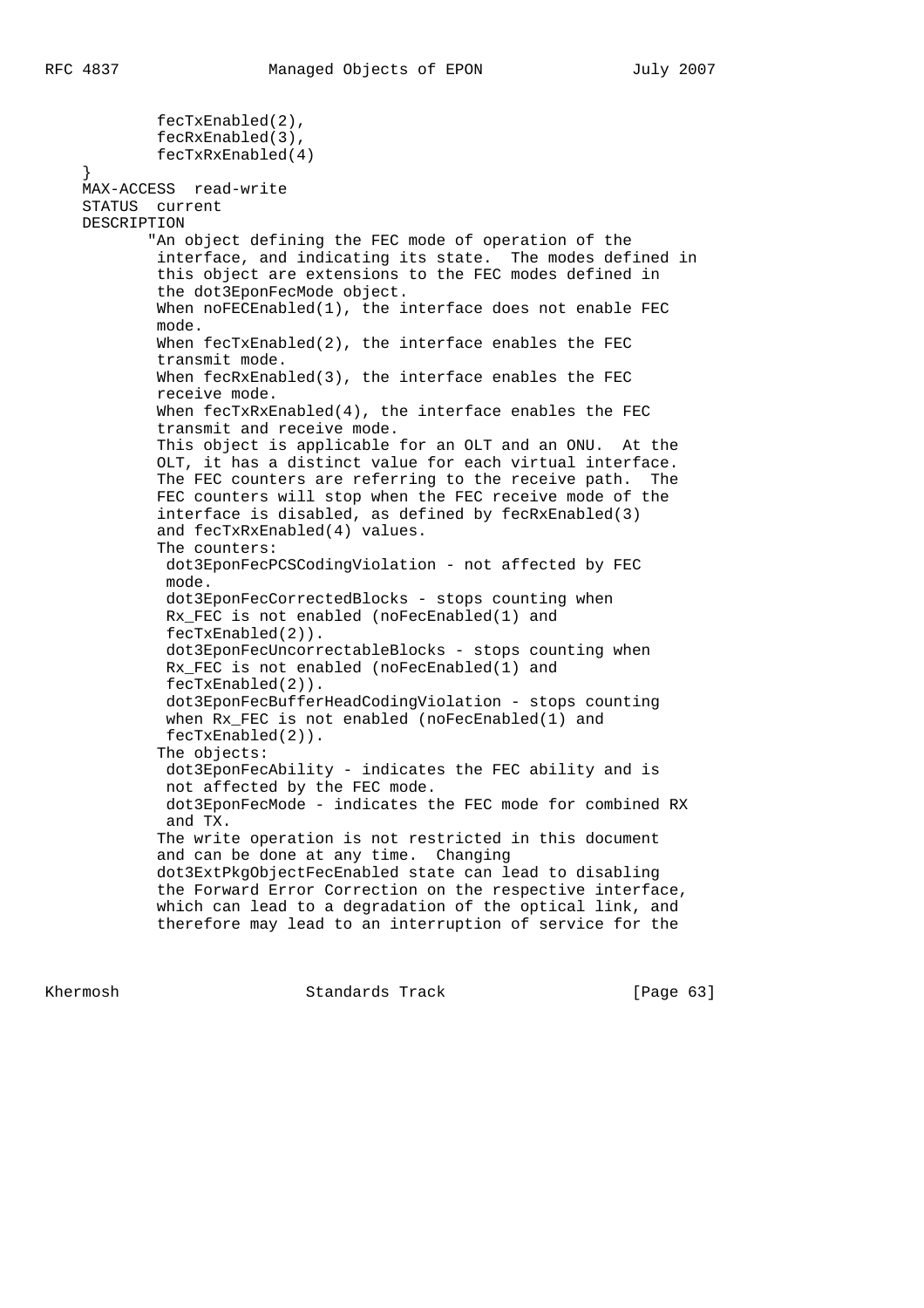}

 fecTxEnabled(2), fecRxEnabled(3), fecTxRxEnabled(4) MAX-ACCESS read-write STATUS current DESCRIPTION "An object defining the FEC mode of operation of the interface, and indicating its state. The modes defined in this object are extensions to the FEC modes defined in the dot3EponFecMode object. When  $noFECEnabeled(1)$ , the interface does not enable FEC mode. When fecTxEnabled(2), the interface enables the FEC transmit mode. When fecRxEnabled(3), the interface enables the FEC receive mode. When fecTxRxEnabled(4), the interface enables the FEC transmit and receive mode. This object is applicable for an OLT and an ONU. At the OLT, it has a distinct value for each virtual interface. The FEC counters are referring to the receive path. The FEC counters will stop when the FEC receive mode of the interface is disabled, as defined by fecRxEnabled(3) and fecTxRxEnabled(4) values. The counters: dot3EponFecPCSCodingViolation - not affected by FEC mode. dot3EponFecCorrectedBlocks - stops counting when Rx FEC is not enabled (noFecEnabled(1) and fecTxEnabled(2)). dot3EponFecUncorrectableBlocks - stops counting when Rx\_FEC is not enabled (noFecEnabled(1) and fecTxEnabled(2)). dot3EponFecBufferHeadCodingViolation - stops counting when Rx FEC is not enabled (noFecEnabled(1) and fecTxEnabled(2)). The objects: dot3EponFecAbility - indicates the FEC ability and is not affected by the FEC mode. dot3EponFecMode - indicates the FEC mode for combined RX and TX. The write operation is not restricted in this document and can be done at any time. Changing dot3ExtPkgObjectFecEnabled state can lead to disabling the Forward Error Correction on the respective interface, which can lead to a degradation of the optical link, and therefore may lead to an interruption of service for the

Khermosh Standards Track [Page 63]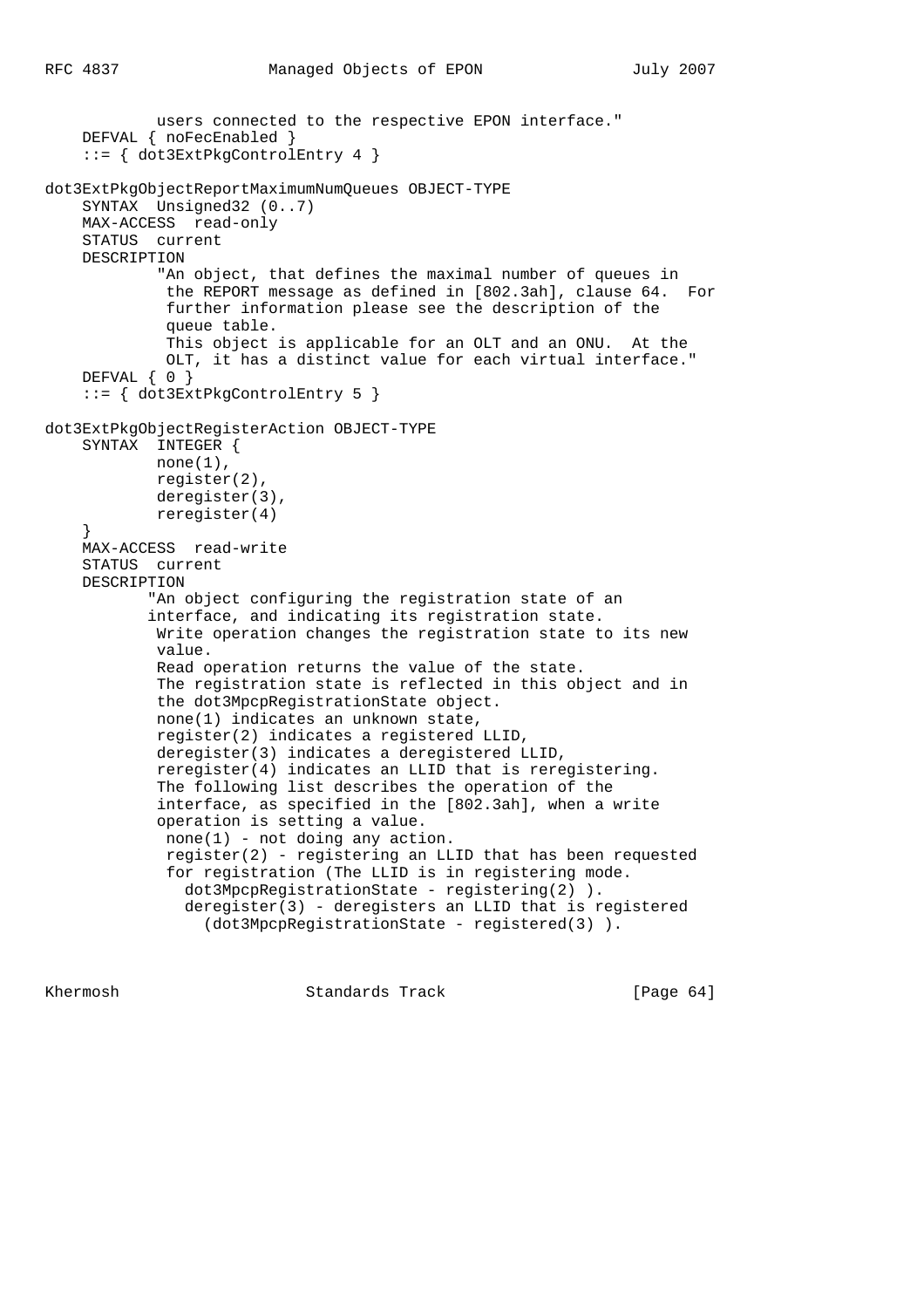```
 users connected to the respective EPON interface."
    DEFVAL { noFecEnabled }
     ::= { dot3ExtPkgControlEntry 4 }
dot3ExtPkgObjectReportMaximumNumQueues OBJECT-TYPE
     SYNTAX Unsigned32 (0..7)
     MAX-ACCESS read-only
     STATUS current
     DESCRIPTION
             "An object, that defines the maximal number of queues in
              the REPORT message as defined in [802.3ah], clause 64. For
              further information please see the description of the
              queue table.
              This object is applicable for an OLT and an ONU. At the
              OLT, it has a distinct value for each virtual interface."
     DEFVAL { 0 }
     ::= { dot3ExtPkgControlEntry 5 }
dot3ExtPkgObjectRegisterAction OBJECT-TYPE
     SYNTAX INTEGER {
            none(1),
             register(2),
             deregister(3),
             reregister(4)
 }
     MAX-ACCESS read-write
     STATUS current
     DESCRIPTION
            "An object configuring the registration state of an
            interface, and indicating its registration state.
             Write operation changes the registration state to its new
             value.
             Read operation returns the value of the state.
             The registration state is reflected in this object and in
             the dot3MpcpRegistrationState object.
             none(1) indicates an unknown state,
             register(2) indicates a registered LLID,
             deregister(3) indicates a deregistered LLID,
             reregister(4) indicates an LLID that is reregistering.
             The following list describes the operation of the
             interface, as specified in the [802.3ah], when a write
             operation is setting a value.
              none(1) - not doing any action.
              register(2) - registering an LLID that has been requested
              for registration (The LLID is in registering mode.
                dot3MpcpRegistrationState - registering(2) ).
                deregister(3) - deregisters an LLID that is registered
                  (dot3MpcpRegistrationState - registered(3) ).
```
Khermosh **Standards Track** [Page 64]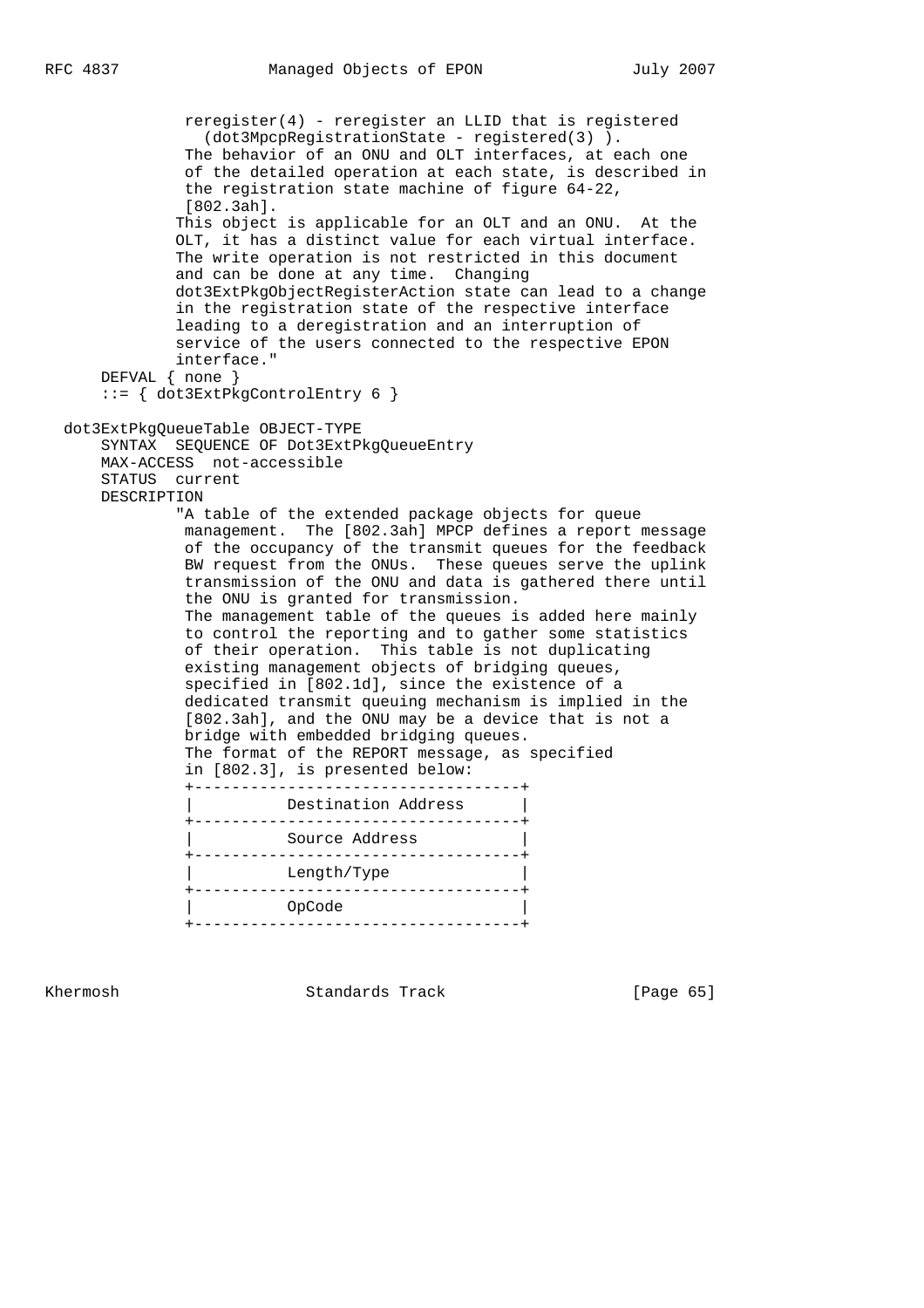reregister(4) - reregister an LLID that is registered (dot3MpcpRegistrationState - registered(3) ). The behavior of an ONU and OLT interfaces, at each one of the detailed operation at each state, is described in the registration state machine of figure 64-22, [802.3ah]. This object is applicable for an OLT and an ONU. At the OLT, it has a distinct value for each virtual interface. The write operation is not restricted in this document and can be done at any time. Changing dot3ExtPkgObjectRegisterAction state can lead to a change in the registration state of the respective interface leading to a deregistration and an interruption of service of the users connected to the respective EPON interface." DEFVAL { none } ::= { dot3ExtPkgControlEntry 6 } dot3ExtPkgQueueTable OBJECT-TYPE SYNTAX SEQUENCE OF Dot3ExtPkgQueueEntry MAX-ACCESS not-accessible STATUS current DESCRIPTION "A table of the extended package objects for queue management. The [802.3ah] MPCP defines a report message of the occupancy of the transmit queues for the feedback BW request from the ONUs. These queues serve the uplink transmission of the ONU and data is gathered there until the ONU is granted for transmission. The management table of the queues is added here mainly to control the reporting and to gather some statistics of their operation. This table is not duplicating existing management objects of bridging queues, specified in [802.1d], since the existence of a dedicated transmit queuing mechanism is implied in the [802.3ah], and the ONU may be a device that is not a bridge with embedded bridging queues. The format of the REPORT message, as specified in [802.3], is presented below: +-----------------------------------+ Destination Address +-----------------------------------+ Source Address +-----------------------------------+ Length/Type +-----------------------------------+ | OpCode |

Khermosh **Standards Track** [Page 65]

+-----------------------------------+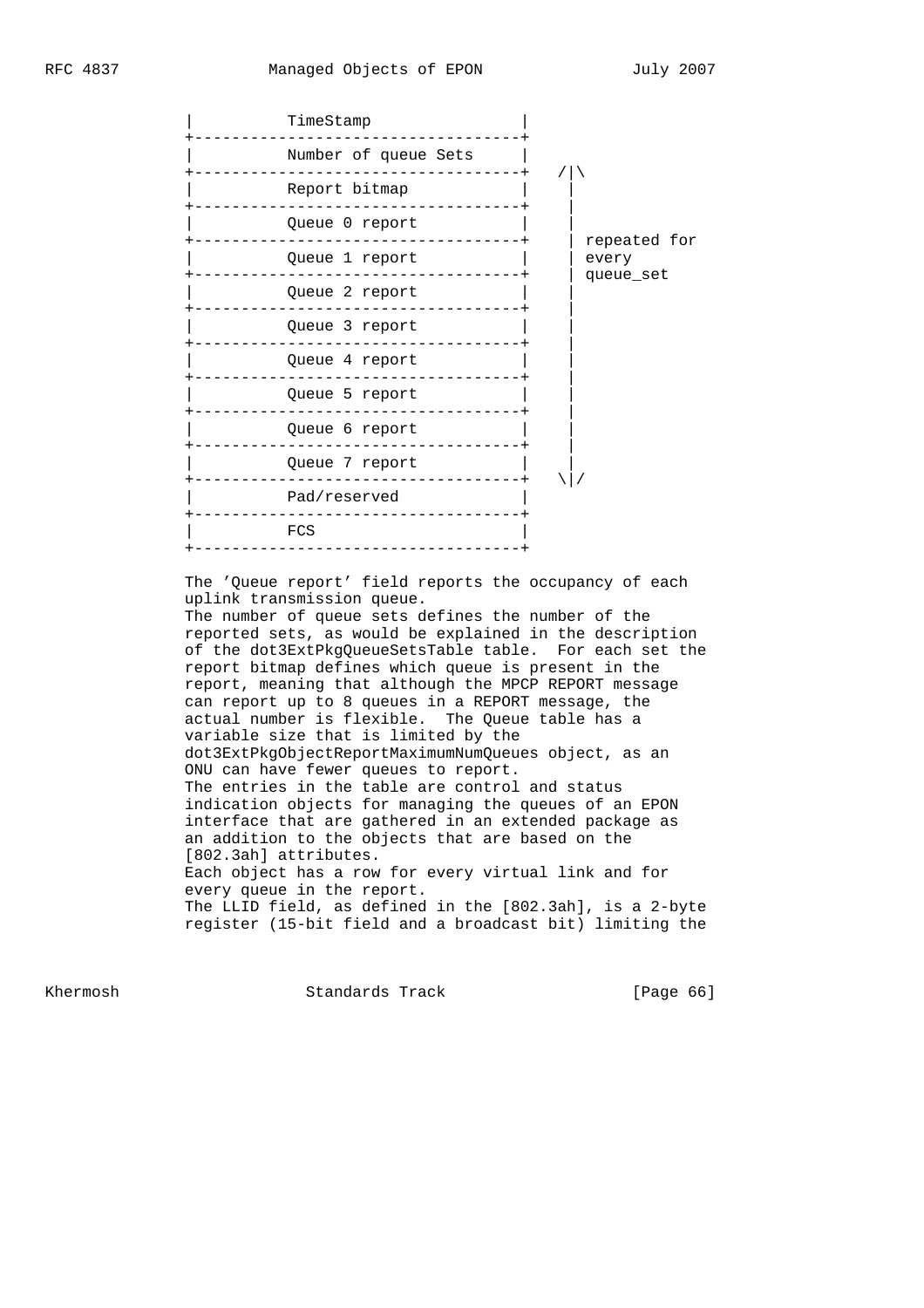| TimeStamp            |              |
|----------------------|--------------|
| Number of queue Sets |              |
| Report bitmap        |              |
| Queue 0 report       | repeated for |
| Queue 1 report       | every        |
| Queue 2 report       | queue_set    |
| Queue 3 report       |              |
| Queue 4 report       |              |
| Queue 5 report       |              |
| Queue 6 report       |              |
| Queue 7 report       |              |
| Pad/reserved         |              |
| FCS                  |              |
|                      |              |

 The 'Queue report' field reports the occupancy of each uplink transmission queue.

 The number of queue sets defines the number of the reported sets, as would be explained in the description of the dot3ExtPkgQueueSetsTable table. For each set the report bitmap defines which queue is present in the report, meaning that although the MPCP REPORT message can report up to 8 queues in a REPORT message, the actual number is flexible. The Queue table has a variable size that is limited by the dot3ExtPkgObjectReportMaximumNumQueues object, as an ONU can have fewer queues to report. The entries in the table are control and status indication objects for managing the queues of an EPON interface that are gathered in an extended package as an addition to the objects that are based on the [802.3ah] attributes. Each object has a row for every virtual link and for every queue in the report. The LLID field, as defined in the [802.3ah], is a 2-byte register (15-bit field and a broadcast bit) limiting the

Khermosh Standards Track [Page 66]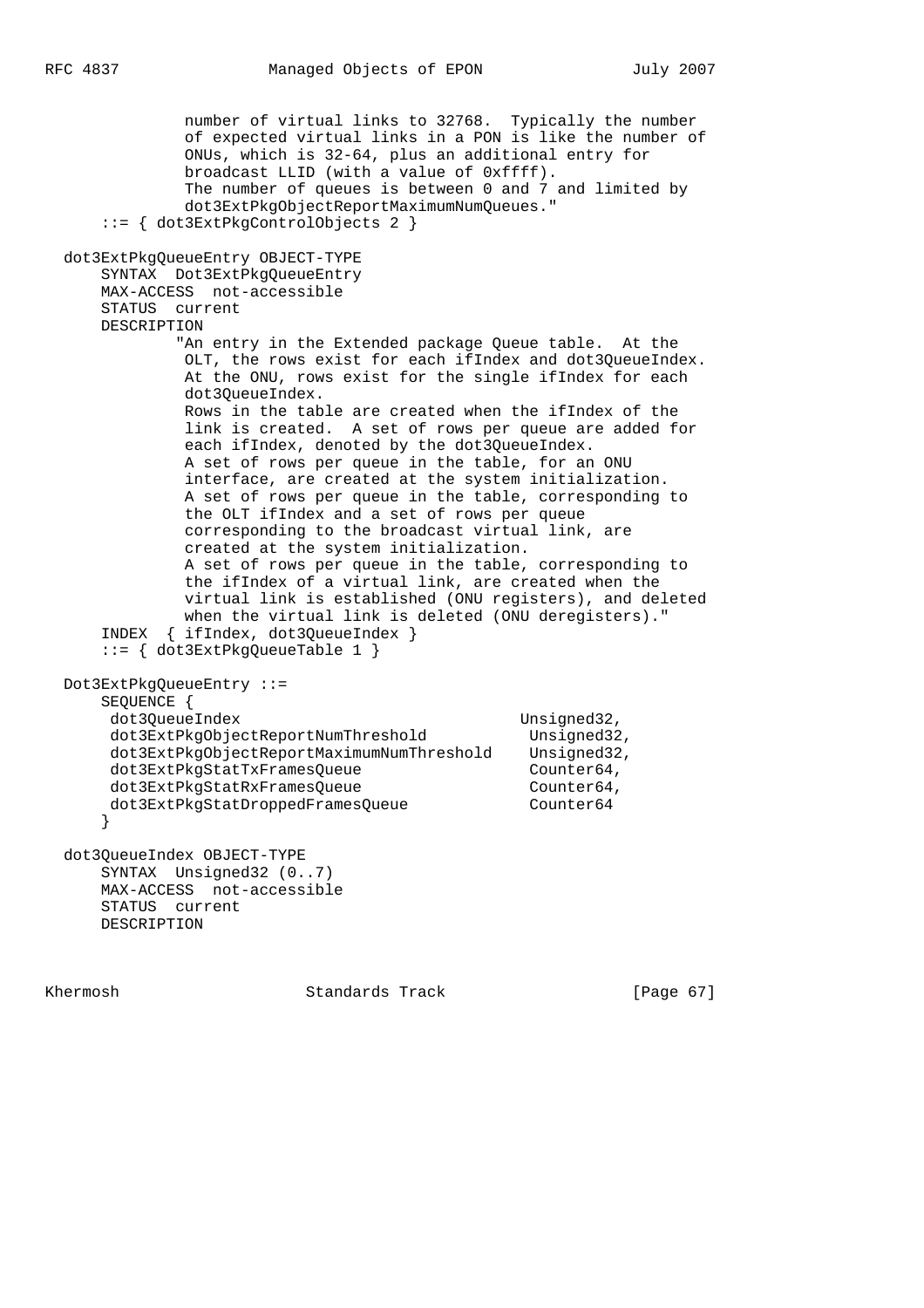number of virtual links to 32768. Typically the number of expected virtual links in a PON is like the number of ONUs, which is 32-64, plus an additional entry for broadcast LLID (with a value of 0xffff). The number of queues is between 0 and 7 and limited by dot3ExtPkgObjectReportMaximumNumQueues." ::= { dot3ExtPkgControlObjects 2 } dot3ExtPkgQueueEntry OBJECT-TYPE SYNTAX Dot3ExtPkgQueueEntry MAX-ACCESS not-accessible STATUS current DESCRIPTION "An entry in the Extended package Queue table. At the OLT, the rows exist for each ifIndex and dot3QueueIndex. At the ONU, rows exist for the single ifIndex for each dot3QueueIndex. Rows in the table are created when the ifIndex of the link is created. A set of rows per queue are added for each ifIndex, denoted by the dot3QueueIndex. A set of rows per queue in the table, for an ONU interface, are created at the system initialization. A set of rows per queue in the table, corresponding to the OLT ifIndex and a set of rows per queue corresponding to the broadcast virtual link, are created at the system initialization. A set of rows per queue in the table, corresponding to the ifIndex of a virtual link, are created when the virtual link is established (ONU registers), and deleted when the virtual link is deleted (ONU deregisters)." INDEX { ifIndex, dot3QueueIndex } ::= { dot3ExtPkgQueueTable 1 } Dot3ExtPkgQueueEntry ::= SEQUENCE { dot3QueueIndex Unsigned32, dot3ExtPkgObjectReportNumThreshold Unsigned32, dot3ExtPkgObjectReportMaximumNumThreshold Unsigned32, dot3ExtPkgStatTxFramesQueue Counter64, dot3ExtPkgStatRxFramesQueue Counter64, dot3ExtPkgStatDroppedFramesQueue Counter64 } dot3QueueIndex OBJECT-TYPE SYNTAX Unsigned32 (0..7) MAX-ACCESS not-accessible STATUS current DESCRIPTION

Khermosh Standards Track [Page 67]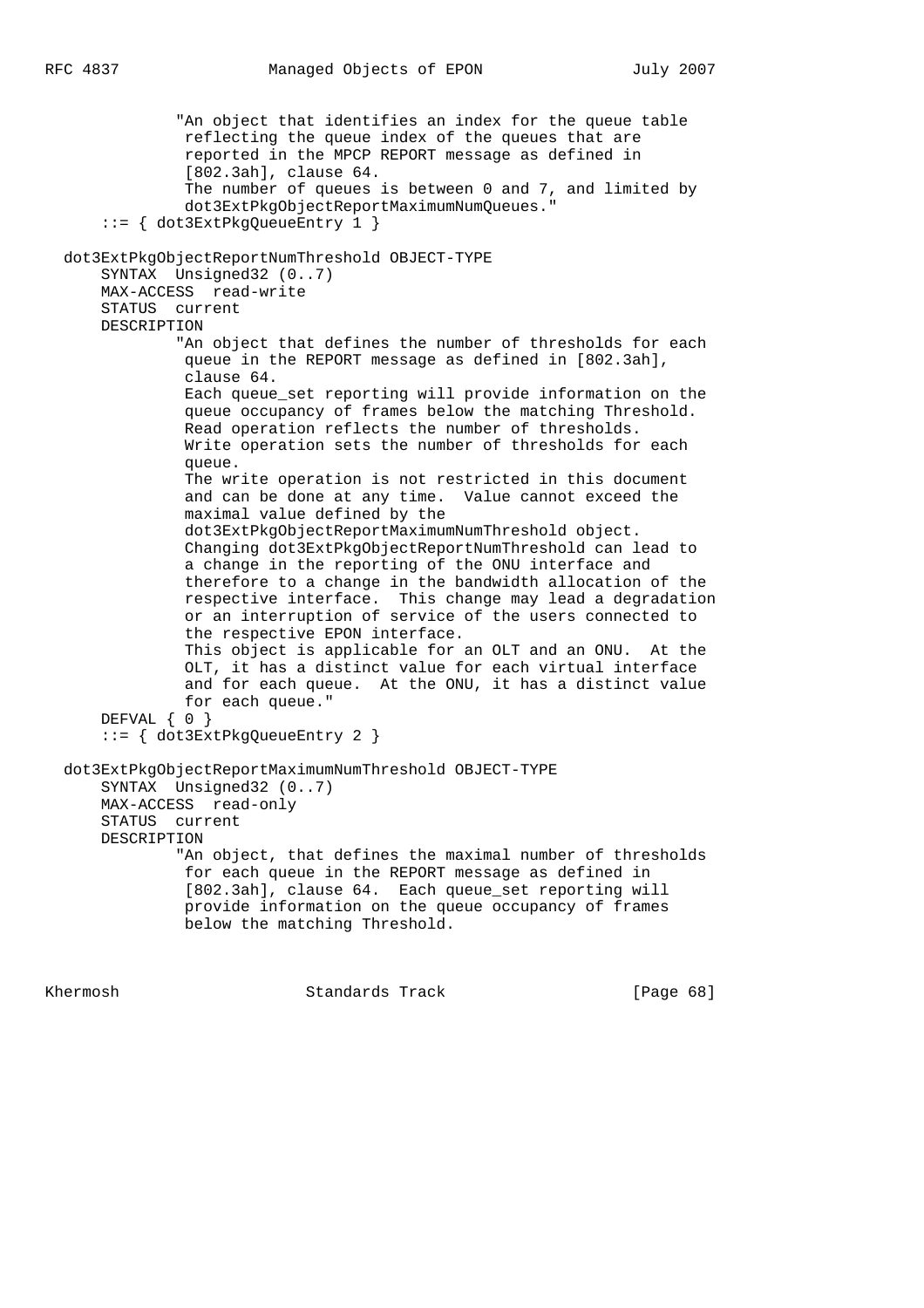"An object that identifies an index for the queue table reflecting the queue index of the queues that are reported in the MPCP REPORT message as defined in [802.3ah], clause 64. The number of queues is between 0 and 7, and limited by dot3ExtPkgObjectReportMaximumNumQueues." ::= { dot3ExtPkgQueueEntry 1 } dot3ExtPkgObjectReportNumThreshold OBJECT-TYPE SYNTAX Unsigned32 (0..7) MAX-ACCESS read-write STATUS current DESCRIPTION "An object that defines the number of thresholds for each queue in the REPORT message as defined in [802.3ah], clause 64. Each queue\_set reporting will provide information on the queue occupancy of frames below the matching Threshold. Read operation reflects the number of thresholds. Write operation sets the number of thresholds for each queue. The write operation is not restricted in this document and can be done at any time. Value cannot exceed the maximal value defined by the dot3ExtPkgObjectReportMaximumNumThreshold object. Changing dot3ExtPkgObjectReportNumThreshold can lead to a change in the reporting of the ONU interface and therefore to a change in the bandwidth allocation of the respective interface. This change may lead a degradation or an interruption of service of the users connected to the respective EPON interface. This object is applicable for an OLT and an ONU. At the OLT, it has a distinct value for each virtual interface and for each queue. At the ONU, it has a distinct value for each queue." DEFVAL { 0 } ::= { dot3ExtPkgQueueEntry 2 } dot3ExtPkgObjectReportMaximumNumThreshold OBJECT-TYPE SYNTAX Unsigned32 (0..7) MAX-ACCESS read-only STATUS current DESCRIPTION "An object, that defines the maximal number of thresholds for each queue in the REPORT message as defined in [802.3ah], clause 64. Each queue\_set reporting will provide information on the queue occupancy of frames below the matching Threshold.

Khermosh Standards Track [Page 68]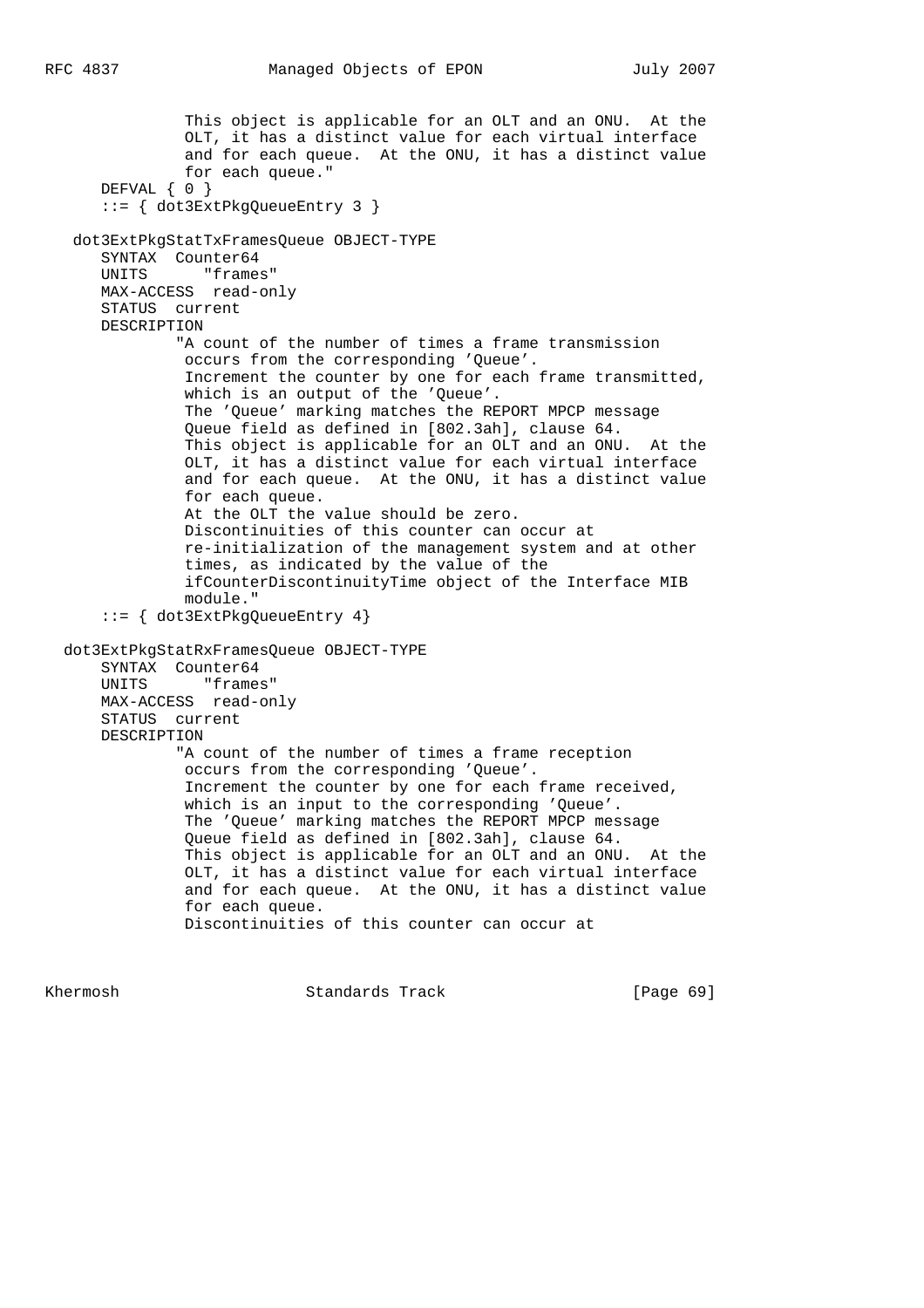```
 This object is applicable for an OLT and an ONU. At the
              OLT, it has a distinct value for each virtual interface
              and for each queue. At the ONU, it has a distinct value
              for each queue."
    DEFVAL { 0 }
     ::= { dot3ExtPkgQueueEntry 3 }
  dot3ExtPkgStatTxFramesQueue OBJECT-TYPE
     SYNTAX Counter64
     UNITS "frames"
     MAX-ACCESS read-only
     STATUS current
     DESCRIPTION
             "A count of the number of times a frame transmission
             occurs from the corresponding 'Queue'.
              Increment the counter by one for each frame transmitted,
              which is an output of the 'Queue'.
              The 'Queue' marking matches the REPORT MPCP message
              Queue field as defined in [802.3ah], clause 64.
              This object is applicable for an OLT and an ONU. At the
              OLT, it has a distinct value for each virtual interface
              and for each queue. At the ONU, it has a distinct value
              for each queue.
              At the OLT the value should be zero.
              Discontinuities of this counter can occur at
              re-initialization of the management system and at other
              times, as indicated by the value of the
              ifCounterDiscontinuityTime object of the Interface MIB
              module."
     ::= { dot3ExtPkgQueueEntry 4}
 dot3ExtPkgStatRxFramesQueue OBJECT-TYPE
     SYNTAX Counter64
     UNITS "frames"
     MAX-ACCESS read-only
     STATUS current
     DESCRIPTION
             "A count of the number of times a frame reception
              occurs from the corresponding 'Queue'.
              Increment the counter by one for each frame received,
              which is an input to the corresponding 'Queue'.
              The 'Queue' marking matches the REPORT MPCP message
              Queue field as defined in [802.3ah], clause 64.
              This object is applicable for an OLT and an ONU. At the
              OLT, it has a distinct value for each virtual interface
              and for each queue. At the ONU, it has a distinct value
              for each queue.
              Discontinuities of this counter can occur at
```
Khermosh Standards Track [Page 69]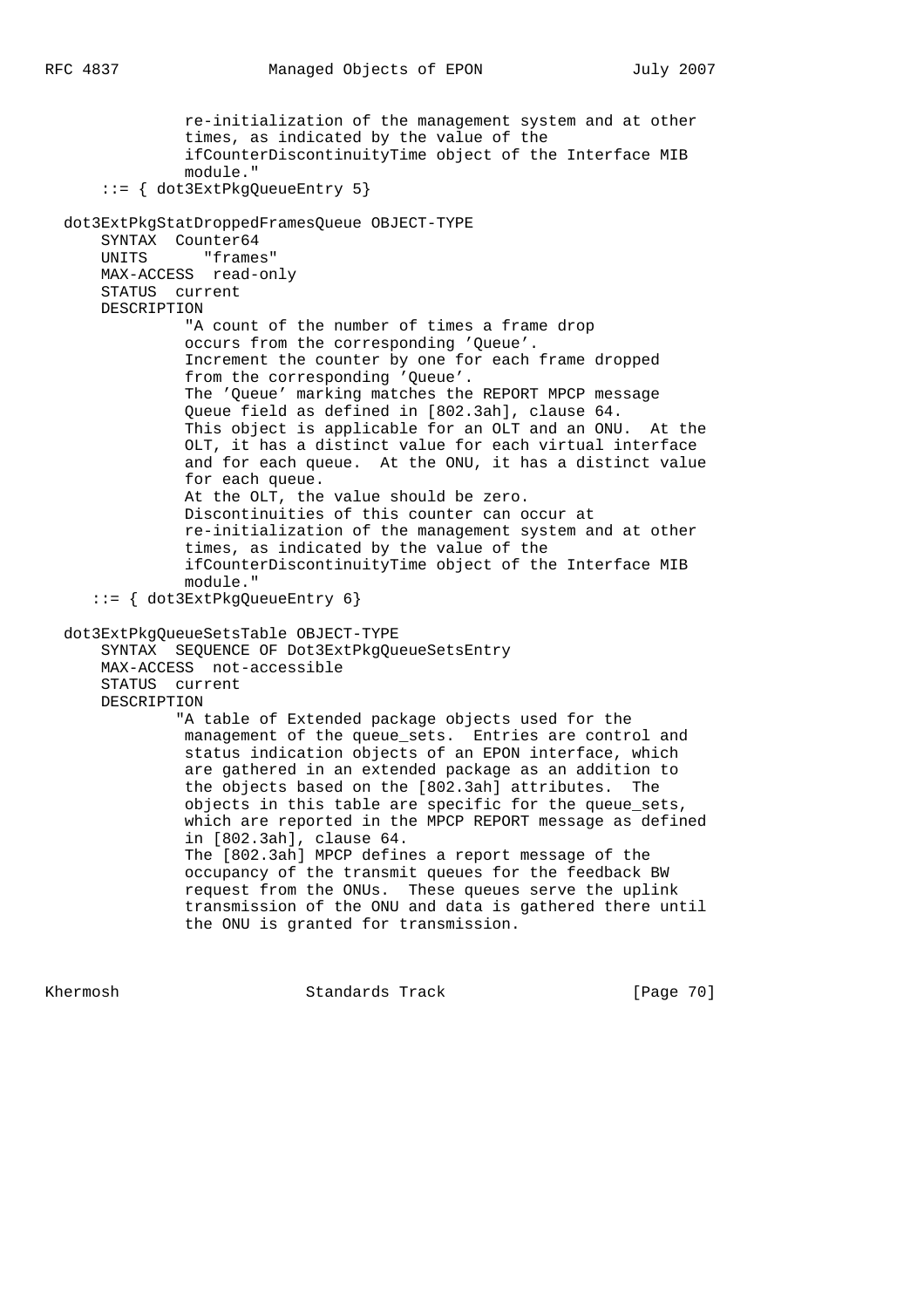re-initialization of the management system and at other times, as indicated by the value of the ifCounterDiscontinuityTime object of the Interface MIB module." ::= { dot3ExtPkgQueueEntry 5} dot3ExtPkgStatDroppedFramesQueue OBJECT-TYPE SYNTAX Counter64 UNITS "frames" MAX-ACCESS read-only STATUS current DESCRIPTION "A count of the number of times a frame drop occurs from the corresponding 'Queue'. Increment the counter by one for each frame dropped from the corresponding 'Queue'. The 'Queue' marking matches the REPORT MPCP message Queue field as defined in [802.3ah], clause 64. This object is applicable for an OLT and an ONU. At the OLT, it has a distinct value for each virtual interface and for each queue. At the ONU, it has a distinct value for each queue. At the OLT, the value should be zero. Discontinuities of this counter can occur at re-initialization of the management system and at other times, as indicated by the value of the ifCounterDiscontinuityTime object of the Interface MIB module." ::= { dot3ExtPkgQueueEntry 6} dot3ExtPkgQueueSetsTable OBJECT-TYPE SYNTAX SEQUENCE OF Dot3ExtPkgQueueSetsEntry MAX-ACCESS not-accessible STATUS current DESCRIPTION "A table of Extended package objects used for the management of the queue\_sets. Entries are control and status indication objects of an EPON interface, which are gathered in an extended package as an addition to the objects based on the [802.3ah] attributes. The objects in this table are specific for the queue\_sets, which are reported in the MPCP REPORT message as defined in [802.3ah], clause 64. The [802.3ah] MPCP defines a report message of the occupancy of the transmit queues for the feedback BW request from the ONUs. These queues serve the uplink transmission of the ONU and data is gathered there until the ONU is granted for transmission.

Khermosh Standards Track [Page 70]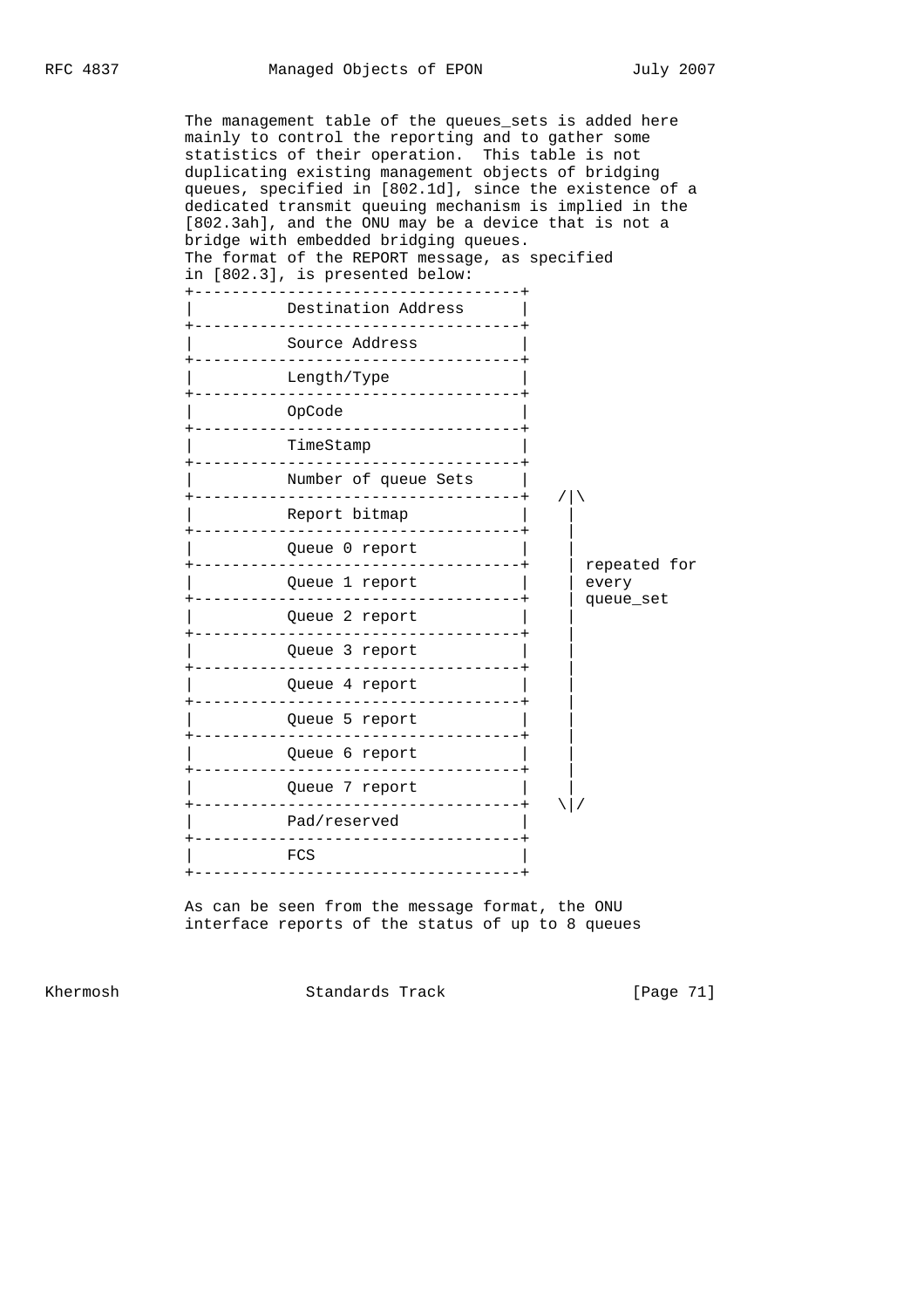The management table of the queues\_sets is added here mainly to control the reporting and to gather some statistics of their operation. This table is not duplicating existing management objects of bridging queues, specified in [802.1d], since the existence of a dedicated transmit queuing mechanism is implied in the [802.3ah], and the ONU may be a device that is not a bridge with embedded bridging queues. The format of the REPORT message, as specified in [802.3], is presented below: +-----------------------------------+ Destination Address | +-----------------------------------+ Source Address +-----------------------------------+ Length/Type +-----------------------------------+ | OpCode | +-----------------------------------+ | TimeStamp | +-----------------------------------+ Number of queue Sets | +-----------------------------------+ /|\ Report bitmap -----------------------Queue 0 report | +-----------------------------------+ | repeated for | Queue 1 report | | every +-----------------------------------+ | queue\_set Queue 2 report | +-----------------------------------+ | Queue 3 report +-----------------------------------+ | Queue 4 report +-----------------------------------+ | Queue 5 report +-----------------------------------+ | Queue 6 report +-----------------------------------+ | Queue 7 report +-----------------------------------+ \|/ Pad/reserved +-----------------------------------+ | FCS | +-----------------------------------+

> As can be seen from the message format, the ONU interface reports of the status of up to 8 queues

Khermosh Standards Track [Page 71]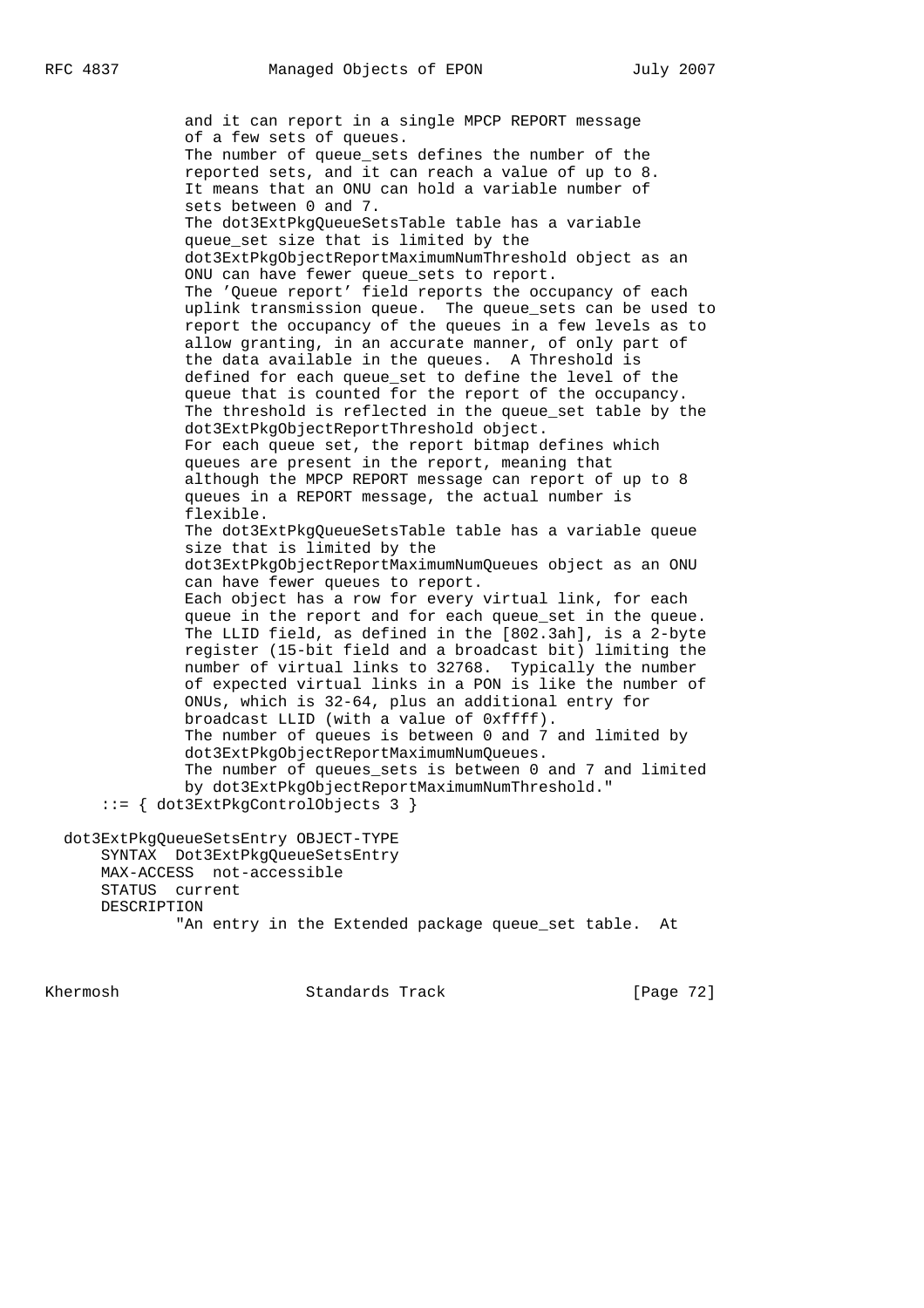and it can report in a single MPCP REPORT message of a few sets of queues. The number of queue sets defines the number of the reported sets, and it can reach a value of up to 8. It means that an ONU can hold a variable number of sets between 0 and 7. The dot3ExtPkgQueueSetsTable table has a variable queue set size that is limited by the dot3ExtPkgObjectReportMaximumNumThreshold object as an ONU can have fewer queue sets to report. The 'Queue report' field reports the occupancy of each uplink transmission queue. The queue\_sets can be used to report the occupancy of the queues in a few levels as to allow granting, in an accurate manner, of only part of the data available in the queues. A Threshold is defined for each queue\_set to define the level of the queue that is counted for the report of the occupancy. The threshold is reflected in the queue\_set table by the dot3ExtPkgObjectReportThreshold object. For each queue set, the report bitmap defines which queues are present in the report, meaning that although the MPCP REPORT message can report of up to 8 queues in a REPORT message, the actual number is flexible. The dot3ExtPkgQueueSetsTable table has a variable queue size that is limited by the dot3ExtPkgObjectReportMaximumNumQueues object as an ONU can have fewer queues to report. Each object has a row for every virtual link, for each queue in the report and for each queue\_set in the queue. The LLID field, as defined in the [802.3ah], is a 2-byte register (15-bit field and a broadcast bit) limiting the number of virtual links to 32768. Typically the number of expected virtual links in a PON is like the number of ONUs, which is 32-64, plus an additional entry for broadcast LLID (with a value of 0xffff). The number of queues is between 0 and 7 and limited by dot3ExtPkgObjectReportMaximumNumQueues. The number of queues\_sets is between 0 and 7 and limited by dot3ExtPkgObjectReportMaximumNumThreshold." ::= { dot3ExtPkgControlObjects 3 } dot3ExtPkgQueueSetsEntry OBJECT-TYPE SYNTAX Dot3ExtPkgQueueSetsEntry MAX-ACCESS not-accessible STATUS current DESCRIPTION

"An entry in the Extended package queue\_set table. At

Khermosh Standards Track [Page 72]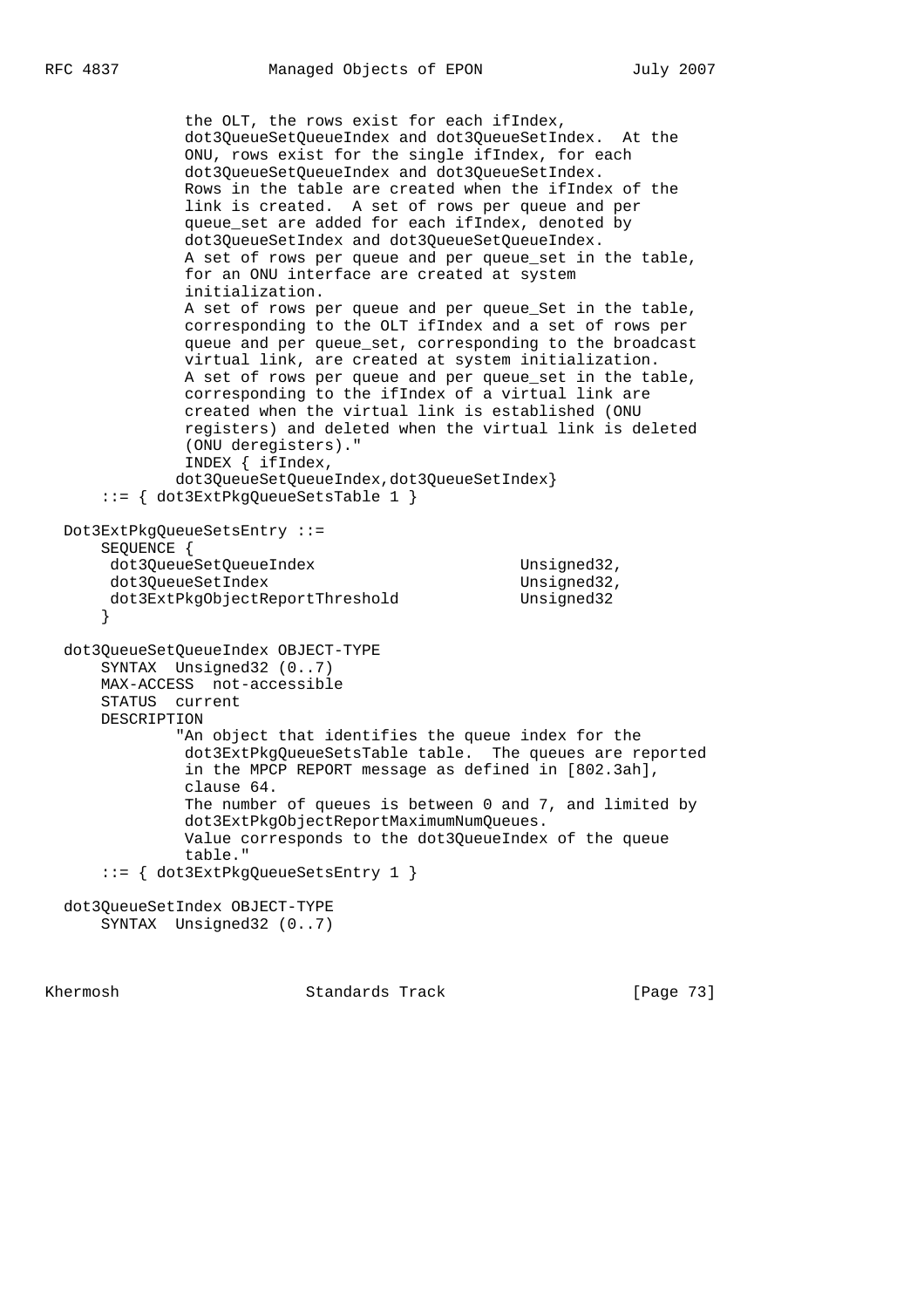```
 the OLT, the rows exist for each ifIndex,
            dot3QueueSetQueueIndex and dot3QueueSetIndex. At the
            ONU, rows exist for the single ifIndex, for each
            dot3QueueSetQueueIndex and dot3QueueSetIndex.
            Rows in the table are created when the ifIndex of the
            link is created. A set of rows per queue and per
            queue_set are added for each ifIndex, denoted by
            dot3QueueSetIndex and dot3QueueSetQueueIndex.
           A set of rows per queue and per queue set in the table,
            for an ONU interface are created at system
             initialization.
           A set of rows per queue and per queue Set in the table,
            corresponding to the OLT ifIndex and a set of rows per
            queue and per queue_set, corresponding to the broadcast
            virtual link, are created at system initialization.
            A set of rows per queue and per queue_set in the table,
            corresponding to the ifIndex of a virtual link are
            created when the virtual link is established (ONU
            registers) and deleted when the virtual link is deleted
            (ONU deregisters)."
            INDEX { ifIndex,
            dot3QueueSetQueueIndex,dot3QueueSetIndex}
    ::= { dot3ExtPkgQueueSetsTable 1 }
Dot3ExtPkgQueueSetsEntry ::=
    SEQUENCE {
   dot3QueueSetQueueIndex Unsigned32,
   dot3QueueSetIndex Unsigned32,
   dot3ExtPkgObjectReportThreshold Unsigned32
    }
dot3QueueSetQueueIndex OBJECT-TYPE
   SYNTAX Unsigned32 (0..7)
   MAX-ACCESS not-accessible
   STATUS current
   DESCRIPTION
            "An object that identifies the queue index for the
            dot3ExtPkgQueueSetsTable table. The queues are reported
            in the MPCP REPORT message as defined in [802.3ah],
            clause 64.
            The number of queues is between 0 and 7, and limited by
            dot3ExtPkgObjectReportMaximumNumQueues.
            Value corresponds to the dot3QueueIndex of the queue
            table."
    ::= { dot3ExtPkgQueueSetsEntry 1 }
dot3QueueSetIndex OBJECT-TYPE
    SYNTAX Unsigned32 (0..7)
```
Khermosh **Standards Track** [Page 73]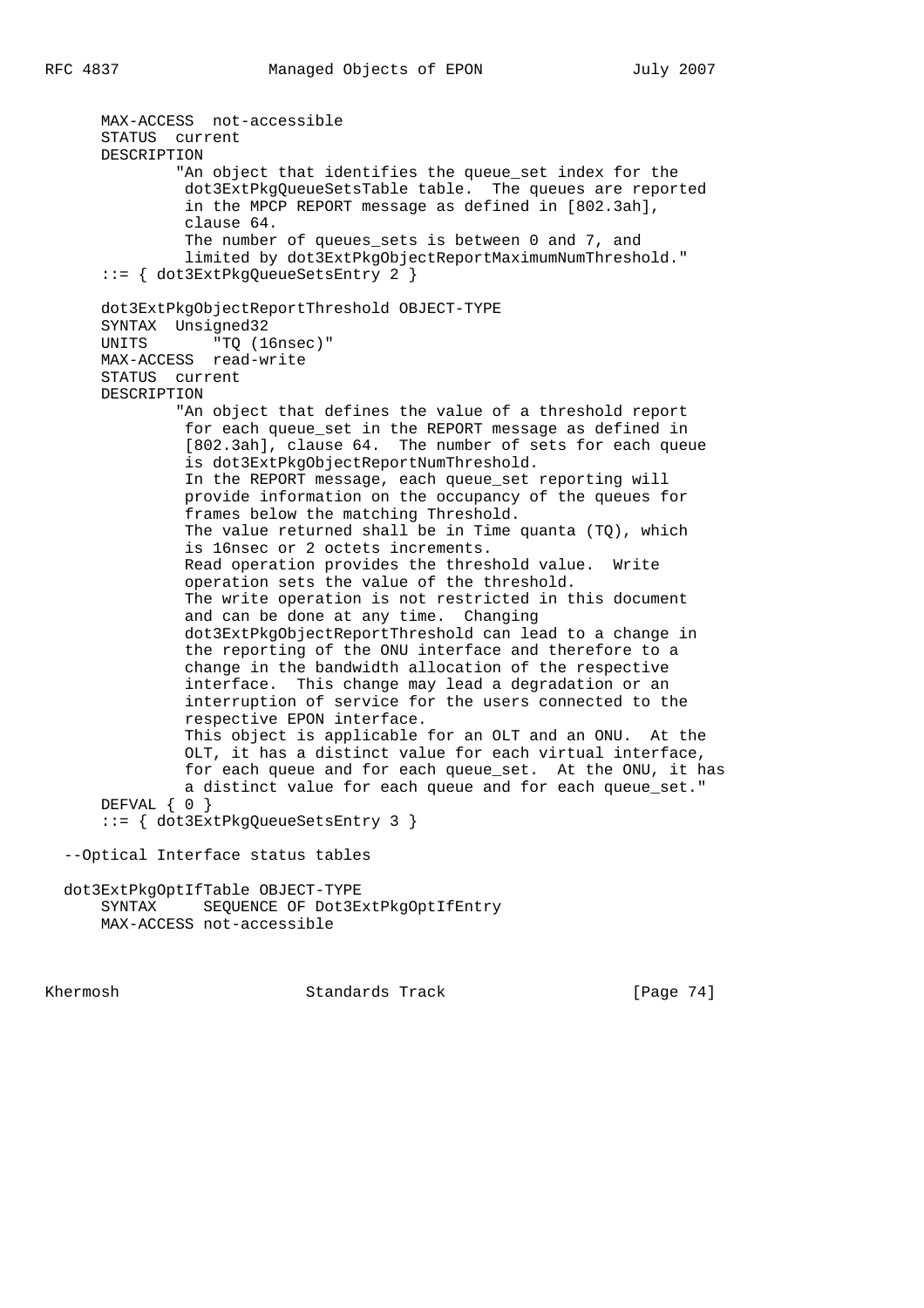MAX-ACCESS not-accessible STATUS current DESCRIPTION "An object that identifies the queue\_set index for the dot3ExtPkgQueueSetsTable table. The queues are reported in the MPCP REPORT message as defined in [802.3ah], clause 64. The number of queues\_sets is between 0 and 7, and limited by dot3ExtPkgObjectReportMaximumNumThreshold." ::= { dot3ExtPkgQueueSetsEntry 2 } dot3ExtPkgObjectReportThreshold OBJECT-TYPE SYNTAX Unsigned32 UNITS "TQ (16nsec)" MAX-ACCESS read-write STATUS current DESCRIPTION "An object that defines the value of a threshold report for each queue\_set in the REPORT message as defined in [802.3ah], clause 64. The number of sets for each queue is dot3ExtPkgObjectReportNumThreshold. In the REPORT message, each queue\_set reporting will provide information on the occupancy of the queues for frames below the matching Threshold. The value returned shall be in Time quanta (TQ), which is 16nsec or 2 octets increments. Read operation provides the threshold value. Write operation sets the value of the threshold. The write operation is not restricted in this document and can be done at any time. Changing dot3ExtPkgObjectReportThreshold can lead to a change in the reporting of the ONU interface and therefore to a change in the bandwidth allocation of the respective interface. This change may lead a degradation or an interruption of service for the users connected to the respective EPON interface. This object is applicable for an OLT and an ONU. At the OLT, it has a distinct value for each virtual interface, for each queue and for each queue\_set. At the ONU, it has a distinct value for each queue and for each queue\_set." DEFVAL { 0 } ::= { dot3ExtPkgQueueSetsEntry 3 } --Optical Interface status tables dot3ExtPkgOptIfTable OBJECT-TYPE SYNTAX SEQUENCE OF Dot3ExtPkgOptIfEntry MAX-ACCESS not-accessible

Khermosh **Standards Track** [Page 74]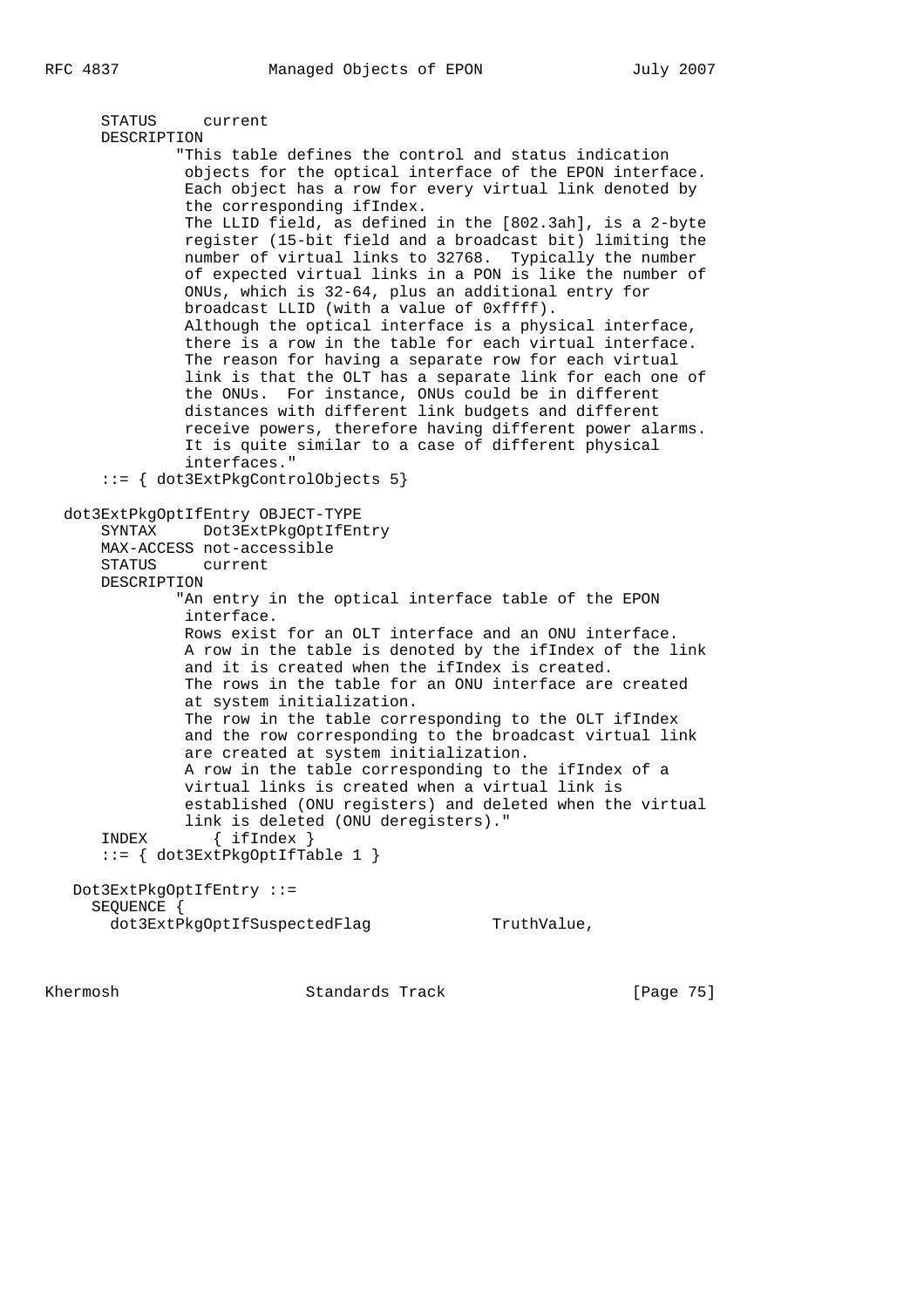```
 STATUS current
    DESCRIPTION
            "This table defines the control and status indication
             objects for the optical interface of the EPON interface.
             Each object has a row for every virtual link denoted by
             the corresponding ifIndex.
             The LLID field, as defined in the [802.3ah], is a 2-byte
             register (15-bit field and a broadcast bit) limiting the
             number of virtual links to 32768. Typically the number
             of expected virtual links in a PON is like the number of
             ONUs, which is 32-64, plus an additional entry for
             broadcast LLID (with a value of 0xffff).
             Although the optical interface is a physical interface,
             there is a row in the table for each virtual interface.
             The reason for having a separate row for each virtual
             link is that the OLT has a separate link for each one of
             the ONUs. For instance, ONUs could be in different
             distances with different link budgets and different
             receive powers, therefore having different power alarms.
             It is quite similar to a case of different physical
             interfaces."
    ::= { dot3ExtPkgControlObjects 5}
dot3ExtPkgOptIfEntry OBJECT-TYPE
    SYNTAX Dot3ExtPkgOptIfEntry
    MAX-ACCESS not-accessible
    STATUS current
    DESCRIPTION
            "An entry in the optical interface table of the EPON
             interface.
            Rows exist for an OLT interface and an ONU interface.
             A row in the table is denoted by the ifIndex of the link
             and it is created when the ifIndex is created.
             The rows in the table for an ONU interface are created
             at system initialization.
             The row in the table corresponding to the OLT ifIndex
             and the row corresponding to the broadcast virtual link
             are created at system initialization.
             A row in the table corresponding to the ifIndex of a
             virtual links is created when a virtual link is
             established (ONU registers) and deleted when the virtual
   link is deleted (ONU deregisters)."<br>INDEX { ifIndex }
           \{ ifIndex \} ::= { dot3ExtPkgOptIfTable 1 }
 Dot3ExtPkgOptIfEntry ::=
   SEQUENCE {
   dot3ExtPkgOptIfSuspectedFlag TruthValue,
```
Khermosh Standards Track [Page 75]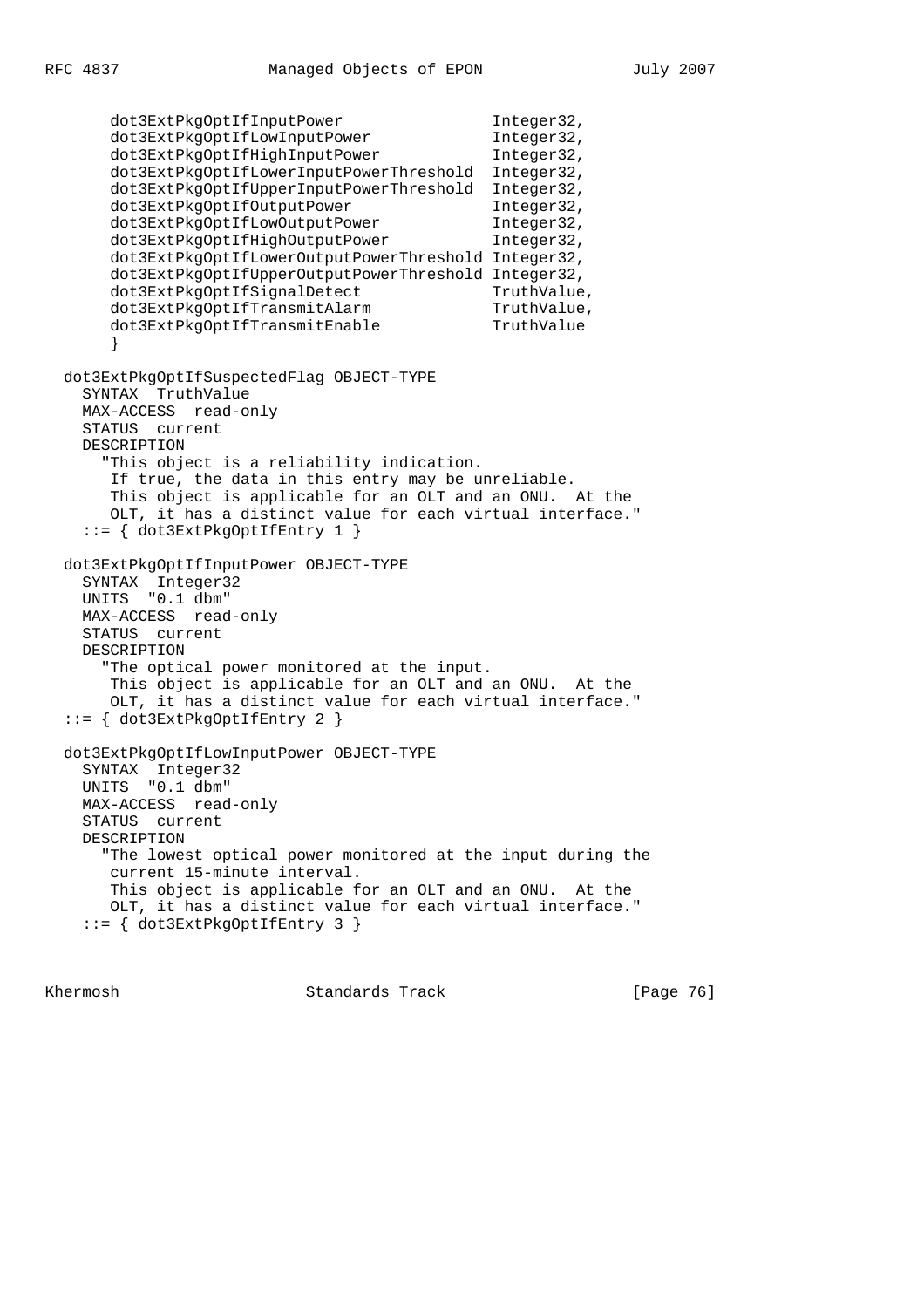dot3ExtPkgOptIfInputPower Integer32, dot3ExtPkgOptIfLowInputPower Integer32, dot3ExtPkgOptIfHighInputPower Integer32, dot3ExtPkgOptIfLowerInputPowerThreshold Integer32, dot3ExtPkgOptIfUpperInputPowerThreshold Integer32, dot3ExtPkgOptIfOutputPower Integer32, dot3ExtPkgOptIfLowOutputPower Integer32, dot3ExtPkgOptIfHighOutputPower Integer32, dot3ExtPkgOptIfLowerOutputPowerThreshold Integer32, dot3ExtPkgOptIfUpperOutputPowerThreshold Integer32, dot3ExtPkqOptIfSiqnalDetect TruthValue, dot3ExtPkgOptIfTransmitAlarm TruthValue, dot3ExtPkgOptIfTransmitEnable TruthValue } dot3ExtPkgOptIfSuspectedFlag OBJECT-TYPE SYNTAX TruthValue MAX-ACCESS read-only STATUS current DESCRIPTION "This object is a reliability indication. If true, the data in this entry may be unreliable. This object is applicable for an OLT and an ONU. At the OLT, it has a distinct value for each virtual interface." ::= { dot3ExtPkgOptIfEntry 1 } dot3ExtPkgOptIfInputPower OBJECT-TYPE SYNTAX Integer32 UNITS "0.1 dbm" MAX-ACCESS read-only STATUS current DESCRIPTION "The optical power monitored at the input. This object is applicable for an OLT and an ONU. At the OLT, it has a distinct value for each virtual interface." ::= { dot3ExtPkgOptIfEntry 2 } dot3ExtPkgOptIfLowInputPower OBJECT-TYPE SYNTAX Integer32 UNITS "0.1 dbm" MAX-ACCESS read-only STATUS current DESCRIPTION "The lowest optical power monitored at the input during the current 15-minute interval. This object is applicable for an OLT and an ONU. At the OLT, it has a distinct value for each virtual interface." ::= { dot3ExtPkgOptIfEntry 3 }

Khermosh Standards Track [Page 76]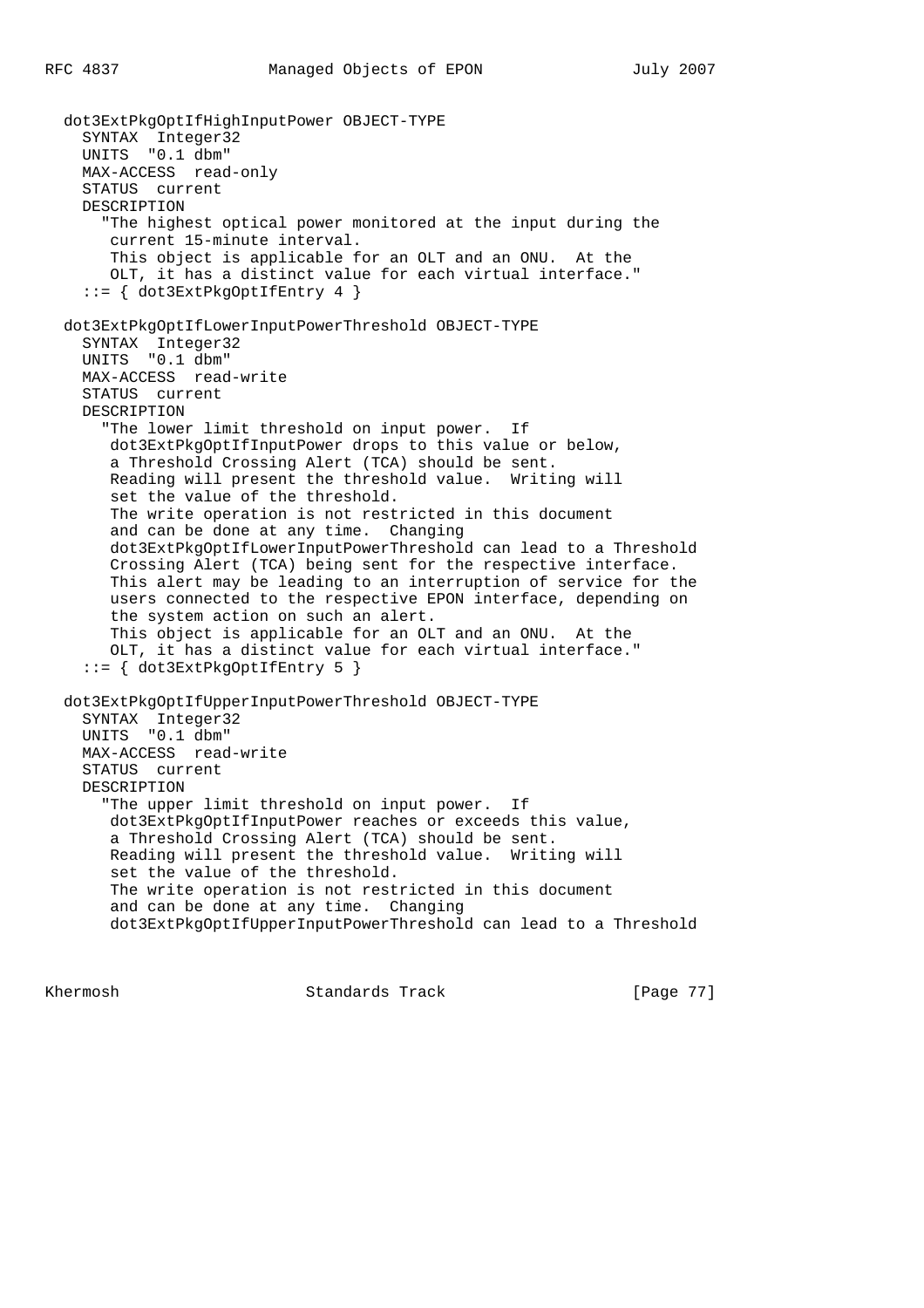dot3ExtPkgOptIfHighInputPower OBJECT-TYPE SYNTAX Integer32 UNITS "0.1 dbm" MAX-ACCESS read-only STATUS current DESCRIPTION "The highest optical power monitored at the input during the current 15-minute interval. This object is applicable for an OLT and an ONU. At the OLT, it has a distinct value for each virtual interface." ::= { dot3ExtPkgOptIfEntry 4 } dot3ExtPkgOptIfLowerInputPowerThreshold OBJECT-TYPE SYNTAX Integer32 UNITS "0.1 dbm" MAX-ACCESS read-write STATUS current DESCRIPTION "The lower limit threshold on input power. If dot3ExtPkgOptIfInputPower drops to this value or below, a Threshold Crossing Alert (TCA) should be sent. Reading will present the threshold value. Writing will set the value of the threshold. The write operation is not restricted in this document and can be done at any time. Changing dot3ExtPkgOptIfLowerInputPowerThreshold can lead to a Threshold Crossing Alert (TCA) being sent for the respective interface. This alert may be leading to an interruption of service for the users connected to the respective EPON interface, depending on the system action on such an alert. This object is applicable for an OLT and an ONU. At the OLT, it has a distinct value for each virtual interface." ::= { dot3ExtPkgOptIfEntry 5 } dot3ExtPkgOptIfUpperInputPowerThreshold OBJECT-TYPE SYNTAX Integer32 UNITS "0.1 dbm" MAX-ACCESS read-write STATUS current DESCRIPTION "The upper limit threshold on input power. If dot3ExtPkgOptIfInputPower reaches or exceeds this value, a Threshold Crossing Alert (TCA) should be sent. Reading will present the threshold value. Writing will set the value of the threshold. The write operation is not restricted in this document and can be done at any time. Changing dot3ExtPkgOptIfUpperInputPowerThreshold can lead to a Threshold

Khermosh **Standards Track** [Page 77]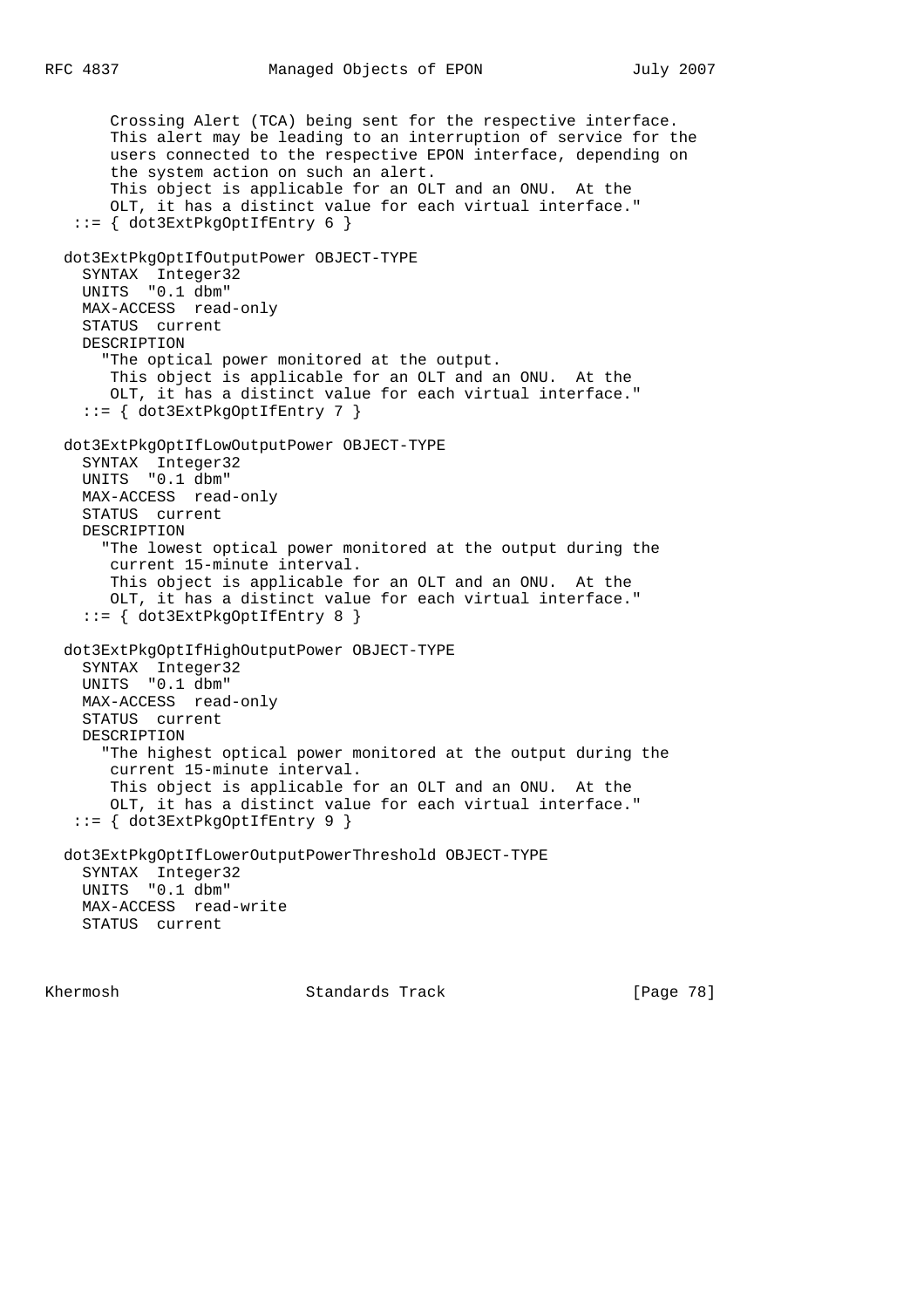Crossing Alert (TCA) being sent for the respective interface. This alert may be leading to an interruption of service for the users connected to the respective EPON interface, depending on the system action on such an alert. This object is applicable for an OLT and an ONU. At the OLT, it has a distinct value for each virtual interface." ::= { dot3ExtPkgOptIfEntry 6 } dot3ExtPkgOptIfOutputPower OBJECT-TYPE SYNTAX Integer32 UNITS "0.1 dbm" MAX-ACCESS read-only STATUS current DESCRIPTION "The optical power monitored at the output. This object is applicable for an OLT and an ONU. At the OLT, it has a distinct value for each virtual interface." ::= { dot3ExtPkgOptIfEntry 7 } dot3ExtPkgOptIfLowOutputPower OBJECT-TYPE SYNTAX Integer32 UNITS "0.1 dbm" MAX-ACCESS read-only STATUS current DESCRIPTION "The lowest optical power monitored at the output during the current 15-minute interval. This object is applicable for an OLT and an ONU. At the OLT, it has a distinct value for each virtual interface." ::= { dot3ExtPkgOptIfEntry 8 } dot3ExtPkgOptIfHighOutputPower OBJECT-TYPE SYNTAX Integer32 UNITS "0.1 dbm" MAX-ACCESS read-only STATUS current DESCRIPTION "The highest optical power monitored at the output during the current 15-minute interval. This object is applicable for an OLT and an ONU. At the OLT, it has a distinct value for each virtual interface." ::= { dot3ExtPkgOptIfEntry 9 } dot3ExtPkgOptIfLowerOutputPowerThreshold OBJECT-TYPE SYNTAX Integer32 UNITS "0.1 dbm" MAX-ACCESS read-write STATUS current

Khermosh Standards Track [Page 78]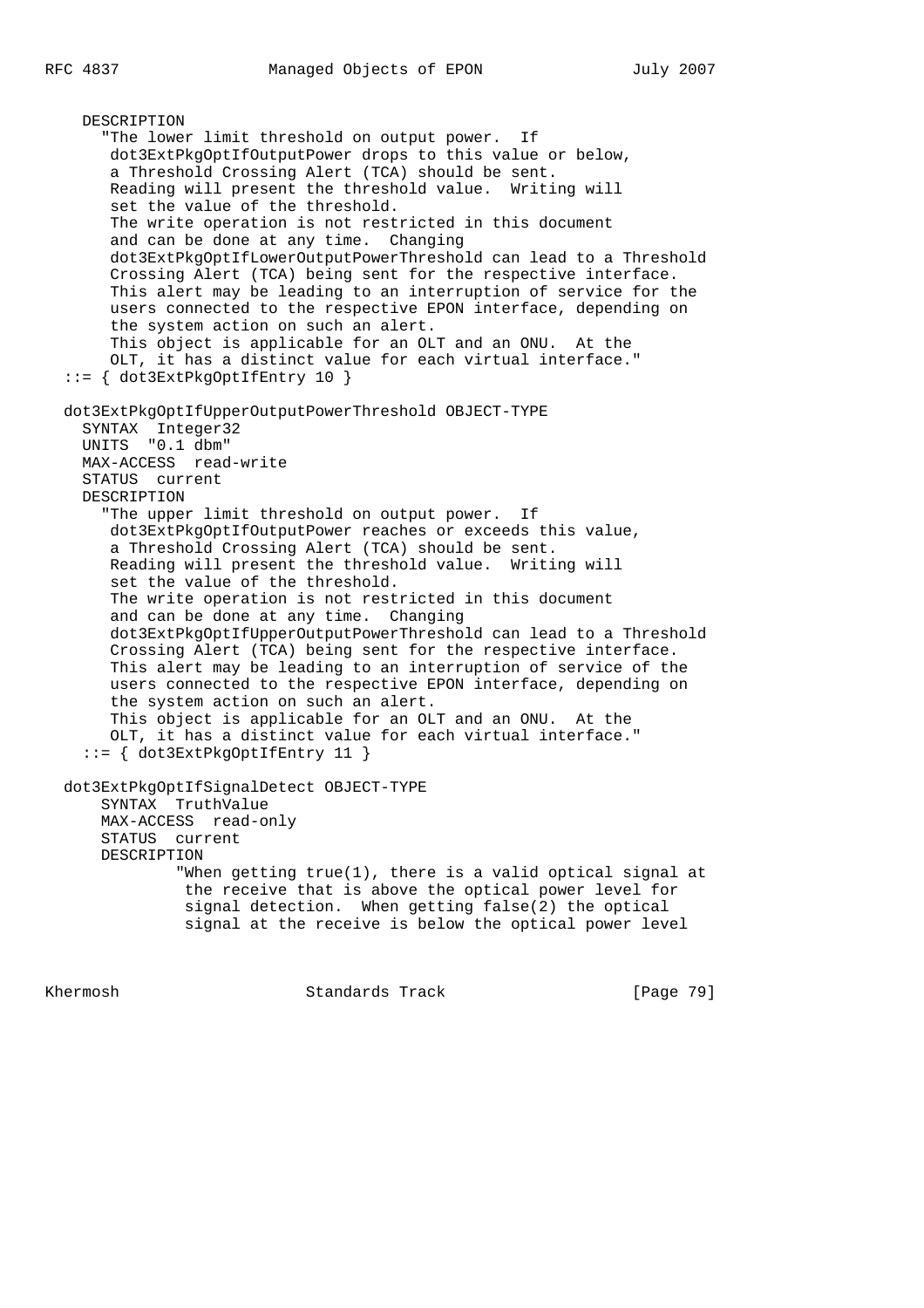DESCRIPTION "The lower limit threshold on output power. If dot3ExtPkgOptIfOutputPower drops to this value or below, a Threshold Crossing Alert (TCA) should be sent. Reading will present the threshold value. Writing will set the value of the threshold. The write operation is not restricted in this document and can be done at any time. Changing dot3ExtPkgOptIfLowerOutputPowerThreshold can lead to a Threshold Crossing Alert (TCA) being sent for the respective interface. This alert may be leading to an interruption of service for the users connected to the respective EPON interface, depending on the system action on such an alert. This object is applicable for an OLT and an ONU. At the OLT, it has a distinct value for each virtual interface." ::= { dot3ExtPkgOptIfEntry 10 } dot3ExtPkgOptIfUpperOutputPowerThreshold OBJECT-TYPE SYNTAX Integer32 UNITS "0.1 dbm" MAX-ACCESS read-write STATUS current DESCRIPTION "The upper limit threshold on output power. If dot3ExtPkgOptIfOutputPower reaches or exceeds this value, a Threshold Crossing Alert (TCA) should be sent. Reading will present the threshold value. Writing will set the value of the threshold. The write operation is not restricted in this document and can be done at any time. Changing dot3ExtPkgOptIfUpperOutputPowerThreshold can lead to a Threshold Crossing Alert (TCA) being sent for the respective interface. This alert may be leading to an interruption of service of the users connected to the respective EPON interface, depending on the system action on such an alert. This object is applicable for an OLT and an ONU. At the OLT, it has a distinct value for each virtual interface." ::= { dot3ExtPkgOptIfEntry 11 } dot3ExtPkgOptIfSignalDetect OBJECT-TYPE SYNTAX TruthValue MAX-ACCESS read-only STATUS current DESCRIPTION "When getting true(1), there is a valid optical signal at the receive that is above the optical power level for signal detection. When getting false(2) the optical signal at the receive is below the optical power level

Khermosh Standards Track [Page 79]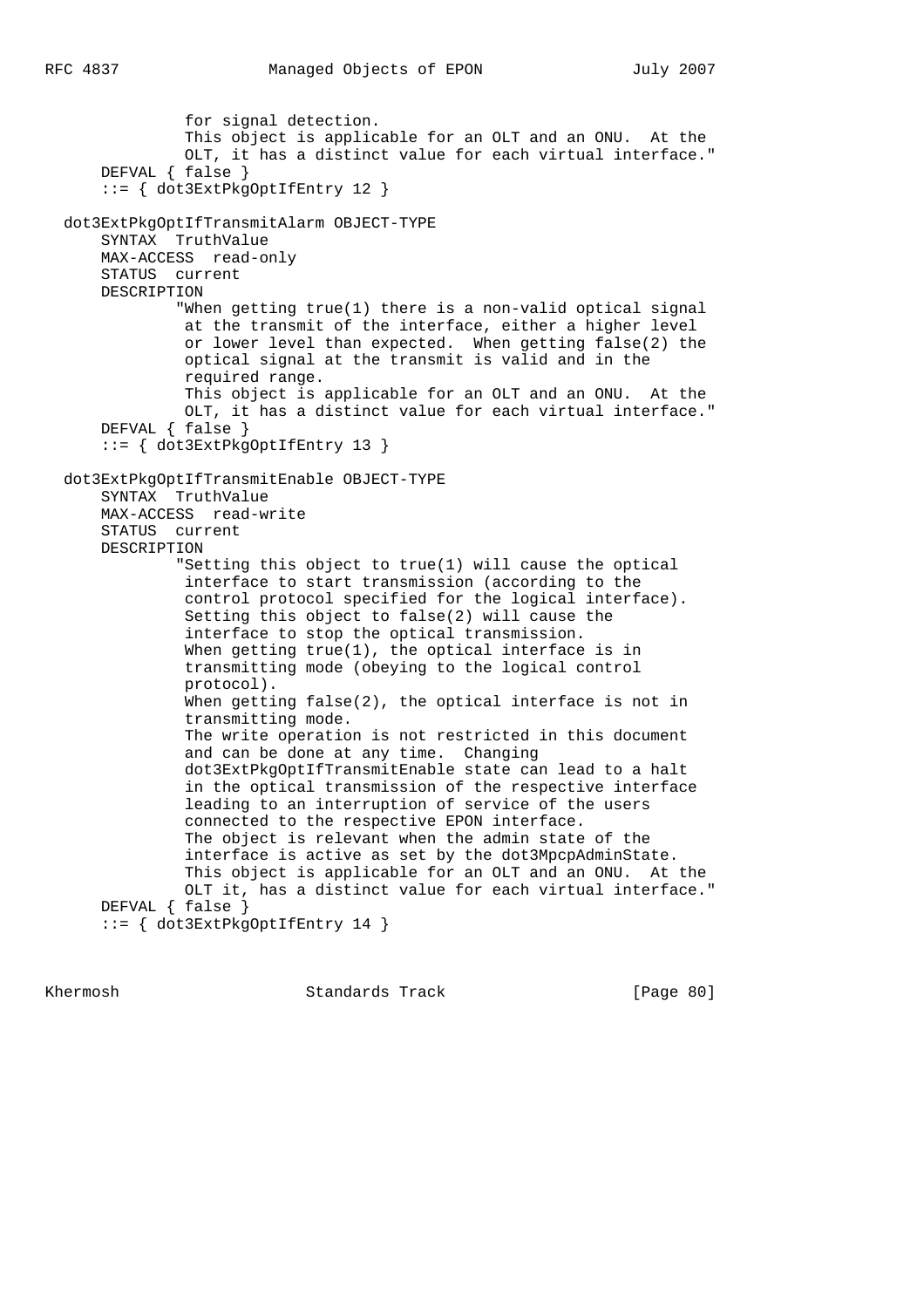for signal detection. This object is applicable for an OLT and an ONU. At the OLT, it has a distinct value for each virtual interface." DEFVAL { false } ::= { dot3ExtPkgOptIfEntry 12 } dot3ExtPkgOptIfTransmitAlarm OBJECT-TYPE SYNTAX TruthValue MAX-ACCESS read-only STATUS current DESCRIPTION "When getting true(1) there is a non-valid optical signal at the transmit of the interface, either a higher level or lower level than expected. When getting false(2) the optical signal at the transmit is valid and in the required range. This object is applicable for an OLT and an ONU. At the OLT, it has a distinct value for each virtual interface." DEFVAL { false } ::= { dot3ExtPkgOptIfEntry 13 } dot3ExtPkgOptIfTransmitEnable OBJECT-TYPE SYNTAX TruthValue MAX-ACCESS read-write STATUS current DESCRIPTION "Setting this object to true(1) will cause the optical interface to start transmission (according to the control protocol specified for the logical interface). Setting this object to false(2) will cause the interface to stop the optical transmission. When getting true(1), the optical interface is in transmitting mode (obeying to the logical control protocol). When getting false(2), the optical interface is not in transmitting mode. The write operation is not restricted in this document and can be done at any time. Changing dot3ExtPkgOptIfTransmitEnable state can lead to a halt in the optical transmission of the respective interface leading to an interruption of service of the users connected to the respective EPON interface. The object is relevant when the admin state of the interface is active as set by the dot3MpcpAdminState. This object is applicable for an OLT and an ONU. At the OLT it, has a distinct value for each virtual interface." DEFVAL { false } ::= { dot3ExtPkgOptIfEntry 14 }

Khermosh Standards Track [Page 80]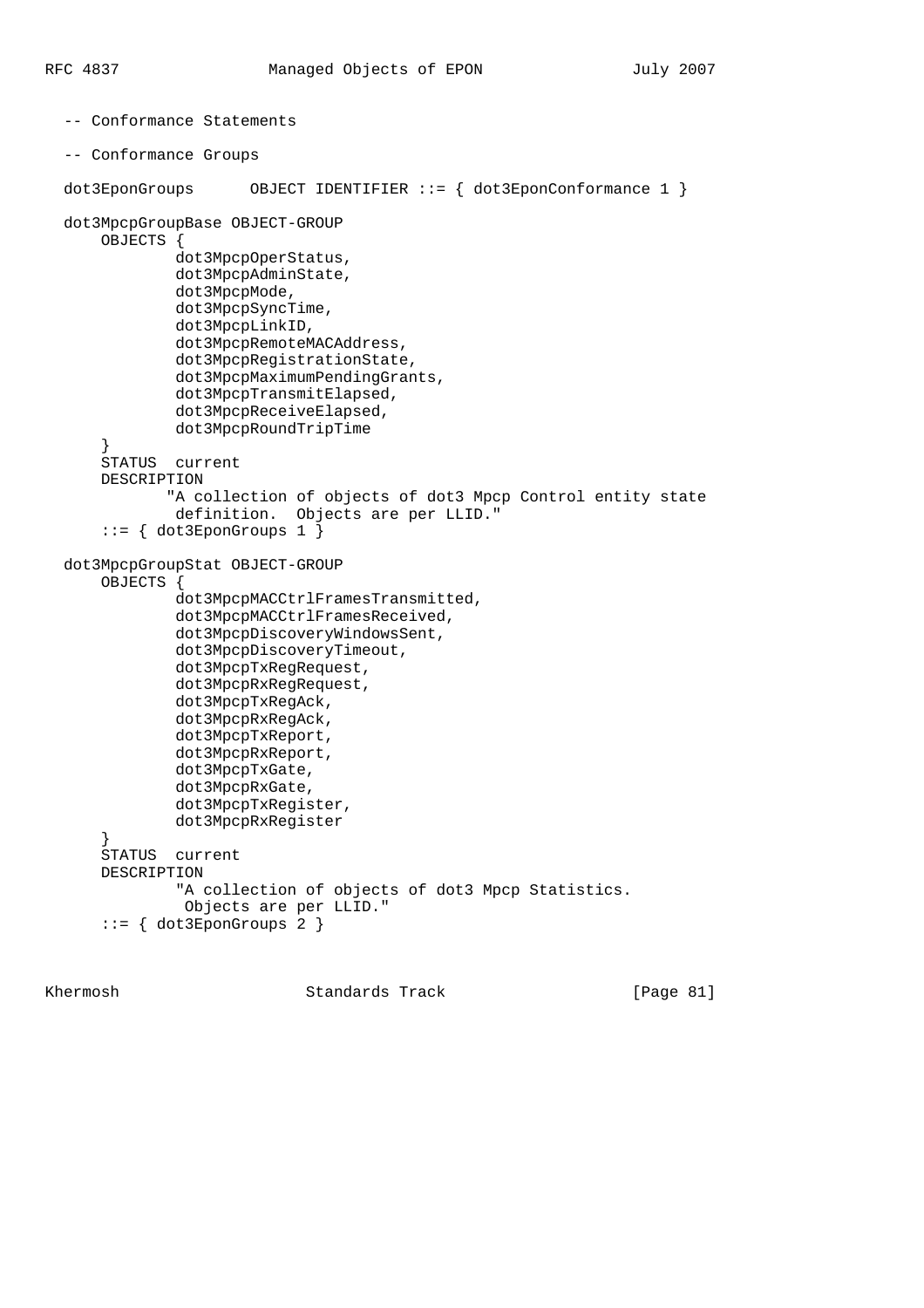```
 -- Conformance Statements
 -- Conformance Groups
dot3EponGroups OBJECT IDENTIFIER ::= \{ dot3EponConformance 1 \} dot3MpcpGroupBase OBJECT-GROUP
     OBJECTS {
              dot3MpcpOperStatus,
              dot3MpcpAdminState,
              dot3MpcpMode,
              dot3MpcpSyncTime,
              dot3MpcpLinkID,
              dot3MpcpRemoteMACAddress,
              dot3MpcpRegistrationState,
              dot3MpcpMaximumPendingGrants,
              dot3MpcpTransmitElapsed,
              dot3MpcpReceiveElapsed,
              dot3MpcpRoundTripTime
}
      STATUS current
     DESCRIPTION
             "A collection of objects of dot3 Mpcp Control entity state
              definition. Objects are per LLID."
     ::= { dot3EponGroups 1 }
 dot3MpcpGroupStat OBJECT-GROUP
      OBJECTS {
              dot3MpcpMACCtrlFramesTransmitted,
              dot3MpcpMACCtrlFramesReceived,
              dot3MpcpDiscoveryWindowsSent,
              dot3MpcpDiscoveryTimeout,
              dot3MpcpTxRegRequest,
              dot3MpcpRxRegRequest,
              dot3MpcpTxRegAck,
              dot3MpcpRxRegAck,
              dot3MpcpTxReport,
              dot3MpcpRxReport,
              dot3MpcpTxGate,
              dot3MpcpRxGate,
              dot3MpcpTxRegister,
              dot3MpcpRxRegister
}
     STATUS current
     DESCRIPTION
              "A collection of objects of dot3 Mpcp Statistics.
               Objects are per LLID."
      ::= { dot3EponGroups 2 }
```
Khermosh Standards Track [Page 81]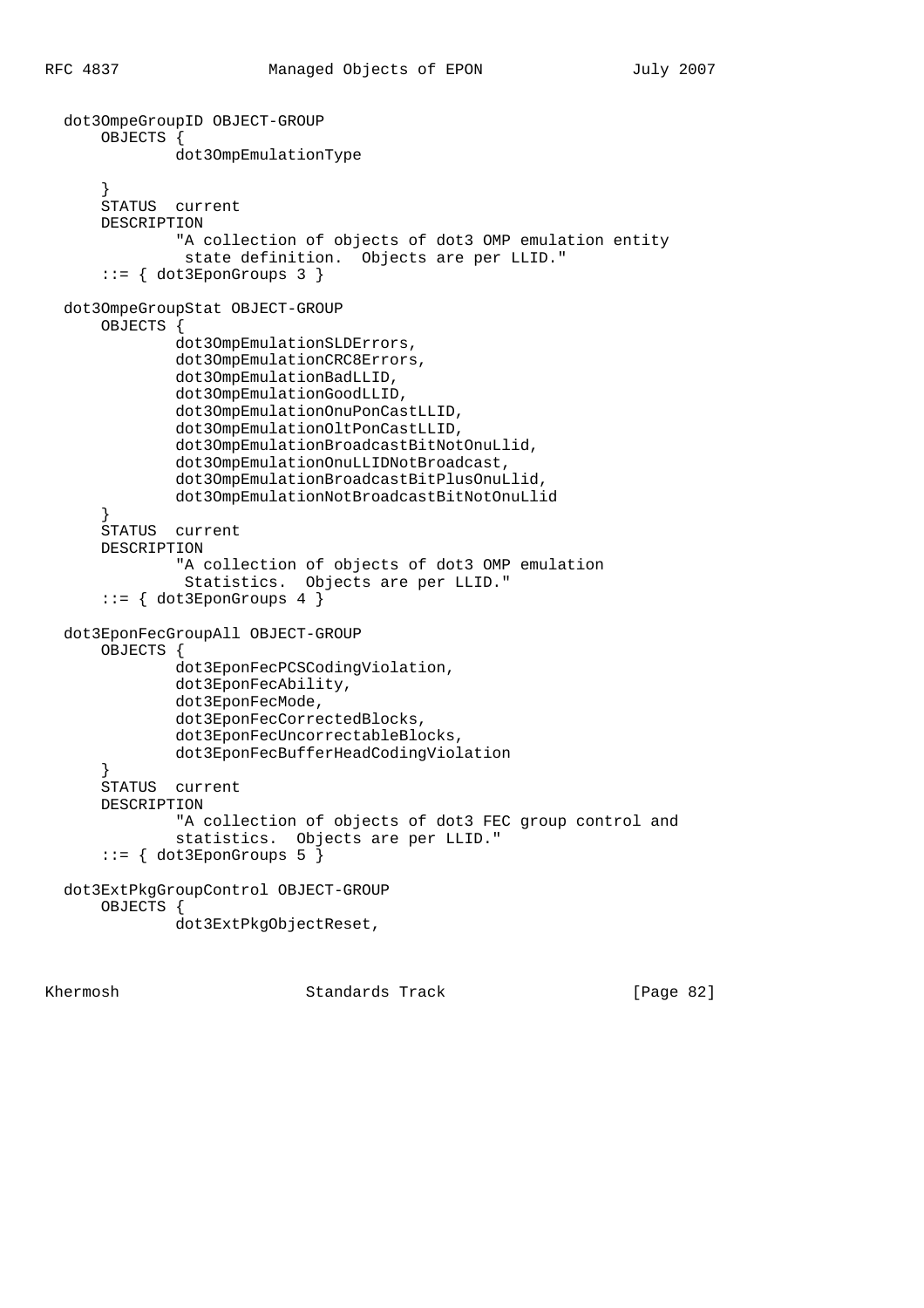```
 dot3OmpeGroupID OBJECT-GROUP
     OBJECTS {
              dot3OmpEmulationType
}
      STATUS current
     DESCRIPTION
              "A collection of objects of dot3 OMP emulation entity
               state definition. Objects are per LLID."
     ::= { dot3EponGroups 3 }
 dot3OmpeGroupStat OBJECT-GROUP
     OBJECTS {
              dot3OmpEmulationSLDErrors,
              dot3OmpEmulationCRC8Errors,
              dot3OmpEmulationBadLLID,
              dot3OmpEmulationGoodLLID,
              dot3OmpEmulationOnuPonCastLLID,
              dot3OmpEmulationOltPonCastLLID,
              dot3OmpEmulationBroadcastBitNotOnuLlid,
              dot3OmpEmulationOnuLLIDNotBroadcast,
              dot3OmpEmulationBroadcastBitPlusOnuLlid,
              dot3OmpEmulationNotBroadcastBitNotOnuLlid
}
      STATUS current
     DESCRIPTION
              "A collection of objects of dot3 OMP emulation
               Statistics. Objects are per LLID."
     ::= { dot3EponGroups 4 }
 dot3EponFecGroupAll OBJECT-GROUP
      OBJECTS {
              dot3EponFecPCSCodingViolation,
              dot3EponFecAbility,
              dot3EponFecMode,
              dot3EponFecCorrectedBlocks,
              dot3EponFecUncorrectableBlocks,
              dot3EponFecBufferHeadCodingViolation
}
     STATUS current
     DESCRIPTION
              "A collection of objects of dot3 FEC group control and
              statistics. Objects are per LLID."
      ::= { dot3EponGroups 5 }
 dot3ExtPkgGroupControl OBJECT-GROUP
     OBJECTS {
              dot3ExtPkgObjectReset,
```
Khermosh Standards Track [Page 82]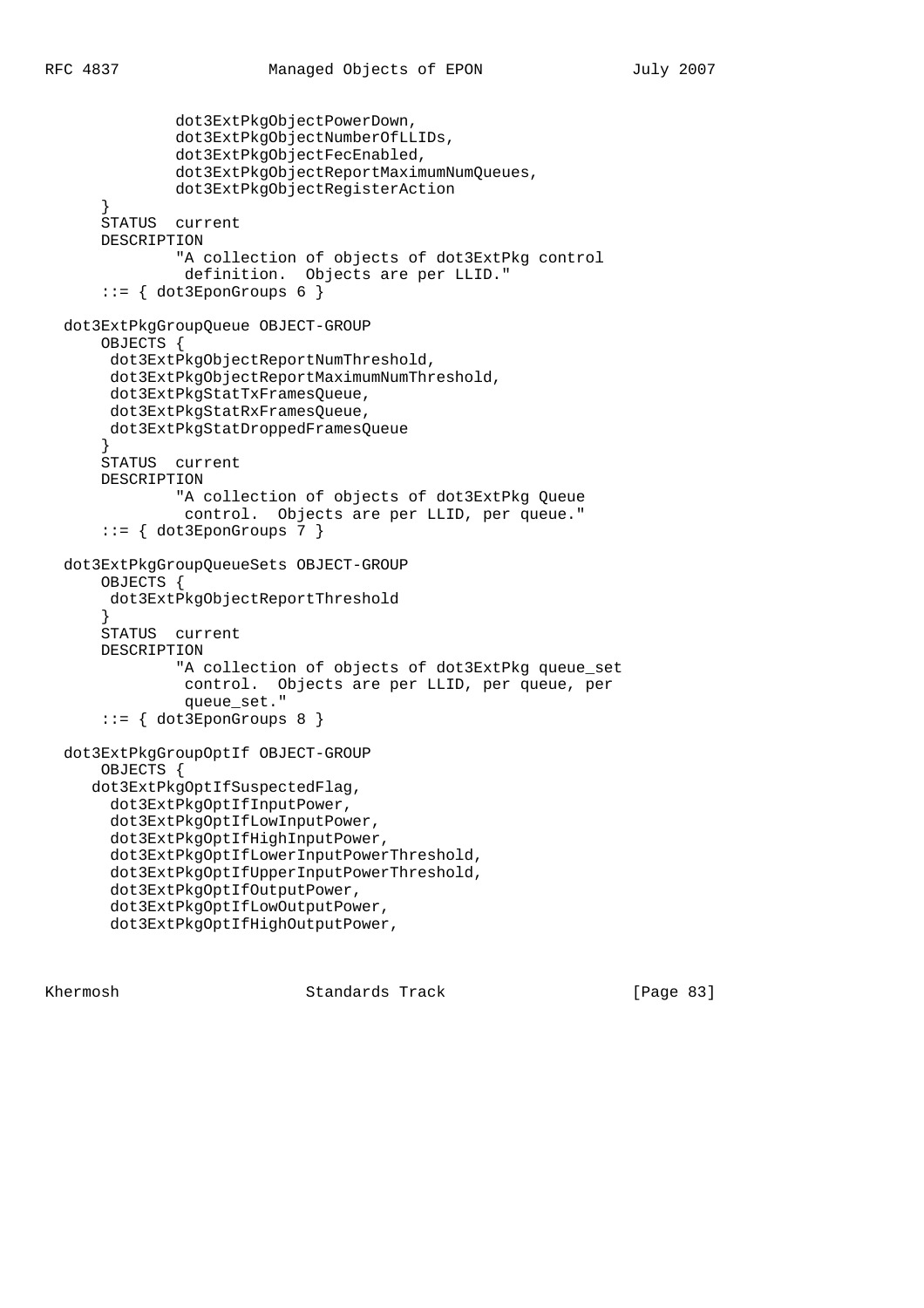```
 dot3ExtPkgObjectPowerDown,
              dot3ExtPkgObjectNumberOfLLIDs,
              dot3ExtPkgObjectFecEnabled,
              dot3ExtPkgObjectReportMaximumNumQueues,
              dot3ExtPkgObjectRegisterAction
}
     STATUS current
     DESCRIPTION
              "A collection of objects of dot3ExtPkg control
              definition. Objects are per LLID."
     ::= { dot3EponGroups 6 }
 dot3ExtPkgGroupQueue OBJECT-GROUP
      OBJECTS {
      dot3ExtPkgObjectReportNumThreshold,
      dot3ExtPkgObjectReportMaximumNumThreshold,
      dot3ExtPkgStatTxFramesQueue,
      dot3ExtPkgStatRxFramesQueue,
      dot3ExtPkgStatDroppedFramesQueue
}
      STATUS current
     DESCRIPTION
              "A collection of objects of dot3ExtPkg Queue
               control. Objects are per LLID, per queue."
      ::= { dot3EponGroups 7 }
 dot3ExtPkgGroupQueueSets OBJECT-GROUP
     OBJECTS {
      dot3ExtPkgObjectReportThreshold
}
     STATUS current
     DESCRIPTION
              "A collection of objects of dot3ExtPkg queue_set
              control. Objects are per LLID, per queue, per
              queue set."
      ::= { dot3EponGroups 8 }
 dot3ExtPkgGroupOptIf OBJECT-GROUP
     OBJECTS {
    dot3ExtPkgOptIfSuspectedFlag,
      dot3ExtPkgOptIfInputPower,
      dot3ExtPkgOptIfLowInputPower,
      dot3ExtPkgOptIfHighInputPower,
      dot3ExtPkgOptIfLowerInputPowerThreshold,
      dot3ExtPkgOptIfUpperInputPowerThreshold,
      dot3ExtPkgOptIfOutputPower,
      dot3ExtPkgOptIfLowOutputPower,
      dot3ExtPkgOptIfHighOutputPower,
```
Khermosh Standards Track [Page 83]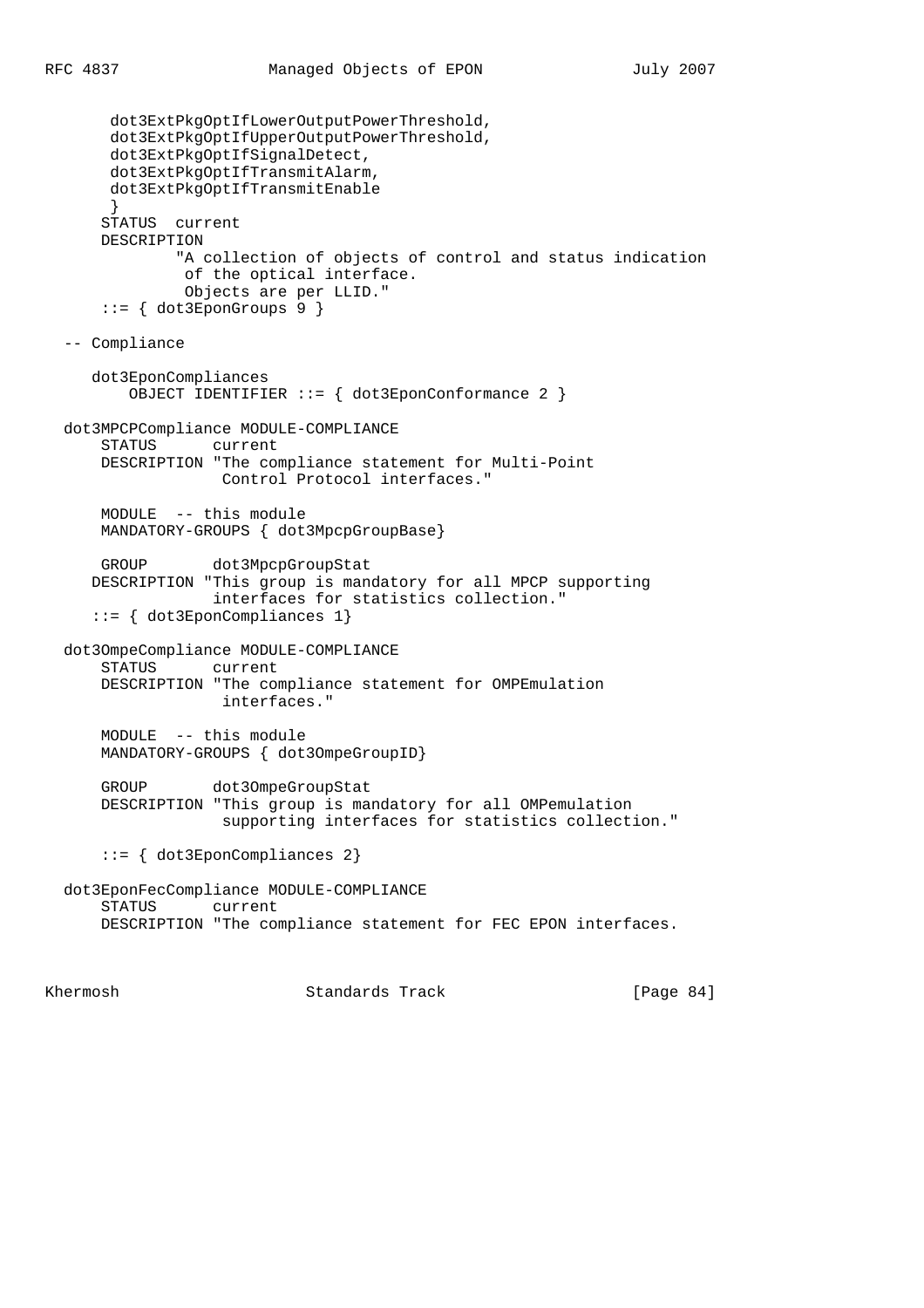```
 dot3ExtPkgOptIfLowerOutputPowerThreshold,
      dot3ExtPkgOptIfUpperOutputPowerThreshold,
      dot3ExtPkgOptIfSignalDetect,
      dot3ExtPkgOptIfTransmitAlarm,
      dot3ExtPkgOptIfTransmitEnable
}
     STATUS current
     DESCRIPTION
              "A collection of objects of control and status indication
              of the optical interface.
              Objects are per LLID."
     ::= { dot3EponGroups 9 }
 -- Compliance
    dot3EponCompliances
        OBJECT IDENTIFIER ::= { dot3EponConformance 2 }
 dot3MPCPCompliance MODULE-COMPLIANCE
     STATUS current
     DESCRIPTION "The compliance statement for Multi-Point
                  Control Protocol interfaces."
     MODULE -- this module
     MANDATORY-GROUPS { dot3MpcpGroupBase}
     GROUP dot3MpcpGroupStat
    DESCRIPTION "This group is mandatory for all MPCP supporting
                  interfaces for statistics collection."
    ::= { dot3EponCompliances 1}
 dot3OmpeCompliance MODULE-COMPLIANCE
     STATUS current
     DESCRIPTION "The compliance statement for OMPEmulation
                  interfaces."
     MODULE -- this module
     MANDATORY-GROUPS { dot3OmpeGroupID}
     GROUP dot3OmpeGroupStat
     DESCRIPTION "This group is mandatory for all OMPemulation
                  supporting interfaces for statistics collection."
      ::= { dot3EponCompliances 2}
 dot3EponFecCompliance MODULE-COMPLIANCE
     STATUS current
     DESCRIPTION "The compliance statement for FEC EPON interfaces.
```
Khermosh **Standards Track** [Page 84]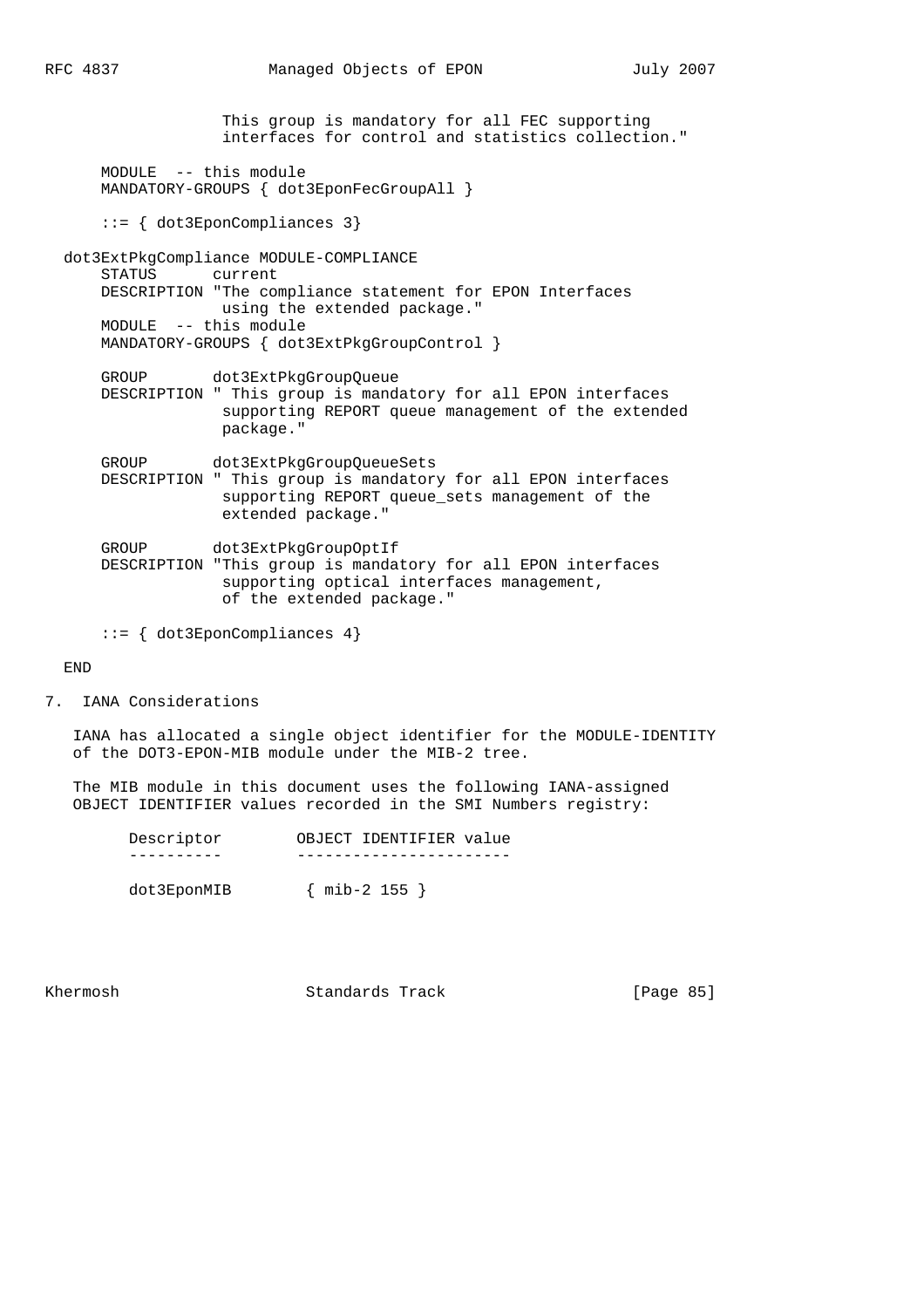This group is mandatory for all FEC supporting interfaces for control and statistics collection." MODULE -- this module MANDATORY-GROUPS { dot3EponFecGroupAll } ::= { dot3EponCompliances 3} dot3ExtPkgCompliance MODULE-COMPLIANCE STATUS current DESCRIPTION "The compliance statement for EPON Interfaces using the extended package." MODULE -- this module MANDATORY-GROUPS { dot3ExtPkgGroupControl } GROUP dot3ExtPkgGroupQueue DESCRIPTION " This group is mandatory for all EPON interfaces supporting REPORT queue management of the extended package." GROUP dot3ExtPkgGroupQueueSets DESCRIPTION " This group is mandatory for all EPON interfaces supporting REPORT queue\_sets management of the extended package." GROUP dot3ExtPkgGroupOptIf DESCRIPTION "This group is mandatory for all EPON interfaces supporting optical interfaces management, of the extended package." ::= { dot3EponCompliances 4}

END

7. IANA Considerations

 IANA has allocated a single object identifier for the MODULE-IDENTITY of the DOT3-EPON-MIB module under the MIB-2 tree.

 The MIB module in this document uses the following IANA-assigned OBJECT IDENTIFIER values recorded in the SMI Numbers registry:

|  | Descriptor | OBJECT IDENTIFIER value |  |
|--|------------|-------------------------|--|
|  |            |                         |  |

dot3EponMIB { mib-2 155 }

Khermosh Standards Track [Page 85]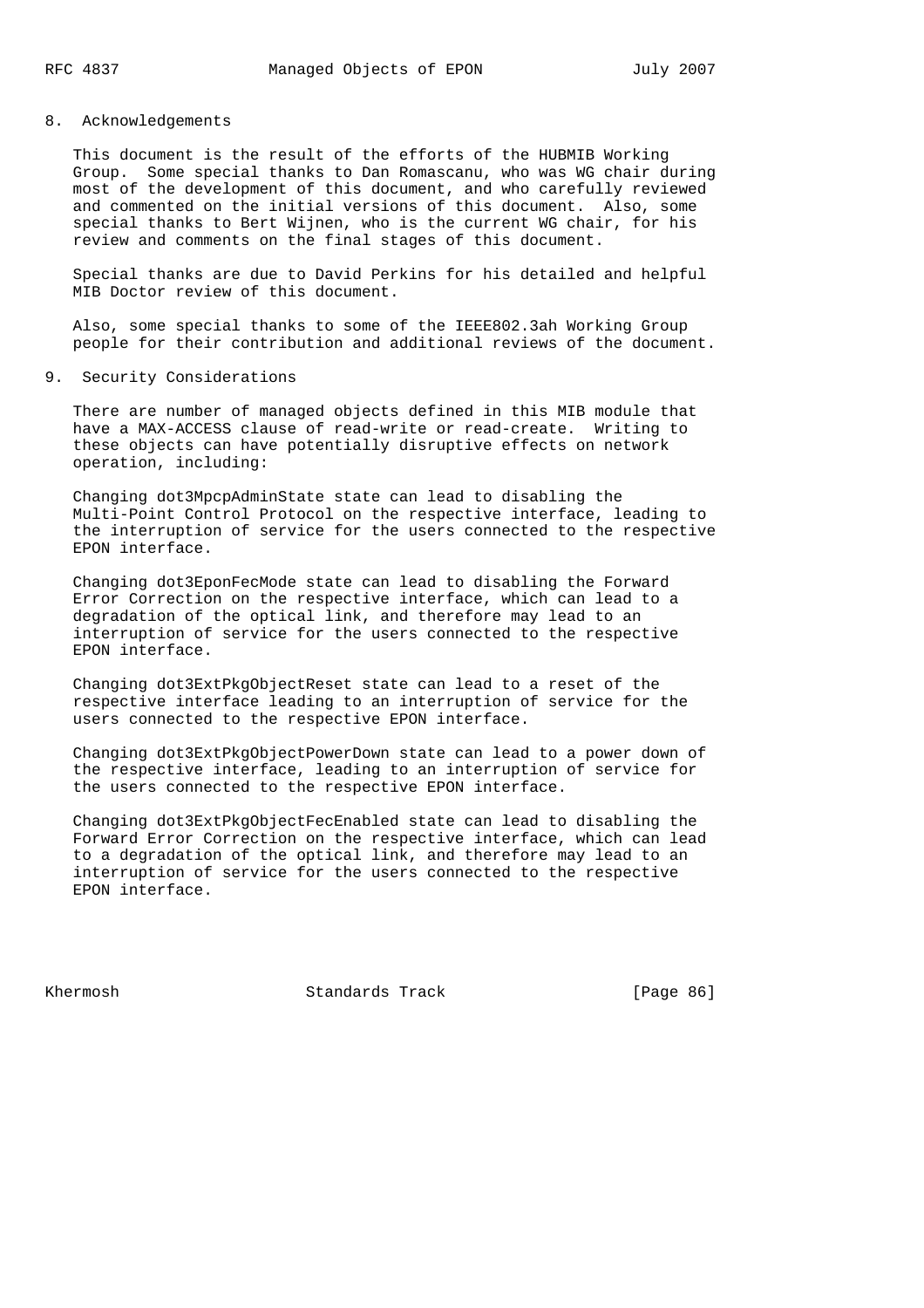### 8. Acknowledgements

 This document is the result of the efforts of the HUBMIB Working Group. Some special thanks to Dan Romascanu, who was WG chair during most of the development of this document, and who carefully reviewed and commented on the initial versions of this document. Also, some special thanks to Bert Wijnen, who is the current WG chair, for his review and comments on the final stages of this document.

 Special thanks are due to David Perkins for his detailed and helpful MIB Doctor review of this document.

 Also, some special thanks to some of the IEEE802.3ah Working Group people for their contribution and additional reviews of the document.

9. Security Considerations

 There are number of managed objects defined in this MIB module that have a MAX-ACCESS clause of read-write or read-create. Writing to these objects can have potentially disruptive effects on network operation, including:

 Changing dot3MpcpAdminState state can lead to disabling the Multi-Point Control Protocol on the respective interface, leading to the interruption of service for the users connected to the respective EPON interface.

 Changing dot3EponFecMode state can lead to disabling the Forward Error Correction on the respective interface, which can lead to a degradation of the optical link, and therefore may lead to an interruption of service for the users connected to the respective EPON interface.

 Changing dot3ExtPkgObjectReset state can lead to a reset of the respective interface leading to an interruption of service for the users connected to the respective EPON interface.

 Changing dot3ExtPkgObjectPowerDown state can lead to a power down of the respective interface, leading to an interruption of service for the users connected to the respective EPON interface.

 Changing dot3ExtPkgObjectFecEnabled state can lead to disabling the Forward Error Correction on the respective interface, which can lead to a degradation of the optical link, and therefore may lead to an interruption of service for the users connected to the respective EPON interface.

Khermosh **Standards Track** [Page 86]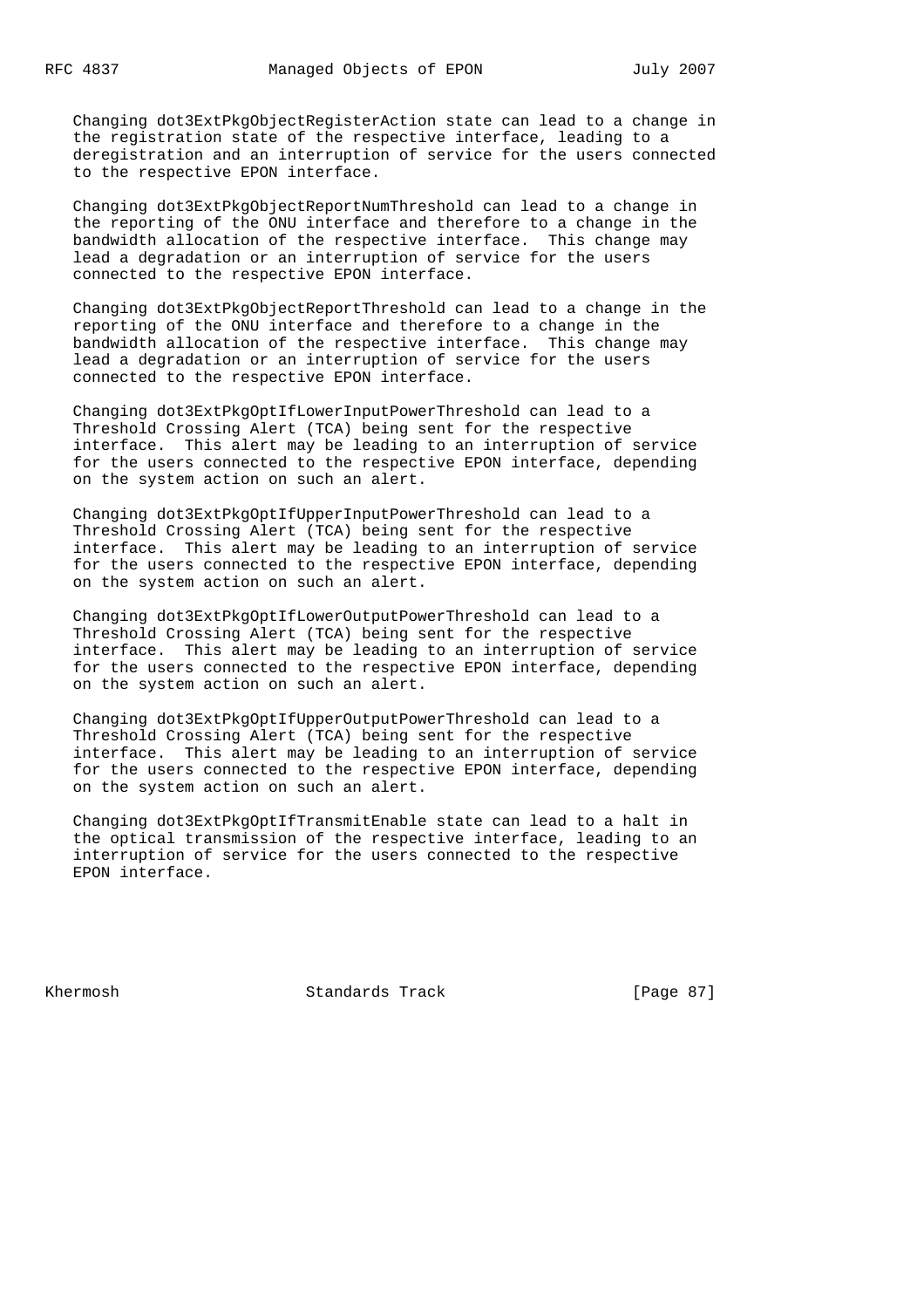Changing dot3ExtPkgObjectRegisterAction state can lead to a change in the registration state of the respective interface, leading to a deregistration and an interruption of service for the users connected to the respective EPON interface.

 Changing dot3ExtPkgObjectReportNumThreshold can lead to a change in the reporting of the ONU interface and therefore to a change in the bandwidth allocation of the respective interface. This change may lead a degradation or an interruption of service for the users connected to the respective EPON interface.

 Changing dot3ExtPkgObjectReportThreshold can lead to a change in the reporting of the ONU interface and therefore to a change in the bandwidth allocation of the respective interface. This change may lead a degradation or an interruption of service for the users connected to the respective EPON interface.

 Changing dot3ExtPkgOptIfLowerInputPowerThreshold can lead to a Threshold Crossing Alert (TCA) being sent for the respective interface. This alert may be leading to an interruption of service for the users connected to the respective EPON interface, depending on the system action on such an alert.

 Changing dot3ExtPkgOptIfUpperInputPowerThreshold can lead to a Threshold Crossing Alert (TCA) being sent for the respective interface. This alert may be leading to an interruption of service for the users connected to the respective EPON interface, depending on the system action on such an alert.

 Changing dot3ExtPkgOptIfLowerOutputPowerThreshold can lead to a Threshold Crossing Alert (TCA) being sent for the respective interface. This alert may be leading to an interruption of service for the users connected to the respective EPON interface, depending on the system action on such an alert.

 Changing dot3ExtPkgOptIfUpperOutputPowerThreshold can lead to a Threshold Crossing Alert (TCA) being sent for the respective interface. This alert may be leading to an interruption of service for the users connected to the respective EPON interface, depending on the system action on such an alert.

 Changing dot3ExtPkgOptIfTransmitEnable state can lead to a halt in the optical transmission of the respective interface, leading to an interruption of service for the users connected to the respective EPON interface.

Khermosh **Standards Track** [Page 87]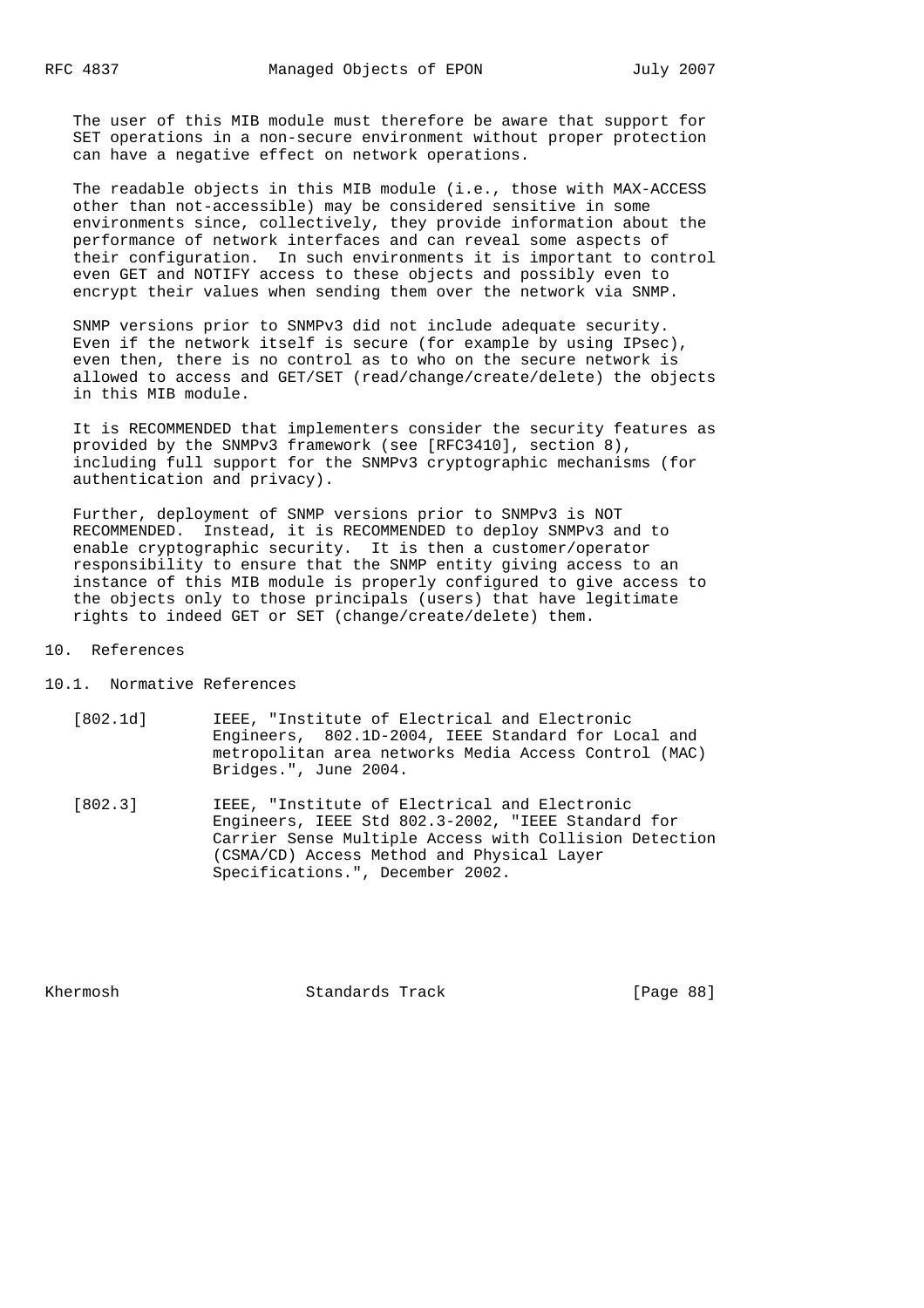The user of this MIB module must therefore be aware that support for SET operations in a non-secure environment without proper protection can have a negative effect on network operations.

 The readable objects in this MIB module (i.e., those with MAX-ACCESS other than not-accessible) may be considered sensitive in some environments since, collectively, they provide information about the performance of network interfaces and can reveal some aspects of their configuration. In such environments it is important to control even GET and NOTIFY access to these objects and possibly even to encrypt their values when sending them over the network via SNMP.

 SNMP versions prior to SNMPv3 did not include adequate security. Even if the network itself is secure (for example by using IPsec), even then, there is no control as to who on the secure network is allowed to access and GET/SET (read/change/create/delete) the objects in this MIB module.

 It is RECOMMENDED that implementers consider the security features as provided by the SNMPv3 framework (see [RFC3410], section 8), including full support for the SNMPv3 cryptographic mechanisms (for authentication and privacy).

 Further, deployment of SNMP versions prior to SNMPv3 is NOT RECOMMENDED. Instead, it is RECOMMENDED to deploy SNMPv3 and to enable cryptographic security. It is then a customer/operator responsibility to ensure that the SNMP entity giving access to an instance of this MIB module is properly configured to give access to the objects only to those principals (users) that have legitimate rights to indeed GET or SET (change/create/delete) them.

### 10. References

10.1. Normative References

- [802.1d] IEEE, "Institute of Electrical and Electronic Engineers, 802.1D-2004, IEEE Standard for Local and metropolitan area networks Media Access Control (MAC) Bridges.", June 2004.
- [802.3] IEEE, "Institute of Electrical and Electronic Engineers, IEEE Std 802.3-2002, "IEEE Standard for Carrier Sense Multiple Access with Collision Detection (CSMA/CD) Access Method and Physical Layer Specifications.", December 2002.

Khermosh **Standards Track** [Page 88]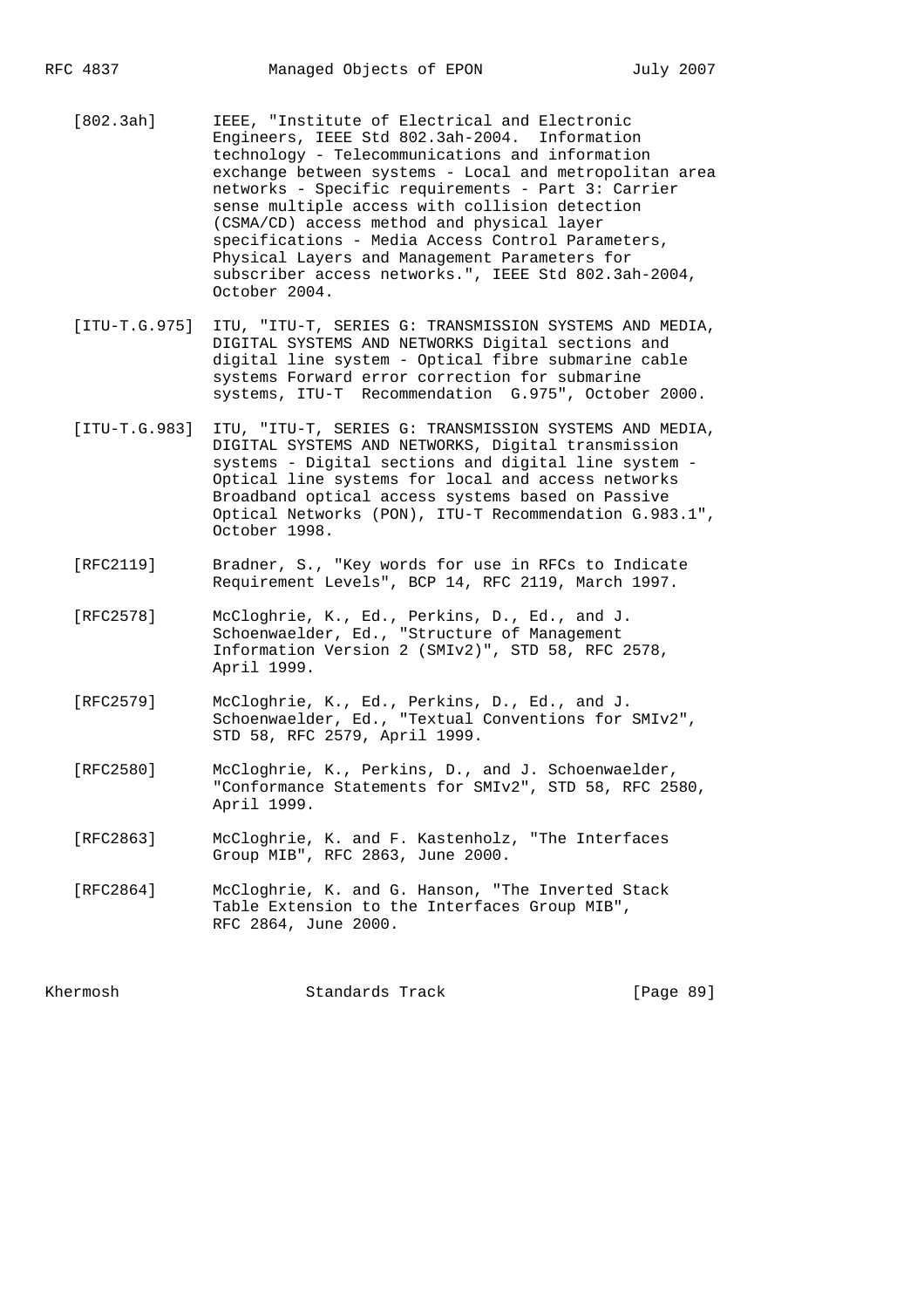[802.3ah] IEEE, "Institute of Electrical and Electronic Engineers, IEEE Std 802.3ah-2004. Information technology - Telecommunications and information exchange between systems - Local and metropolitan area networks - Specific requirements - Part 3: Carrier sense multiple access with collision detection (CSMA/CD) access method and physical layer specifications - Media Access Control Parameters, Physical Layers and Management Parameters for subscriber access networks.", IEEE Std 802.3ah-2004, October 2004.

- [ITU-T.G.975] ITU, "ITU-T, SERIES G: TRANSMISSION SYSTEMS AND MEDIA, DIGITAL SYSTEMS AND NETWORKS Digital sections and digital line system - Optical fibre submarine cable systems Forward error correction for submarine systems, ITU-T Recommendation G.975", October 2000.
- [ITU-T.G.983] ITU, "ITU-T, SERIES G: TRANSMISSION SYSTEMS AND MEDIA, DIGITAL SYSTEMS AND NETWORKS, Digital transmission systems - Digital sections and digital line system - Optical line systems for local and access networks Broadband optical access systems based on Passive Optical Networks (PON), ITU-T Recommendation G.983.1", October 1998.
- [RFC2119] Bradner, S., "Key words for use in RFCs to Indicate Requirement Levels", BCP 14, RFC 2119, March 1997.
- [RFC2578] McCloghrie, K., Ed., Perkins, D., Ed., and J. Schoenwaelder, Ed., "Structure of Management Information Version 2 (SMIv2)", STD 58, RFC 2578, April 1999.
- [RFC2579] McCloghrie, K., Ed., Perkins, D., Ed., and J. Schoenwaelder, Ed., "Textual Conventions for SMIv2", STD 58, RFC 2579, April 1999.
- [RFC2580] McCloghrie, K., Perkins, D., and J. Schoenwaelder, "Conformance Statements for SMIv2", STD 58, RFC 2580, April 1999.
- [RFC2863] McCloghrie, K. and F. Kastenholz, "The Interfaces Group MIB", RFC 2863, June 2000.
- [RFC2864] McCloghrie, K. and G. Hanson, "The Inverted Stack Table Extension to the Interfaces Group MIB", RFC 2864, June 2000.

Khermosh **Standards Track** [Page 89]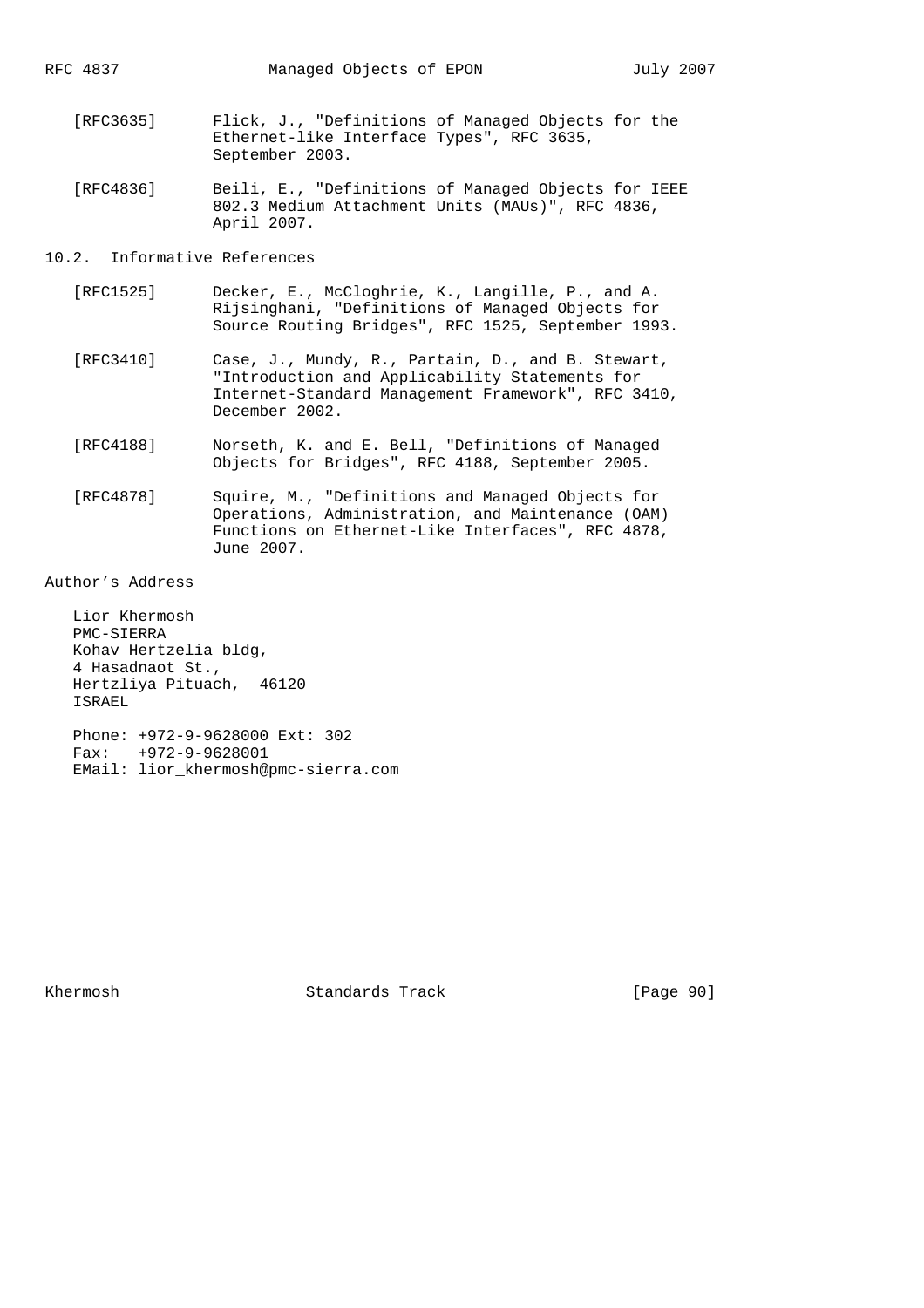- [RFC3635] Flick, J., "Definitions of Managed Objects for the Ethernet-like Interface Types", RFC 3635, September 2003.
- [RFC4836] Beili, E., "Definitions of Managed Objects for IEEE 802.3 Medium Attachment Units (MAUs)", RFC 4836, April 2007.

# 10.2. Informative References

- [RFC1525] Decker, E., McCloghrie, K., Langille, P., and A. Rijsinghani, "Definitions of Managed Objects for Source Routing Bridges", RFC 1525, September 1993.
- [RFC3410] Case, J., Mundy, R., Partain, D., and B. Stewart, "Introduction and Applicability Statements for Internet-Standard Management Framework", RFC 3410, December 2002.
- [RFC4188] Norseth, K. and E. Bell, "Definitions of Managed Objects for Bridges", RFC 4188, September 2005.
- [RFC4878] Squire, M., "Definitions and Managed Objects for Operations, Administration, and Maintenance (OAM) Functions on Ethernet-Like Interfaces", RFC 4878, June 2007.

Author's Address

 Lior Khermosh PMC-SIERRA Kohav Hertzelia bldg, 4 Hasadnaot St., Hertzliya Pituach, 46120 ISRAEL Phone: +972-9-9628000 Ext: 302 Fax: +972-9-9628001 EMail: lior\_khermosh@pmc-sierra.com

Khermosh Standards Track [Page 90]